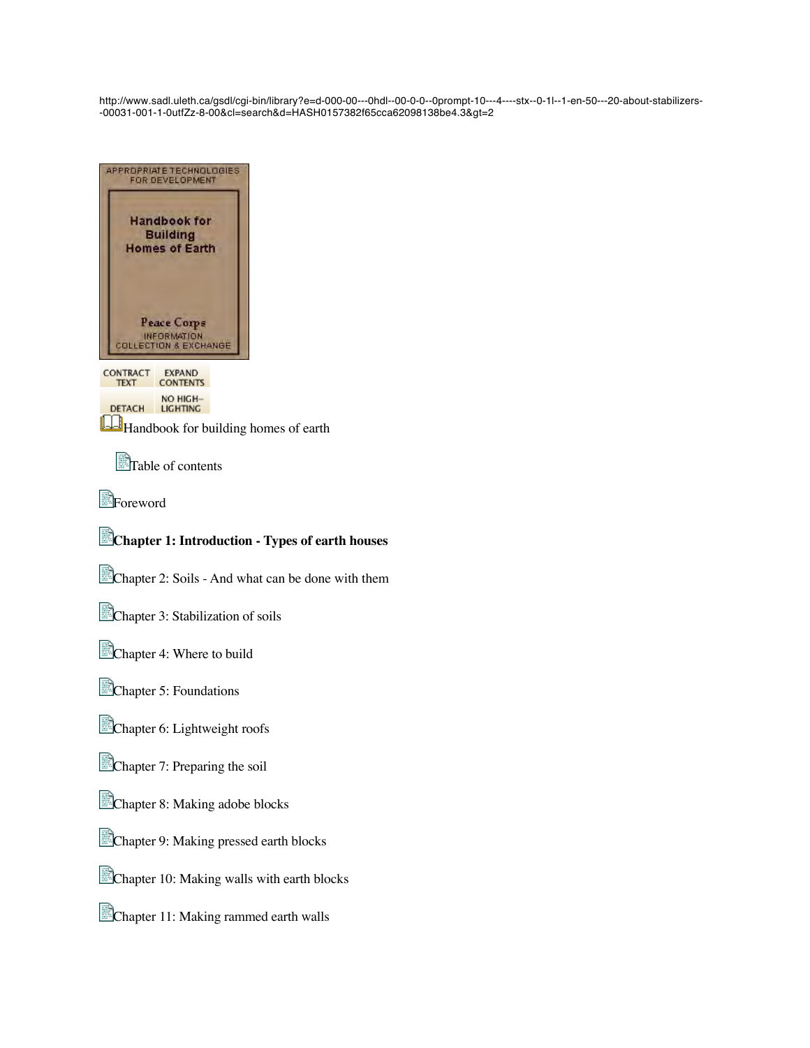http://www.sadl.uleth.ca/gsdl/cgi-bin/library?e=d-000-00---0hdl--00-0-0--0prompt-10---4----stx--0-1l--1-en-50---20-about-stabilizers- -00031-001-1-0utfZz-8-00&cl=search&d=HASH0157382f65cca62098138be4.3&gt=2



Table of contents



# **Chapter 1: Introduction - Types of earth houses**

Chapter 2: Soils - And what can be done with them

Chapter 3: Stabilization of soils

Chapter 4: Where to build

Chapter 5: Foundations

Chapter 6: Lightweight roofs

Chapter 7: Preparing the soil

Chapter 8: Making adobe blocks

- Chapter 9: Making pressed earth blocks
- Chapter 10: Making walls with earth blocks
- Chapter 11: Making rammed earth walls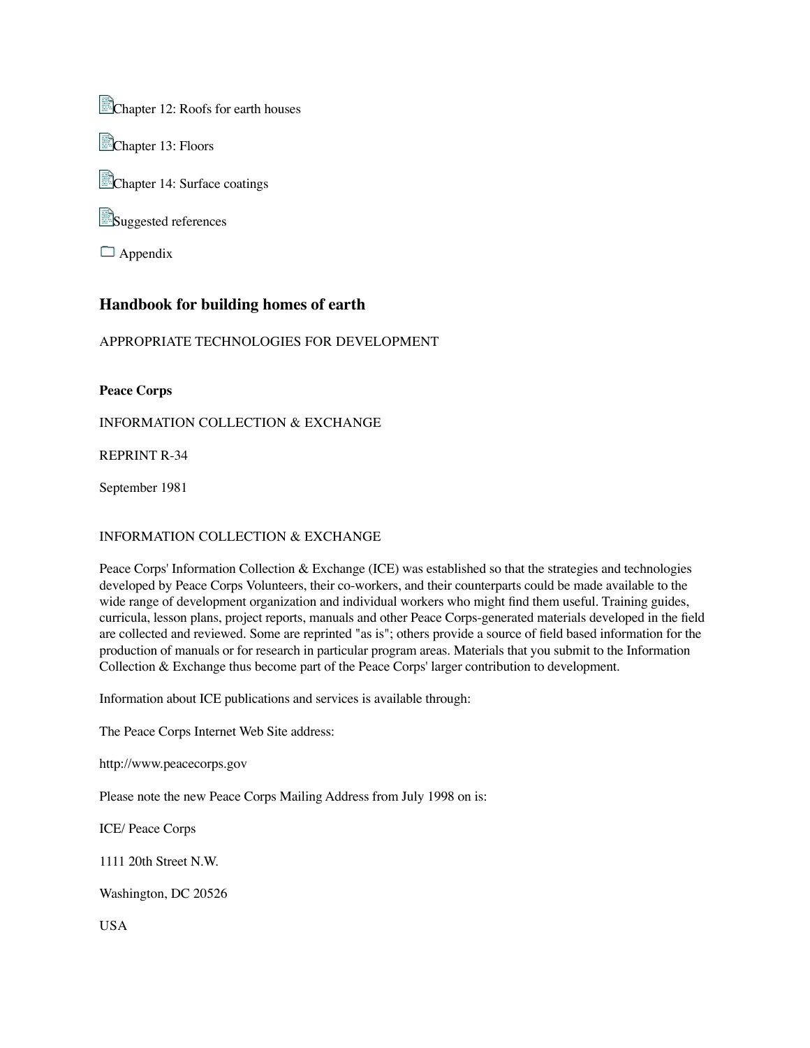Chapter 12: Roofs for earth houses

Chapter 13: Floors

Chapter 14: Surface coatings

Suggested references

 $\Box$  Appendix

# **Handbook for building homes of earth**

## APPROPRIATE TECHNOLOGIES FOR DEVELOPMENT

## **Peace Corps**

INFORMATION COLLECTION & EXCHANGE

REPRINT R-34

September 1981

## INFORMATION COLLECTION & EXCHANGE

Peace Corps' Information Collection & Exchange (ICE) was established so that the strategies and technologies developed by Peace Corps Volunteers, their co-workers, and their counterparts could be made available to the wide range of development organization and individual workers who might find them useful. Training guides, curricula, lesson plans, project reports, manuals and other Peace Corps-generated materials developed in the field are collected and reviewed. Some are reprinted "as is"; others provide a source of field based information for the production of manuals or for research in particular program areas. Materials that you submit to the Information Collection & Exchange thus become part of the Peace Corps' larger contribution to development.

Information about ICE publications and services is available through:

The Peace Corps Internet Web Site address:

http://www.peacecorps.gov

Please note the new Peace Corps Mailing Address from July 1998 on is:

ICE/ Peace Corps

1111 20th Street N.W.

Washington, DC 20526

USA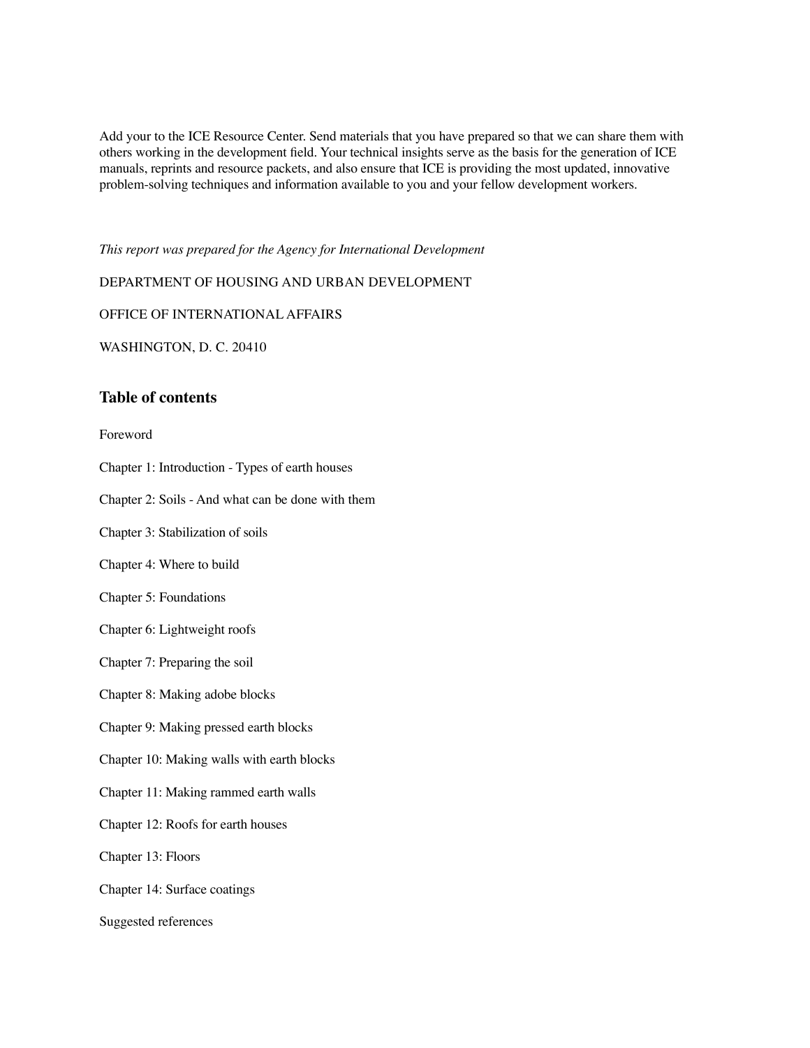Add your to the ICE Resource Center. Send materials that you have prepared so that we can share them with others working in the development field. Your technical insights serve as the basis for the generation of ICE manuals, reprints and resource packets, and also ensure that ICE is providing the most updated, innovative problem-solving techniques and information available to you and your fellow development workers.

*This report was prepared for the Agency for International Development*

DEPARTMENT OF HOUSING AND URBAN DEVELOPMENT OFFICE OF INTERNATIONAL AFFAIRS WASHINGTON, D. C. 20410

## **Table of contents**

Foreword

Chapter 1: Introduction - Types of earth houses

Chapter 2: Soils - And what can be done with them

Chapter 3: Stabilization of soils

Chapter 4: Where to build

Chapter 5: Foundations

Chapter 6: Lightweight roofs

Chapter 7: Preparing the soil

Chapter 8: Making adobe blocks

Chapter 9: Making pressed earth blocks

Chapter 10: Making walls with earth blocks

Chapter 11: Making rammed earth walls

Chapter 12: Roofs for earth houses

Chapter 13: Floors

Chapter 14: Surface coatings

Suggested references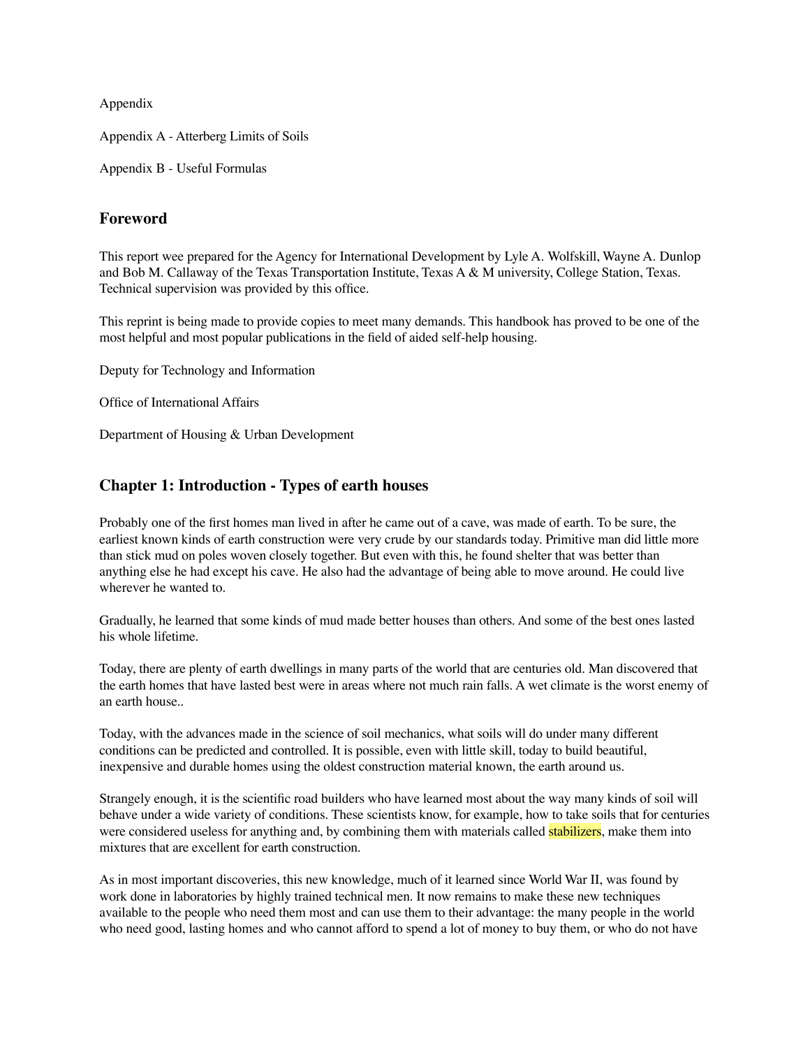Appendix

Appendix A - Atterberg Limits of Soils

Appendix B - Useful Formulas

# **Foreword**

This report wee prepared for the Agency for International Development by Lyle A. Wolfskill, Wayne A. Dunlop and Bob M. Callaway of the Texas Transportation Institute, Texas A & M university, College Station, Texas. Technical supervision was provided by this office.

This reprint is being made to provide copies to meet many demands. This handbook has proved to be one of the most helpful and most popular publications in the field of aided self-help housing.

Deputy for Technology and Information

Office of International Affairs

Department of Housing & Urban Development

# **Chapter 1: Introduction - Types of earth houses**

Probably one of the first homes man lived in after he came out of a cave, was made of earth. To be sure, the earliest known kinds of earth construction were very crude by our standards today. Primitive man did little more than stick mud on poles woven closely together. But even with this, he found shelter that was better than anything else he had except his cave. He also had the advantage of being able to move around. He could live wherever he wanted to.

Gradually, he learned that some kinds of mud made better houses than others. And some of the best ones lasted his whole lifetime.

Today, there are plenty of earth dwellings in many parts of the world that are centuries old. Man discovered that the earth homes that have lasted best were in areas where not much rain falls. A wet climate is the worst enemy of an earth house..

Today, with the advances made in the science of soil mechanics, what soils will do under many different conditions can be predicted and controlled. It is possible, even with little skill, today to build beautiful, inexpensive and durable homes using the oldest construction material known, the earth around us.

Strangely enough, it is the scientific road builders who have learned most about the way many kinds of soil will behave under a wide variety of conditions. These scientists know, for example, how to take soils that for centuries were considered useless for anything and, by combining them with materials called **stabilizers**, make them into mixtures that are excellent for earth construction.

As in most important discoveries, this new knowledge, much of it learned since World War II, was found by work done in laboratories by highly trained technical men. It now remains to make these new techniques available to the people who need them most and can use them to their advantage: the many people in the world who need good, lasting homes and who cannot afford to spend a lot of money to buy them, or who do not have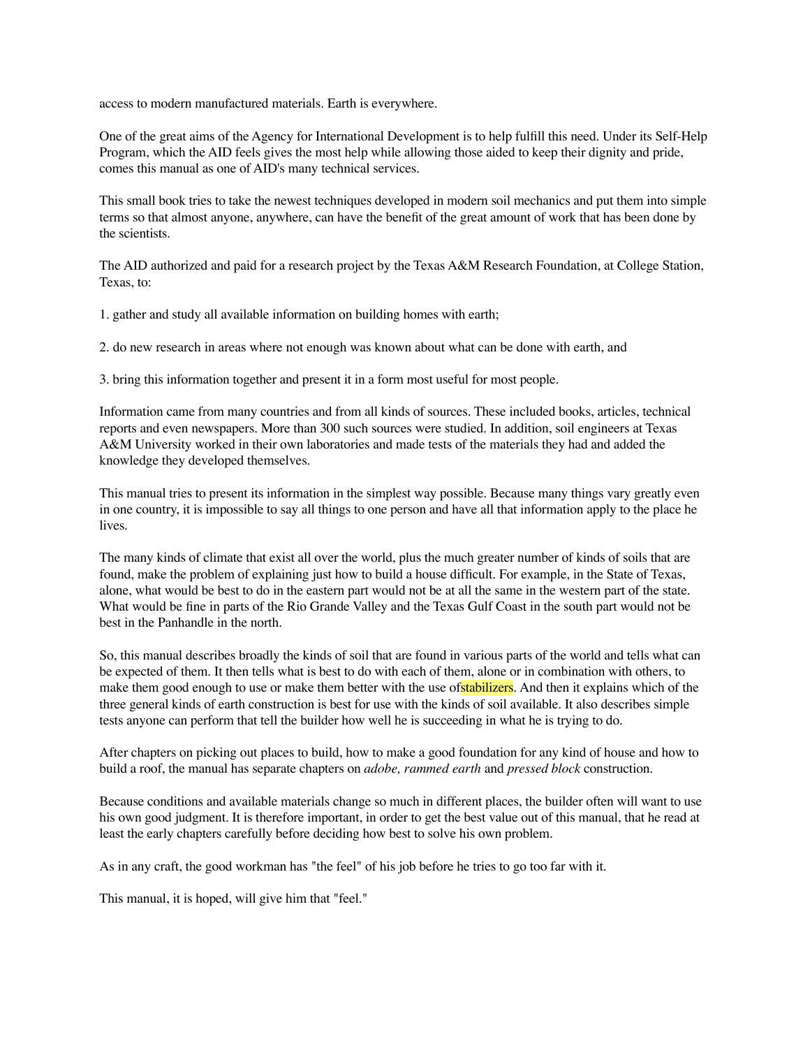access to modern manufactured materials. Earth is everywhere.

One of the great aims of the Agency for International Development is to help fulfill this need. Under its Self-Help Program, which the AID feels gives the most help while allowing those aided to keep their dignity and pride, comes this manual as one of AID's many technical services.

This small book tries to take the newest techniques developed in modern soil mechanics and put them into simple terms so that almost anyone, anywhere, can have the benefit of the great amount of work that has been done by the scientists.

The AID authorized and paid for a research project by the Texas A&M Research Foundation, at College Station, Texas, to:

1. gather and study all available information on building homes with earth;

2. do new research in areas where not enough was known about what can be done with earth, and

3. bring this information together and present it in a form most useful for most people.

Information came from many countries and from all kinds of sources. These included books, articles, technical reports and even newspapers. More than 300 such sources were studied. In addition, soil engineers at Texas A&M University worked in their own laboratories and made tests of the materials they had and added the knowledge they developed themselves.

This manual tries to present its information in the simplest way possible. Because many things vary greatly even in one country, it is impossible to say all things to one person and have all that information apply to the place he lives.

The many kinds of climate that exist all over the world, plus the much greater number of kinds of soils that are found, make the problem of explaining just how to build a house difficult. For example, in the State of Texas, alone, what would be best to do in the eastern part would not be at all the same in the western part of the state. What would be fine in parts of the Rio Grande Valley and the Texas Gulf Coast in the south part would not be best in the Panhandle in the north.

So, this manual describes broadly the kinds of soil that are found in various parts of the world and tells what can be expected of them. It then tells what is best to do with each of them, alone or in combination with others, to make them good enough to use or make them better with the use of **stabilizers**. And then it explains which of the three general kinds of earth construction is best for use with the kinds of soil available. It also describes simple tests anyone can perform that tell the builder how well he is succeeding in what he is trying to do.

After chapters on picking out places to build, how to make a good foundation for any kind of house and how to build a roof, the manual has separate chapters on *adobe, rammed earth* and *pressed block* construction.

Because conditions and available materials change so much in different places, the builder often will want to use his own good judgment. It is therefore important, in order to get the best value out of this manual, that he read at least the early chapters carefully before deciding how best to solve his own problem.

As in any craft, the good workman has "the feel" of his job before he tries to go too far with it.

This manual, it is hoped, will give him that "feel."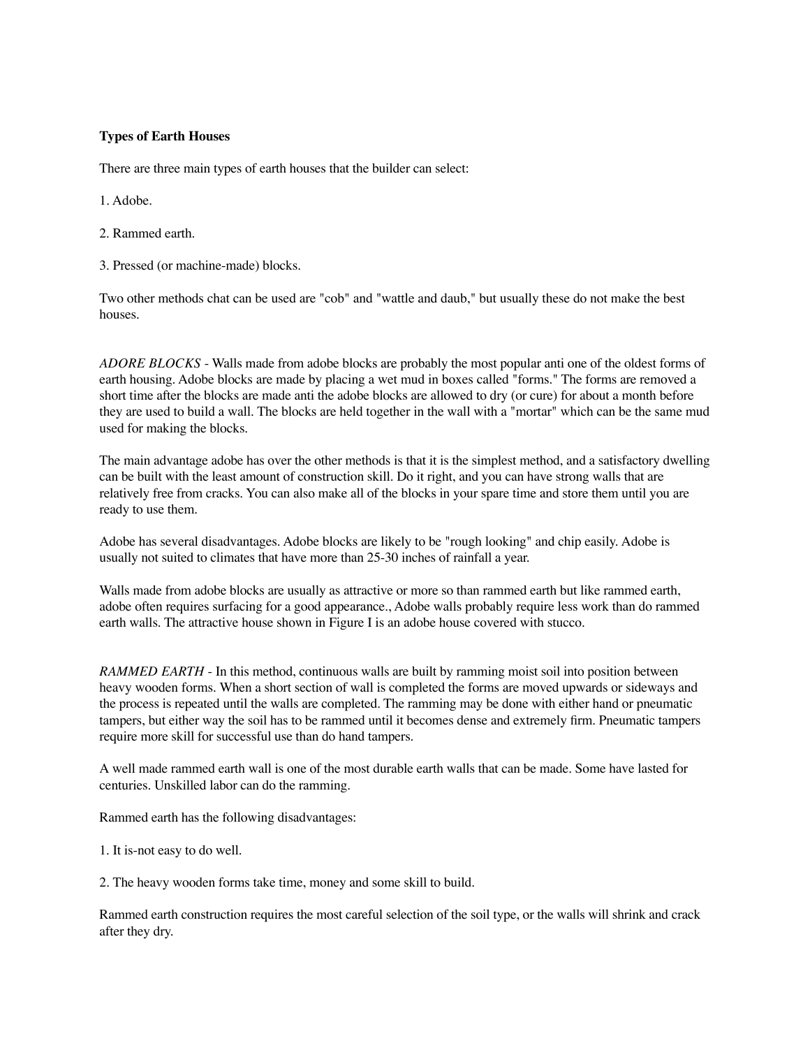## **Types of Earth Houses**

There are three main types of earth houses that the builder can select:

1. Adobe.

- 2. Rammed earth.
- 3. Pressed (or machine-made) blocks.

Two other methods chat can be used are "cob" and "wattle and daub," but usually these do not make the best houses.

*ADORE BLOCKS* - Walls made from adobe blocks are probably the most popular anti one of the oldest forms of earth housing. Adobe blocks are made by placing a wet mud in boxes called "forms." The forms are removed a short time after the blocks are made anti the adobe blocks are allowed to dry (or cure) for about a month before they are used to build a wall. The blocks are held together in the wall with a "mortar" which can be the same mud used for making the blocks.

The main advantage adobe has over the other methods is that it is the simplest method, and a satisfactory dwelling can be built with the least amount of construction skill. Do it right, and you can have strong walls that are relatively free from cracks. You can also make all of the blocks in your spare time and store them until you are ready to use them.

Adobe has several disadvantages. Adobe blocks are likely to be "rough looking" and chip easily. Adobe is usually not suited to climates that have more than 25-30 inches of rainfall a year.

Walls made from adobe blocks are usually as attractive or more so than rammed earth but like rammed earth, adobe often requires surfacing for a good appearance., Adobe walls probably require less work than do rammed earth walls. The attractive house shown in Figure I is an adobe house covered with stucco.

*RAMMED EARTH* - In this method, continuous walls are built by ramming moist soil into position between heavy wooden forms. When a short section of wall is completed the forms are moved upwards or sideways and the process is repeated until the walls are completed. The ramming may be done with either hand or pneumatic tampers, but either way the soil has to be rammed until it becomes dense and extremely firm. Pneumatic tampers require more skill for successful use than do hand tampers.

A well made rammed earth wall is one of the most durable earth walls that can be made. Some have lasted for centuries. Unskilled labor can do the ramming.

Rammed earth has the following disadvantages:

1. It is-not easy to do well.

2. The heavy wooden forms take time, money and some skill to build.

Rammed earth construction requires the most careful selection of the soil type, or the walls will shrink and crack after they dry.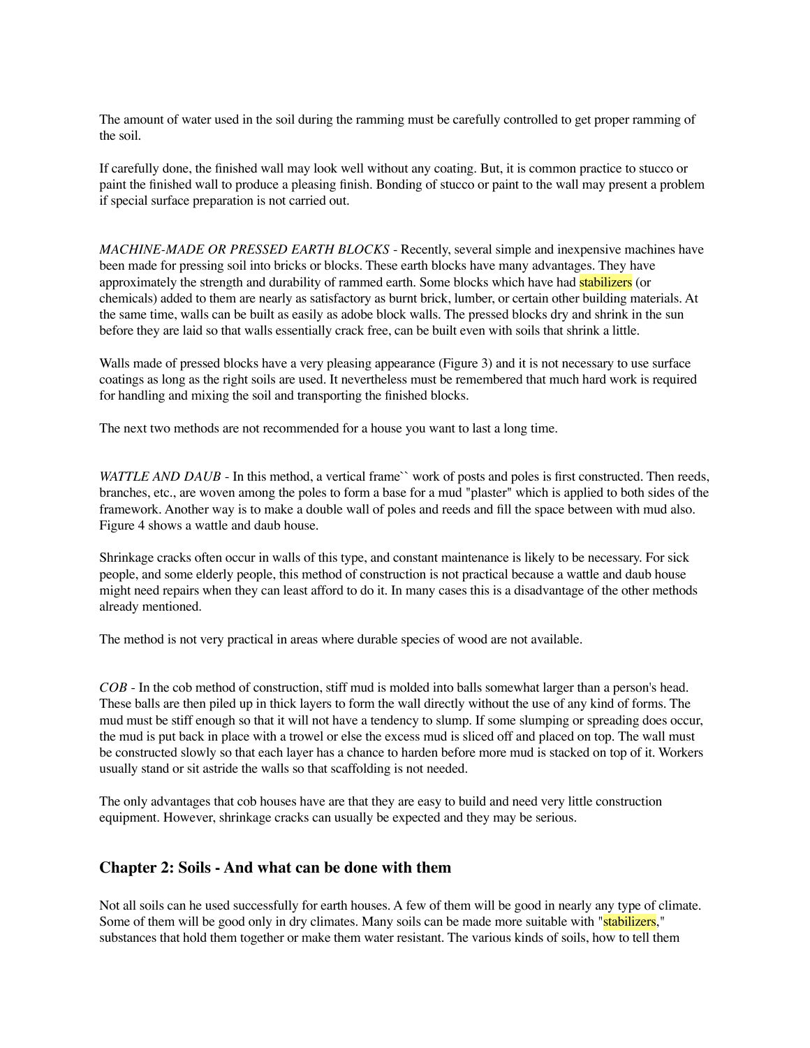The amount of water used in the soil during the ramming must be carefully controlled to get proper ramming of the soil.

If carefully done, the finished wall may look well without any coating. But, it is common practice to stucco or paint the finished wall to produce a pleasing finish. Bonding of stucco or paint to the wall may present a problem if special surface preparation is not carried out.

*MACHINE-MADE OR PRESSED EARTH BLOCKS* - Recently, several simple and inexpensive machines have been made for pressing soil into bricks or blocks. These earth blocks have many advantages. They have approximately the strength and durability of rammed earth. Some blocks which have had **stabilizers** (or chemicals) added to them are nearly as satisfactory as burnt brick, lumber, or certain other building materials. At the same time, walls can be built as easily as adobe block walls. The pressed blocks dry and shrink in the sun before they are laid so that walls essentially crack free, can be built even with soils that shrink a little.

Walls made of pressed blocks have a very pleasing appearance (Figure 3) and it is not necessary to use surface coatings as long as the right soils are used. It nevertheless must be remembered that much hard work is required for handling and mixing the soil and transporting the finished blocks.

The next two methods are not recommended for a house you want to last a long time.

*WATTLE AND DAUB* - In this method, a vertical frame'' work of posts and poles is first constructed. Then reeds, branches, etc., are woven among the poles to form a base for a mud "plaster" which is applied to both sides of the framework. Another way is to make a double wall of poles and reeds and fill the space between with mud also. Figure 4 shows a wattle and daub house.

Shrinkage cracks often occur in walls of this type, and constant maintenance is likely to be necessary. For sick people, and some elderly people, this method of construction is not practical because a wattle and daub house might need repairs when they can least afford to do it. In many cases this is a disadvantage of the other methods already mentioned.

The method is not very practical in areas where durable species of wood are not available.

*COB* - In the cob method of construction, stiff mud is molded into balls somewhat larger than a person's head. These balls are then piled up in thick layers to form the wall directly without the use of any kind of forms. The mud must be stiff enough so that it will not have a tendency to slump. If some slumping or spreading does occur, the mud is put back in place with a trowel or else the excess mud is sliced off and placed on top. The wall must be constructed slowly so that each layer has a chance to harden before more mud is stacked on top of it. Workers usually stand or sit astride the walls so that scaffolding is not needed.

The only advantages that cob houses have are that they are easy to build and need very little construction equipment. However, shrinkage cracks can usually be expected and they may be serious.

# **Chapter 2: Soils - And what can be done with them**

Not all soils can he used successfully for earth houses. A few of them will be good in nearly any type of climate. Some of them will be good only in dry climates. Many soils can be made more suitable with "stabilizers," substances that hold them together or make them water resistant. The various kinds of soils, how to tell them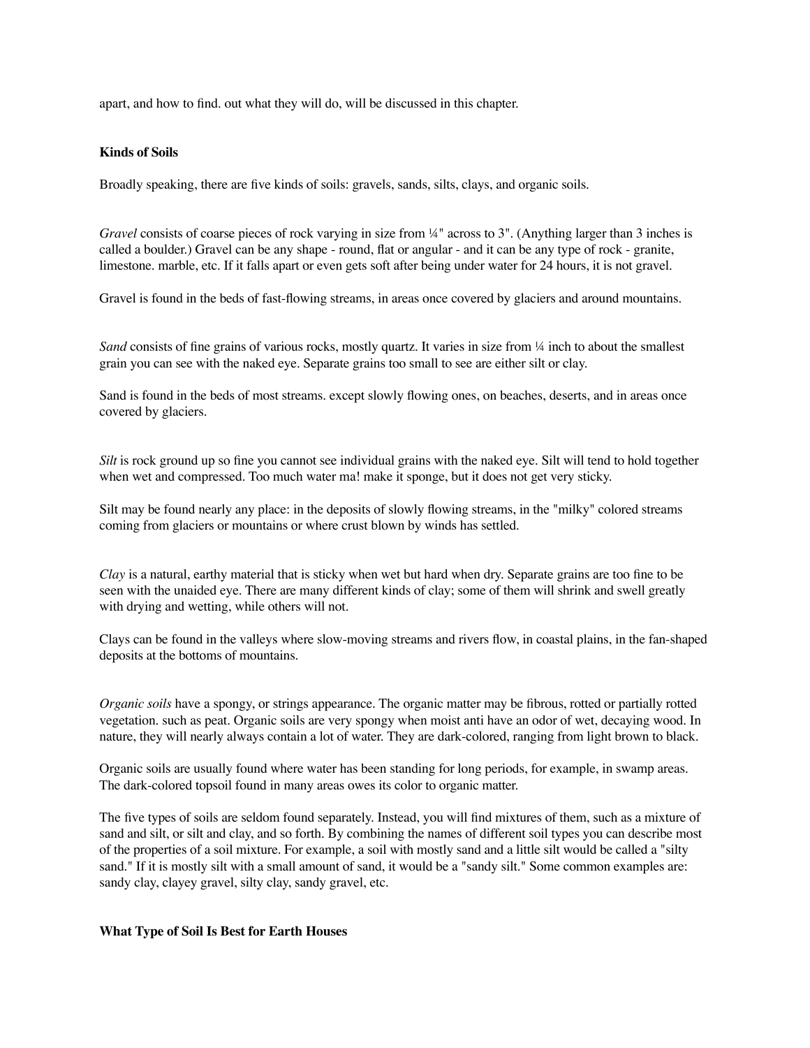apart, and how to find. out what they will do, will be discussed in this chapter.

#### **Kinds of Soils**

Broadly speaking, there are five kinds of soils: gravels, sands, silts, clays, and organic soils.

*Gravel* consists of coarse pieces of rock varying in size from  $\frac{1}{4}$ " across to 3". (Anything larger than 3 inches is called a boulder.) Gravel can be any shape - round, flat or angular - and it can be any type of rock - granite, limestone. marble, etc. If it falls apart or even gets soft after being under water for 24 hours, it is not gravel.

Gravel is found in the beds of fast-flowing streams, in areas once covered by glaciers and around mountains.

*Sand* consists of fine grains of various rocks, mostly quartz. It varies in size from  $\frac{1}{4}$  inch to about the smallest grain you can see with the naked eye. Separate grains too small to see are either silt or clay.

Sand is found in the beds of most streams. except slowly flowing ones, on beaches, deserts, and in areas once covered by glaciers.

*Silt* is rock ground up so fine you cannot see individual grains with the naked eye. Silt will tend to hold together when wet and compressed. Too much water ma! make it sponge, but it does not get very sticky.

Silt may be found nearly any place: in the deposits of slowly flowing streams, in the "milky" colored streams coming from glaciers or mountains or where crust blown by winds has settled.

*Clay* is a natural, earthy material that is sticky when wet but hard when dry. Separate grains are too fine to be seen with the unaided eye. There are many different kinds of clay; some of them will shrink and swell greatly with drying and wetting, while others will not.

Clays can be found in the valleys where slow-moving streams and rivers flow, in coastal plains, in the fan-shaped deposits at the bottoms of mountains.

*Organic soils* have a spongy, or strings appearance. The organic matter may be fibrous, rotted or partially rotted vegetation. such as peat. Organic soils are very spongy when moist anti have an odor of wet, decaying wood. In nature, they will nearly always contain a lot of water. They are dark-colored, ranging from light brown to black.

Organic soils are usually found where water has been standing for long periods, for example, in swamp areas. The dark-colored topsoil found in many areas owes its color to organic matter.

The five types of soils are seldom found separately. Instead, you will find mixtures of them, such as a mixture of sand and silt, or silt and clay, and so forth. By combining the names of different soil types you can describe most of the properties of a soil mixture. For example, a soil with mostly sand and a little silt would be called a "silty sand." If it is mostly silt with a small amount of sand, it would be a "sandy silt." Some common examples are: sandy clay, clayey gravel, silty clay, sandy gravel, etc.

#### **What Type of Soil Is Best for Earth Houses**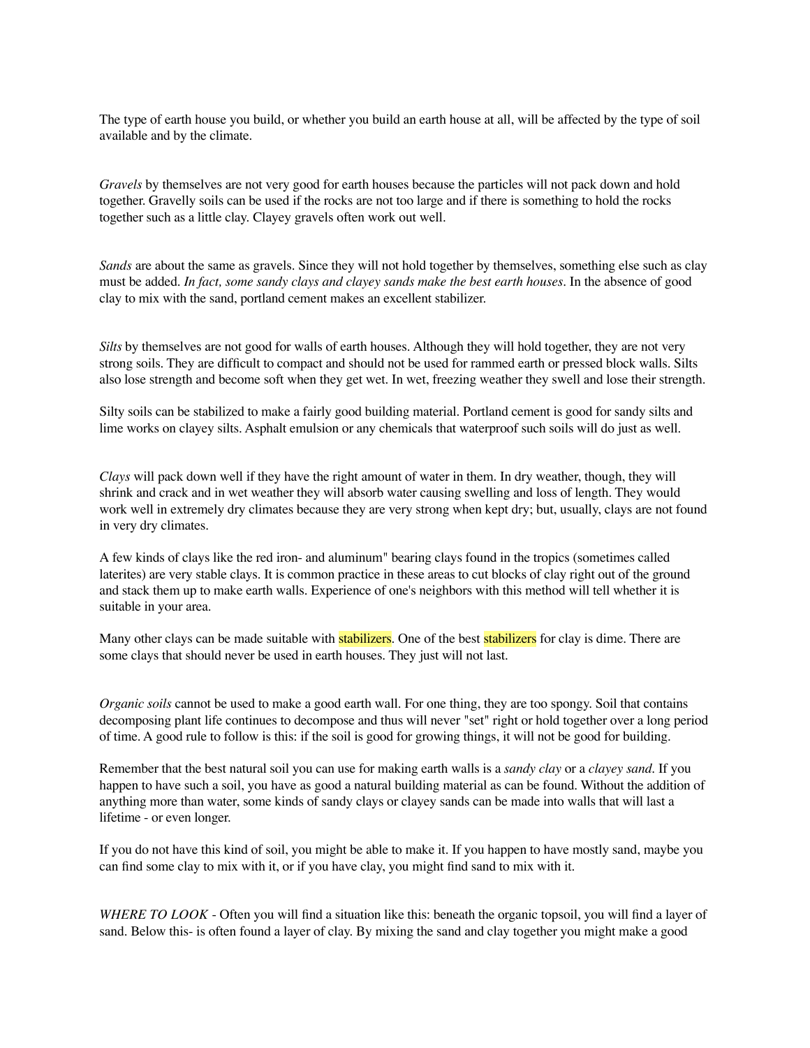The type of earth house you build, or whether you build an earth house at all, will be affected by the type of soil available and by the climate.

*Gravels* by themselves are not very good for earth houses because the particles will not pack down and hold together. Gravelly soils can be used if the rocks are not too large and if there is something to hold the rocks together such as a little clay. Clayey gravels often work out well.

*Sands* are about the same as gravels. Since they will not hold together by themselves, something else such as clay must be added. *In fact, some sandy clays and clayey sands make the best earth houses*. In the absence of good clay to mix with the sand, portland cement makes an excellent stabilizer.

*Silts* by themselves are not good for walls of earth houses. Although they will hold together, they are not very strong soils. They are difficult to compact and should not be used for rammed earth or pressed block walls. Silts also lose strength and become soft when they get wet. In wet, freezing weather they swell and lose their strength.

Silty soils can be stabilized to make a fairly good building material. Portland cement is good for sandy silts and lime works on clayey silts. Asphalt emulsion or any chemicals that waterproof such soils will do just as well.

*Clays* will pack down well if they have the right amount of water in them. In dry weather, though, they will shrink and crack and in wet weather they will absorb water causing swelling and loss of length. They would work well in extremely dry climates because they are very strong when kept dry; but, usually, clays are not found in very dry climates.

A few kinds of clays like the red iron- and aluminum" bearing clays found in the tropics (sometimes called laterites) are very stable clays. It is common practice in these areas to cut blocks of clay right out of the ground and stack them up to make earth walls. Experience of one's neighbors with this method will tell whether it is suitable in your area.

Many other clays can be made suitable with **stabilizers**. One of the best **stabilizers** for clay is dime. There are some clays that should never be used in earth houses. They just will not last.

*Organic soils* cannot be used to make a good earth wall. For one thing, they are too spongy. Soil that contains decomposing plant life continues to decompose and thus will never "set" right or hold together over a long period of time. A good rule to follow is this: if the soil is good for growing things, it will not be good for building.

Remember that the best natural soil you can use for making earth walls is a *sandy clay* or a *clayey sand*. If you happen to have such a soil, you have as good a natural building material as can be found. Without the addition of anything more than water, some kinds of sandy clays or clayey sands can be made into walls that will last a lifetime - or even longer.

If you do not have this kind of soil, you might be able to make it. If you happen to have mostly sand, maybe you can find some clay to mix with it, or if you have clay, you might find sand to mix with it.

*WHERE TO LOOK* - Often you will find a situation like this: beneath the organic topsoil, you will find a layer of sand. Below this- is often found a layer of clay. By mixing the sand and clay together you might make a good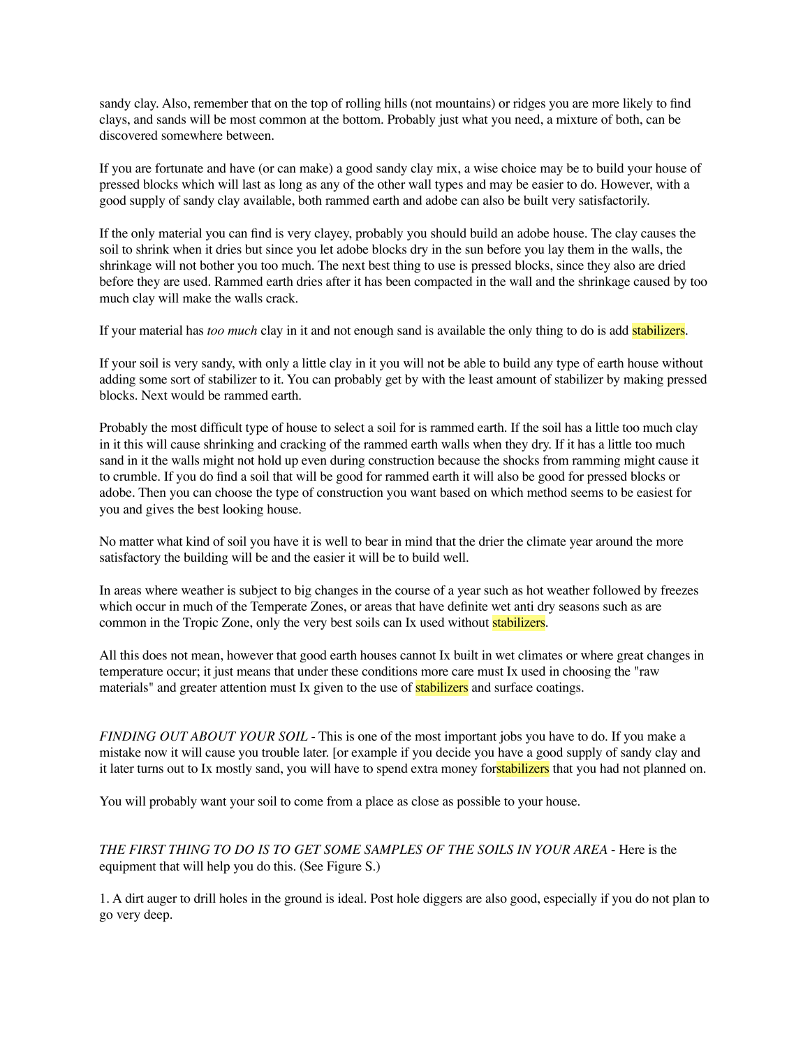sandy clay. Also, remember that on the top of rolling hills (not mountains) or ridges you are more likely to find clays, and sands will be most common at the bottom. Probably just what you need, a mixture of both, can be discovered somewhere between.

If you are fortunate and have (or can make) a good sandy clay mix, a wise choice may be to build your house of pressed blocks which will last as long as any of the other wall types and may be easier to do. However, with a good supply of sandy clay available, both rammed earth and adobe can also be built very satisfactorily.

If the only material you can find is very clayey, probably you should build an adobe house. The clay causes the soil to shrink when it dries but since you let adobe blocks dry in the sun before you lay them in the walls, the shrinkage will not bother you too much. The next best thing to use is pressed blocks, since they also are dried before they are used. Rammed earth dries after it has been compacted in the wall and the shrinkage caused by too much clay will make the walls crack.

If your material has *too much* clay in it and not enough sand is available the only thing to do is add stabilizers.

If your soil is very sandy, with only a little clay in it you will not be able to build any type of earth house without adding some sort of stabilizer to it. You can probably get by with the least amount of stabilizer by making pressed blocks. Next would be rammed earth.

Probably the most difficult type of house to select a soil for is rammed earth. If the soil has a little too much clay in it this will cause shrinking and cracking of the rammed earth walls when they dry. If it has a little too much sand in it the walls might not hold up even during construction because the shocks from ramming might cause it to crumble. If you do find a soil that will be good for rammed earth it will also be good for pressed blocks or adobe. Then you can choose the type of construction you want based on which method seems to be easiest for you and gives the best looking house.

No matter what kind of soil you have it is well to bear in mind that the drier the climate year around the more satisfactory the building will be and the easier it will be to build well.

In areas where weather is subject to big changes in the course of a year such as hot weather followed by freezes which occur in much of the Temperate Zones, or areas that have definite wet anti dry seasons such as are common in the Tropic Zone, only the very best soils can Ix used without stabilizers.

All this does not mean, however that good earth houses cannot Ix built in wet climates or where great changes in temperature occur; it just means that under these conditions more care must Ix used in choosing the "raw materials" and greater attention must Ix given to the use of **stabilizers** and surface coatings.

*FINDING OUT ABOUT YOUR SOIL* - This is one of the most important jobs you have to do. If you make a mistake now it will cause you trouble later. [or example if you decide you have a good supply of sandy clay and it later turns out to Ix mostly sand, you will have to spend extra money for**stabilizers** that you had not planned on.

You will probably want your soil to come from a place as close as possible to your house.

*THE FIRST THING TO DO IS TO GET SOME SAMPLES OF THE SOILS IN YOUR AREA* - Here is the equipment that will help you do this. (See Figure S.)

1. A dirt auger to drill holes in the ground is ideal. Post hole diggers are also good, especially if you do not plan to go very deep.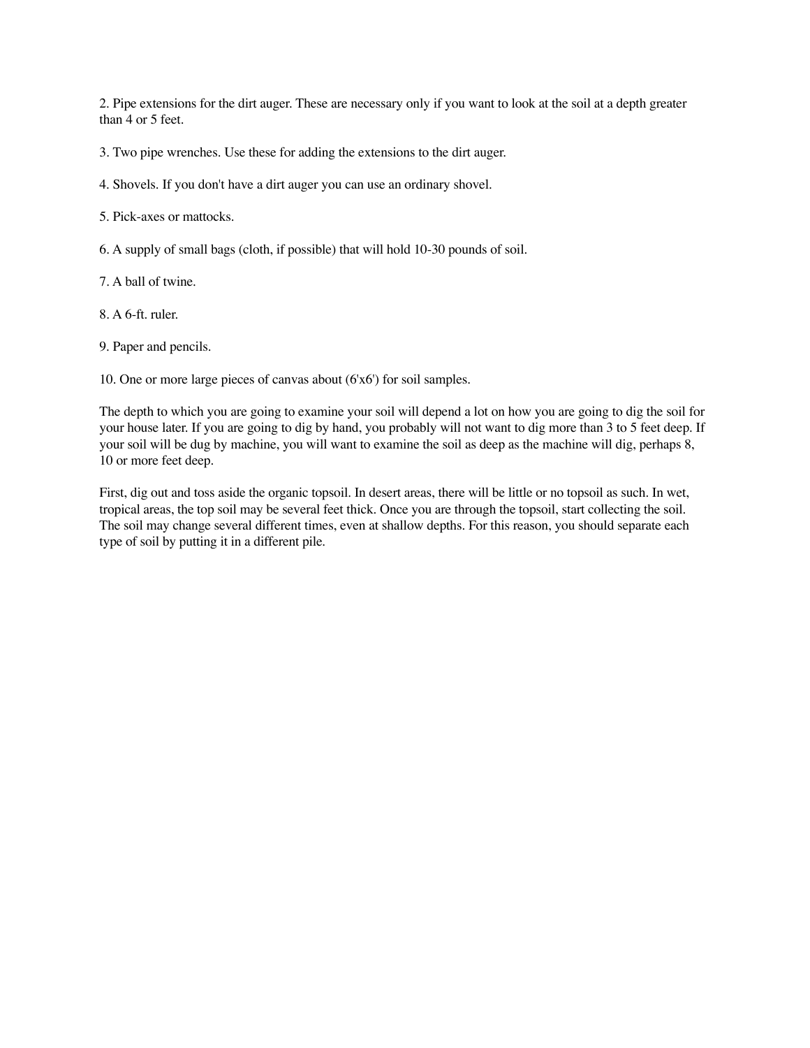2. Pipe extensions for the dirt auger. These are necessary only if you want to look at the soil at a depth greater than 4 or 5 feet.

3. Two pipe wrenches. Use these for adding the extensions to the dirt auger.

4. Shovels. If you don't have a dirt auger you can use an ordinary shovel.

5. Pick-axes or mattocks.

6. A supply of small bags (cloth, if possible) that will hold 10-30 pounds of soil.

7. A ball of twine.

8. A 6-ft. ruler.

9. Paper and pencils.

10. One or more large pieces of canvas about (6'x6') for soil samples.

The depth to which you are going to examine your soil will depend a lot on how you are going to dig the soil for your house later. If you are going to dig by hand, you probably will not want to dig more than 3 to 5 feet deep. If your soil will be dug by machine, you will want to examine the soil as deep as the machine will dig, perhaps 8, 10 or more feet deep.

First, dig out and toss aside the organic topsoil. In desert areas, there will be little or no topsoil as such. In wet, tropical areas, the top soil may be several feet thick. Once you are through the topsoil, start collecting the soil. The soil may change several different times, even at shallow depths. For this reason, you should separate each type of soil by putting it in a different pile.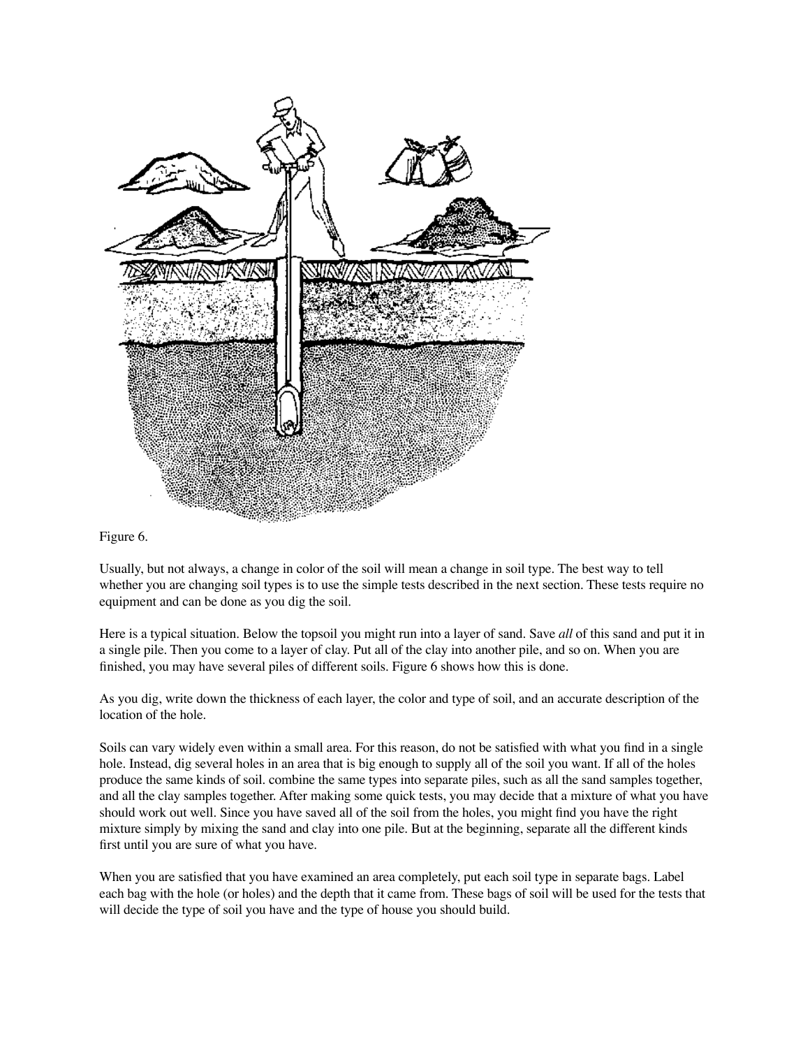

Figure 6.

Usually, but not always, a change in color of the soil will mean a change in soil type. The best way to tell whether you are changing soil types is to use the simple tests described in the next section. These tests require no equipment and can be done as you dig the soil.

Here is a typical situation. Below the topsoil you might run into a layer of sand. Save *all* of this sand and put it in a single pile. Then you come to a layer of clay. Put all of the clay into another pile, and so on. When you are finished, you may have several piles of different soils. Figure 6 shows how this is done.

As you dig, write down the thickness of each layer, the color and type of soil, and an accurate description of the location of the hole.

Soils can vary widely even within a small area. For this reason, do not be satisfied with what you find in a single hole. Instead, dig several holes in an area that is big enough to supply all of the soil you want. If all of the holes produce the same kinds of soil. combine the same types into separate piles, such as all the sand samples together, and all the clay samples together. After making some quick tests, you may decide that a mixture of what you have should work out well. Since you have saved all of the soil from the holes, you might find you have the right mixture simply by mixing the sand and clay into one pile. But at the beginning, separate all the different kinds first until you are sure of what you have.

When you are satisfied that you have examined an area completely, put each soil type in separate bags. Label each bag with the hole (or holes) and the depth that it came from. These bags of soil will be used for the tests that will decide the type of soil you have and the type of house you should build.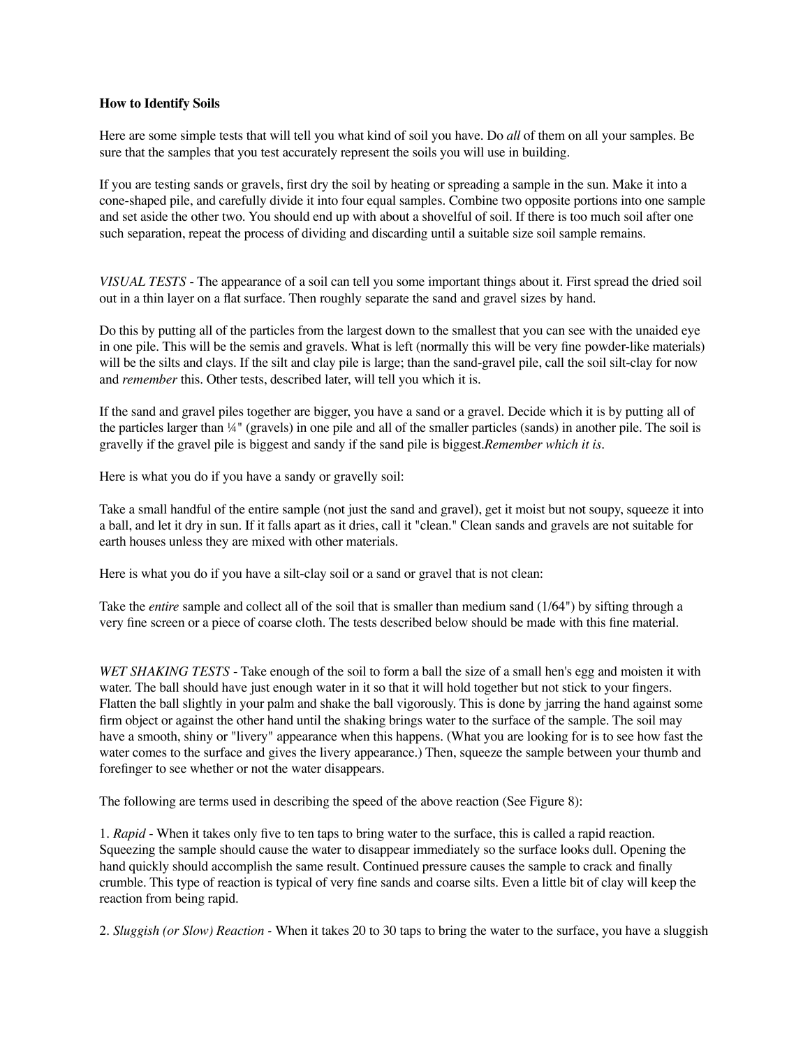#### **How to Identify Soils**

Here are some simple tests that will tell you what kind of soil you have. Do *all* of them on all your samples. Be sure that the samples that you test accurately represent the soils you will use in building.

If you are testing sands or gravels, first dry the soil by heating or spreading a sample in the sun. Make it into a cone-shaped pile, and carefully divide it into four equal samples. Combine two opposite portions into one sample and set aside the other two. You should end up with about a shovelful of soil. If there is too much soil after one such separation, repeat the process of dividing and discarding until a suitable size soil sample remains.

*VISUAL TESTS* - The appearance of a soil can tell you some important things about it. First spread the dried soil out in a thin layer on a flat surface. Then roughly separate the sand and gravel sizes by hand.

Do this by putting all of the particles from the largest down to the smallest that you can see with the unaided eye in one pile. This will be the semis and gravels. What is left (normally this will be very fine powder-like materials) will be the silts and clays. If the silt and clay pile is large; than the sand-gravel pile, call the soil silt-clay for now and *remember* this. Other tests, described later, will tell you which it is.

If the sand and gravel piles together are bigger, you have a sand or a gravel. Decide which it is by putting all of the particles larger than ¼" (gravels) in one pile and all of the smaller particles (sands) in another pile. The soil is gravelly if the gravel pile is biggest and sandy if the sand pile is biggest.*Remember which it is*.

Here is what you do if you have a sandy or gravelly soil:

Take a small handful of the entire sample (not just the sand and gravel), get it moist but not soupy, squeeze it into a ball, and let it dry in sun. If it falls apart as it dries, call it "clean." Clean sands and gravels are not suitable for earth houses unless they are mixed with other materials.

Here is what you do if you have a silt-clay soil or a sand or gravel that is not clean:

Take the *entire* sample and collect all of the soil that is smaller than medium sand (1/64") by sifting through a very fine screen or a piece of coarse cloth. The tests described below should be made with this fine material.

*WET SHAKING TESTS* - Take enough of the soil to form a ball the size of a small hen's egg and moisten it with water. The ball should have just enough water in it so that it will hold together but not stick to your fingers. Flatten the ball slightly in your palm and shake the ball vigorously. This is done by jarring the hand against some firm object or against the other hand until the shaking brings water to the surface of the sample. The soil may have a smooth, shiny or "livery" appearance when this happens. (What you are looking for is to see how fast the water comes to the surface and gives the livery appearance.) Then, squeeze the sample between your thumb and forefinger to see whether or not the water disappears.

The following are terms used in describing the speed of the above reaction (See Figure 8):

1. *Rapid* - When it takes only five to ten taps to bring water to the surface, this is called a rapid reaction. Squeezing the sample should cause the water to disappear immediately so the surface looks dull. Opening the hand quickly should accomplish the same result. Continued pressure causes the sample to crack and finally crumble. This type of reaction is typical of very fine sands and coarse silts. Even a little bit of clay will keep the reaction from being rapid.

2. *Sluggish (or Slow) Reaction -* When it takes 20 to 30 taps to bring the water to the surface, you have a sluggish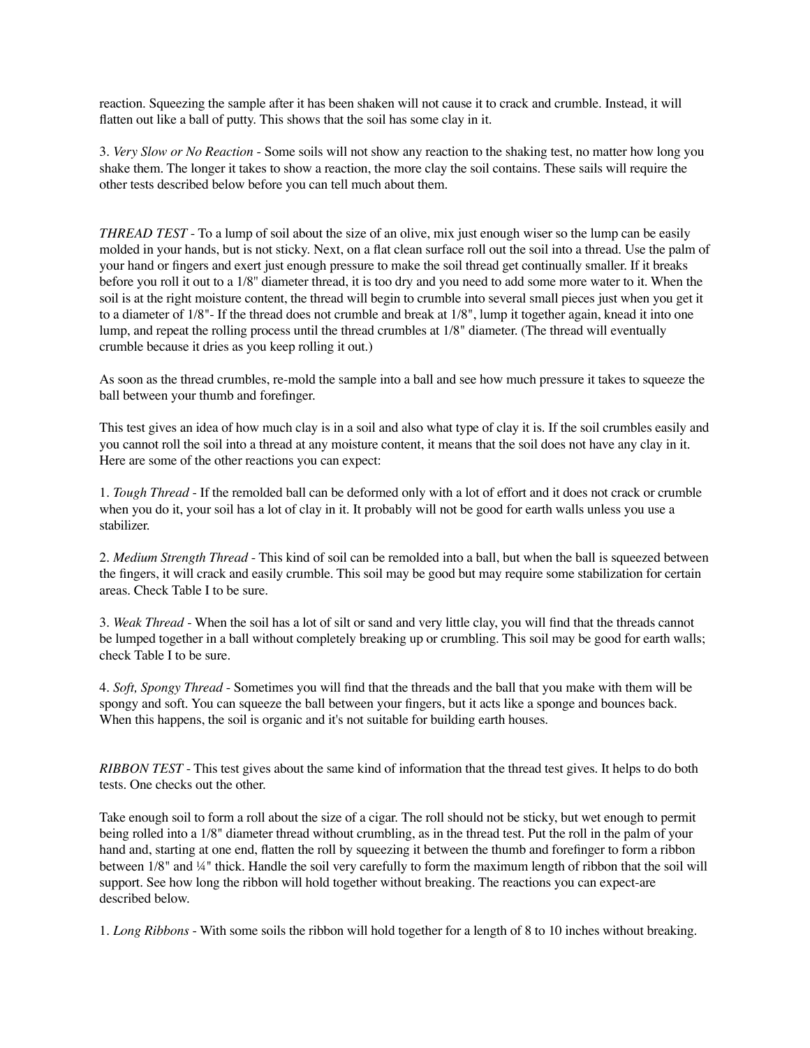reaction. Squeezing the sample after it has been shaken will not cause it to crack and crumble. Instead, it will flatten out like a ball of putty. This shows that the soil has some clay in it.

3. *Very Slow or No Reaction* - Some soils will not show any reaction to the shaking test, no matter how long you shake them. The longer it takes to show a reaction, the more clay the soil contains. These sails will require the other tests described below before you can tell much about them.

*THREAD TEST* - To a lump of soil about the size of an olive, mix just enough wiser so the lump can be easily molded in your hands, but is not sticky. Next, on a flat clean surface roll out the soil into a thread. Use the palm of your hand or fingers and exert just enough pressure to make the soil thread get continually smaller. If it breaks before you roll it out to a 1/8'' diameter thread, it is too dry and you need to add some more water to it. When the soil is at the right moisture content, the thread will begin to crumble into several small pieces just when you get it to a diameter of 1/8"- If the thread does not crumble and break at 1/8", lump it together again, knead it into one lump, and repeat the rolling process until the thread crumbles at 1/8" diameter. (The thread will eventually crumble because it dries as you keep rolling it out.)

As soon as the thread crumbles, re-mold the sample into a ball and see how much pressure it takes to squeeze the ball between your thumb and forefinger.

This test gives an idea of how much clay is in a soil and also what type of clay it is. If the soil crumbles easily and you cannot roll the soil into a thread at any moisture content, it means that the soil does not have any clay in it. Here are some of the other reactions you can expect:

1. *Tough Thread* - If the remolded ball can be deformed only with a lot of effort and it does not crack or crumble when you do it, your soil has a lot of clay in it. It probably will not be good for earth walls unless you use a stabilizer.

2. *Medium Strength Thread* - This kind of soil can be remolded into a ball, but when the ball is squeezed between the fingers, it will crack and easily crumble. This soil may be good but may require some stabilization for certain areas. Check Table I to be sure.

3. *Weak Thread* - When the soil has a lot of silt or sand and very little clay, you will find that the threads cannot be lumped together in a ball without completely breaking up or crumbling. This soil may be good for earth walls; check Table I to be sure.

4. *Soft, Spongy Thread* - Sometimes you will find that the threads and the ball that you make with them will be spongy and soft. You can squeeze the ball between your fingers, but it acts like a sponge and bounces back. When this happens, the soil is organic and it's not suitable for building earth houses.

*RIBBON TEST* - This test gives about the same kind of information that the thread test gives. It helps to do both tests. One checks out the other.

Take enough soil to form a roll about the size of a cigar. The roll should not be sticky, but wet enough to permit being rolled into a 1/8" diameter thread without crumbling, as in the thread test. Put the roll in the palm of your hand and, starting at one end, flatten the roll by squeezing it between the thumb and forefinger to form a ribbon between 1/8" and ¼" thick. Handle the soil very carefully to form the maximum length of ribbon that the soil will support. See how long the ribbon will hold together without breaking. The reactions you can expect-are described below.

1. *Long Ribbons* - With some soils the ribbon will hold together for a length of 8 to 10 inches without breaking.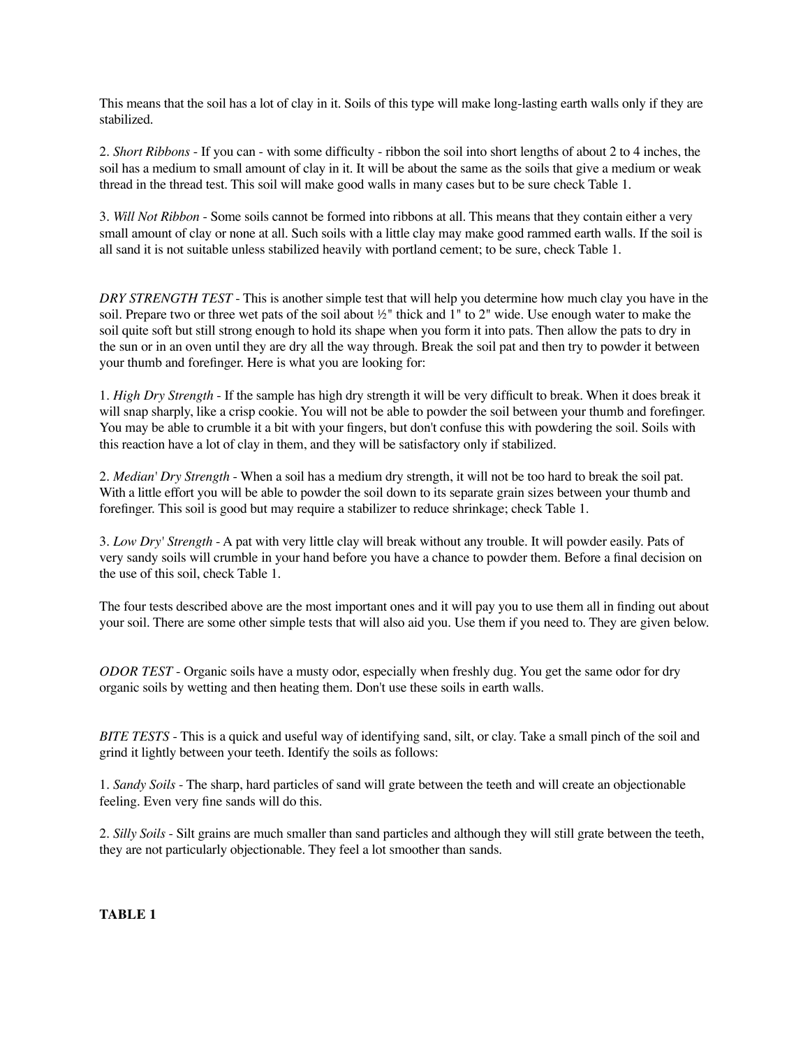This means that the soil has a lot of clay in it. Soils of this type will make long-lasting earth walls only if they are stabilized.

2. *Short Ribbons* - If you can - with some difficulty - ribbon the soil into short lengths of about 2 to 4 inches, the soil has a medium to small amount of clay in it. It will be about the same as the soils that give a medium or weak thread in the thread test. This soil will make good walls in many cases but to be sure check Table 1.

3. *Will Not Ribbon* - Some soils cannot be formed into ribbons at all. This means that they contain either a very small amount of clay or none at all. Such soils with a little clay may make good rammed earth walls. If the soil is all sand it is not suitable unless stabilized heavily with portland cement; to be sure, check Table 1.

*DRY STRENGTH TEST* - This is another simple test that will help you determine how much clay you have in the soil. Prepare two or three wet pats of the soil about ½" thick and 1" to 2" wide. Use enough water to make the soil quite soft but still strong enough to hold its shape when you form it into pats. Then allow the pats to dry in the sun or in an oven until they are dry all the way through. Break the soil pat and then try to powder it between your thumb and forefinger. Here is what you are looking for:

1. *High Dry Strength* - If the sample has high dry strength it will be very difficult to break. When it does break it will snap sharply, like a crisp cookie. You will not be able to powder the soil between your thumb and forefinger. You may be able to crumble it a bit with your fingers, but don't confuse this with powdering the soil. Soils with this reaction have a lot of clay in them, and they will be satisfactory only if stabilized.

2. *Median' Dry Strength* - When a soil has a medium dry strength, it will not be too hard to break the soil pat. With a little effort you will be able to powder the soil down to its separate grain sizes between your thumb and forefinger. This soil is good but may require a stabilizer to reduce shrinkage; check Table 1.

3. *Low Dry' Strength* - A pat with very little clay will break without any trouble. It will powder easily. Pats of very sandy soils will crumble in your hand before you have a chance to powder them. Before a final decision on the use of this soil, check Table 1.

The four tests described above are the most important ones and it will pay you to use them all in finding out about your soil. There are some other simple tests that will also aid you. Use them if you need to. They are given below.

*ODOR TEST* - Organic soils have a musty odor, especially when freshly dug. You get the same odor for dry organic soils by wetting and then heating them. Don't use these soils in earth walls.

*BITE TESTS* - This is a quick and useful way of identifying sand, silt, or clay. Take a small pinch of the soil and grind it lightly between your teeth. Identify the soils as follows:

1. *Sandy Soils* - The sharp, hard particles of sand will grate between the teeth and will create an objectionable feeling. Even very fine sands will do this.

2. *Silly Soils* - Silt grains are much smaller than sand particles and although they will still grate between the teeth, they are not particularly objectionable. They feel a lot smoother than sands.

## **TABLE 1**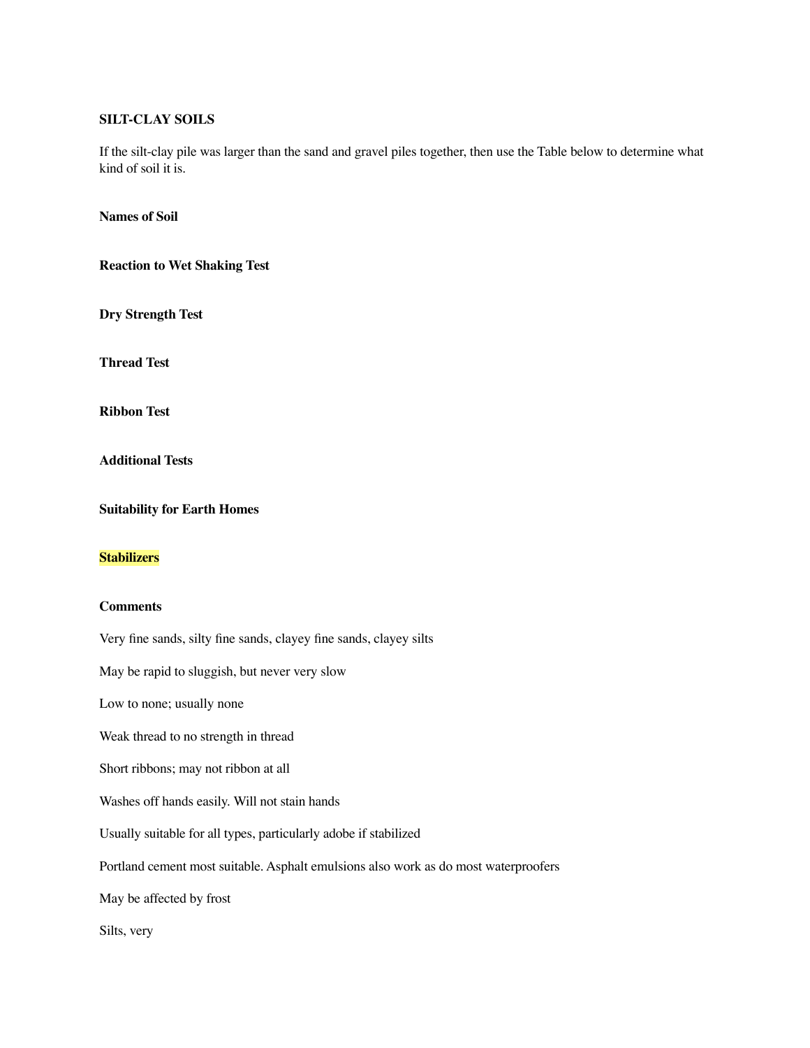## **SILT-CLAY SOILS**

If the silt-clay pile was larger than the sand and gravel piles together, then use the Table below to determine what kind of soil it is.

#### **Names of Soil**

**Reaction to Wet Shaking Test**

**Dry Strength Test**

**Thread Test**

**Ribbon Test**

**Additional Tests**

**Suitability for Earth Homes**

#### **Stabilizers**

## **Comments**

Very fine sands, silty fine sands, clayey fine sands, clayey silts

May be rapid to sluggish, but never very slow

Low to none; usually none

Weak thread to no strength in thread

Short ribbons; may not ribbon at all

Washes off hands easily. Will not stain hands

Usually suitable for all types, particularly adobe if stabilized

Portland cement most suitable. Asphalt emulsions also work as do most waterproofers

May be affected by frost

Silts, very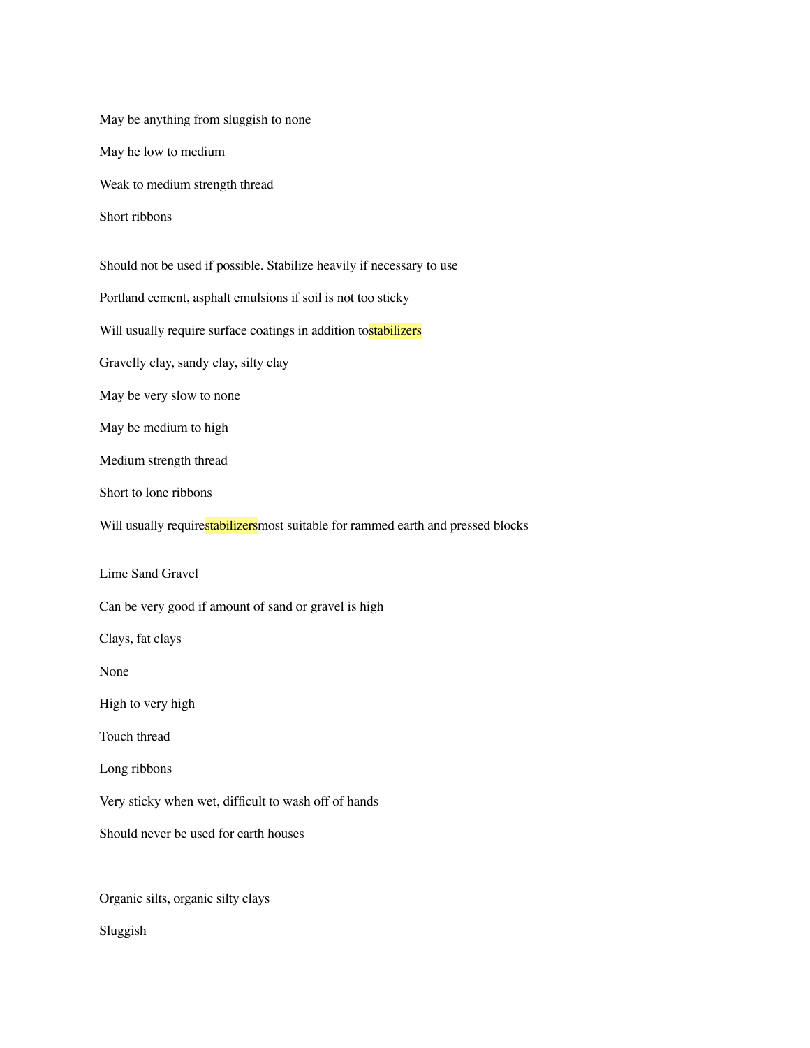May be anything from sluggish to none May he low to medium Weak to medium strength thread Short ribbons Should not be used if possible. Stabilize heavily if necessary to use Portland cement, asphalt emulsions if soil is not too sticky Will usually require surface coatings in addition to stabilizers Gravelly clay, sandy clay, silty clay May be very slow to none May be medium to high Medium strength thread Short to lone ribbons Will usually requirestabilizersmost suitable for rammed earth and pressed blocks Lime Sand Gravel Can be very good if amount of sand or gravel is high Clays, fat clays None High to very high Touch thread Long ribbons Very sticky when wet, difficult to wash off of hands Should never be used for earth houses Organic silts, organic silty clays

Sluggish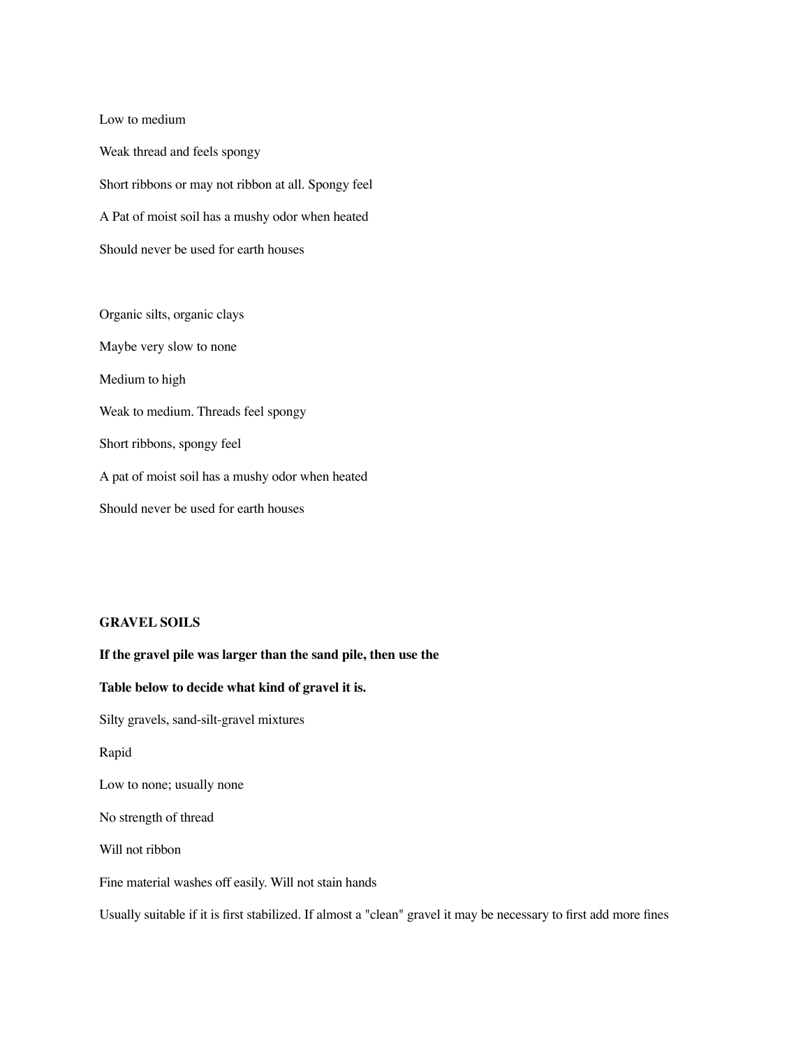Low to medium

Weak thread and feels spongy Short ribbons or may not ribbon at all. Spongy feel A Pat of moist soil has a mushy odor when heated Should never be used for earth houses

Organic silts, organic clays Maybe very slow to none Medium to high Weak to medium. Threads feel spongy Short ribbons, spongy feel A pat of moist soil has a mushy odor when heated Should never be used for earth houses

#### **GRAVEL SOILS**

## **If the gravel pile was larger than the sand pile, then use the**

#### **Table below to decide what kind of gravel it is.**

Silty gravels, sand-silt-gravel mixtures

Rapid

Low to none; usually none

No strength of thread

Will not ribbon

Fine material washes off easily. Will not stain hands

Usually suitable if it is first stabilized. If almost a "clean" gravel it may be necessary to first add more fines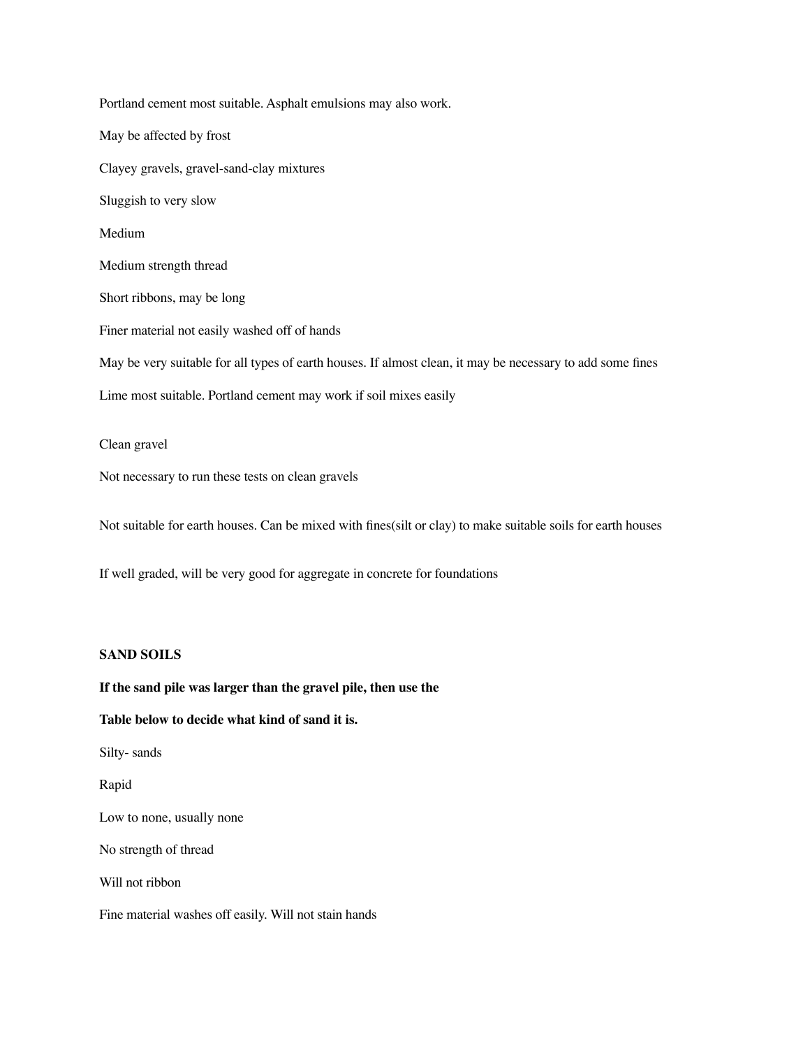Portland cement most suitable. Asphalt emulsions may also work. May be affected by frost Clayey gravels, gravel-sand-clay mixtures Sluggish to very slow Medium Medium strength thread Short ribbons, may be long Finer material not easily washed off of hands May be very suitable for all types of earth houses. If almost clean, it may be necessary to add some fines Lime most suitable. Portland cement may work if soil mixes easily Clean gravel Not necessary to run these tests on clean gravels

Not suitable for earth houses. Can be mixed with fines(silt or clay) to make suitable soils for earth houses

If well graded, will be very good for aggregate in concrete for foundations

# **SAND SOILS**

## **If the sand pile was larger than the gravel pile, then use the**

## **Table below to decide what kind of sand it is.**

Silty- sands

Rapid

Low to none, usually none

No strength of thread

Will not ribbon

Fine material washes off easily. Will not stain hands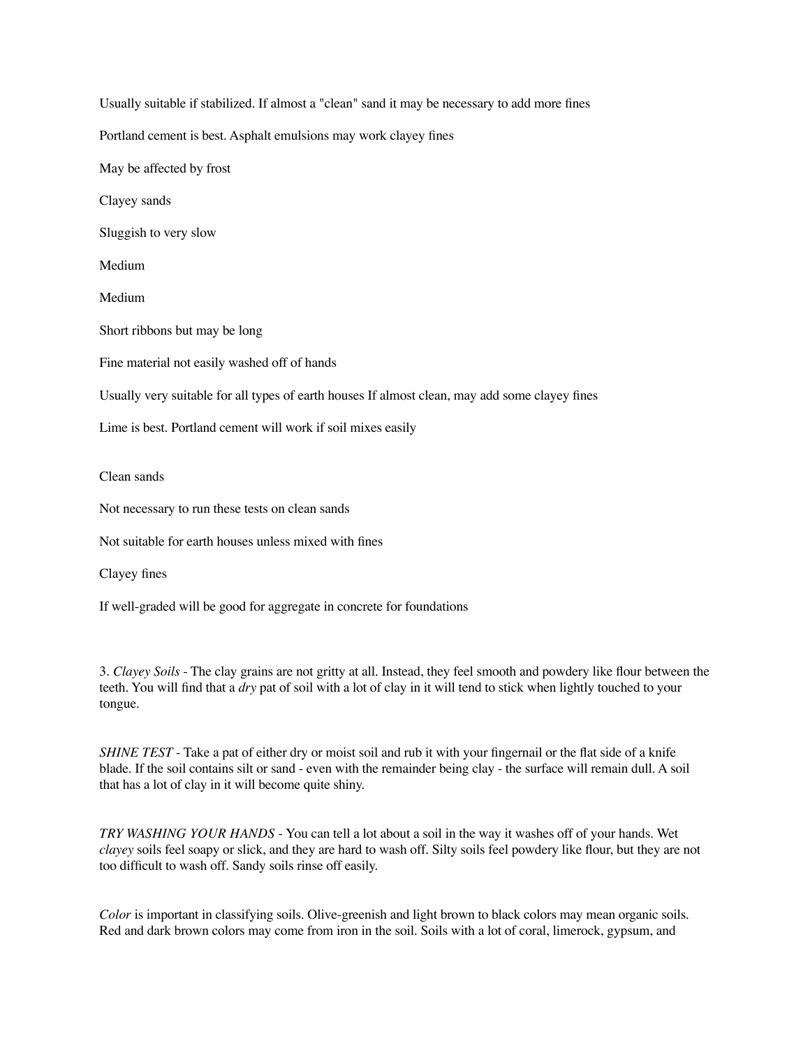Usually suitable if stabilized. If almost a "clean" sand it may be necessary to add more fines

Portland cement is best. Asphalt emulsions may work clayey fines

May be affected by frost

Clayey sands

Sluggish to very slow

Medium

Medium

Short ribbons but may be long

Fine material not easily washed off of hands

Usually very suitable for all types of earth houses If almost clean, may add some clayey fines

Lime is best. Portland cement will work if soil mixes easily

Clean sands

Not necessary to run these tests on clean sands

Not suitable for earth houses unless mixed with fines

Clayey fines

If well-graded will be good for aggregate in concrete for foundations

3. *Clayey Soils* - The clay grains are not gritty at all. Instead, they feel smooth and powdery like flour between the teeth. You will find that a *dry* pat of soil with a lot of clay in it will tend to stick when lightly touched to your tongue.

*SHINE TEST* - Take a pat of either dry or moist soil and rub it with your fingernail or the flat side of a knife blade. If the soil contains silt or sand - even with the remainder being clay - the surface will remain dull. A soil that has a lot of clay in it will become quite shiny.

*TRY WASHING YOUR HANDS* - You can tell a lot about a soil in the way it washes off of your hands. Wet *clayey* soils feel soapy or slick, and they are hard to wash off. Silty soils feel powdery like flour, but they are not too difficult to wash off. Sandy soils rinse off easily.

*Color* is important in classifying soils. Olive-greenish and light brown to black colors may mean organic soils. Red and dark brown colors may come from iron in the soil. Soils with a lot of coral, limerock, gypsum, and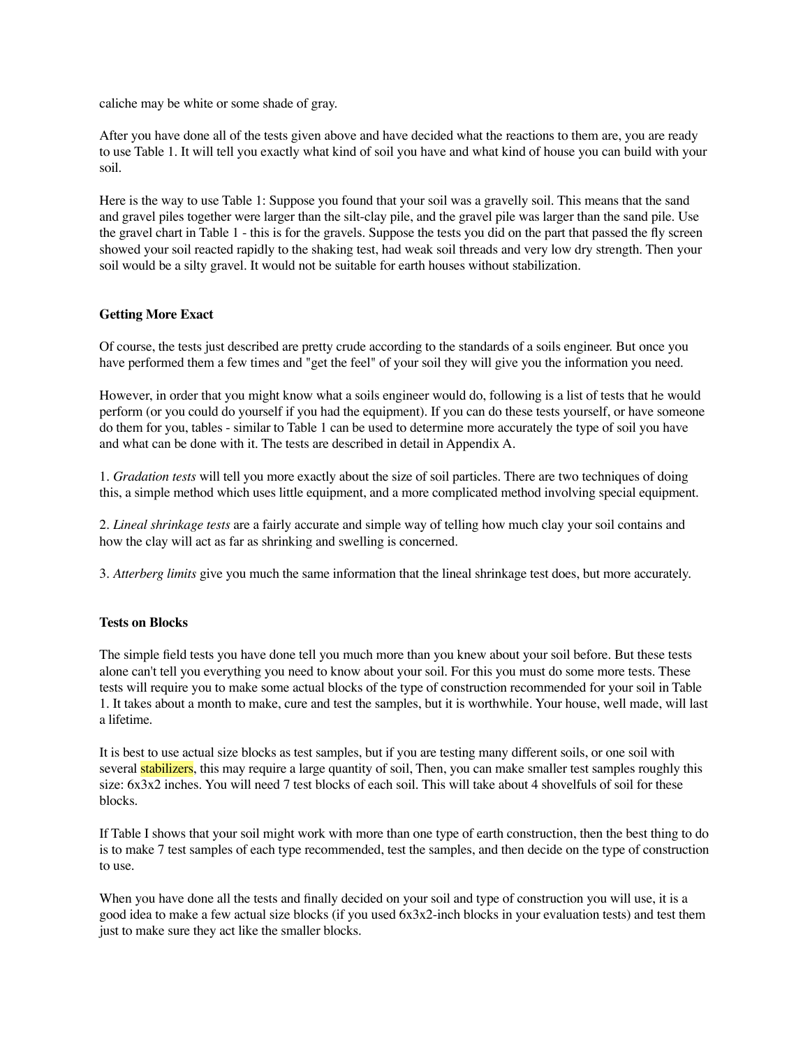caliche may be white or some shade of gray.

After you have done all of the tests given above and have decided what the reactions to them are, you are ready to use Table 1. It will tell you exactly what kind of soil you have and what kind of house you can build with your soil.

Here is the way to use Table 1: Suppose you found that your soil was a gravelly soil. This means that the sand and gravel piles together were larger than the silt-clay pile, and the gravel pile was larger than the sand pile. Use the gravel chart in Table 1 - this is for the gravels. Suppose the tests you did on the part that passed the fly screen showed your soil reacted rapidly to the shaking test, had weak soil threads and very low dry strength. Then your soil would be a silty gravel. It would not be suitable for earth houses without stabilization.

## **Getting More Exact**

Of course, the tests just described are pretty crude according to the standards of a soils engineer. But once you have performed them a few times and "get the feel" of your soil they will give you the information you need.

However, in order that you might know what a soils engineer would do, following is a list of tests that he would perform (or you could do yourself if you had the equipment). If you can do these tests yourself, or have someone do them for you, tables - similar to Table 1 can be used to determine more accurately the type of soil you have and what can be done with it. The tests are described in detail in Appendix A.

1. *Gradation tests* will tell you more exactly about the size of soil particles. There are two techniques of doing this, a simple method which uses little equipment, and a more complicated method involving special equipment.

2. *Lineal shrinkage tests* are a fairly accurate and simple way of telling how much clay your soil contains and how the clay will act as far as shrinking and swelling is concerned.

3. *Atterberg limits* give you much the same information that the lineal shrinkage test does, but more accurately.

#### **Tests on Blocks**

The simple field tests you have done tell you much more than you knew about your soil before. But these tests alone can't tell you everything you need to know about your soil. For this you must do some more tests. These tests will require you to make some actual blocks of the type of construction recommended for your soil in Table 1. It takes about a month to make, cure and test the samples, but it is worthwhile. Your house, well made, will last a lifetime.

It is best to use actual size blocks as test samples, but if you are testing many different soils, or one soil with several stabilizers, this may require a large quantity of soil, Then, you can make smaller test samples roughly this size: 6x3x2 inches. You will need 7 test blocks of each soil. This will take about 4 shovelfuls of soil for these blocks.

If Table I shows that your soil might work with more than one type of earth construction, then the best thing to do is to make 7 test samples of each type recommended, test the samples, and then decide on the type of construction to use.

When you have done all the tests and finally decided on your soil and type of construction you will use, it is a good idea to make a few actual size blocks (if you used 6x3x2-inch blocks in your evaluation tests) and test them just to make sure they act like the smaller blocks.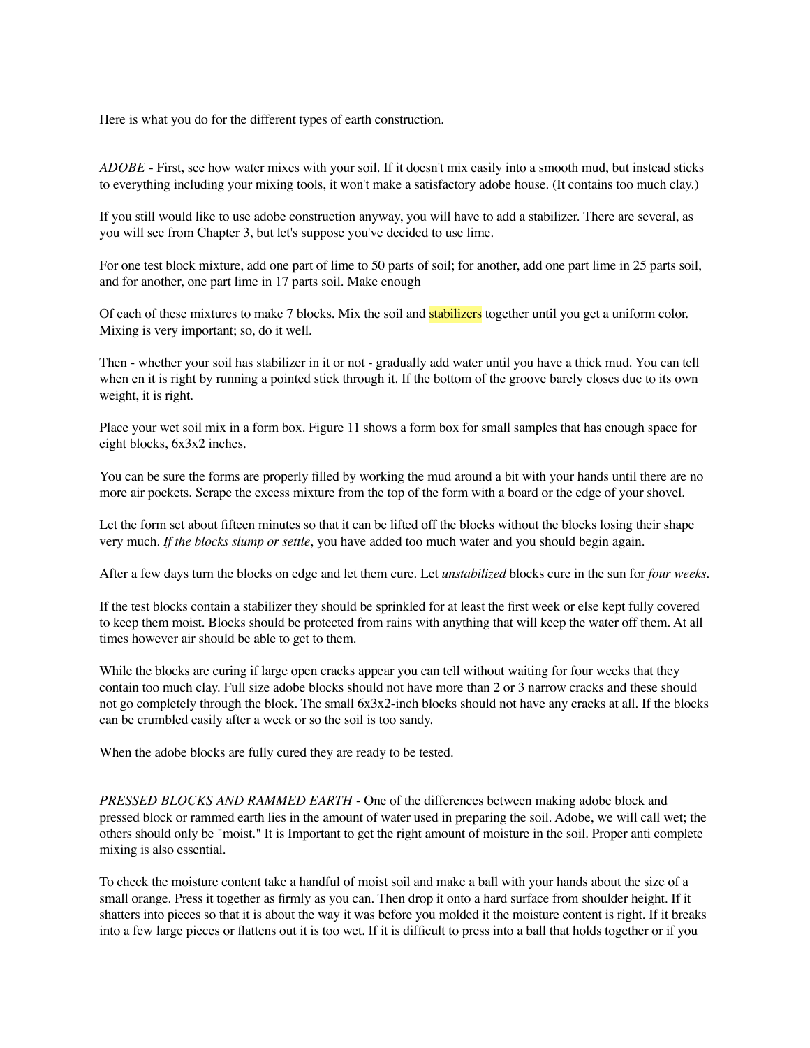Here is what you do for the different types of earth construction.

*ADOBE* - First, see how water mixes with your soil. If it doesn't mix easily into a smooth mud, but instead sticks to everything including your mixing tools, it won't make a satisfactory adobe house. (It contains too much clay.)

If you still would like to use adobe construction anyway, you will have to add a stabilizer. There are several, as you will see from Chapter 3, but let's suppose you've decided to use lime.

For one test block mixture, add one part of lime to 50 parts of soil; for another, add one part lime in 25 parts soil, and for another, one part lime in 17 parts soil. Make enough

Of each of these mixtures to make 7 blocks. Mix the soil and **stabilizers** together until you get a uniform color. Mixing is very important; so, do it well.

Then - whether your soil has stabilizer in it or not - gradually add water until you have a thick mud. You can tell when en it is right by running a pointed stick through it. If the bottom of the groove barely closes due to its own weight, it is right.

Place your wet soil mix in a form box. Figure 11 shows a form box for small samples that has enough space for eight blocks, 6x3x2 inches.

You can be sure the forms are properly filled by working the mud around a bit with your hands until there are no more air pockets. Scrape the excess mixture from the top of the form with a board or the edge of your shovel.

Let the form set about fifteen minutes so that it can be lifted off the blocks without the blocks losing their shape very much. *If the blocks slump or settle*, you have added too much water and you should begin again.

After a few days turn the blocks on edge and let them cure. Let *unstabilized* blocks cure in the sun for *four weeks*.

If the test blocks contain a stabilizer they should be sprinkled for at least the first week or else kept fully covered to keep them moist. Blocks should be protected from rains with anything that will keep the water off them. At all times however air should be able to get to them.

While the blocks are curing if large open cracks appear you can tell without waiting for four weeks that they contain too much clay. Full size adobe blocks should not have more than 2 or 3 narrow cracks and these should not go completely through the block. The small 6x3x2-inch blocks should not have any cracks at all. If the blocks can be crumbled easily after a week or so the soil is too sandy.

When the adobe blocks are fully cured they are ready to be tested.

*PRESSED BLOCKS AND RAMMED EARTH* - One of the differences between making adobe block and pressed block or rammed earth lies in the amount of water used in preparing the soil. Adobe, we will call wet; the others should only be "moist." It is Important to get the right amount of moisture in the soil. Proper anti complete mixing is also essential.

To check the moisture content take a handful of moist soil and make a ball with your hands about the size of a small orange. Press it together as firmly as you can. Then drop it onto a hard surface from shoulder height. If it shatters into pieces so that it is about the way it was before you molded it the moisture content is right. If it breaks into a few large pieces or flattens out it is too wet. If it is difficult to press into a ball that holds together or if you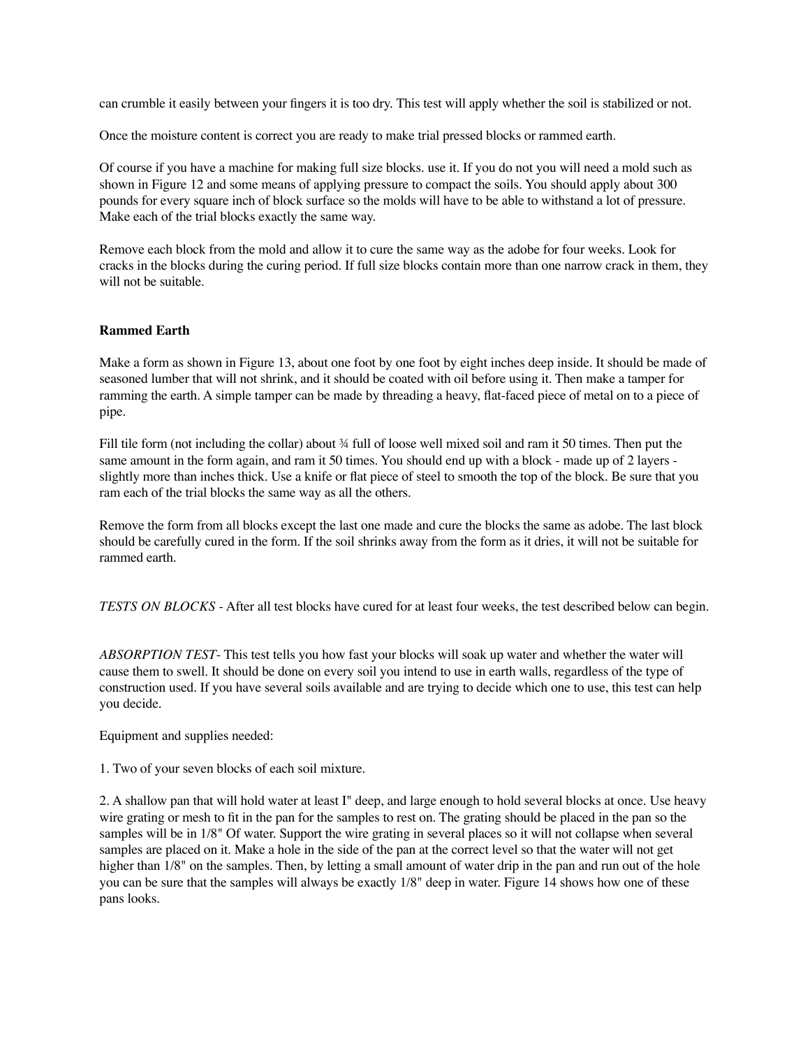can crumble it easily between your fingers it is too dry. This test will apply whether the soil is stabilized or not.

Once the moisture content is correct you are ready to make trial pressed blocks or rammed earth.

Of course if you have a machine for making full size blocks. use it. If you do not you will need a mold such as shown in Figure 12 and some means of applying pressure to compact the soils. You should apply about 300 pounds for every square inch of block surface so the molds will have to be able to withstand a lot of pressure. Make each of the trial blocks exactly the same way.

Remove each block from the mold and allow it to cure the same way as the adobe for four weeks. Look for cracks in the blocks during the curing period. If full size blocks contain more than one narrow crack in them, they will not be suitable.

#### **Rammed Earth**

Make a form as shown in Figure 13, about one foot by one foot by eight inches deep inside. It should be made of seasoned lumber that will not shrink, and it should be coated with oil before using it. Then make a tamper for ramming the earth. A simple tamper can be made by threading a heavy, flat-faced piece of metal on to a piece of pipe.

Fill tile form (not including the collar) about  $\frac{3}{4}$  full of loose well mixed soil and ram it 50 times. Then put the same amount in the form again, and ram it 50 times. You should end up with a block - made up of 2 layers slightly more than inches thick. Use a knife or flat piece of steel to smooth the top of the block. Be sure that you ram each of the trial blocks the same way as all the others.

Remove the form from all blocks except the last one made and cure the blocks the same as adobe. The last block should be carefully cured in the form. If the soil shrinks away from the form as it dries, it will not be suitable for rammed earth.

*TESTS ON BLOCKS* - After all test blocks have cured for at least four weeks, the test described below can begin.

*ABSORPTION TEST*- This test tells you how fast your blocks will soak up water and whether the water will cause them to swell. It should be done on every soil you intend to use in earth walls, regardless of the type of construction used. If you have several soils available and are trying to decide which one to use, this test can help you decide.

Equipment and supplies needed:

1. Two of your seven blocks of each soil mixture.

2. A shallow pan that will hold water at least I" deep, and large enough to hold several blocks at once. Use heavy wire grating or mesh to fit in the pan for the samples to rest on. The grating should be placed in the pan so the samples will be in 1/8" Of water. Support the wire grating in several places so it will not collapse when several samples are placed on it. Make a hole in the side of the pan at the correct level so that the water will not get higher than  $1/8$ " on the samples. Then, by letting a small amount of water drip in the pan and run out of the hole you can be sure that the samples will always be exactly 1/8" deep in water. Figure 14 shows how one of these pans looks.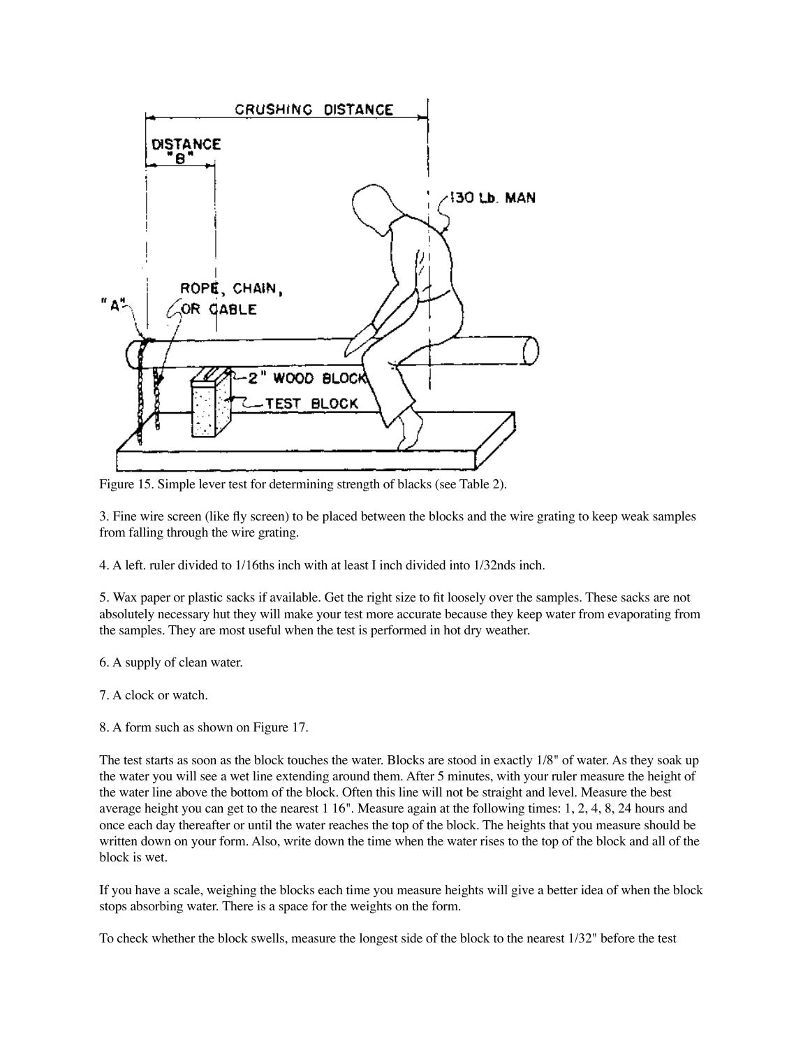

Figure 15. Simple lever test for determining strength of blacks (see Table 2).

3. Fine wire screen (like fly screen) to be placed between the blocks and the wire grating to keep weak samples from falling through the wire grating.

4. A left. ruler divided to 1/16ths inch with at least I inch divided into 1/32nds inch.

5. Wax paper or plastic sacks if available. Get the right size to fit loosely over the samples. These sacks are not absolutely necessary hut they will make your test more accurate because they keep water from evaporating from the samples. They are most useful when the test is performed in hot dry weather.

6. A supply of clean water.

7. A clock or watch.

8. A form such as shown on Figure 17.

The test starts as soon as the block touches the water. Blocks are stood in exactly 1/8" of water. As they soak up the water you will see a wet line extending around them. After 5 minutes, with your ruler measure the height of the water line above the bottom of the block. Often this line will not be straight and level. Measure the best average height you can get to the nearest 1 16". Measure again at the following times: 1, 2, 4, 8, 24 hours and once each day thereafter or until the water reaches the top of the block. The heights that you measure should be written down on your form. Also, write down the time when the water rises to the top of the block and all of the block is wet.

If you have a scale, weighing the blocks each time you measure heights will give a better idea of when the block stops absorbing water. There is a space for the weights on the form.

To check whether the block swells, measure the longest side of the block to the nearest 1/32" before the test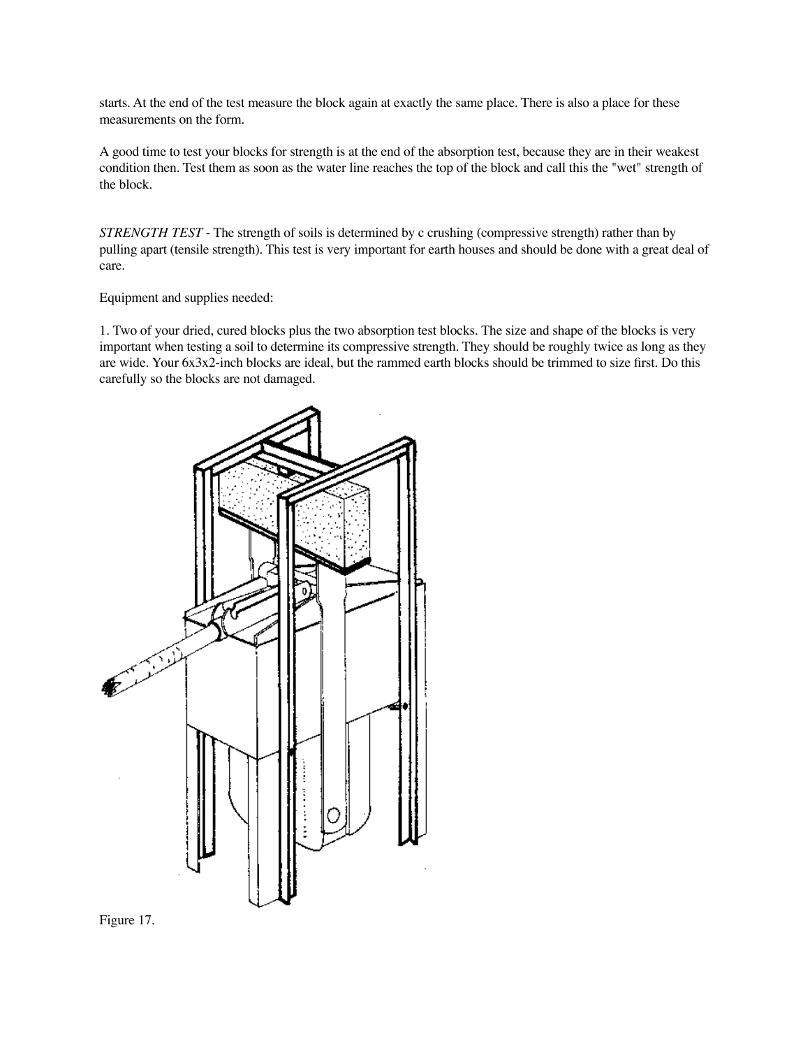starts. At the end of the test measure the block again at exactly the same place. There is also a place for these measurements on the form.

A good time to test your blocks for strength is at the end of the absorption test, because they are in their weakest condition then. Test them as soon as the water line reaches the top of the block and call this the "wet" strength of the block.

*STRENGTH TEST* - The strength of soils is determined by c crushing (compressive strength) rather than by pulling apart (tensile strength). This test is very important for earth houses and should be done with a great deal of care.

Equipment and supplies needed:

1. Two of your dried, cured blocks plus the two absorption test blocks. The size and shape of the blocks is very important when testing a soil to determine its compressive strength. They should be roughly twice as long as they are wide. Your 6x3x2-inch blocks are ideal, but the rammed earth blocks should be trimmed to size first. Do this carefully so the blocks are not damaged.



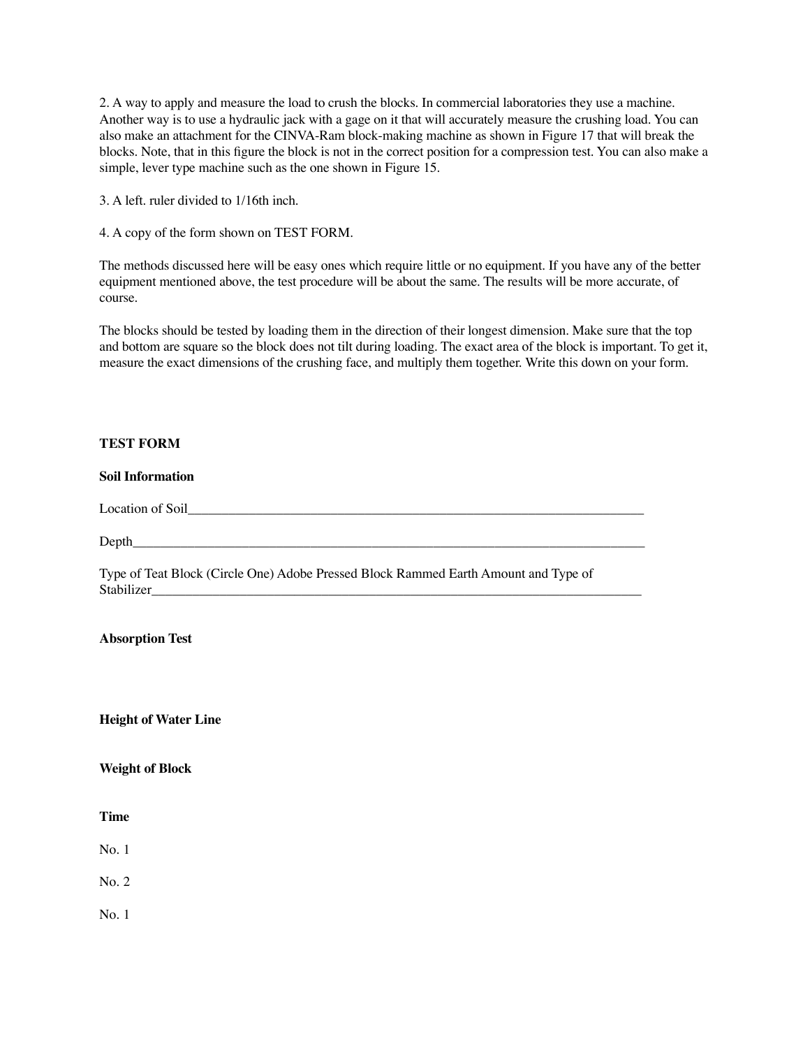2. A way to apply and measure the load to crush the blocks. In commercial laboratories they use a machine. Another way is to use a hydraulic jack with a gage on it that will accurately measure the crushing load. You can also make an attachment for the CINVA-Ram block-making machine as shown in Figure 17 that will break the blocks. Note, that in this figure the block is not in the correct position for a compression test. You can also make a simple, lever type machine such as the one shown in Figure 15.

3. A left. ruler divided to 1/16th inch.

4. A copy of the form shown on TEST FORM.

The methods discussed here will be easy ones which require little or no equipment. If you have any of the better equipment mentioned above, the test procedure will be about the same. The results will be more accurate, of course.

The blocks should be tested by loading them in the direction of their longest dimension. Make sure that the top and bottom are square so the block does not tilt during loading. The exact area of the block is important. To get it, measure the exact dimensions of the crushing face, and multiply them together. Write this down on your form.

## **TEST FORM**

#### **Soil Information**

Location of Soil\_\_\_\_\_\_\_\_\_\_\_\_\_\_\_\_\_\_\_\_\_\_\_\_\_\_\_\_\_\_\_\_\_\_\_\_\_\_\_\_\_\_\_\_\_\_\_\_\_\_\_\_\_\_\_\_\_\_\_\_\_\_\_\_\_\_\_

Depth\_\_\_\_\_\_\_\_\_\_\_\_\_\_\_\_\_\_\_\_\_\_\_\_\_\_\_\_\_\_\_\_\_\_\_\_\_\_\_\_\_\_\_\_\_\_\_\_\_\_\_\_\_\_\_\_\_\_\_\_\_\_\_\_\_\_\_\_\_\_\_\_\_\_\_

Type of Teat Block (Circle One) Adobe Pressed Block Rammed Earth Amount and Type of Stabilizer\_\_\_\_\_\_\_\_\_\_\_\_\_\_\_\_\_\_\_\_\_\_\_\_\_\_\_\_\_\_\_\_\_\_\_\_\_\_\_\_\_\_\_\_\_\_\_\_\_\_\_\_\_\_\_\_\_\_\_\_\_\_\_\_\_\_\_\_\_\_\_\_

**Absorption Test**

**Height of Water Line**

**Weight of Block**

**Time**

No. 1

No. 2

No. 1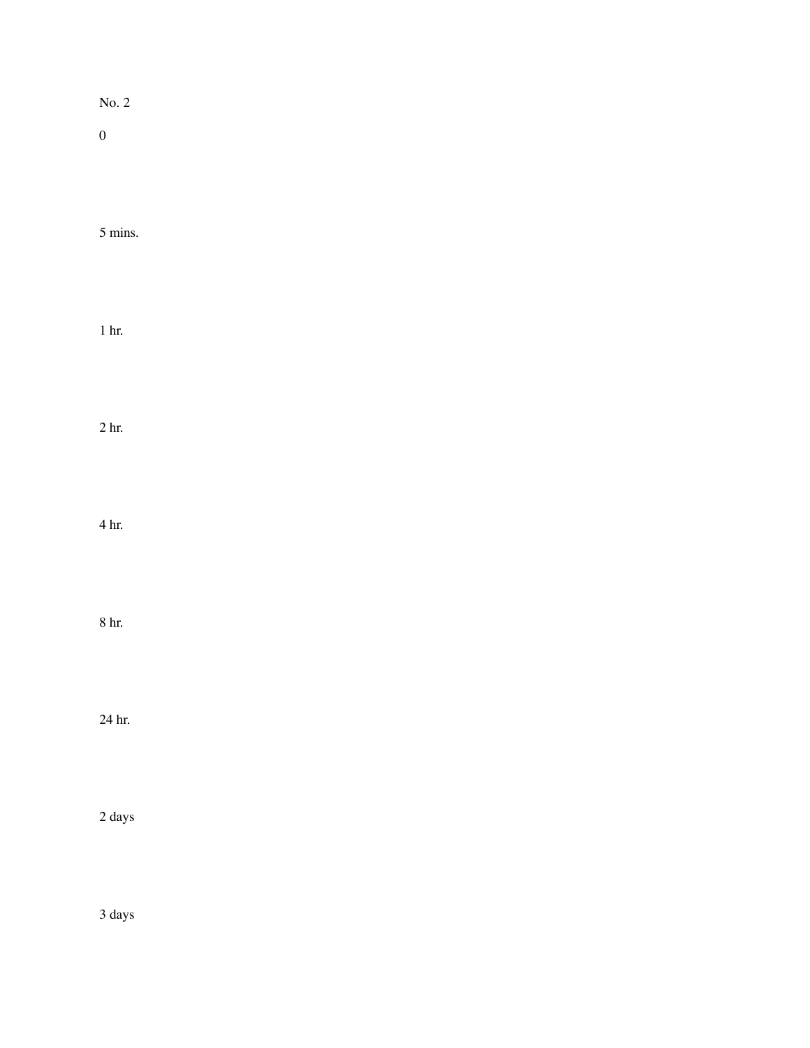| No. 2            |  |
|------------------|--|
| $\boldsymbol{0}$ |  |
|                  |  |
|                  |  |
|                  |  |
| $5$ mins. $\,$   |  |
|                  |  |
|                  |  |
|                  |  |
| $1\ \mbox{hr.}$  |  |
|                  |  |
|                  |  |
| $2$ hr.          |  |
|                  |  |
|                  |  |
|                  |  |
| $4$ hr. $\,$     |  |
|                  |  |
|                  |  |
| $8$ hr.          |  |
|                  |  |
|                  |  |
|                  |  |
| $24$ hr. $\,$    |  |
|                  |  |
|                  |  |
| $2 \;{\rm days}$ |  |
|                  |  |
|                  |  |
|                  |  |

3 days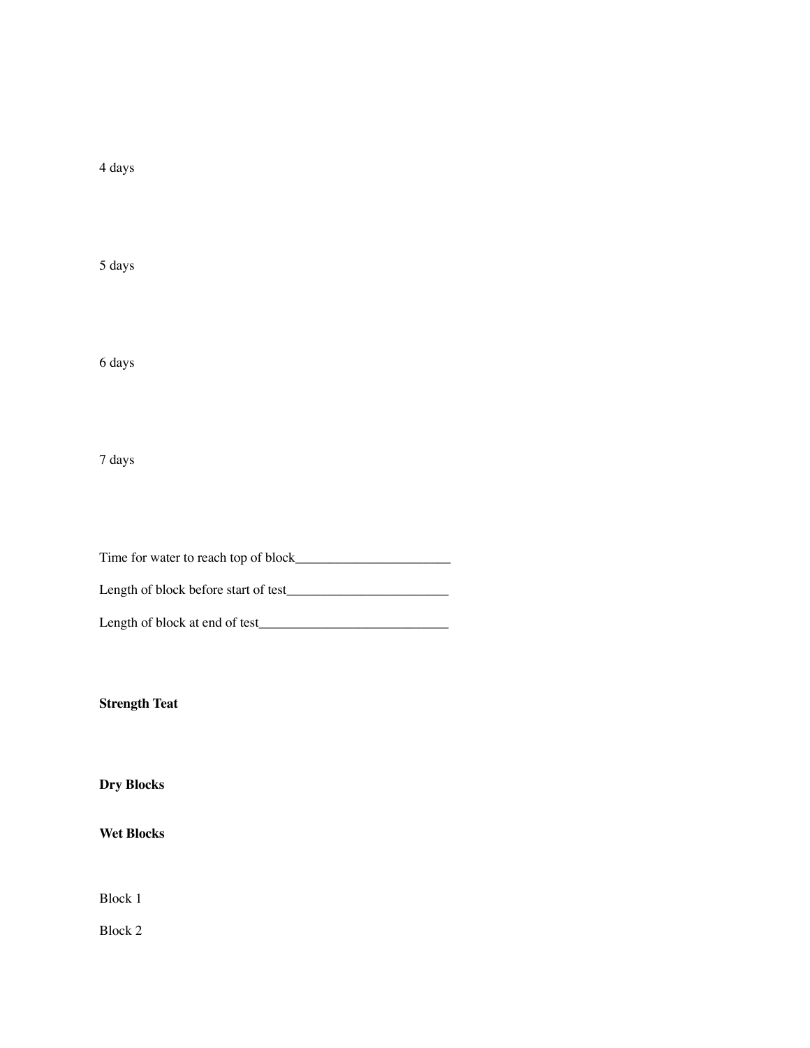4 days

5 days

6 days

7 days

Time for water to reach top of block\_\_\_\_\_\_\_\_\_\_\_\_\_\_\_\_\_\_\_\_\_\_\_ Length of block before start of test\_\_\_\_\_\_\_\_\_\_\_\_\_\_\_\_\_\_\_\_\_\_\_\_

Length of block at end of test\_\_\_\_\_\_\_\_\_\_\_\_\_\_\_\_\_\_\_\_\_\_\_\_\_\_\_\_

**Strength Teat**

**Dry Blocks**

**Wet Blocks**

Block 1

Block 2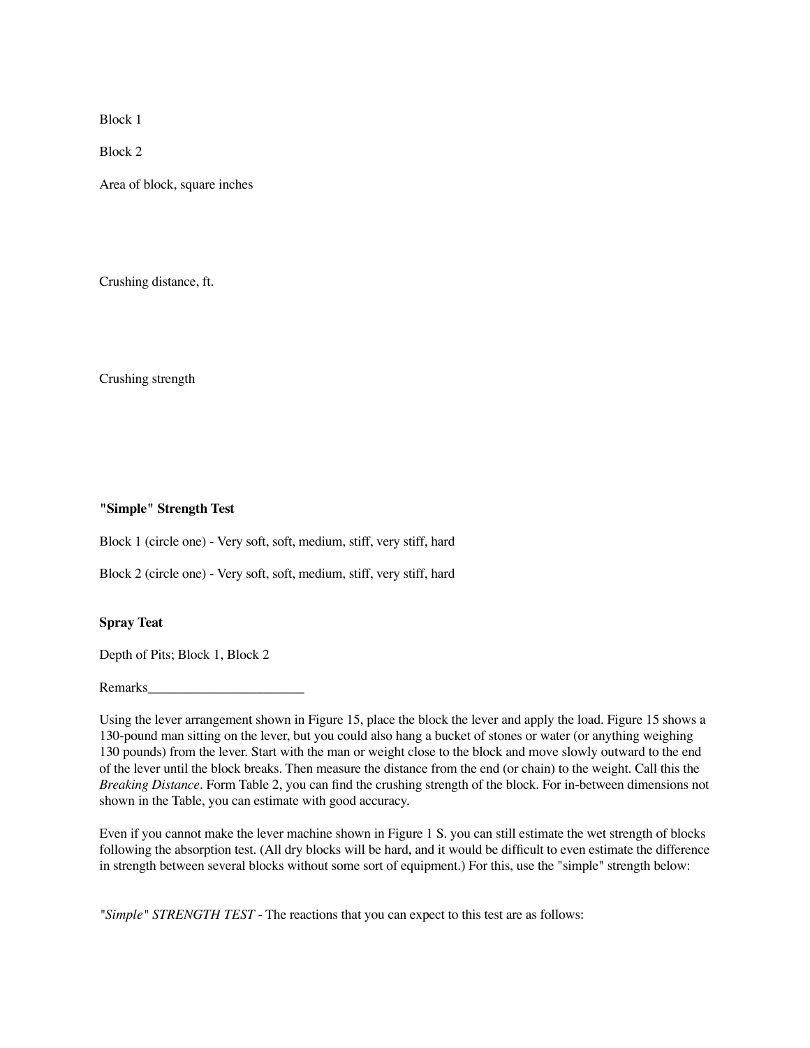Block 1

Block 2

Area of block, square inches

Crushing distance, ft.

Crushing strength

#### **"Simple" Strength Test**

Block 1 (circle one) - Very soft, soft, medium, stiff, very stiff, hard

Block 2 (circle one) - Very soft, soft, medium, stiff, very stiff, hard

#### **Spray Teat**

Depth of Pits; Block 1, Block 2

Remarks

Using the lever arrangement shown in Figure 15, place the block the lever and apply the load. Figure 15 shows a 130-pound man sitting on the lever, but you could also hang a bucket of stones or water (or anything weighing 130 pounds) from the lever. Start with the man or weight close to the block and move slowly outward to the end of the lever until the block breaks. Then measure the distance from the end (or chain) to the weight. Call this the *Breaking Distance*. Form Table 2, you can find the crushing strength of the block. For in-between dimensions not shown in the Table, you can estimate with good accuracy.

Even if you cannot make the lever machine shown in Figure 1 S. you can still estimate the wet strength of blocks following the absorption test. (All dry blocks will be hard, and it would be difficult to even estimate the difference in strength between several blocks without some sort of equipment.) For this, use the "simple" strength below:

*"Simple" STRENGTH TEST* - The reactions that you can expect to this test are as follows: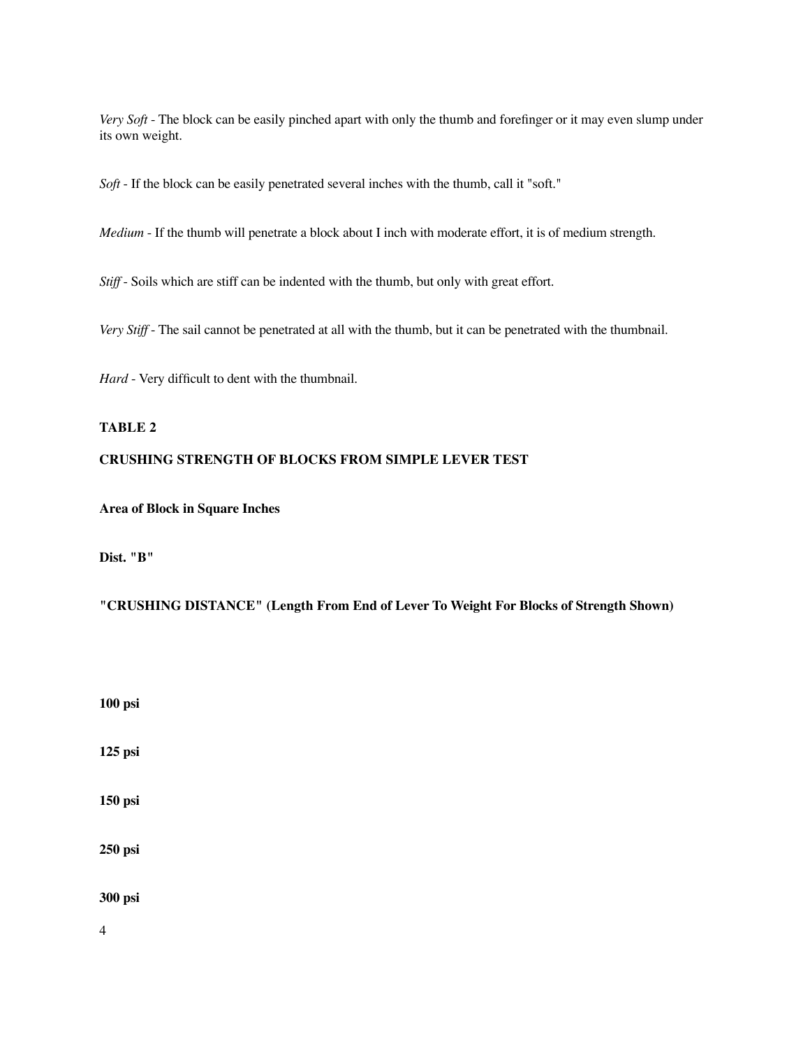*Very Soft* - The block can be easily pinched apart with only the thumb and forefinger or it may even slump under its own weight.

*Soft* - If the block can be easily penetrated several inches with the thumb, call it "soft."

*Medium* - If the thumb will penetrate a block about I inch with moderate effort, it is of medium strength.

*Stiff* - Soils which are stiff can be indented with the thumb, but only with great effort.

*Very Stiff* - The sail cannot be penetrated at all with the thumb, but it can be penetrated with the thumbnail.

*Hard* - Very difficult to dent with the thumbnail.

#### **TABLE 2**

## **CRUSHING STRENGTH OF BLOCKS FROM SIMPLE LEVER TEST**

**Area of Block in Square Inches**

**Dist. "B"**

**"CRUSHING DISTANCE" (Length From End of Lever To Weight For Blocks of Strength Shown)**

**100 psi**

**125 psi**

**150 psi**

**250 psi**

**300 psi**

4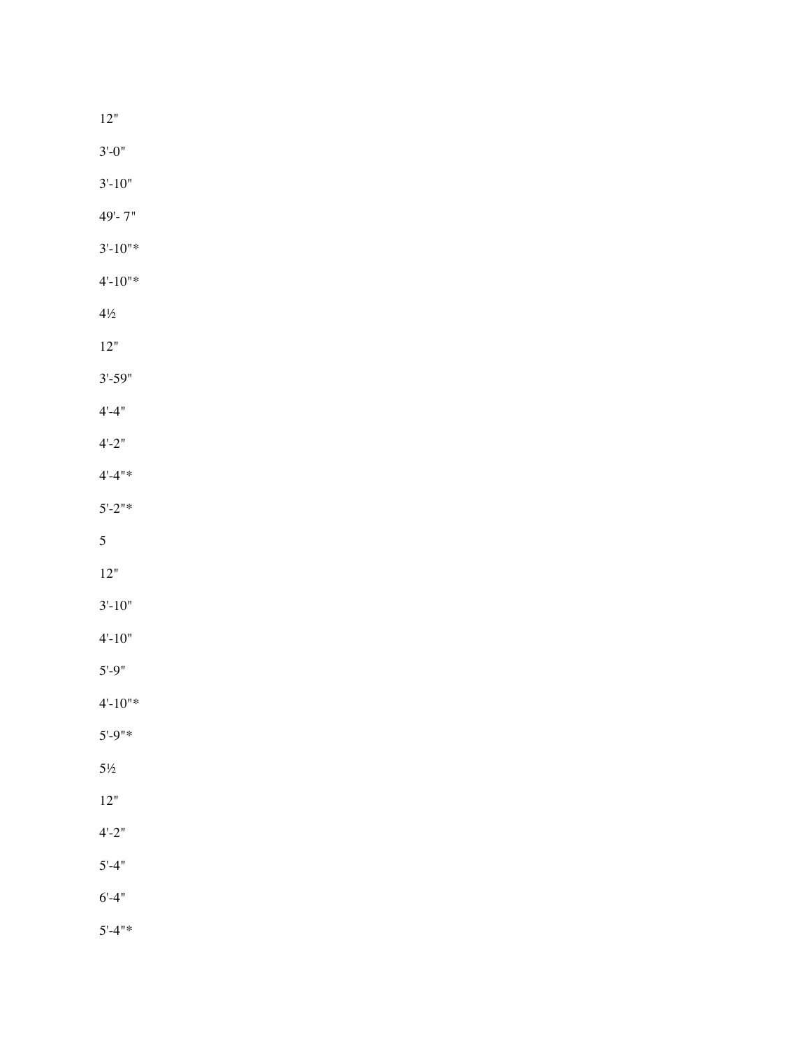| $3' - 10''$ *  |  |  |  |
|----------------|--|--|--|
| $4 - 10$ "*    |  |  |  |
| $4\frac{1}{2}$ |  |  |  |
| 12"            |  |  |  |
| $3' - 59"$     |  |  |  |
| $4' - 4''$     |  |  |  |
| $4 - 2"$       |  |  |  |
| $4 - 4"$ *     |  |  |  |
| $5 - 2$ "*     |  |  |  |
| 5              |  |  |  |
| 12"            |  |  |  |
| $3' - 10"$     |  |  |  |
| $4 - 10"$      |  |  |  |
| $5' - 9''$     |  |  |  |
| $4 - 10**$     |  |  |  |
| $5' - 9''$ *   |  |  |  |
| $5\frac{1}{2}$ |  |  |  |
| 12"            |  |  |  |
| $4 - 2"$       |  |  |  |
| $5' - 4"$      |  |  |  |
| $6' - 4"$      |  |  |  |
| $5' - 4"$ *    |  |  |  |
|                |  |  |  |

12"

3'-0"

3'-10"

49'- 7"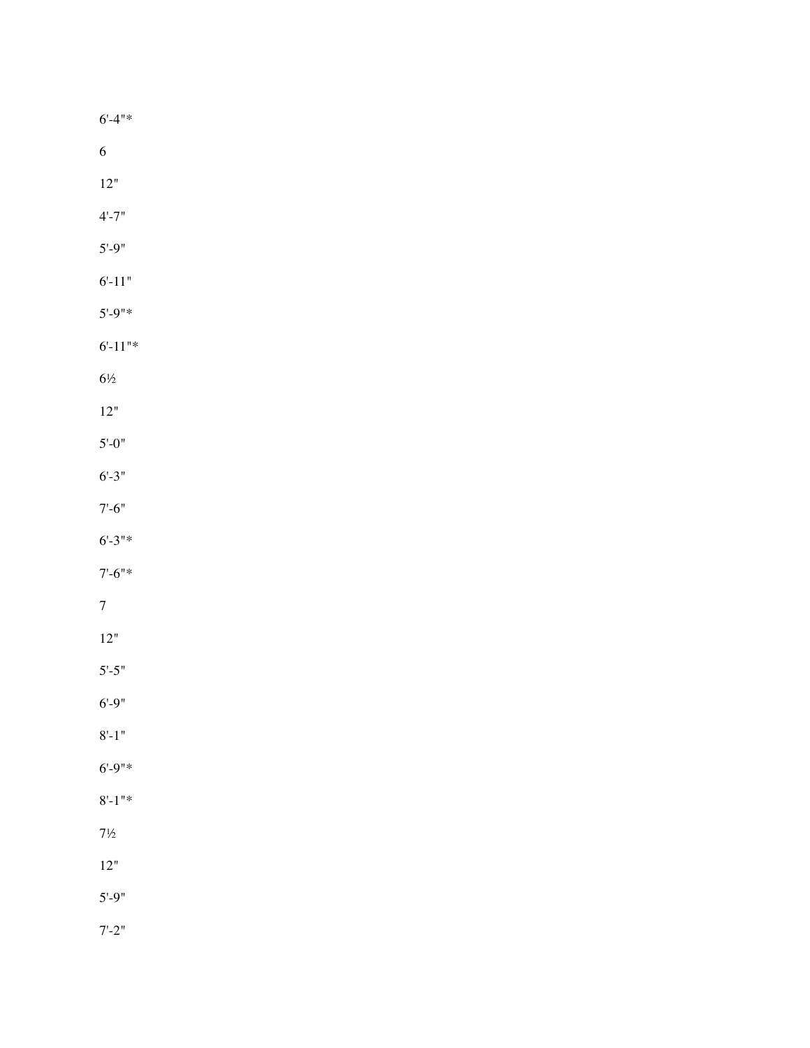| $6'$ -4"*               |  |
|-------------------------|--|
| $\sqrt{6}$              |  |
| $12"$                   |  |
| $4' - 7''$              |  |
| $5' - 9''$              |  |
| $6' - 11"$              |  |
| $5' - 9''$ *            |  |
| $6 - 11$ "*             |  |
| $6\frac{1}{2}$          |  |
| $12"$                   |  |
| $5' - 0''$              |  |
| $6' - 3''$              |  |
| $7' - 6''$              |  |
| $6'$ -3"*               |  |
| $7' - 6''$ *            |  |
| $\boldsymbol{7}$        |  |
| $12"$                   |  |
| $5^{\circ} - 5^{\circ}$ |  |
| $6' - 9"$               |  |
| $8 - 1$ "               |  |
| $6'$ -9"*               |  |
| $8 - 1$ "*              |  |
| $7\frac{1}{2}$          |  |
| $12"$                   |  |
| $5' - 9''$              |  |
| $7 - 2"$                |  |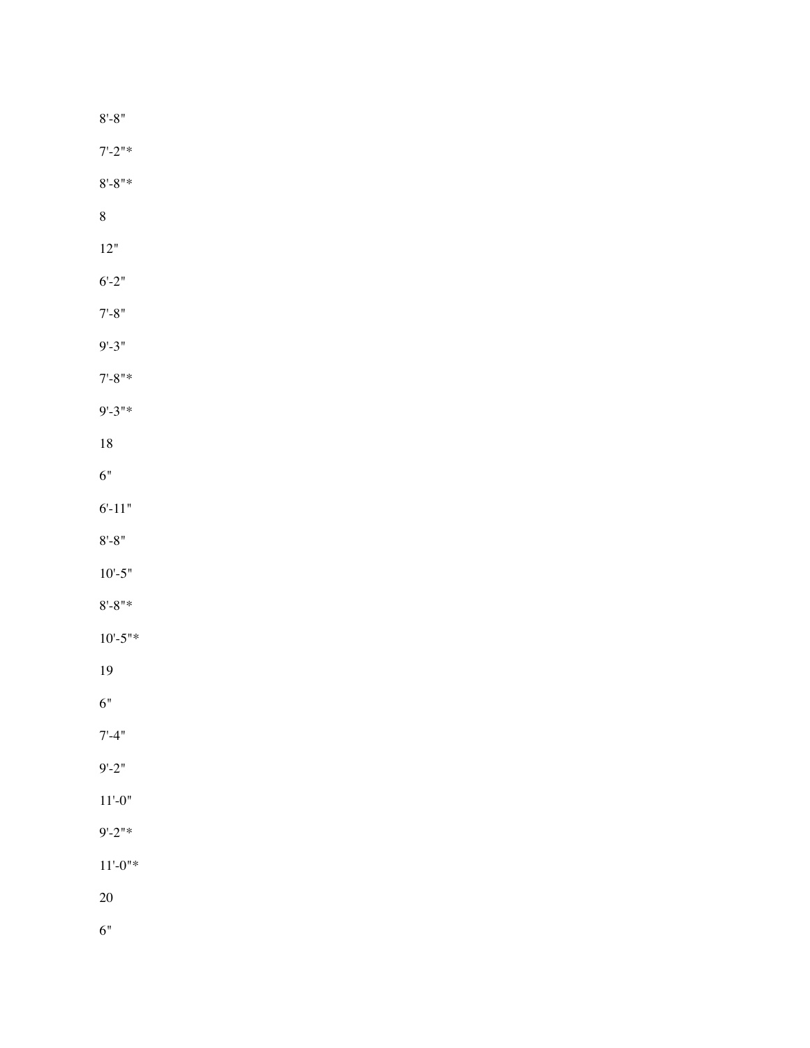| $8'-8"$                         |  |
|---------------------------------|--|
| $7 - 2"$ *                      |  |
| $8'-8"$ *                       |  |
| $\,8\,$                         |  |
| $12"$                           |  |
| $6' - 2"$                       |  |
| $7 - 8"$                        |  |
| $9' - 3''$                      |  |
| $7 - 8"$ *                      |  |
| $9' - 3'' *$                    |  |
| 18                              |  |
| 6"                              |  |
| $6' - 11"$                      |  |
| $8'-8"$                         |  |
| $10 - 5$ "                      |  |
| $8'-8"$ *                       |  |
| $10^{\circ}\text{-}5^{\circ}\%$ |  |
| 19                              |  |
| $6"$                            |  |
| $7' - 4''$                      |  |
| $9' - 2''$                      |  |
| $11 - 0$ "                      |  |
| $9'$ -2"*                       |  |
| $11 - 0$ "*                     |  |
| 20                              |  |
| 6"                              |  |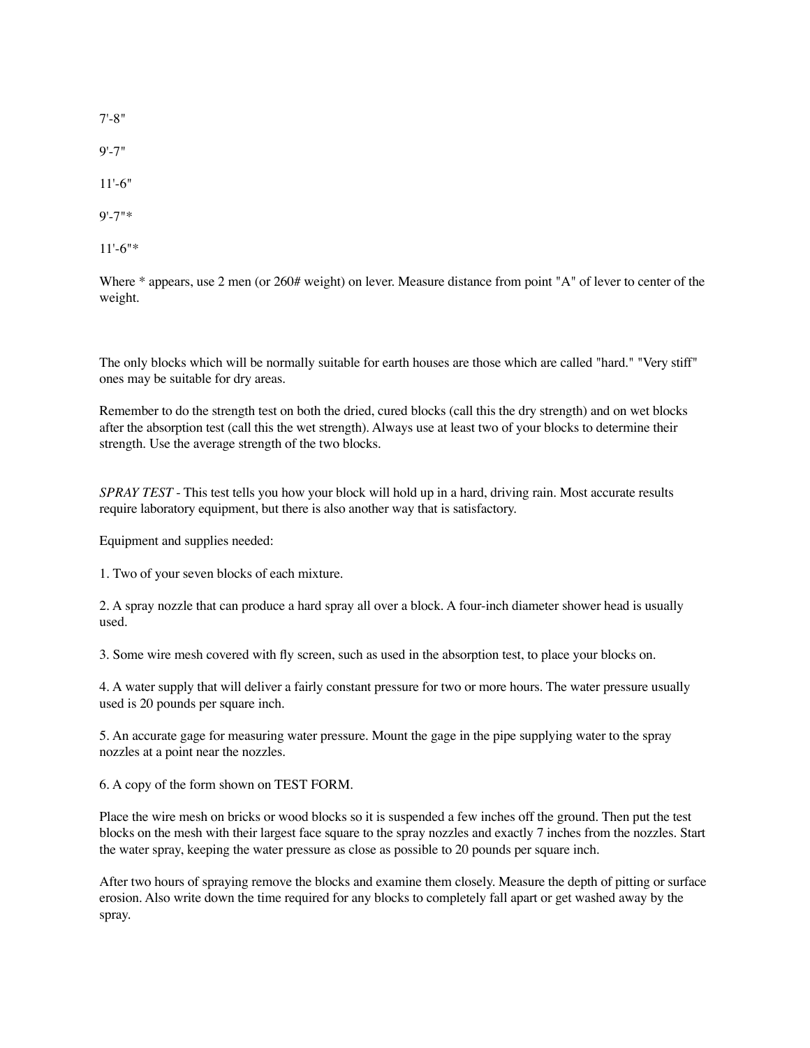7'-8"

9'-7"

11'-6"

9'-7"\*

11'-6"\*

Where  $*$  appears, use 2 men (or 260# weight) on lever. Measure distance from point "A" of lever to center of the weight.

The only blocks which will be normally suitable for earth houses are those which are called "hard." "Very stiff" ones may be suitable for dry areas.

Remember to do the strength test on both the dried, cured blocks (call this the dry strength) and on wet blocks after the absorption test (call this the wet strength). Always use at least two of your blocks to determine their strength. Use the average strength of the two blocks.

*SPRAY TEST* - This test tells you how your block will hold up in a hard, driving rain. Most accurate results require laboratory equipment, but there is also another way that is satisfactory.

Equipment and supplies needed:

1. Two of your seven blocks of each mixture.

2. A spray nozzle that can produce a hard spray all over a block. A four-inch diameter shower head is usually used.

3. Some wire mesh covered with fly screen, such as used in the absorption test, to place your blocks on.

4. A water supply that will deliver a fairly constant pressure for two or more hours. The water pressure usually used is 20 pounds per square inch.

5. An accurate gage for measuring water pressure. Mount the gage in the pipe supplying water to the spray nozzles at a point near the nozzles.

6. A copy of the form shown on TEST FORM.

Place the wire mesh on bricks or wood blocks so it is suspended a few inches off the ground. Then put the test blocks on the mesh with their largest face square to the spray nozzles and exactly 7 inches from the nozzles. Start the water spray, keeping the water pressure as close as possible to 20 pounds per square inch.

After two hours of spraying remove the blocks and examine them closely. Measure the depth of pitting or surface erosion. Also write down the time required for any blocks to completely fall apart or get washed away by the spray.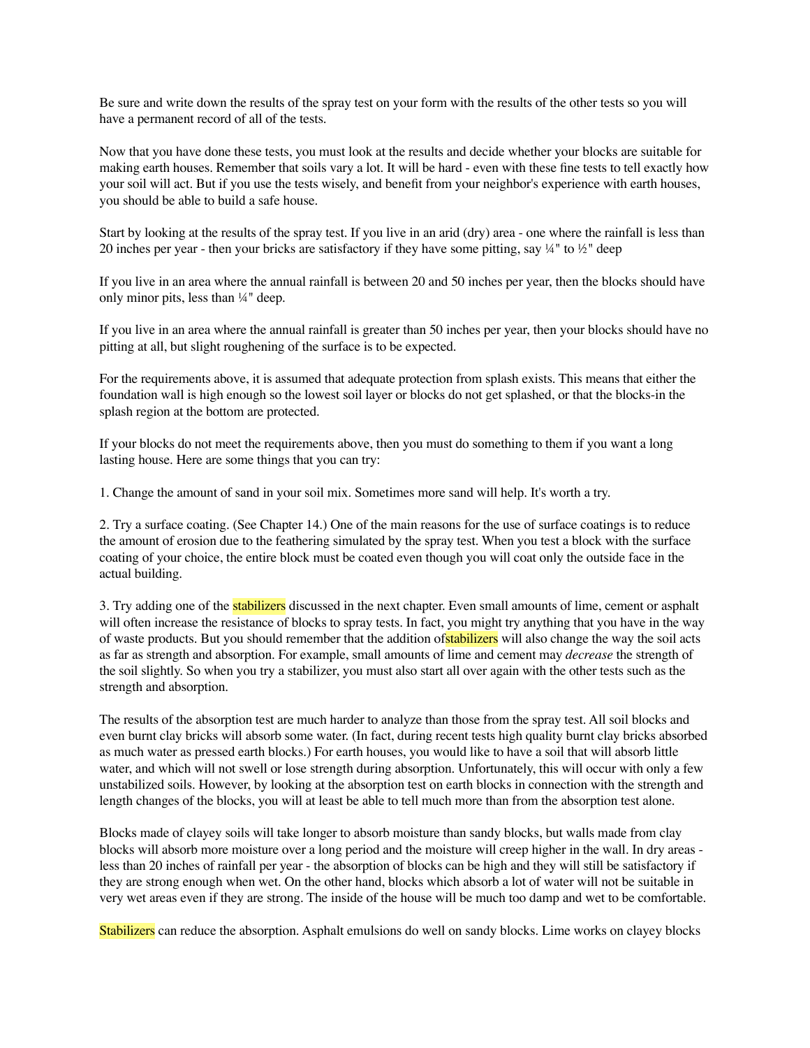Be sure and write down the results of the spray test on your form with the results of the other tests so you will have a permanent record of all of the tests.

Now that you have done these tests, you must look at the results and decide whether your blocks are suitable for making earth houses. Remember that soils vary a lot. It will be hard - even with these fine tests to tell exactly how your soil will act. But if you use the tests wisely, and benefit from your neighbor's experience with earth houses, you should be able to build a safe house.

Start by looking at the results of the spray test. If you live in an arid (dry) area - one where the rainfall is less than 20 inches per year - then your bricks are satisfactory if they have some pitting, say ¼" to ½" deep

If you live in an area where the annual rainfall is between 20 and 50 inches per year, then the blocks should have only minor pits, less than ¼" deep.

If you live in an area where the annual rainfall is greater than 50 inches per year, then your blocks should have no pitting at all, but slight roughening of the surface is to be expected.

For the requirements above, it is assumed that adequate protection from splash exists. This means that either the foundation wall is high enough so the lowest soil layer or blocks do not get splashed, or that the blocks-in the splash region at the bottom are protected.

If your blocks do not meet the requirements above, then you must do something to them if you want a long lasting house. Here are some things that you can try:

1. Change the amount of sand in your soil mix. Sometimes more sand will help. It's worth a try.

2. Try a surface coating. (See Chapter 14.) One of the main reasons for the use of surface coatings is to reduce the amount of erosion due to the feathering simulated by the spray test. When you test a block with the surface coating of your choice, the entire block must be coated even though you will coat only the outside face in the actual building.

3. Try adding one of the **stabilizers** discussed in the next chapter. Even small amounts of lime, cement or asphalt will often increase the resistance of blocks to spray tests. In fact, you might try anything that you have in the way of waste products. But you should remember that the addition of stabilizers will also change the way the soil acts as far as strength and absorption. For example, small amounts of lime and cement may *decrease* the strength of the soil slightly. So when you try a stabilizer, you must also start all over again with the other tests such as the strength and absorption.

The results of the absorption test are much harder to analyze than those from the spray test. All soil blocks and even burnt clay bricks will absorb some water. (In fact, during recent tests high quality burnt clay bricks absorbed as much water as pressed earth blocks.) For earth houses, you would like to have a soil that will absorb little water, and which will not swell or lose strength during absorption. Unfortunately, this will occur with only a few unstabilized soils. However, by looking at the absorption test on earth blocks in connection with the strength and length changes of the blocks, you will at least be able to tell much more than from the absorption test alone.

Blocks made of clayey soils will take longer to absorb moisture than sandy blocks, but walls made from clay blocks will absorb more moisture over a long period and the moisture will creep higher in the wall. In dry areas less than 20 inches of rainfall per year - the absorption of blocks can be high and they will still be satisfactory if they are strong enough when wet. On the other hand, blocks which absorb a lot of water will not be suitable in very wet areas even if they are strong. The inside of the house will be much too damp and wet to be comfortable.

Stabilizers can reduce the absorption. Asphalt emulsions do well on sandy blocks. Lime works on clayey blocks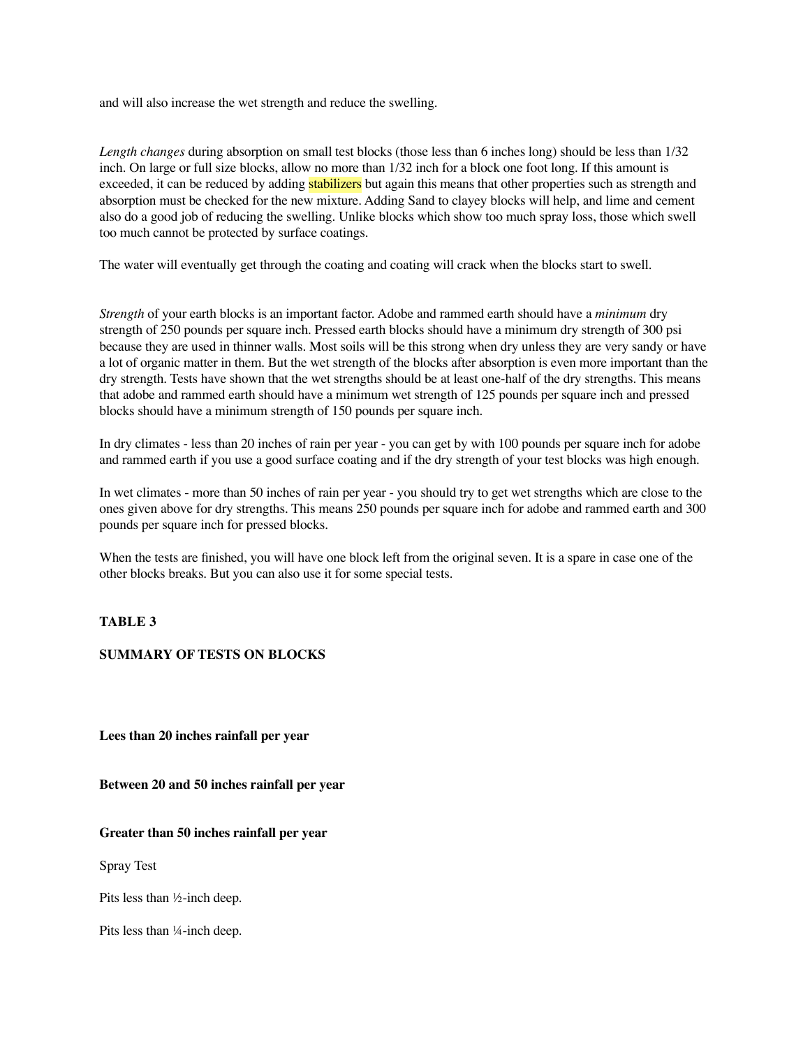and will also increase the wet strength and reduce the swelling.

*Length changes* during absorption on small test blocks (those less than 6 inches long) should be less than 1/32 inch. On large or full size blocks, allow no more than 1/32 inch for a block one foot long. If this amount is exceeded, it can be reduced by adding **stabilizers** but again this means that other properties such as strength and absorption must be checked for the new mixture. Adding Sand to clayey blocks will help, and lime and cement also do a good job of reducing the swelling. Unlike blocks which show too much spray loss, those which swell too much cannot be protected by surface coatings.

The water will eventually get through the coating and coating will crack when the blocks start to swell.

*Strength* of your earth blocks is an important factor. Adobe and rammed earth should have a *minimum* dry strength of 250 pounds per square inch. Pressed earth blocks should have a minimum dry strength of 300 psi because they are used in thinner walls. Most soils will be this strong when dry unless they are very sandy or have a lot of organic matter in them. But the wet strength of the blocks after absorption is even more important than the dry strength. Tests have shown that the wet strengths should be at least one-half of the dry strengths. This means that adobe and rammed earth should have a minimum wet strength of 125 pounds per square inch and pressed blocks should have a minimum strength of 150 pounds per square inch.

In dry climates - less than 20 inches of rain per year - you can get by with 100 pounds per square inch for adobe and rammed earth if you use a good surface coating and if the dry strength of your test blocks was high enough.

In wet climates - more than 50 inches of rain per year - you should try to get wet strengths which are close to the ones given above for dry strengths. This means 250 pounds per square inch for adobe and rammed earth and 300 pounds per square inch for pressed blocks.

When the tests are finished, you will have one block left from the original seven. It is a spare in case one of the other blocks breaks. But you can also use it for some special tests.

## **TABLE 3**

## **SUMMARY OF TESTS ON BLOCKS**

**Lees than 20 inches rainfall per year**

**Between 20 and 50 inches rainfall per year**

#### **Greater than 50 inches rainfall per year**

Spray Test

Pits less than ½-inch deep.

Pits less than ¼-inch deep.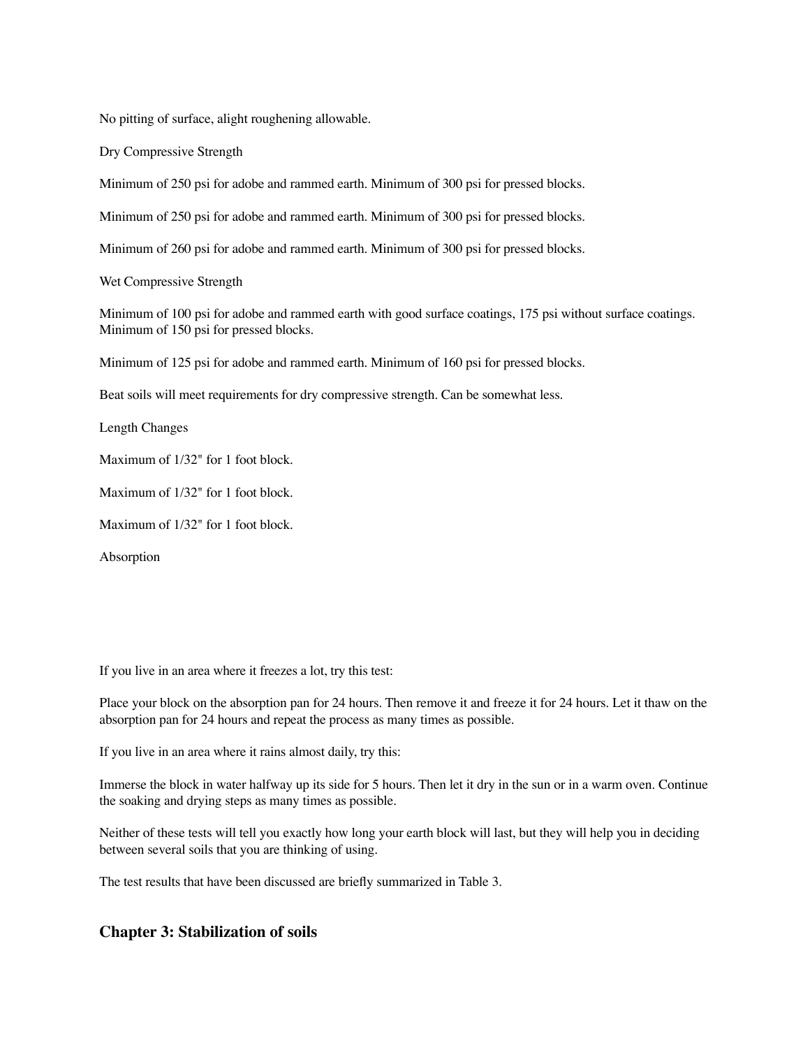No pitting of surface, alight roughening allowable.

Dry Compressive Strength

Minimum of 250 psi for adobe and rammed earth. Minimum of 300 psi for pressed blocks.

Minimum of 250 psi for adobe and rammed earth. Minimum of 300 psi for pressed blocks.

Minimum of 260 psi for adobe and rammed earth. Minimum of 300 psi for pressed blocks.

Wet Compressive Strength

Minimum of 100 psi for adobe and rammed earth with good surface coatings, 175 psi without surface coatings. Minimum of 150 psi for pressed blocks.

Minimum of 125 psi for adobe and rammed earth. Minimum of 160 psi for pressed blocks.

Beat soils will meet requirements for dry compressive strength. Can be somewhat less.

Length Changes

Maximum of 1/32" for 1 foot block.

Maximum of 1/32" for 1 foot block.

Maximum of 1/32" for 1 foot block.

Absorption

If you live in an area where it freezes a lot, try this test:

Place your block on the absorption pan for 24 hours. Then remove it and freeze it for 24 hours. Let it thaw on the absorption pan for 24 hours and repeat the process as many times as possible.

If you live in an area where it rains almost daily, try this:

Immerse the block in water halfway up its side for 5 hours. Then let it dry in the sun or in a warm oven. Continue the soaking and drying steps as many times as possible.

Neither of these tests will tell you exactly how long your earth block will last, but they will help you in deciding between several soils that you are thinking of using.

The test results that have been discussed are briefly summarized in Table 3.

## **Chapter 3: Stabilization of soils**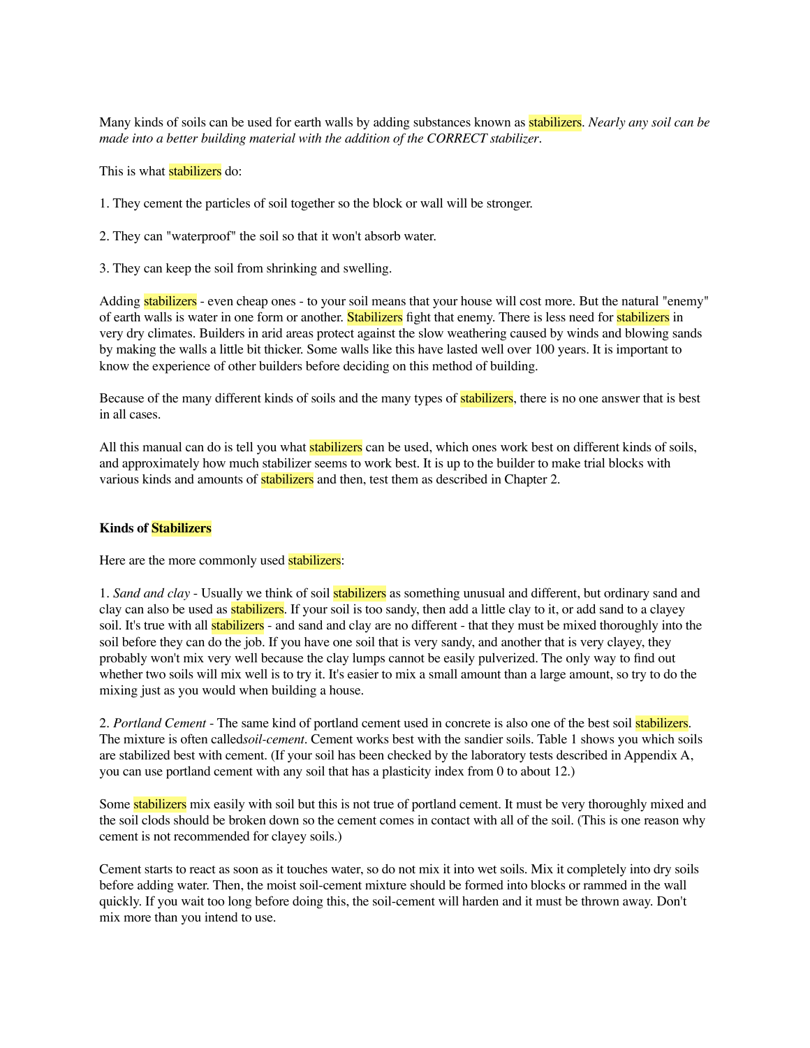Many kinds of soils can be used for earth walls by adding substances known as stabilizers. *Nearly any soil can be made into a better building material with the addition of the CORRECT stabilizer*.

This is what **stabilizers** do:

1. They cement the particles of soil together so the block or wall will be stronger.

2. They can "waterproof" the soil so that it won't absorb water.

3. They can keep the soil from shrinking and swelling.

Adding stabilizers - even cheap ones - to your soil means that your house will cost more. But the natural "enemy" of earth walls is water in one form or another. Stabilizers fight that enemy. There is less need for stabilizers in very dry climates. Builders in arid areas protect against the slow weathering caused by winds and blowing sands by making the walls a little bit thicker. Some walls like this have lasted well over 100 years. It is important to know the experience of other builders before deciding on this method of building.

Because of the many different kinds of soils and the many types of **stabilizers**, there is no one answer that is best in all cases.

All this manual can do is tell you what **stabilizers** can be used, which ones work best on different kinds of soils, and approximately how much stabilizer seems to work best. It is up to the builder to make trial blocks with various kinds and amounts of stabilizers and then, test them as described in Chapter 2.

## **Kinds of Stabilizers**

Here are the more commonly used stabilizers:

1. *Sand and clay* - Usually we think of soil stabilizers as something unusual and different, but ordinary sand and clay can also be used as stabilizers. If your soil is too sandy, then add a little clay to it, or add sand to a clayey soil. It's true with all stabilizers - and sand and clay are no different - that they must be mixed thoroughly into the soil before they can do the job. If you have one soil that is very sandy, and another that is very clayey, they probably won't mix very well because the clay lumps cannot be easily pulverized. The only way to find out whether two soils will mix well is to try it. It's easier to mix a small amount than a large amount, so try to do the mixing just as you would when building a house.

2. *Portland Cement* - The same kind of portland cement used in concrete is also one of the best soil stabilizers. The mixture is often called*soil-cement*. Cement works best with the sandier soils. Table 1 shows you which soils are stabilized best with cement. (If your soil has been checked by the laboratory tests described in Appendix A, you can use portland cement with any soil that has a plasticity index from 0 to about 12.)

Some stabilizers mix easily with soil but this is not true of portland cement. It must be very thoroughly mixed and the soil clods should be broken down so the cement comes in contact with all of the soil. (This is one reason why cement is not recommended for clayey soils.)

Cement starts to react as soon as it touches water, so do not mix it into wet soils. Mix it completely into dry soils before adding water. Then, the moist soil-cement mixture should be formed into blocks or rammed in the wall quickly. If you wait too long before doing this, the soil-cement will harden and it must be thrown away. Don't mix more than you intend to use.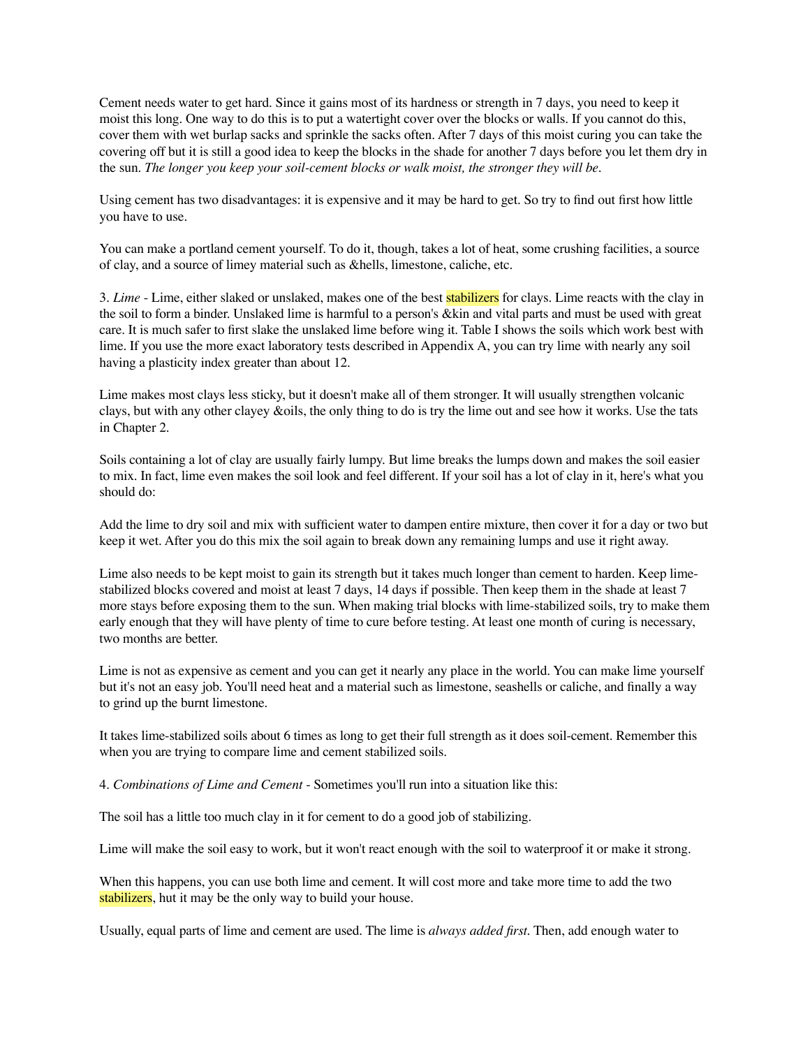Cement needs water to get hard. Since it gains most of its hardness or strength in 7 days, you need to keep it moist this long. One way to do this is to put a watertight cover over the blocks or walls. If you cannot do this, cover them with wet burlap sacks and sprinkle the sacks often. After 7 days of this moist curing you can take the covering off but it is still a good idea to keep the blocks in the shade for another 7 days before you let them dry in the sun. *The longer you keep your soil-cement blocks or walk moist, the stronger they will be*.

Using cement has two disadvantages: it is expensive and it may be hard to get. So try to find out first how little you have to use.

You can make a portland cement yourself. To do it, though, takes a lot of heat, some crushing facilities, a source of clay, and a source of limey material such as &hells, limestone, caliche, etc.

3. *Lime* - Lime, either slaked or unslaked, makes one of the best stabilizers for clays. Lime reacts with the clay in the soil to form a binder. Unslaked lime is harmful to a person's &kin and vital parts and must be used with great care. It is much safer to first slake the unslaked lime before wing it. Table I shows the soils which work best with lime. If you use the more exact laboratory tests described in Appendix A, you can try lime with nearly any soil having a plasticity index greater than about 12.

Lime makes most clays less sticky, but it doesn't make all of them stronger. It will usually strengthen volcanic clays, but with any other clayey &oils, the only thing to do is try the lime out and see how it works. Use the tats in Chapter 2.

Soils containing a lot of clay are usually fairly lumpy. But lime breaks the lumps down and makes the soil easier to mix. In fact, lime even makes the soil look and feel different. If your soil has a lot of clay in it, here's what you should do:

Add the lime to dry soil and mix with sufficient water to dampen entire mixture, then cover it for a day or two but keep it wet. After you do this mix the soil again to break down any remaining lumps and use it right away.

Lime also needs to be kept moist to gain its strength but it takes much longer than cement to harden. Keep limestabilized blocks covered and moist at least 7 days, 14 days if possible. Then keep them in the shade at least 7 more stays before exposing them to the sun. When making trial blocks with lime-stabilized soils, try to make them early enough that they will have plenty of time to cure before testing. At least one month of curing is necessary, two months are better.

Lime is not as expensive as cement and you can get it nearly any place in the world. You can make lime yourself but it's not an easy job. You'll need heat and a material such as limestone, seashells or caliche, and finally a way to grind up the burnt limestone.

It takes lime-stabilized soils about 6 times as long to get their full strength as it does soil-cement. Remember this when you are trying to compare lime and cement stabilized soils.

4. *Combinations of Lime and Cement* - Sometimes you'll run into a situation like this:

The soil has a little too much clay in it for cement to do a good job of stabilizing.

Lime will make the soil easy to work, but it won't react enough with the soil to waterproof it or make it strong.

When this happens, you can use both lime and cement. It will cost more and take more time to add the two stabilizers, hut it may be the only way to build your house.

Usually, equal parts of lime and cement are used. The lime is *always added first*. Then, add enough water to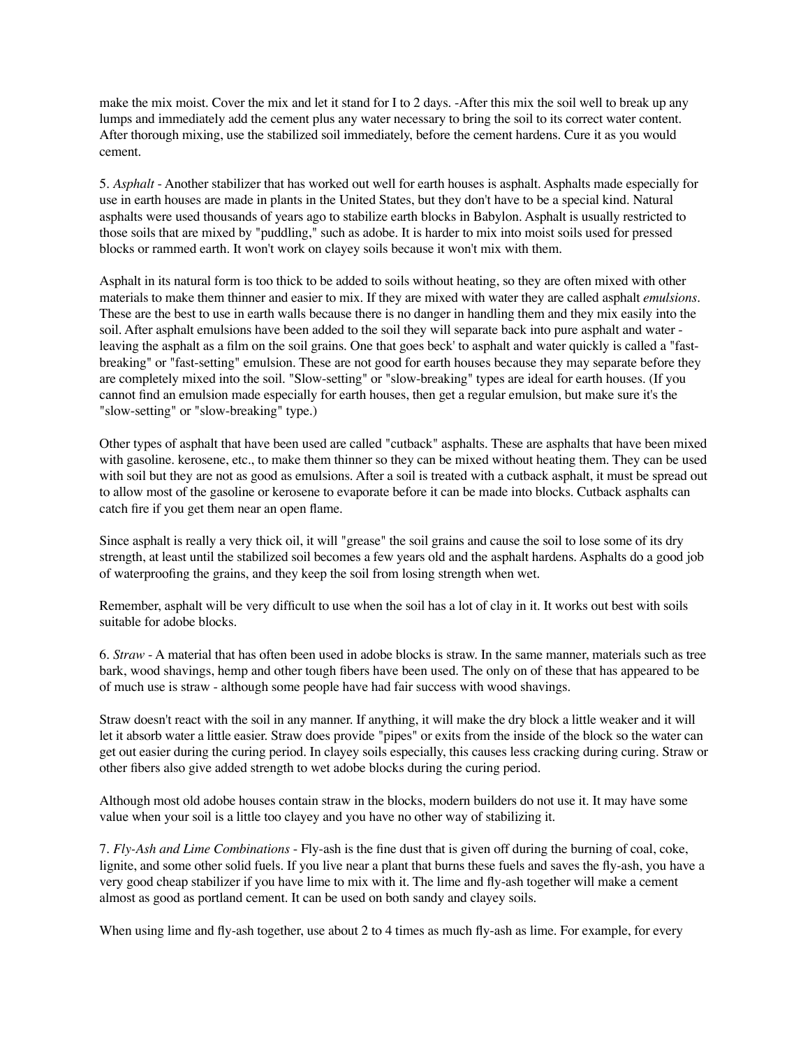make the mix moist. Cover the mix and let it stand for I to 2 days. -After this mix the soil well to break up any lumps and immediately add the cement plus any water necessary to bring the soil to its correct water content. After thorough mixing, use the stabilized soil immediately, before the cement hardens. Cure it as you would cement.

5. *Asphalt* - Another stabilizer that has worked out well for earth houses is asphalt. Asphalts made especially for use in earth houses are made in plants in the United States, but they don't have to be a special kind. Natural asphalts were used thousands of years ago to stabilize earth blocks in Babylon. Asphalt is usually restricted to those soils that are mixed by "puddling," such as adobe. It is harder to mix into moist soils used for pressed blocks or rammed earth. It won't work on clayey soils because it won't mix with them.

Asphalt in its natural form is too thick to be added to soils without heating, so they are often mixed with other materials to make them thinner and easier to mix. If they are mixed with water they are called asphalt *emulsions*. These are the best to use in earth walls because there is no danger in handling them and they mix easily into the soil. After asphalt emulsions have been added to the soil they will separate back into pure asphalt and water leaving the asphalt as a film on the soil grains. One that goes beck' to asphalt and water quickly is called a "fastbreaking" or "fast-setting" emulsion. These are not good for earth houses because they may separate before they are completely mixed into the soil. "Slow-setting" or "slow-breaking" types are ideal for earth houses. (If you cannot find an emulsion made especially for earth houses, then get a regular emulsion, but make sure it's the "slow-setting" or "slow-breaking" type.)

Other types of asphalt that have been used are called "cutback" asphalts. These are asphalts that have been mixed with gasoline. kerosene, etc., to make them thinner so they can be mixed without heating them. They can be used with soil but they are not as good as emulsions. After a soil is treated with a cutback asphalt, it must be spread out to allow most of the gasoline or kerosene to evaporate before it can be made into blocks. Cutback asphalts can catch fire if you get them near an open flame.

Since asphalt is really a very thick oil, it will "grease" the soil grains and cause the soil to lose some of its dry strength, at least until the stabilized soil becomes a few years old and the asphalt hardens. Asphalts do a good job of waterproofing the grains, and they keep the soil from losing strength when wet.

Remember, asphalt will be very difficult to use when the soil has a lot of clay in it. It works out best with soils suitable for adobe blocks.

6. *Straw* - A material that has often been used in adobe blocks is straw. In the same manner, materials such as tree bark, wood shavings, hemp and other tough fibers have been used. The only on of these that has appeared to be of much use is straw - although some people have had fair success with wood shavings.

Straw doesn't react with the soil in any manner. If anything, it will make the dry block a little weaker and it will let it absorb water a little easier. Straw does provide "pipes" or exits from the inside of the block so the water can get out easier during the curing period. In clayey soils especially, this causes less cracking during curing. Straw or other fibers also give added strength to wet adobe blocks during the curing period.

Although most old adobe houses contain straw in the blocks, modern builders do not use it. It may have some value when your soil is a little too clayey and you have no other way of stabilizing it.

7. *Fly-Ash and Lime Combinations* - Fly-ash is the fine dust that is given off during the burning of coal, coke, lignite, and some other solid fuels. If you live near a plant that burns these fuels and saves the fly-ash, you have a very good cheap stabilizer if you have lime to mix with it. The lime and fly-ash together will make a cement almost as good as portland cement. It can be used on both sandy and clayey soils.

When using lime and fly-ash together, use about 2 to 4 times as much fly-ash as lime. For example, for every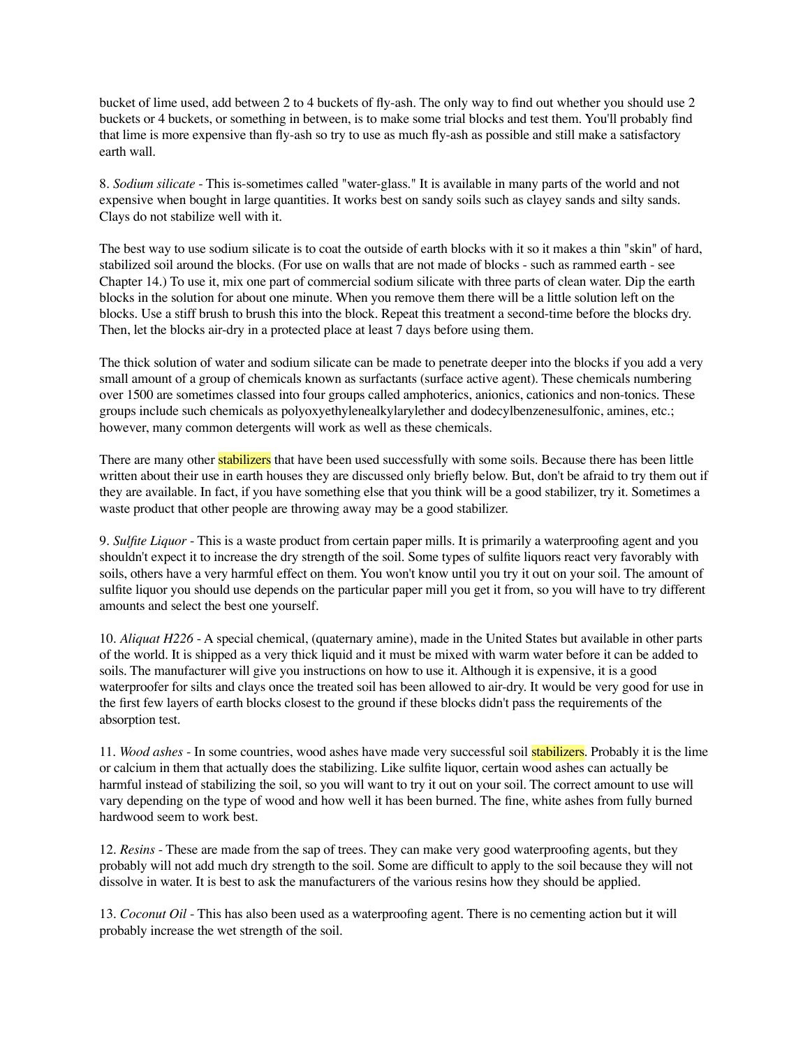bucket of lime used, add between 2 to 4 buckets of fly-ash. The only way to find out whether you should use 2 buckets or 4 buckets, or something in between, is to make some trial blocks and test them. You'll probably find that lime is more expensive than fly-ash so try to use as much fly-ash as possible and still make a satisfactory earth wall.

8. *Sodium silicate* - This is-sometimes called "water-glass." It is available in many parts of the world and not expensive when bought in large quantities. It works best on sandy soils such as clayey sands and silty sands. Clays do not stabilize well with it.

The best way to use sodium silicate is to coat the outside of earth blocks with it so it makes a thin "skin" of hard, stabilized soil around the blocks. (For use on walls that are not made of blocks - such as rammed earth - see Chapter 14.) To use it, mix one part of commercial sodium silicate with three parts of clean water. Dip the earth blocks in the solution for about one minute. When you remove them there will be a little solution left on the blocks. Use a stiff brush to brush this into the block. Repeat this treatment a second-time before the blocks dry. Then, let the blocks air-dry in a protected place at least 7 days before using them.

The thick solution of water and sodium silicate can be made to penetrate deeper into the blocks if you add a very small amount of a group of chemicals known as surfactants (surface active agent). These chemicals numbering over 1500 are sometimes classed into four groups called amphoterics, anionics, cationics and non-tonics. These groups include such chemicals as polyoxyethylenealkylarylether and dodecylbenzenesulfonic, amines, etc.; however, many common detergents will work as well as these chemicals.

There are many other **stabilizers** that have been used successfully with some soils. Because there has been little written about their use in earth houses they are discussed only briefly below. But, don't be afraid to try them out if they are available. In fact, if you have something else that you think will be a good stabilizer, try it. Sometimes a waste product that other people are throwing away may be a good stabilizer.

9. *Sulfite Liquor* - This is a waste product from certain paper mills. It is primarily a waterproofing agent and you shouldn't expect it to increase the dry strength of the soil. Some types of sulfite liquors react very favorably with soils, others have a very harmful effect on them. You won't know until you try it out on your soil. The amount of sulfite liquor you should use depends on the particular paper mill you get it from, so you will have to try different amounts and select the best one yourself.

10. *Aliquat H226* - A special chemical, (quaternary amine), made in the United States but available in other parts of the world. It is shipped as a very thick liquid and it must be mixed with warm water before it can be added to soils. The manufacturer will give you instructions on how to use it. Although it is expensive, it is a good waterproofer for silts and clays once the treated soil has been allowed to air-dry. It would be very good for use in the first few layers of earth blocks closest to the ground if these blocks didn't pass the requirements of the absorption test.

11. *Wood ashes* - In some countries, wood ashes have made very successful soil stabilizers. Probably it is the lime or calcium in them that actually does the stabilizing. Like sulfite liquor, certain wood ashes can actually be harmful instead of stabilizing the soil, so you will want to try it out on your soil. The correct amount to use will vary depending on the type of wood and how well it has been burned. The fine, white ashes from fully burned hardwood seem to work best.

12. *Resins* - These are made from the sap of trees. They can make very good waterproofing agents, but they probably will not add much dry strength to the soil. Some are difficult to apply to the soil because they will not dissolve in water. It is best to ask the manufacturers of the various resins how they should be applied.

13. *Coconut Oil* - This has also been used as a waterproofing agent. There is no cementing action but it will probably increase the wet strength of the soil.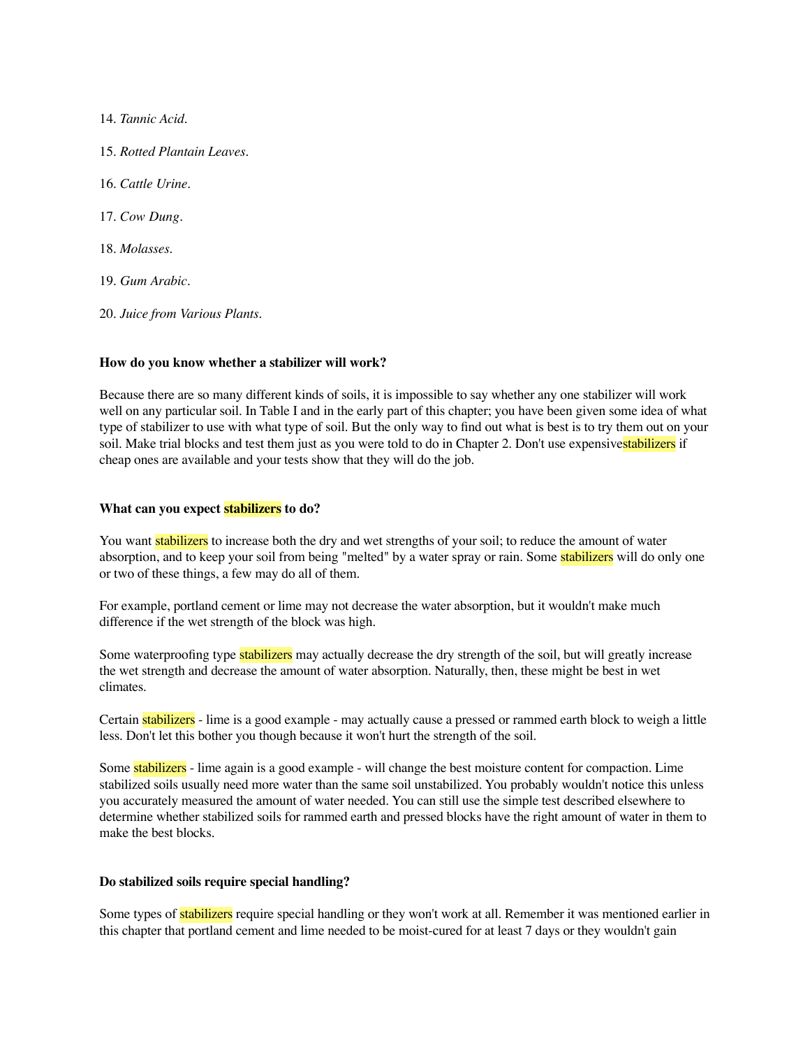14. *Tannic Acid*.

- 15. *Rotted Plantain Leaves*.
- 16. *Cattle Urine*.
- 17. *Cow Dung*.
- 18. *Molasses*.
- 19. *Gum Arabic*.
- 20. *Juice from Various Plants*.

### **How do you know whether a stabilizer will work?**

Because there are so many different kinds of soils, it is impossible to say whether any one stabilizer will work well on any particular soil. In Table I and in the early part of this chapter; you have been given some idea of what type of stabilizer to use with what type of soil. But the only way to find out what is best is to try them out on your soil. Make trial blocks and test them just as you were told to do in Chapter 2. Don't use expensive stabilizers if cheap ones are available and your tests show that they will do the job.

### **What can you expect stabilizers to do?**

You want stabilizers to increase both the dry and wet strengths of your soil; to reduce the amount of water absorption, and to keep your soil from being "melted" by a water spray or rain. Some stabilizers will do only one or two of these things, a few may do all of them.

For example, portland cement or lime may not decrease the water absorption, but it wouldn't make much difference if the wet strength of the block was high.

Some waterproofing type stabilizers may actually decrease the dry strength of the soil, but will greatly increase the wet strength and decrease the amount of water absorption. Naturally, then, these might be best in wet climates.

Certain stabilizers - lime is a good example - may actually cause a pressed or rammed earth block to weigh a little less. Don't let this bother you though because it won't hurt the strength of the soil.

Some stabilizers - lime again is a good example - will change the best moisture content for compaction. Lime stabilized soils usually need more water than the same soil unstabilized. You probably wouldn't notice this unless you accurately measured the amount of water needed. You can still use the simple test described elsewhere to determine whether stabilized soils for rammed earth and pressed blocks have the right amount of water in them to make the best blocks.

### **Do stabilized soils require special handling?**

Some types of **stabilizers** require special handling or they won't work at all. Remember it was mentioned earlier in this chapter that portland cement and lime needed to be moist-cured for at least 7 days or they wouldn't gain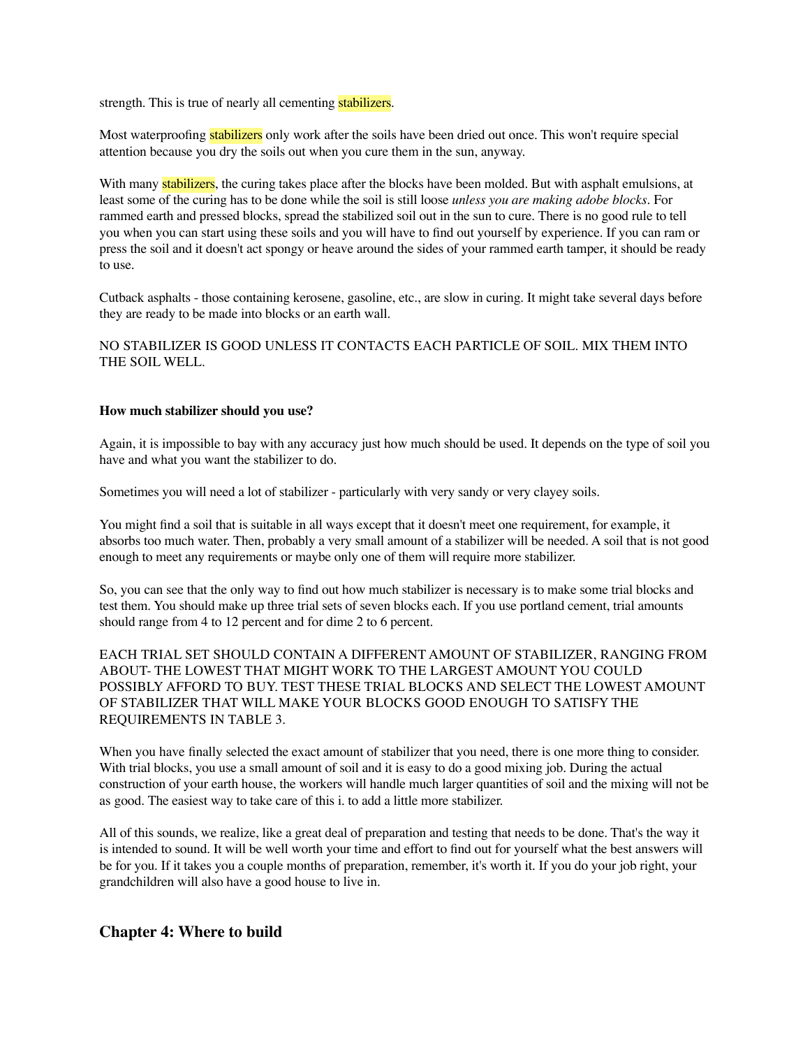strength. This is true of nearly all cementing stabilizers.

Most waterproofing stabilizers only work after the soils have been dried out once. This won't require special attention because you dry the soils out when you cure them in the sun, anyway.

With many stabilizers, the curing takes place after the blocks have been molded. But with asphalt emulsions, at least some of the curing has to be done while the soil is still loose *unless you are making adobe blocks*. For rammed earth and pressed blocks, spread the stabilized soil out in the sun to cure. There is no good rule to tell you when you can start using these soils and you will have to find out yourself by experience. If you can ram or press the soil and it doesn't act spongy or heave around the sides of your rammed earth tamper, it should be ready to use.

Cutback asphalts - those containing kerosene, gasoline, etc., are slow in curing. It might take several days before they are ready to be made into blocks or an earth wall.

NO STABILIZER IS GOOD UNLESS IT CONTACTS EACH PARTICLE OF SOIL. MIX THEM INTO THE SOIL WELL.

### **How much stabilizer should you use?**

Again, it is impossible to bay with any accuracy just how much should be used. It depends on the type of soil you have and what you want the stabilizer to do.

Sometimes you will need a lot of stabilizer - particularly with very sandy or very clayey soils.

You might find a soil that is suitable in all ways except that it doesn't meet one requirement, for example, it absorbs too much water. Then, probably a very small amount of a stabilizer will be needed. A soil that is not good enough to meet any requirements or maybe only one of them will require more stabilizer.

So, you can see that the only way to find out how much stabilizer is necessary is to make some trial blocks and test them. You should make up three trial sets of seven blocks each. If you use portland cement, trial amounts should range from 4 to 12 percent and for dime 2 to 6 percent.

EACH TRIAL SET SHOULD CONTAIN A DIFFERENT AMOUNT OF STABILIZER, RANGING FROM ABOUT- THE LOWEST THAT MIGHT WORK TO THE LARGEST AMOUNT YOU COULD POSSIBLY AFFORD TO BUY. TEST THESE TRIAL BLOCKS AND SELECT THE LOWEST AMOUNT OF STABILIZER THAT WILL MAKE YOUR BLOCKS GOOD ENOUGH TO SATISFY THE REQUIREMENTS IN TABLE 3.

When you have finally selected the exact amount of stabilizer that you need, there is one more thing to consider. With trial blocks, you use a small amount of soil and it is easy to do a good mixing job. During the actual construction of your earth house, the workers will handle much larger quantities of soil and the mixing will not be as good. The easiest way to take care of this i. to add a little more stabilizer.

All of this sounds, we realize, like a great deal of preparation and testing that needs to be done. That's the way it is intended to sound. It will be well worth your time and effort to find out for yourself what the best answers will be for you. If it takes you a couple months of preparation, remember, it's worth it. If you do your job right, your grandchildren will also have a good house to live in.

## **Chapter 4: Where to build**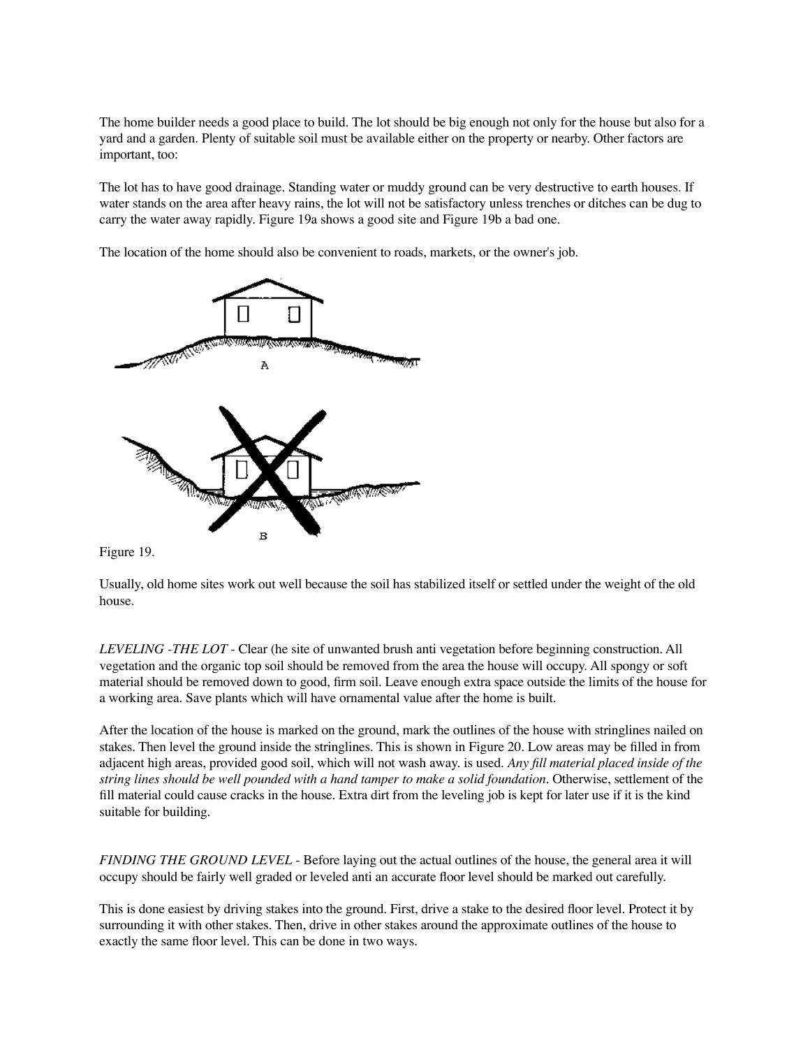The home builder needs a good place to build. The lot should be big enough not only for the house but also for a yard and a garden. Plenty of suitable soil must be available either on the property or nearby. Other factors are important, too:

The lot has to have good drainage. Standing water or muddy ground can be very destructive to earth houses. If water stands on the area after heavy rains, the lot will not be satisfactory unless trenches or ditches can be dug to carry the water away rapidly. Figure 19a shows a good site and Figure 19b a bad one.

The location of the home should also be convenient to roads, markets, or the owner's job.





Usually, old home sites work out well because the soil has stabilized itself or settled under the weight of the old house.

*LEVELING -THE LOT* - Clear (he site of unwanted brush anti vegetation before beginning construction. All vegetation and the organic top soil should be removed from the area the house will occupy. All spongy or soft material should be removed down to good, firm soil. Leave enough extra space outside the limits of the house for a working area. Save plants which will have ornamental value after the home is built.

After the location of the house is marked on the ground, mark the outlines of the house with stringlines nailed on stakes. Then level the ground inside the stringlines. This is shown in Figure 20. Low areas may be filled in from adjacent high areas, provided good soil, which will not wash away. is used. *Any fill material placed inside of the string lines should be well pounded with a hand tamper to make a solid foundation*. Otherwise, settlement of the fill material could cause cracks in the house. Extra dirt from the leveling job is kept for later use if it is the kind suitable for building.

*FINDING THE GROUND LEVEL* - Before laying out the actual outlines of the house, the general area it will occupy should be fairly well graded or leveled anti an accurate floor level should be marked out carefully.

This is done easiest by driving stakes into the ground. First, drive a stake to the desired floor level. Protect it by surrounding it with other stakes. Then, drive in other stakes around the approximate outlines of the house to exactly the same floor level. This can be done in two ways.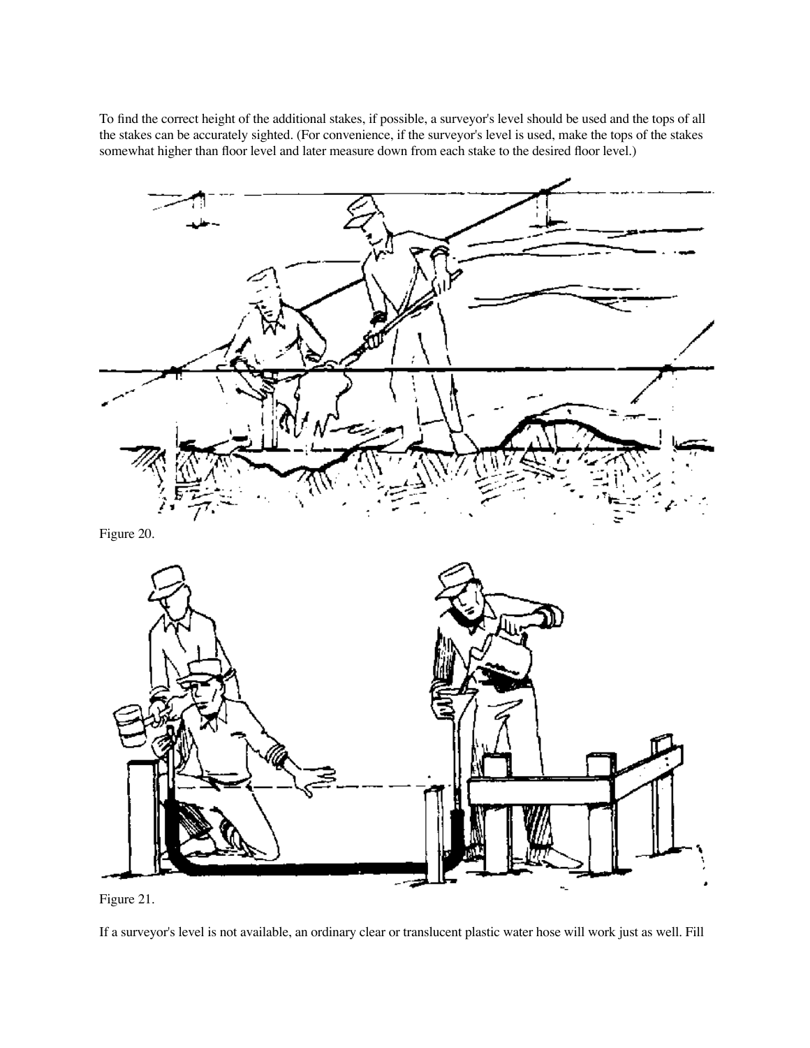To find the correct height of the additional stakes, if possible, a surveyor's level should be used and the tops of all the stakes can be accurately sighted. (For convenience, if the surveyor's level is used, make the tops of the stakes somewhat higher than floor level and later measure down from each stake to the desired floor level.)



Figure 20.





If a surveyor's level is not available, an ordinary clear or translucent plastic water hose will work just as well. Fill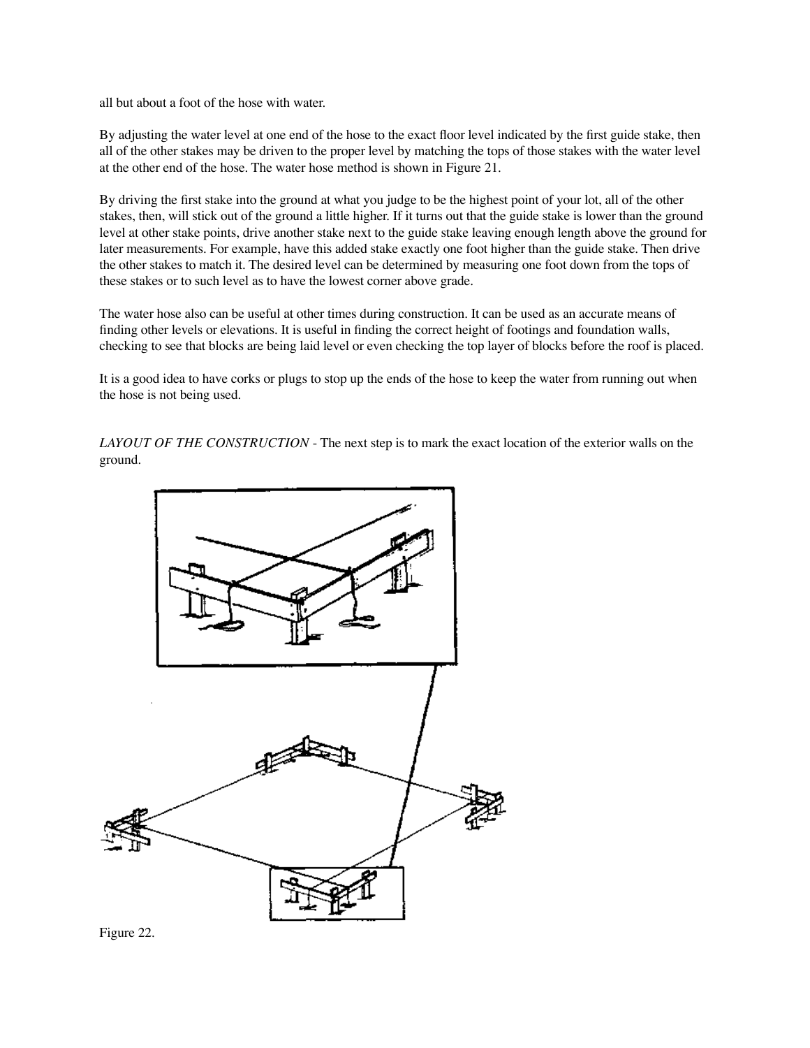all but about a foot of the hose with water.

By adjusting the water level at one end of the hose to the exact floor level indicated by the first guide stake, then all of the other stakes may be driven to the proper level by matching the tops of those stakes with the water level at the other end of the hose. The water hose method is shown in Figure 21.

By driving the first stake into the ground at what you judge to be the highest point of your lot, all of the other stakes, then, will stick out of the ground a little higher. If it turns out that the guide stake is lower than the ground level at other stake points, drive another stake next to the guide stake leaving enough length above the ground for later measurements. For example, have this added stake exactly one foot higher than the guide stake. Then drive the other stakes to match it. The desired level can be determined by measuring one foot down from the tops of these stakes or to such level as to have the lowest corner above grade.

The water hose also can be useful at other times during construction. It can be used as an accurate means of finding other levels or elevations. It is useful in finding the correct height of footings and foundation walls, checking to see that blocks are being laid level or even checking the top layer of blocks before the roof is placed.

It is a good idea to have corks or plugs to stop up the ends of the hose to keep the water from running out when the hose is not being used.

*LAYOUT OF THE CONSTRUCTION* - The next step is to mark the exact location of the exterior walls on the ground.



Figure 22.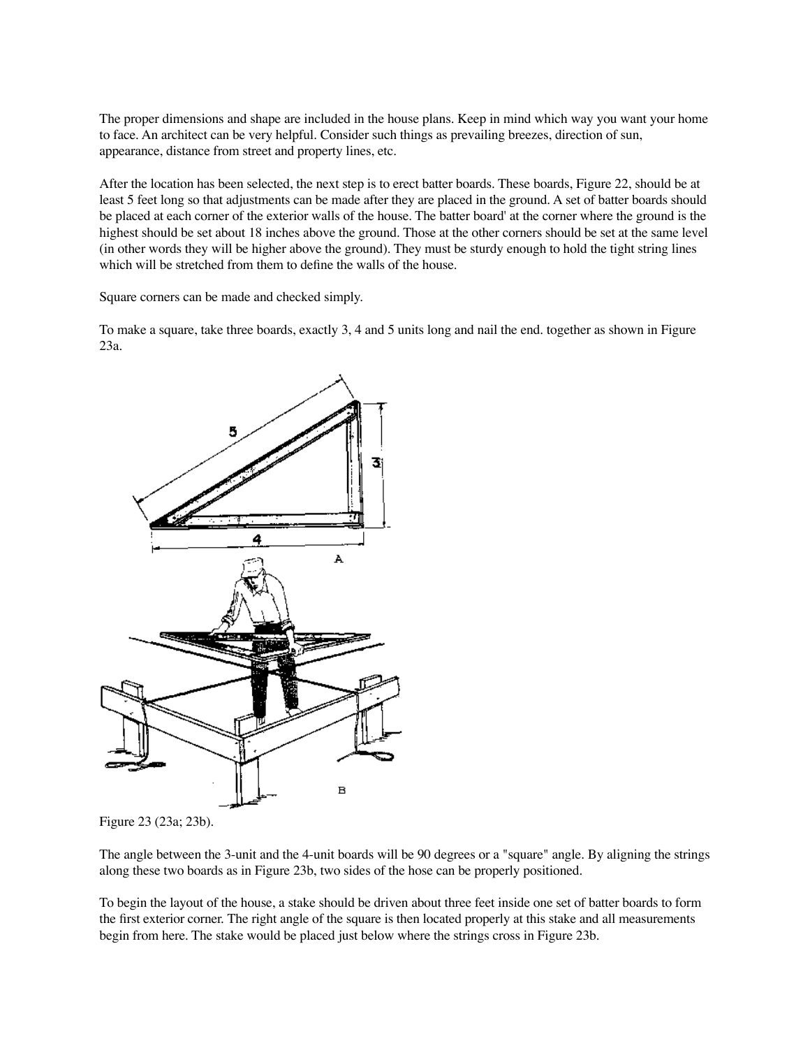The proper dimensions and shape are included in the house plans. Keep in mind which way you want your home to face. An architect can be very helpful. Consider such things as prevailing breezes, direction of sun, appearance, distance from street and property lines, etc.

After the location has been selected, the next step is to erect batter boards. These boards, Figure 22, should be at least 5 feet long so that adjustments can be made after they are placed in the ground. A set of batter boards should be placed at each corner of the exterior walls of the house. The batter board' at the corner where the ground is the highest should be set about 18 inches above the ground. Those at the other corners should be set at the same level (in other words they will be higher above the ground). They must be sturdy enough to hold the tight string lines which will be stretched from them to define the walls of the house.

Square corners can be made and checked simply.

To make a square, take three boards, exactly 3, 4 and 5 units long and nail the end. together as shown in Figure 23a.



Figure 23 (23a; 23b).

The angle between the 3-unit and the 4-unit boards will be 90 degrees or a "square" angle. By aligning the strings along these two boards as in Figure 23b, two sides of the hose can be properly positioned.

To begin the layout of the house, a stake should be driven about three feet inside one set of batter boards to form the first exterior corner. The right angle of the square is then located properly at this stake and all measurements begin from here. The stake would be placed just below where the strings cross in Figure 23b.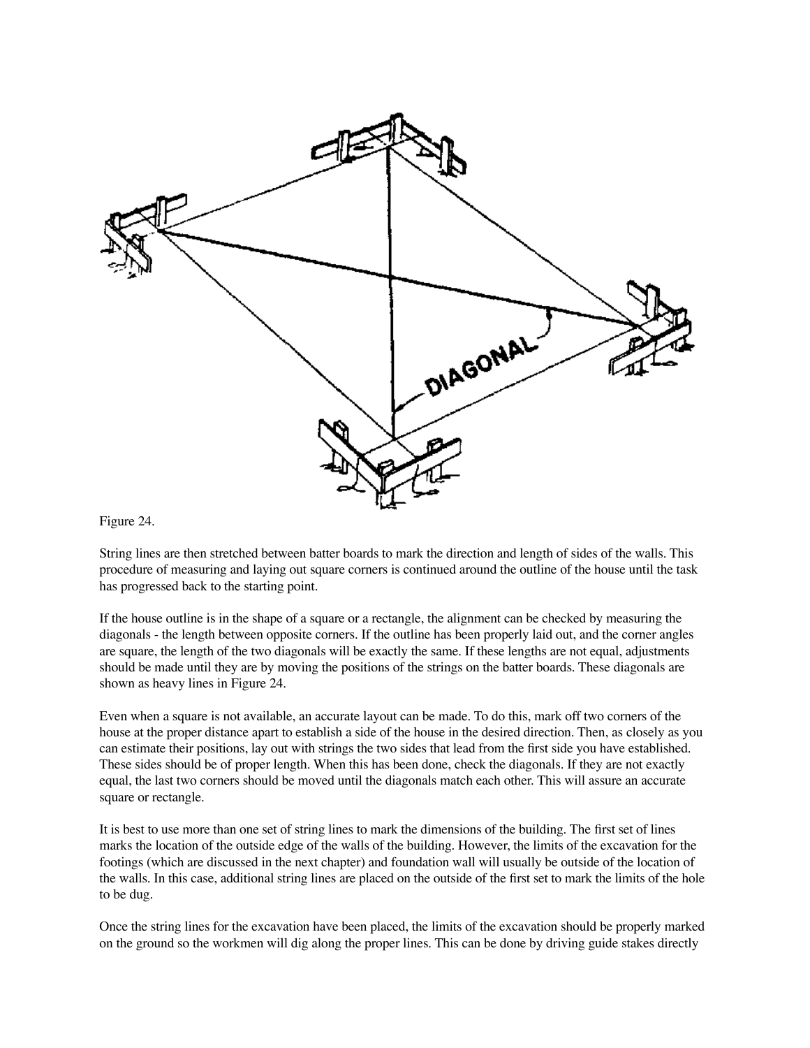

Figure 24.

String lines are then stretched between batter boards to mark the direction and length of sides of the walls. This procedure of measuring and laying out square corners is continued around the outline of the house until the task has progressed back to the starting point.

If the house outline is in the shape of a square or a rectangle, the alignment can be checked by measuring the diagonals - the length between opposite corners. If the outline has been properly laid out, and the corner angles are square, the length of the two diagonals will be exactly the same. If these lengths are not equal, adjustments should be made until they are by moving the positions of the strings on the batter boards. These diagonals are shown as heavy lines in Figure 24.

Even when a square is not available, an accurate layout can be made. To do this, mark off two corners of the house at the proper distance apart to establish a side of the house in the desired direction. Then, as closely as you can estimate their positions, lay out with strings the two sides that lead from the first side you have established. These sides should be of proper length. When this has been done, check the diagonals. If they are not exactly equal, the last two corners should be moved until the diagonals match each other. This will assure an accurate square or rectangle.

It is best to use more than one set of string lines to mark the dimensions of the building. The first set of lines marks the location of the outside edge of the walls of the building. However, the limits of the excavation for the footings (which are discussed in the next chapter) and foundation wall will usually be outside of the location of the walls. In this case, additional string lines are placed on the outside of the first set to mark the limits of the hole to be dug.

Once the string lines for the excavation have been placed, the limits of the excavation should be properly marked on the ground so the workmen will dig along the proper lines. This can be done by driving guide stakes directly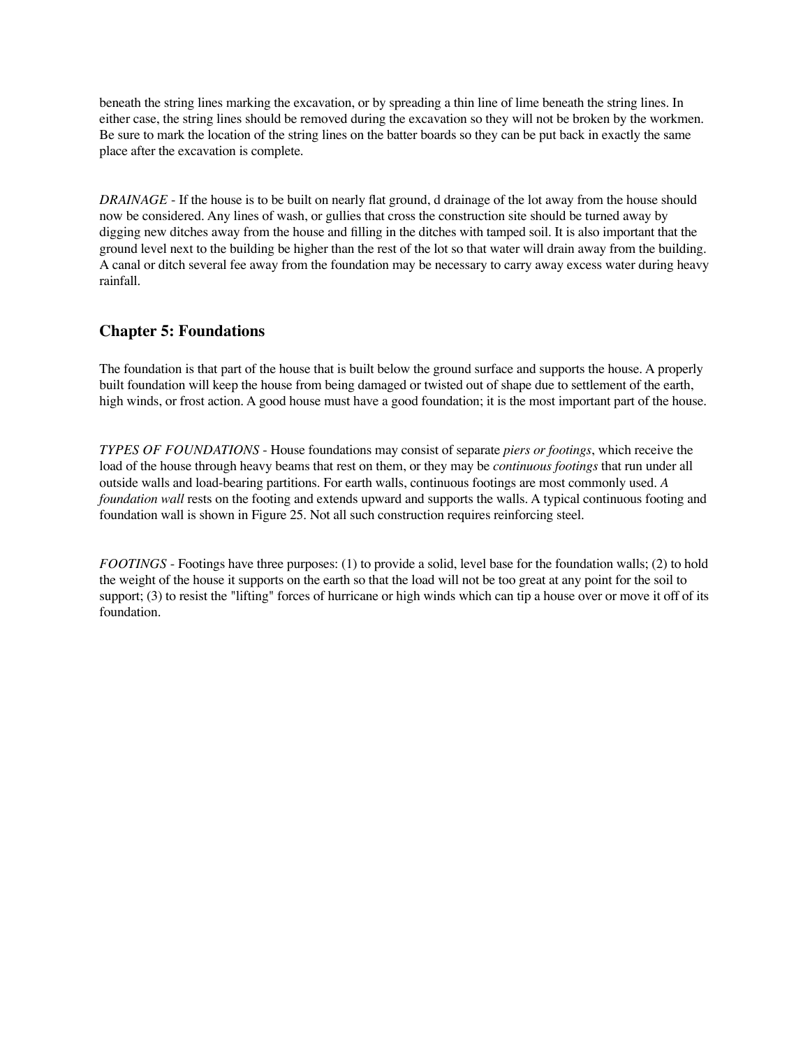beneath the string lines marking the excavation, or by spreading a thin line of lime beneath the string lines. In either case, the string lines should be removed during the excavation so they will not be broken by the workmen. Be sure to mark the location of the string lines on the batter boards so they can be put back in exactly the same place after the excavation is complete.

*DRAINAGE* - If the house is to be built on nearly flat ground, d drainage of the lot away from the house should now be considered. Any lines of wash, or gullies that cross the construction site should be turned away by digging new ditches away from the house and filling in the ditches with tamped soil. It is also important that the ground level next to the building be higher than the rest of the lot so that water will drain away from the building. A canal or ditch several fee away from the foundation may be necessary to carry away excess water during heavy rainfall.

# **Chapter 5: Foundations**

The foundation is that part of the house that is built below the ground surface and supports the house. A properly built foundation will keep the house from being damaged or twisted out of shape due to settlement of the earth, high winds, or frost action. A good house must have a good foundation; it is the most important part of the house.

*TYPES OF FOUNDATIONS* - House foundations may consist of separate *piers or footings*, which receive the load of the house through heavy beams that rest on them, or they may be *continuous footings* that run under all outside walls and load-bearing partitions. For earth walls, continuous footings are most commonly used. *A foundation wall* rests on the footing and extends upward and supports the walls. A typical continuous footing and foundation wall is shown in Figure 25. Not all such construction requires reinforcing steel.

*FOOTINGS* - Footings have three purposes: (1) to provide a solid, level base for the foundation walls; (2) to hold the weight of the house it supports on the earth so that the load will not be too great at any point for the soil to support; (3) to resist the "lifting" forces of hurricane or high winds which can tip a house over or move it off of its foundation.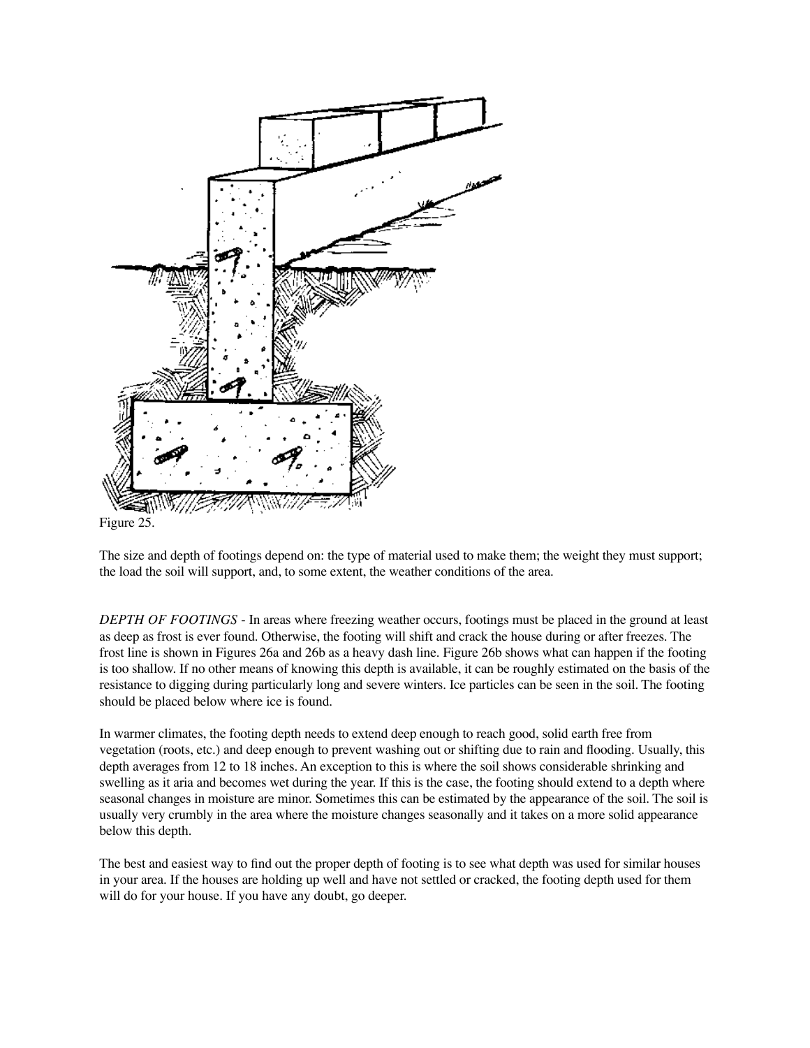

The size and depth of footings depend on: the type of material used to make them; the weight they must support; the load the soil will support, and, to some extent, the weather conditions of the area.

*DEPTH OF FOOTINGS* - In areas where freezing weather occurs, footings must be placed in the ground at least as deep as frost is ever found. Otherwise, the footing will shift and crack the house during or after freezes. The frost line is shown in Figures 26a and 26b as a heavy dash line. Figure 26b shows what can happen if the footing is too shallow. If no other means of knowing this depth is available, it can be roughly estimated on the basis of the resistance to digging during particularly long and severe winters. Ice particles can be seen in the soil. The footing should be placed below where ice is found.

In warmer climates, the footing depth needs to extend deep enough to reach good, solid earth free from vegetation (roots, etc.) and deep enough to prevent washing out or shifting due to rain and flooding. Usually, this depth averages from 12 to 18 inches. An exception to this is where the soil shows considerable shrinking and swelling as it aria and becomes wet during the year. If this is the case, the footing should extend to a depth where seasonal changes in moisture are minor. Sometimes this can be estimated by the appearance of the soil. The soil is usually very crumbly in the area where the moisture changes seasonally and it takes on a more solid appearance below this depth.

The best and easiest way to find out the proper depth of footing is to see what depth was used for similar houses in your area. If the houses are holding up well and have not settled or cracked, the footing depth used for them will do for your house. If you have any doubt, go deeper.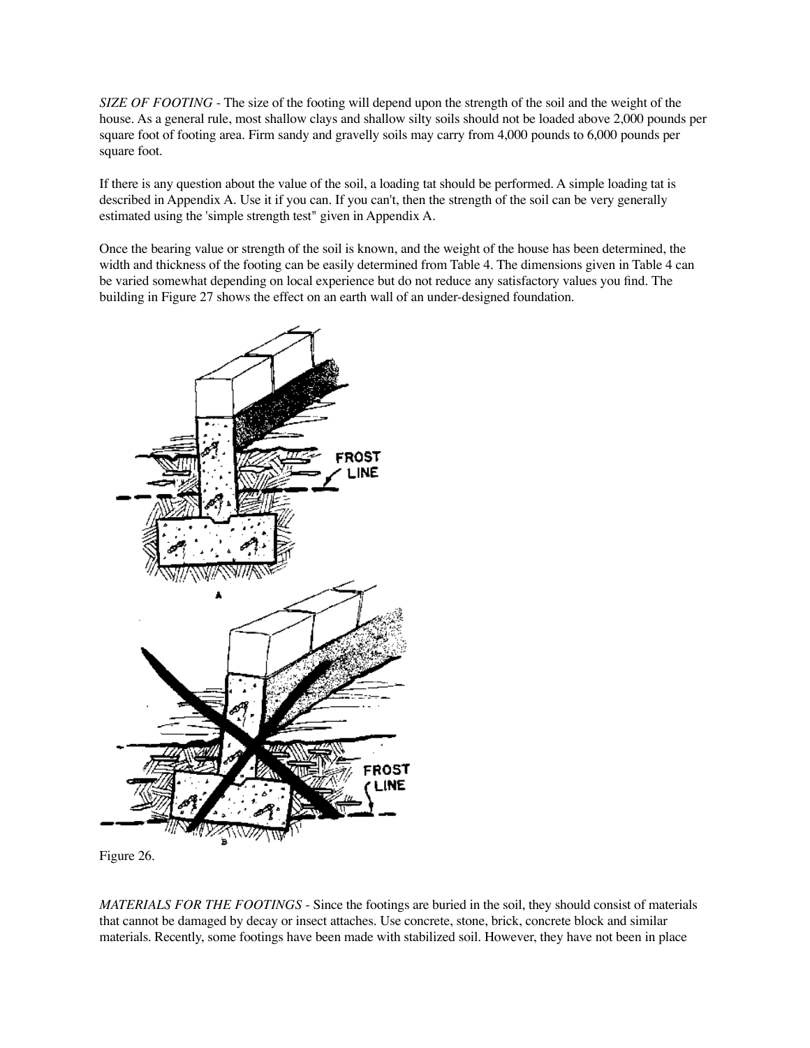*SIZE OF FOOTING* - The size of the footing will depend upon the strength of the soil and the weight of the house. As a general rule, most shallow clays and shallow silty soils should not be loaded above 2,000 pounds per square foot of footing area. Firm sandy and gravelly soils may carry from 4,000 pounds to 6,000 pounds per square foot.

If there is any question about the value of the soil, a loading tat should be performed. A simple loading tat is described in Appendix A. Use it if you can. If you can't, then the strength of the soil can be very generally estimated using the 'simple strength test" given in Appendix A.

Once the bearing value or strength of the soil is known, and the weight of the house has been determined, the width and thickness of the footing can be easily determined from Table 4. The dimensions given in Table 4 can be varied somewhat depending on local experience but do not reduce any satisfactory values you find. The building in Figure 27 shows the effect on an earth wall of an under-designed foundation.



Figure 26.

*MATERIALS FOR THE FOOTINGS* - Since the footings are buried in the soil, they should consist of materials that cannot be damaged by decay or insect attaches. Use concrete, stone, brick, concrete block and similar materials. Recently, some footings have been made with stabilized soil. However, they have not been in place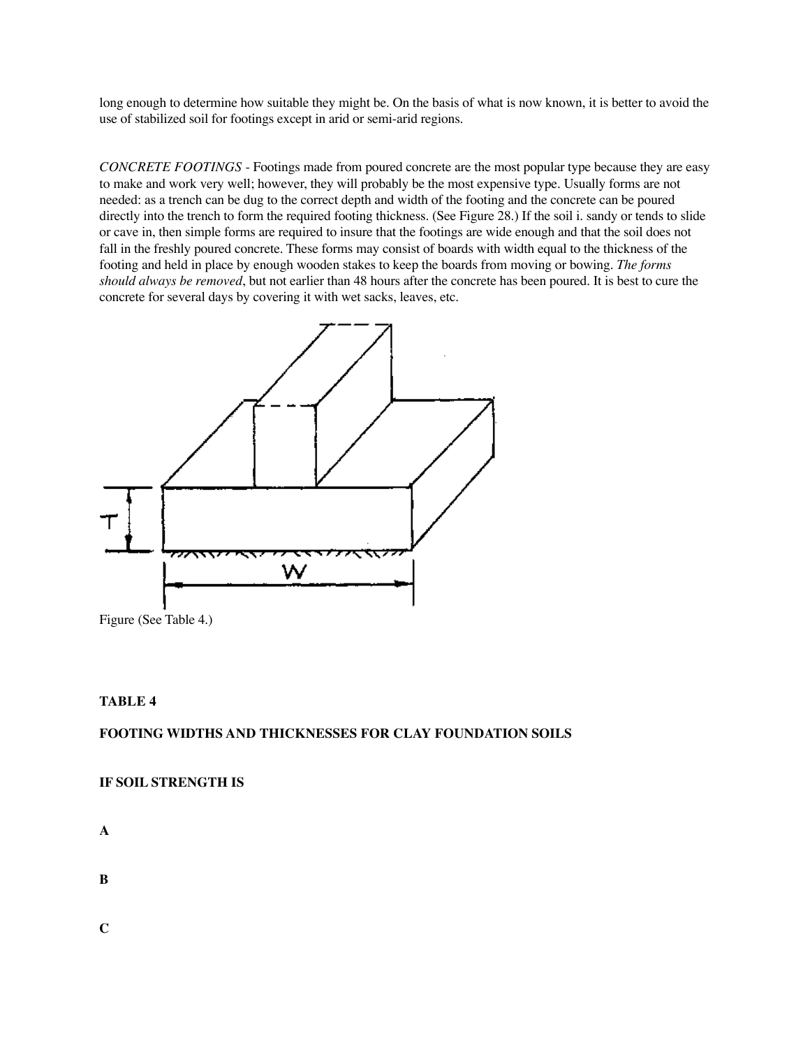long enough to determine how suitable they might be. On the basis of what is now known, it is better to avoid the use of stabilized soil for footings except in arid or semi-arid regions.

*CONCRETE FOOTINGS* - Footings made from poured concrete are the most popular type because they are easy to make and work very well; however, they will probably be the most expensive type. Usually forms are not needed: as a trench can be dug to the correct depth and width of the footing and the concrete can be poured directly into the trench to form the required footing thickness. (See Figure 28.) If the soil i. sandy or tends to slide or cave in, then simple forms are required to insure that the footings are wide enough and that the soil does not fall in the freshly poured concrete. These forms may consist of boards with width equal to the thickness of the footing and held in place by enough wooden stakes to keep the boards from moving or bowing. *The forms should always be removed*, but not earlier than 48 hours after the concrete has been poured. It is best to cure the concrete for several days by covering it with wet sacks, leaves, etc.



Figure (See Table 4.)

## **TABLE 4**

### **FOOTING WIDTHS AND THICKNESSES FOR CLAY FOUNDATION SOILS**

### **IF SOIL STRENGTH IS**

**A**

**B**

**C**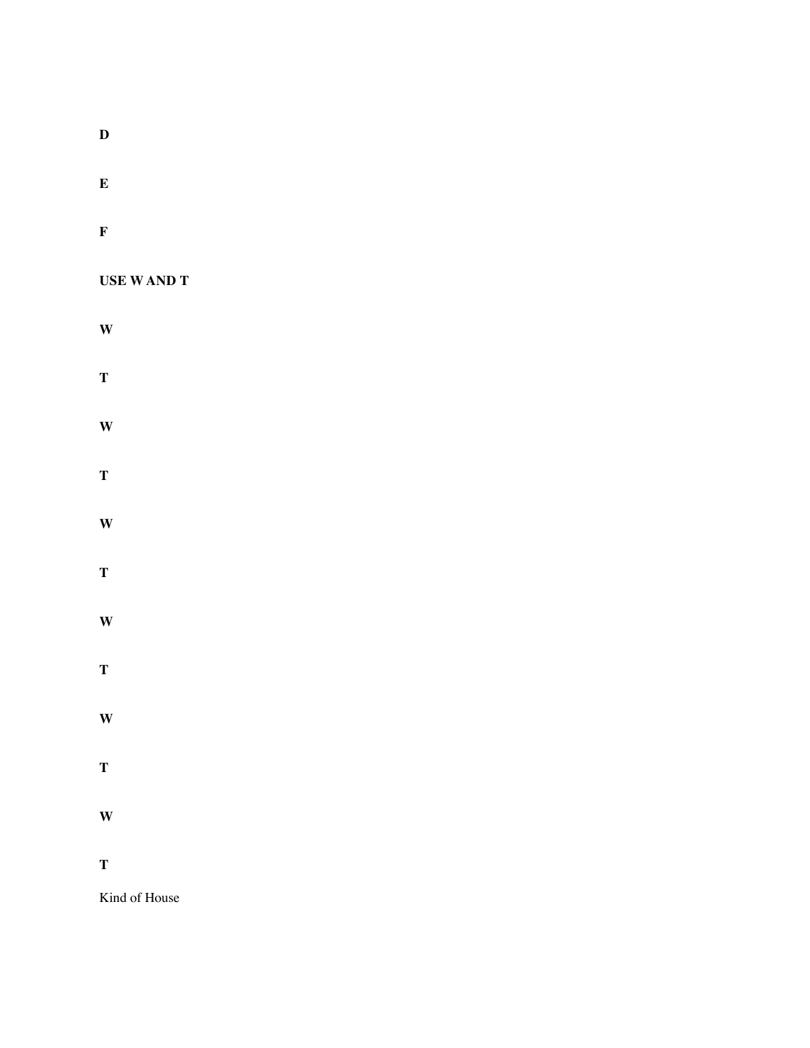**D E**

**F**

**USE W AND T**

**W**

**T**

**W**

**T**

**W**

**T**

**W**

**T**

**W**

**T**

**W**

**T**

Kind of House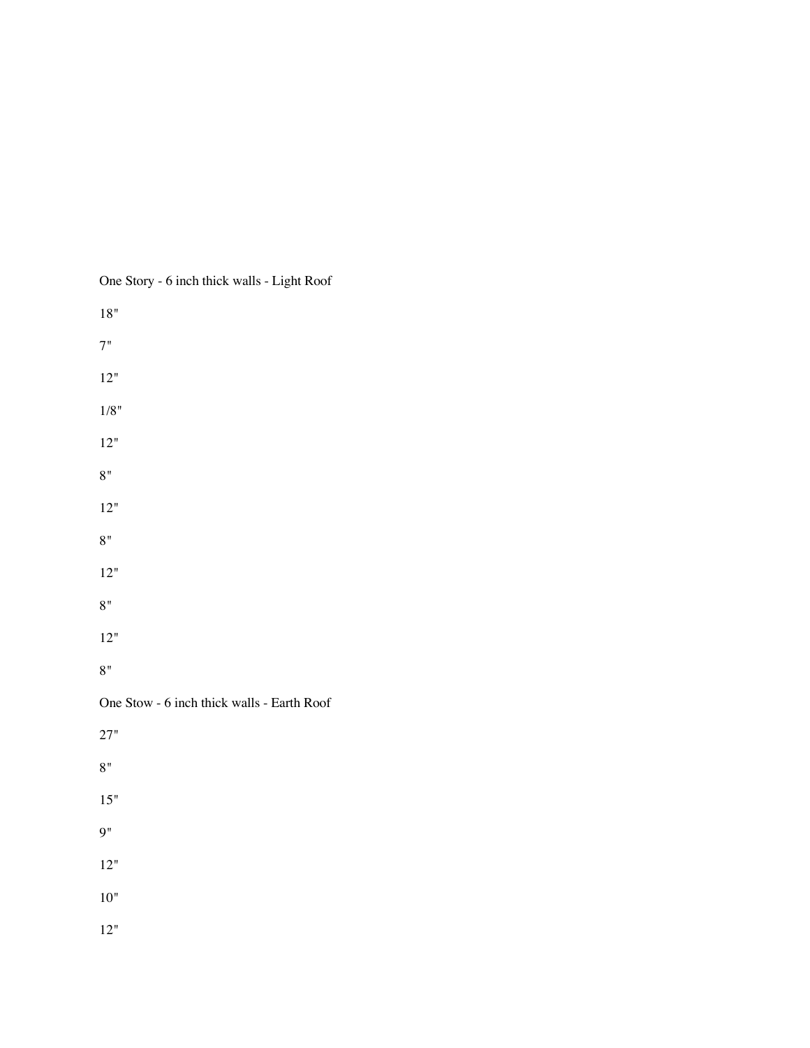| 18"                                        |
|--------------------------------------------|
| 7"                                         |
| 12"                                        |
| 1/8"                                       |
| 12"                                        |
| 8"                                         |
| 12"                                        |
| 8"                                         |
| 12"                                        |
| 8"                                         |
| 12"                                        |
| 8"                                         |
| One Stow - 6 inch thick walls - Earth Roof |
| 27"                                        |
| 8"                                         |
| 15"                                        |
| 9"                                         |
| 12"                                        |
| 10"                                        |
| 12"                                        |

One Story - 6 inch thick walls - Light Roof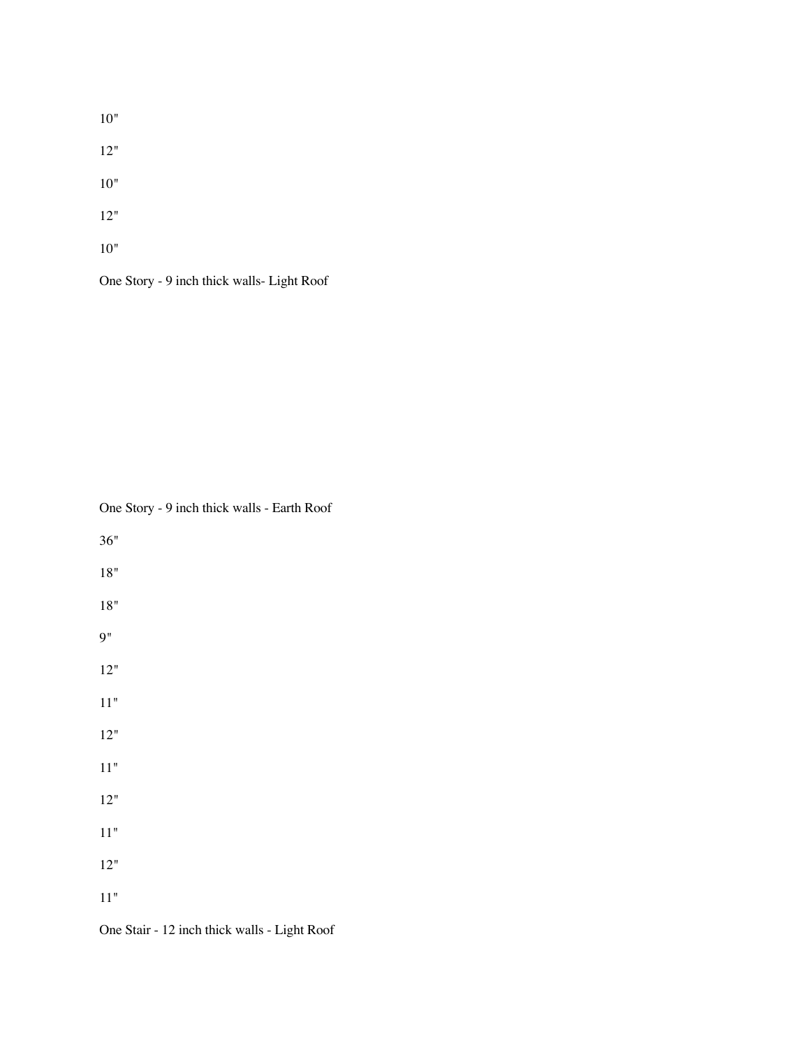| 10" |  |  |
|-----|--|--|
| 12" |  |  |
| 10" |  |  |
| 12" |  |  |
| 10" |  |  |

| 36" |  |  |  |
|-----|--|--|--|
| 18" |  |  |  |
| 18" |  |  |  |
| 9"  |  |  |  |
| 12" |  |  |  |
| 11" |  |  |  |
| 12" |  |  |  |
| 11" |  |  |  |
| 12" |  |  |  |
| 11" |  |  |  |
| 12" |  |  |  |
| 11" |  |  |  |

| One Story - 9 inch thick walls - Earth Roof |  |  |  |  |  |  |
|---------------------------------------------|--|--|--|--|--|--|
|---------------------------------------------|--|--|--|--|--|--|

One Stair - 12 inch thick walls - Light Roof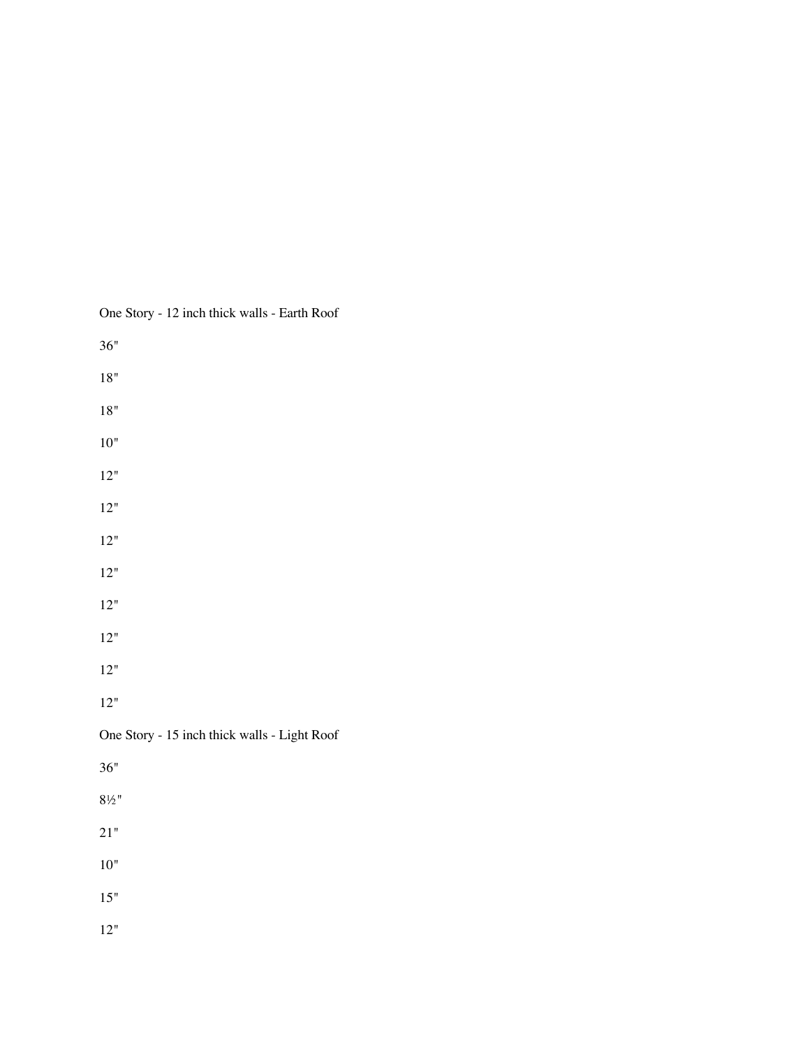| 36"                                          |
|----------------------------------------------|
| 18"                                          |
| 18"                                          |
| 10"                                          |
| 12"                                          |
| 12"                                          |
| 12"                                          |
| 12"                                          |
| 12"                                          |
| 12"                                          |
| 12"                                          |
| 12"                                          |
| One Story - 15 inch thick walls - Light Roof |
| 36"                                          |
| $8\frac{1}{2}$ "                             |
| 21"                                          |
| $10"$                                        |
| 15"                                          |
| 12"                                          |

One Story - 12 inch thick walls - Earth Roof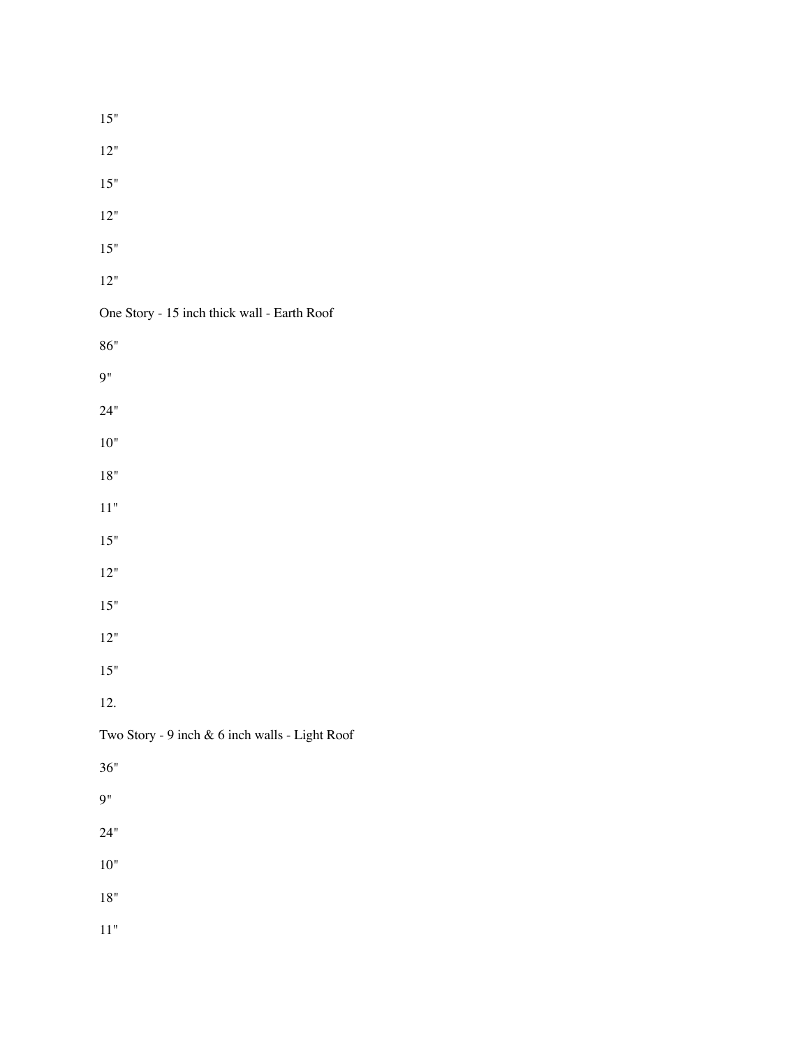| 15"                                            |
|------------------------------------------------|
| 12"                                            |
| 15"                                            |
| 12"                                            |
| 15"                                            |
| 12"                                            |
| One Story - 15 inch thick wall - Earth Roof    |
| 86"                                            |
| 9"                                             |
| 24"                                            |
| 10"                                            |
| 18"                                            |
| 11"                                            |
| 15"                                            |
| 12"                                            |
| 15"                                            |
| 12"                                            |
| 15"                                            |
| 12.                                            |
| Two Story - 9 inch & 6 inch walls - Light Roof |
| 36"                                            |
| 9"                                             |
| 24"                                            |
| 10"                                            |
| 18"                                            |
| 11"                                            |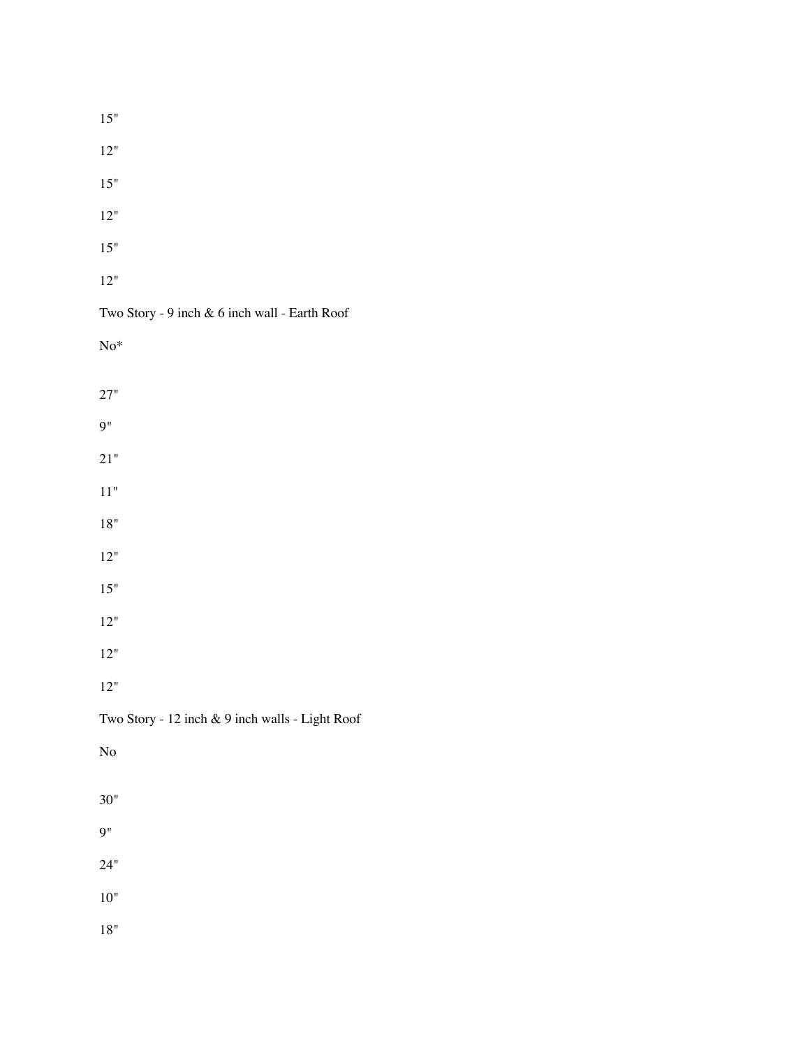| 15"                                             |
|-------------------------------------------------|
| 12"                                             |
| 15"                                             |
| 12"                                             |
| 15"                                             |
| $12"$                                           |
| Two Story - 9 inch & 6 inch wall - Earth Roof   |
| No*                                             |
| 27"                                             |
| 9"                                              |
| 21"                                             |
| 11"                                             |
| $18"$                                           |
| 12"                                             |
| 15"                                             |
| 12"                                             |
| 12"                                             |
| 12"                                             |
| Two Story - 12 inch & 9 inch walls - Light Roof |
| No                                              |
|                                                 |
| 30"                                             |
| 9"                                              |
| 24"                                             |
| 10"                                             |
| 18"                                             |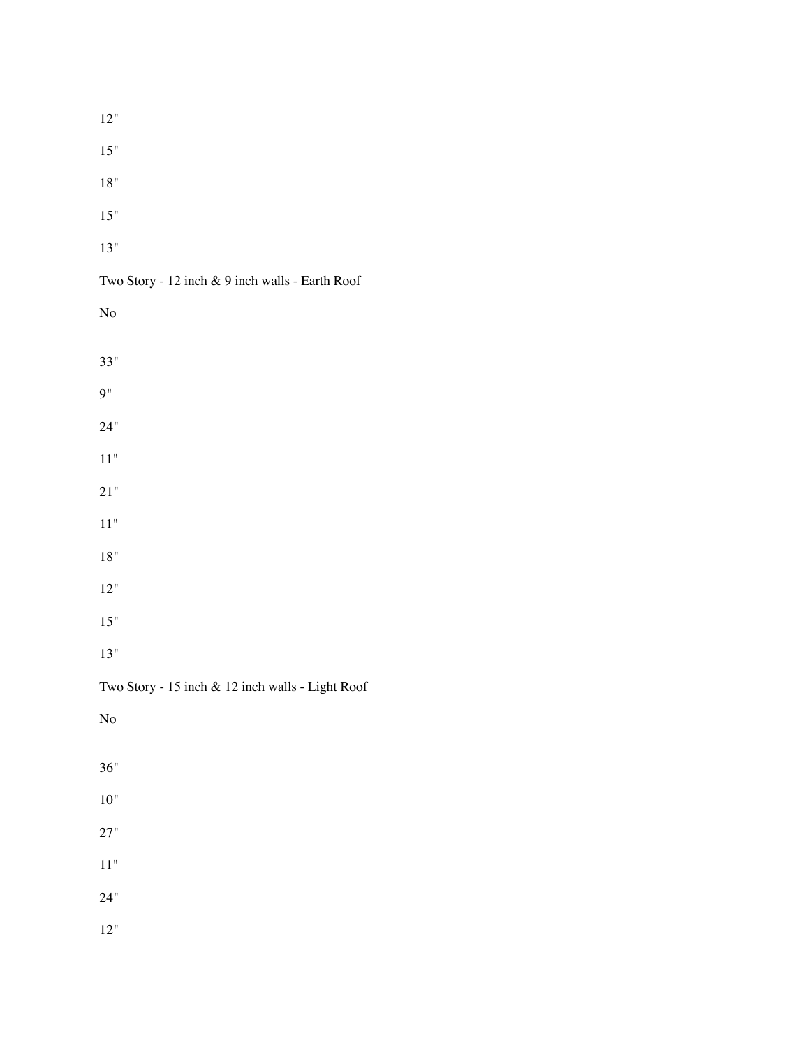| $12"$                                            |
|--------------------------------------------------|
| 15"                                              |
| $18"$                                            |
| 15"                                              |
| 13"                                              |
| Two Story - 12 inch & 9 inch walls - Earth Roof  |
| No                                               |
| 33"                                              |
| 9"                                               |
| 24"                                              |
| 11"                                              |
| 21"                                              |
| 11"                                              |
| $18"$                                            |
| 12"                                              |
| 15"                                              |
| 13"                                              |
| Two Story - 15 inch & 12 inch walls - Light Roof |
| No                                               |
| 36"                                              |
| 10"                                              |
| 27"                                              |
| 11"                                              |
| 24"                                              |
| 12"                                              |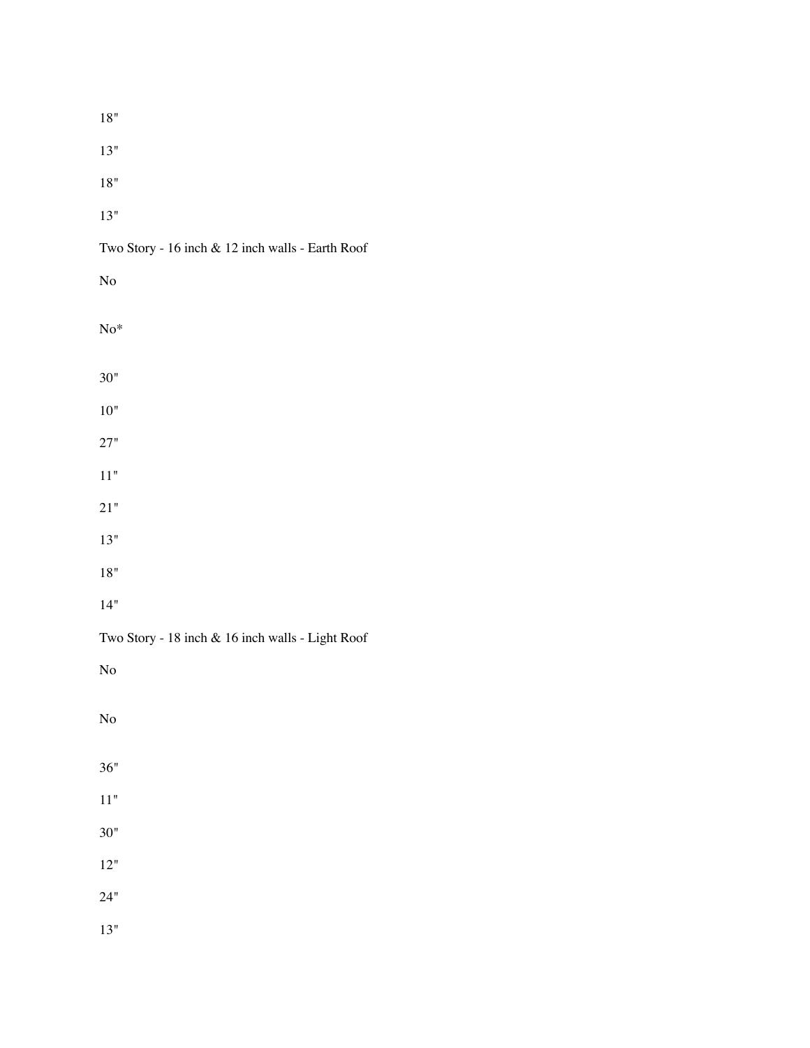| $18"$                                            |
|--------------------------------------------------|
| $13"$                                            |
| $18"$                                            |
| $13"$                                            |
| Two Story - 16 inch & 12 inch walls - Earth Roof |
| ${\rm No}$                                       |
| $\mathrm{No}^*$                                  |
| $30"$                                            |
| $10"$                                            |
| $27"$                                            |
| $11\mathrm{''}$                                  |
| $21$ "                                           |
| $13"$                                            |
| $18"$                                            |
| $14"$                                            |
| Two Story - 18 inch & 16 inch walls - Light Roof |
| $\rm No$                                         |
| $\rm No$                                         |
| $36"$                                            |
| $11\mathrm{''}$                                  |
| $30"$                                            |
| $12"$                                            |
| 24"                                              |
| $13"$                                            |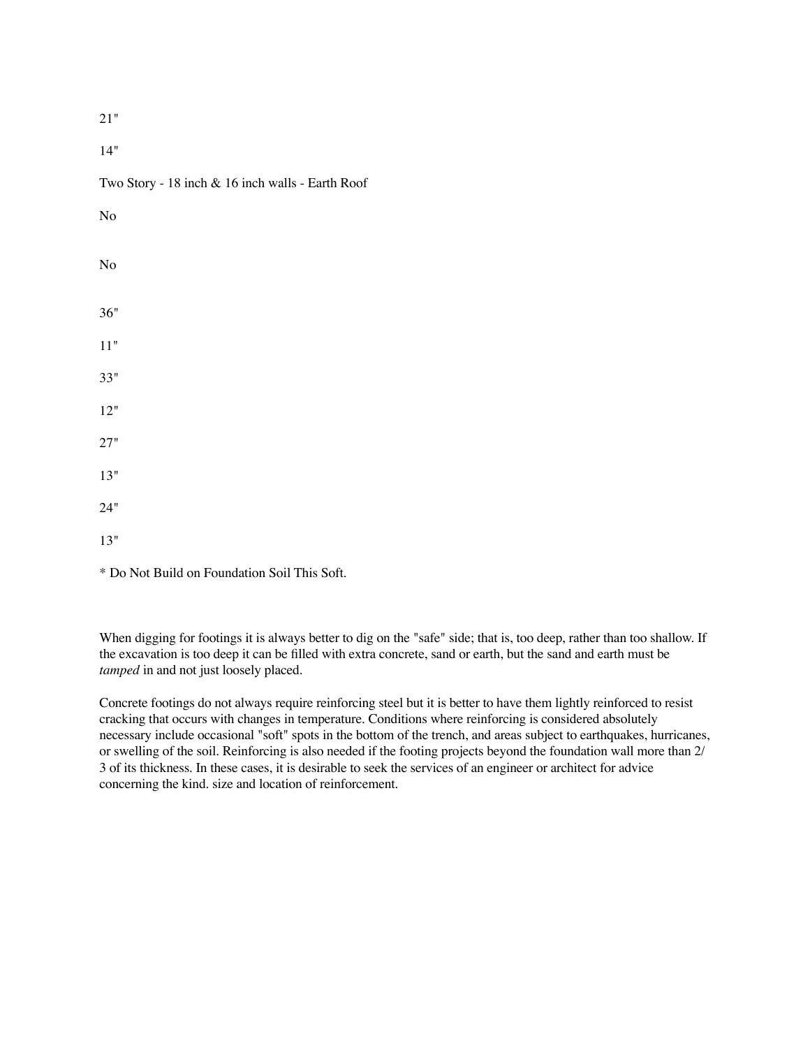| 21"                                              |
|--------------------------------------------------|
| 14"                                              |
| Two Story - 18 inch & 16 inch walls - Earth Roof |
| No                                               |
| No                                               |
| 36"                                              |
| 11"                                              |
| 33"                                              |
| 12"                                              |
| 27"                                              |
| 13"                                              |
| 24"                                              |
| 13"                                              |

\* Do Not Build on Foundation Soil This Soft.

When digging for footings it is always better to dig on the "safe" side; that is, too deep, rather than too shallow. If the excavation is too deep it can be filled with extra concrete, sand or earth, but the sand and earth must be *tamped* in and not just loosely placed.

Concrete footings do not always require reinforcing steel but it is better to have them lightly reinforced to resist cracking that occurs with changes in temperature. Conditions where reinforcing is considered absolutely necessary include occasional "soft" spots in the bottom of the trench, and areas subject to earthquakes, hurricanes, or swelling of the soil. Reinforcing is also needed if the footing projects beyond the foundation wall more than 2/ 3 of its thickness. In these cases, it is desirable to seek the services of an engineer or architect for advice concerning the kind. size and location of reinforcement.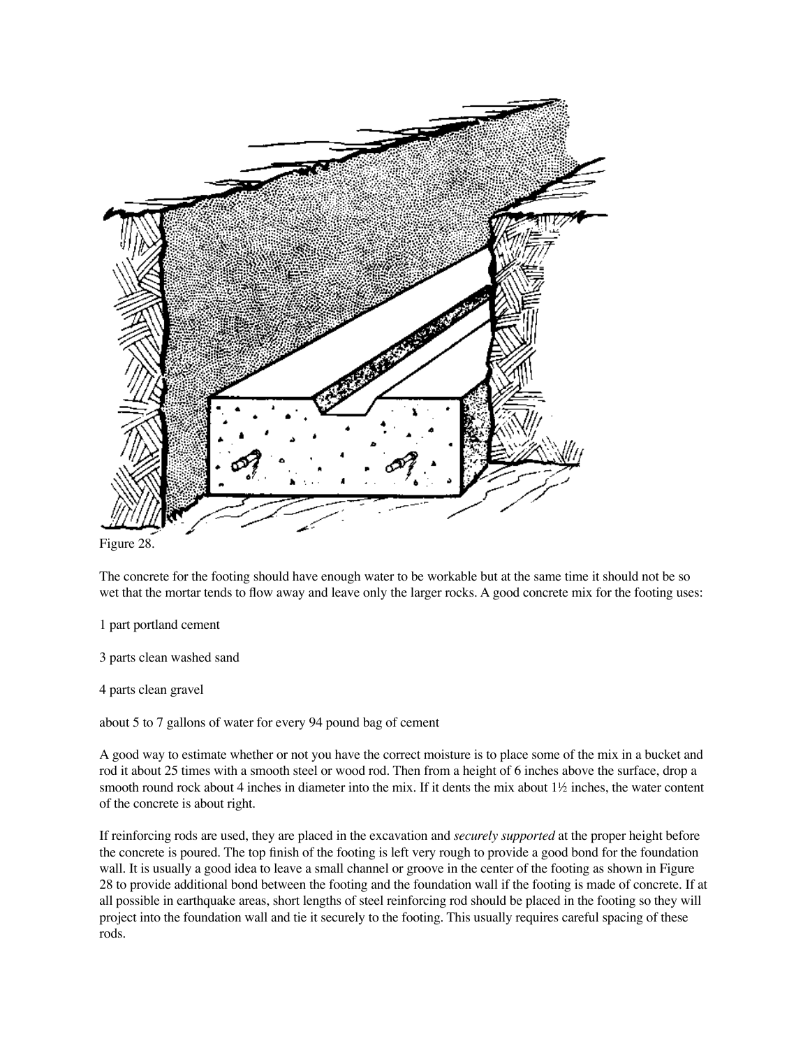

Figure 28.

The concrete for the footing should have enough water to be workable but at the same time it should not be so wet that the mortar tends to flow away and leave only the larger rocks. A good concrete mix for the footing uses:

1 part portland cement

3 parts clean washed sand

4 parts clean gravel

about 5 to 7 gallons of water for every 94 pound bag of cement

A good way to estimate whether or not you have the correct moisture is to place some of the mix in a bucket and rod it about 25 times with a smooth steel or wood rod. Then from a height of 6 inches above the surface, drop a smooth round rock about 4 inches in diameter into the mix. If it dents the mix about 1½ inches, the water content of the concrete is about right.

If reinforcing rods are used, they are placed in the excavation and *securely supported* at the proper height before the concrete is poured. The top finish of the footing is left very rough to provide a good bond for the foundation wall. It is usually a good idea to leave a small channel or groove in the center of the footing as shown in Figure 28 to provide additional bond between the footing and the foundation wall if the footing is made of concrete. If at all possible in earthquake areas, short lengths of steel reinforcing rod should be placed in the footing so they will project into the foundation wall and tie it securely to the footing. This usually requires careful spacing of these rods.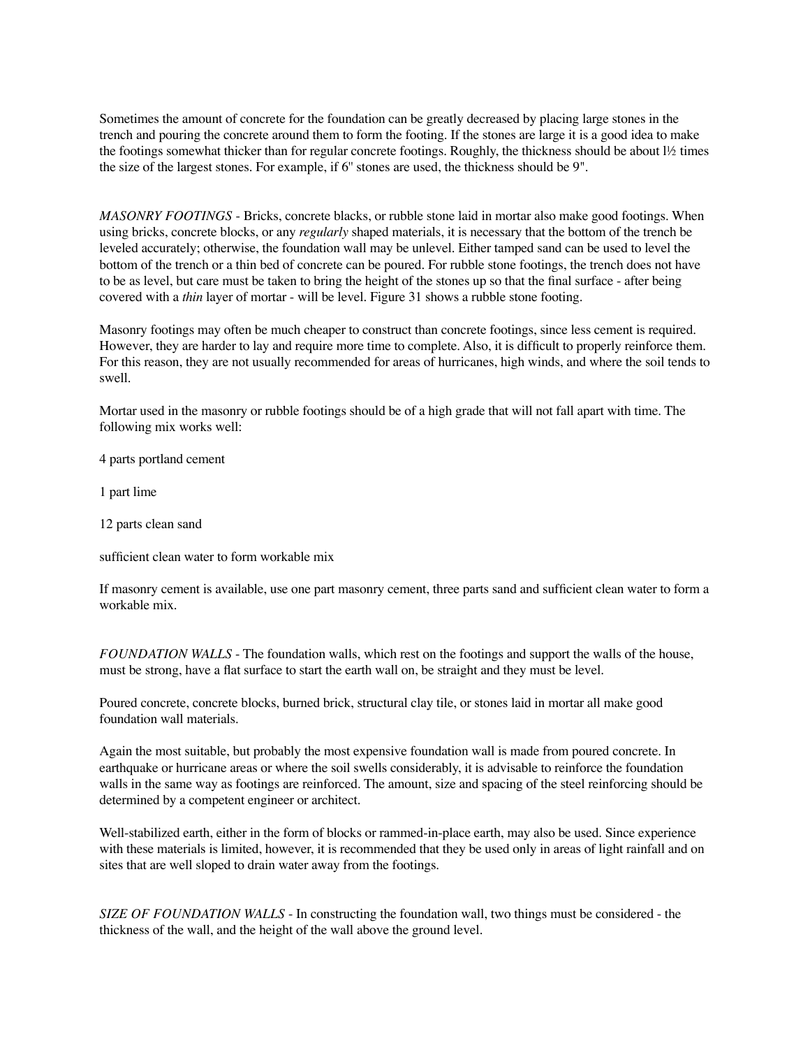Sometimes the amount of concrete for the foundation can be greatly decreased by placing large stones in the trench and pouring the concrete around them to form the footing. If the stones are large it is a good idea to make the footings somewhat thicker than for regular concrete footings. Roughly, the thickness should be about l½ times the size of the largest stones. For example, if 6'' stones are used, the thickness should be 9".

*MASONRY FOOTINGS* - Bricks, concrete blacks, or rubble stone laid in mortar also make good footings. When using bricks, concrete blocks, or any *regularly* shaped materials, it is necessary that the bottom of the trench be leveled accurately; otherwise, the foundation wall may be unlevel. Either tamped sand can be used to level the bottom of the trench or a thin bed of concrete can be poured. For rubble stone footings, the trench does not have to be as level, but care must be taken to bring the height of the stones up so that the final surface - after being covered with a *thin* layer of mortar - will be level. Figure 31 shows a rubble stone footing.

Masonry footings may often be much cheaper to construct than concrete footings, since less cement is required. However, they are harder to lay and require more time to complete. Also, it is difficult to properly reinforce them. For this reason, they are not usually recommended for areas of hurricanes, high winds, and where the soil tends to swell.

Mortar used in the masonry or rubble footings should be of a high grade that will not fall apart with time. The following mix works well:

4 parts portland cement

1 part lime

12 parts clean sand

sufficient clean water to form workable mix

If masonry cement is available, use one part masonry cement, three parts sand and sufficient clean water to form a workable mix.

*FOUNDATION WALLS* - The foundation walls, which rest on the footings and support the walls of the house, must be strong, have a flat surface to start the earth wall on, be straight and they must be level.

Poured concrete, concrete blocks, burned brick, structural clay tile, or stones laid in mortar all make good foundation wall materials.

Again the most suitable, but probably the most expensive foundation wall is made from poured concrete. In earthquake or hurricane areas or where the soil swells considerably, it is advisable to reinforce the foundation walls in the same way as footings are reinforced. The amount, size and spacing of the steel reinforcing should be determined by a competent engineer or architect.

Well-stabilized earth, either in the form of blocks or rammed-in-place earth, may also be used. Since experience with these materials is limited, however, it is recommended that they be used only in areas of light rainfall and on sites that are well sloped to drain water away from the footings.

*SIZE OF FOUNDATION WALLS* - In constructing the foundation wall, two things must be considered - the thickness of the wall, and the height of the wall above the ground level.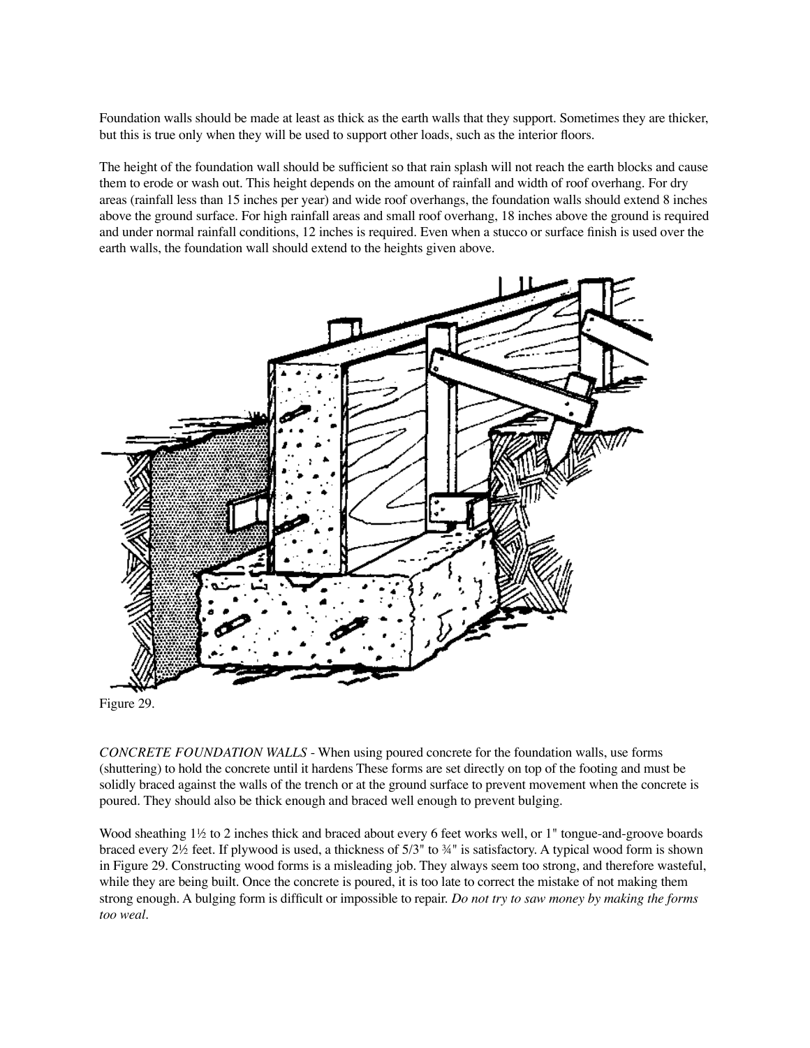Foundation walls should be made at least as thick as the earth walls that they support. Sometimes they are thicker, but this is true only when they will be used to support other loads, such as the interior floors.

The height of the foundation wall should be sufficient so that rain splash will not reach the earth blocks and cause them to erode or wash out. This height depends on the amount of rainfall and width of roof overhang. For dry areas (rainfall less than 15 inches per year) and wide roof overhangs, the foundation walls should extend 8 inches above the ground surface. For high rainfall areas and small roof overhang, 18 inches above the ground is required and under normal rainfall conditions, 12 inches is required. Even when a stucco or surface finish is used over the earth walls, the foundation wall should extend to the heights given above.





*CONCRETE FOUNDATION WALLS* - When using poured concrete for the foundation walls, use forms (shuttering) to hold the concrete until it hardens These forms are set directly on top of the footing and must be solidly braced against the walls of the trench or at the ground surface to prevent movement when the concrete is poured. They should also be thick enough and braced well enough to prevent bulging.

Wood sheathing 1½ to 2 inches thick and braced about every 6 feet works well, or 1" tongue-and-groove boards braced every 2½ feet. If plywood is used, a thickness of 5/3" to ¾" is satisfactory. A typical wood form is shown in Figure 29. Constructing wood forms is a misleading job. They always seem too strong, and therefore wasteful, while they are being built. Once the concrete is poured, it is too late to correct the mistake of not making them strong enough. A bulging form is difficult or impossible to repair. *Do not try to saw money by making the forms too weal*.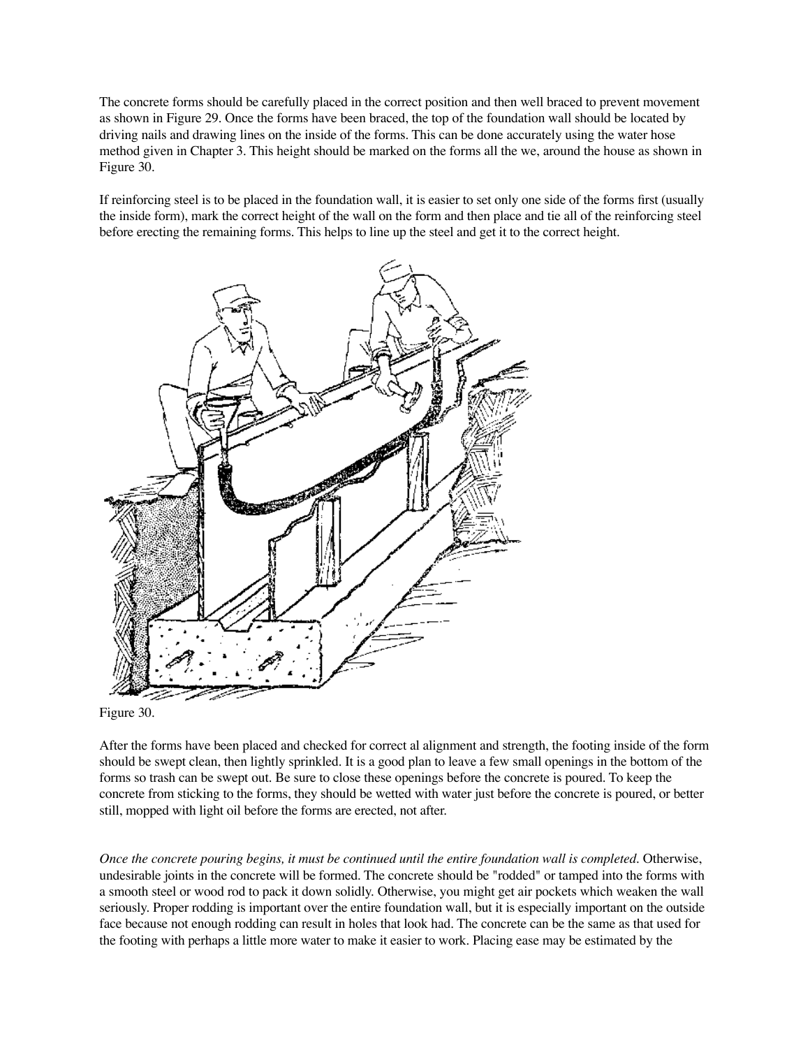The concrete forms should be carefully placed in the correct position and then well braced to prevent movement as shown in Figure 29. Once the forms have been braced, the top of the foundation wall should be located by driving nails and drawing lines on the inside of the forms. This can be done accurately using the water hose method given in Chapter 3. This height should be marked on the forms all the we, around the house as shown in Figure 30.

If reinforcing steel is to be placed in the foundation wall, it is easier to set only one side of the forms first (usually the inside form), mark the correct height of the wall on the form and then place and tie all of the reinforcing steel before erecting the remaining forms. This helps to line up the steel and get it to the correct height.





After the forms have been placed and checked for correct al alignment and strength, the footing inside of the form should be swept clean, then lightly sprinkled. It is a good plan to leave a few small openings in the bottom of the forms so trash can be swept out. Be sure to close these openings before the concrete is poured. To keep the concrete from sticking to the forms, they should be wetted with water just before the concrete is poured, or better still, mopped with light oil before the forms are erected, not after.

*Once the concrete pouring begins, it must be continued until the entire foundation wall is completed*. Otherwise, undesirable joints in the concrete will be formed. The concrete should be "rodded" or tamped into the forms with a smooth steel or wood rod to pack it down solidly. Otherwise, you might get air pockets which weaken the wall seriously. Proper rodding is important over the entire foundation wall, but it is especially important on the outside face because not enough rodding can result in holes that look had. The concrete can be the same as that used for the footing with perhaps a little more water to make it easier to work. Placing ease may be estimated by the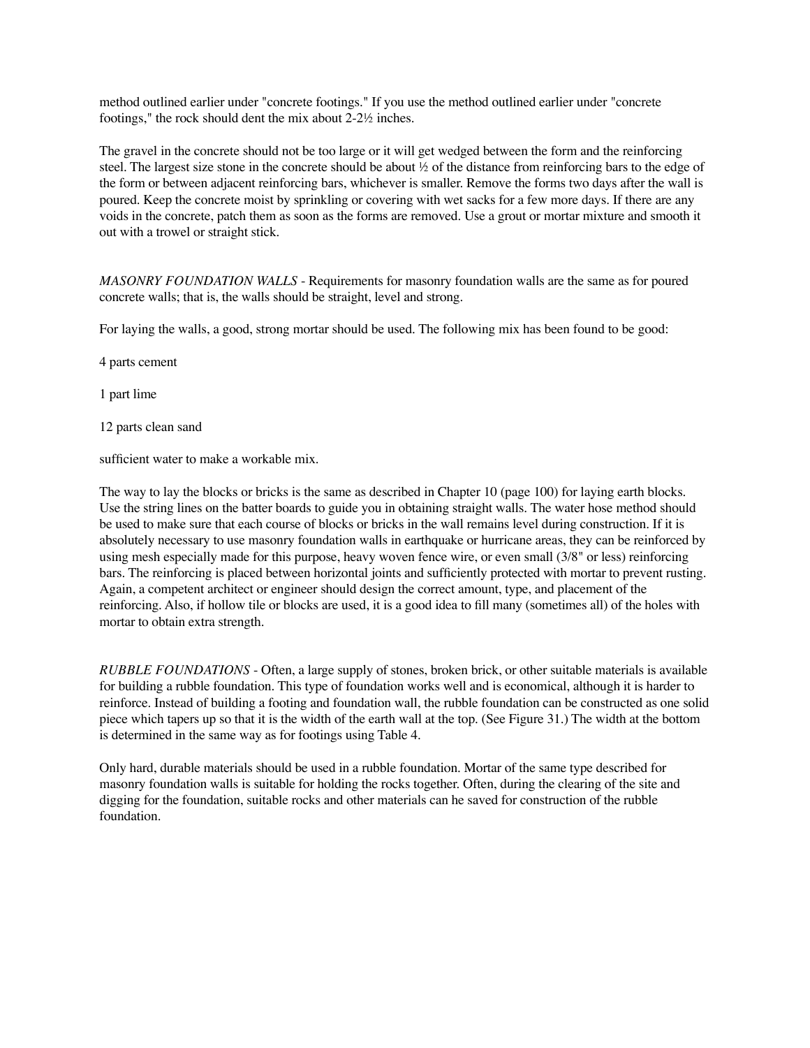method outlined earlier under "concrete footings." If you use the method outlined earlier under "concrete footings," the rock should dent the mix about 2-2½ inches.

The gravel in the concrete should not be too large or it will get wedged between the form and the reinforcing steel. The largest size stone in the concrete should be about ½ of the distance from reinforcing bars to the edge of the form or between adjacent reinforcing bars, whichever is smaller. Remove the forms two days after the wall is poured. Keep the concrete moist by sprinkling or covering with wet sacks for a few more days. If there are any voids in the concrete, patch them as soon as the forms are removed. Use a grout or mortar mixture and smooth it out with a trowel or straight stick.

*MASONRY FOUNDATION WALLS* - Requirements for masonry foundation walls are the same as for poured concrete walls; that is, the walls should be straight, level and strong.

For laying the walls, a good, strong mortar should be used. The following mix has been found to be good:

4 parts cement

1 part lime

12 parts clean sand

sufficient water to make a workable mix.

The way to lay the blocks or bricks is the same as described in Chapter 10 (page 100) for laying earth blocks. Use the string lines on the batter boards to guide you in obtaining straight walls. The water hose method should be used to make sure that each course of blocks or bricks in the wall remains level during construction. If it is absolutely necessary to use masonry foundation walls in earthquake or hurricane areas, they can be reinforced by using mesh especially made for this purpose, heavy woven fence wire, or even small (3/8" or less) reinforcing bars. The reinforcing is placed between horizontal joints and sufficiently protected with mortar to prevent rusting. Again, a competent architect or engineer should design the correct amount, type, and placement of the reinforcing. Also, if hollow tile or blocks are used, it is a good idea to fill many (sometimes all) of the holes with mortar to obtain extra strength.

*RUBBLE FOUNDATIONS* - Often, a large supply of stones, broken brick, or other suitable materials is available for building a rubble foundation. This type of foundation works well and is economical, although it is harder to reinforce. Instead of building a footing and foundation wall, the rubble foundation can be constructed as one solid piece which tapers up so that it is the width of the earth wall at the top. (See Figure 31.) The width at the bottom is determined in the same way as for footings using Table 4.

Only hard, durable materials should be used in a rubble foundation. Mortar of the same type described for masonry foundation walls is suitable for holding the rocks together. Often, during the clearing of the site and digging for the foundation, suitable rocks and other materials can he saved for construction of the rubble foundation.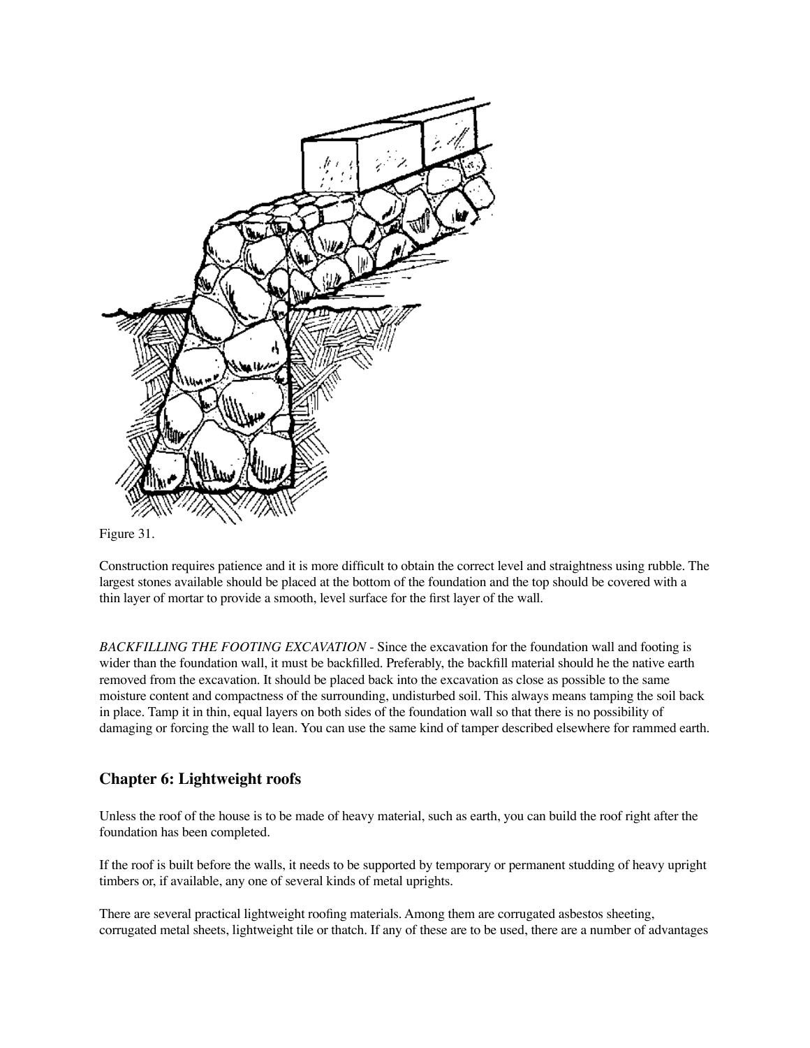

Figure 31.

Construction requires patience and it is more difficult to obtain the correct level and straightness using rubble. The largest stones available should be placed at the bottom of the foundation and the top should be covered with a thin layer of mortar to provide a smooth, level surface for the first layer of the wall.

*BACKFILLING THE FOOTING EXCAVATION* - Since the excavation for the foundation wall and footing is wider than the foundation wall, it must be backfilled. Preferably, the backfill material should he the native earth removed from the excavation. It should be placed back into the excavation as close as possible to the same moisture content and compactness of the surrounding, undisturbed soil. This always means tamping the soil back in place. Tamp it in thin, equal layers on both sides of the foundation wall so that there is no possibility of damaging or forcing the wall to lean. You can use the same kind of tamper described elsewhere for rammed earth.

## **Chapter 6: Lightweight roofs**

Unless the roof of the house is to be made of heavy material, such as earth, you can build the roof right after the foundation has been completed.

If the roof is built before the walls, it needs to be supported by temporary or permanent studding of heavy upright timbers or, if available, any one of several kinds of metal uprights.

There are several practical lightweight roofing materials. Among them are corrugated asbestos sheeting, corrugated metal sheets, lightweight tile or thatch. If any of these are to be used, there are a number of advantages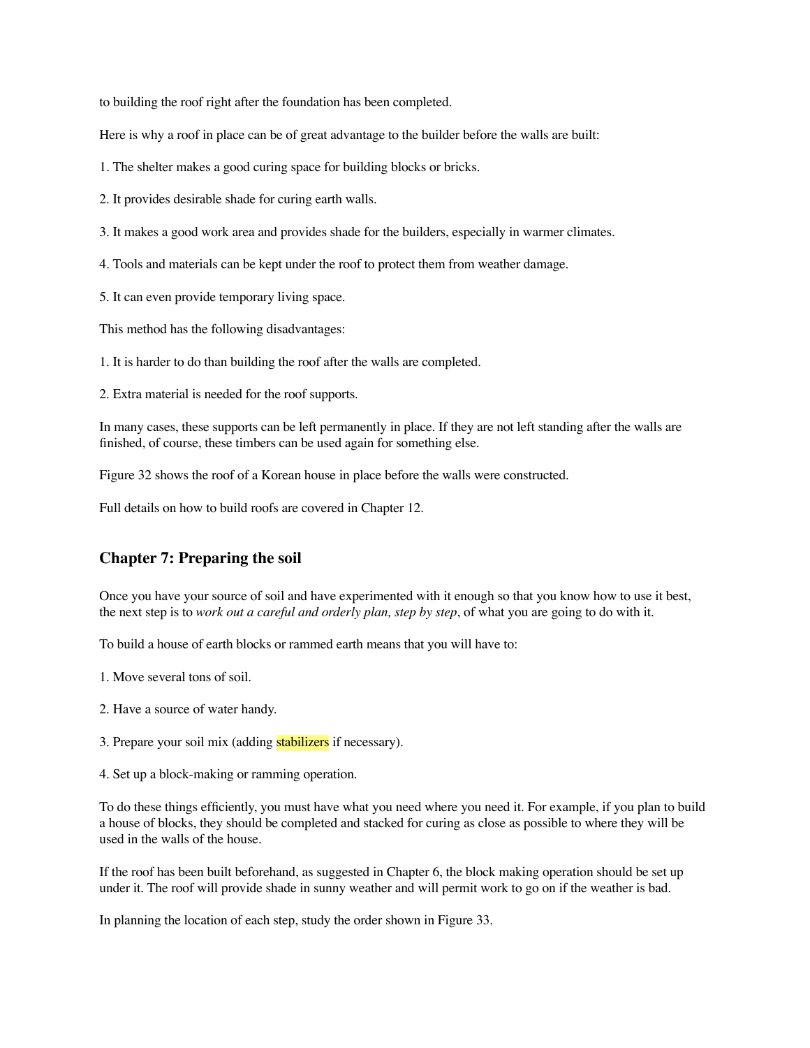to building the roof right after the foundation has been completed.

Here is why a roof in place can be of great advantage to the builder before the walls are built:

- 1. The shelter makes a good curing space for building blocks or bricks.
- 2. It provides desirable shade for curing earth walls.
- 3. It makes a good work area and provides shade for the builders, especially in warmer climates.
- 4. Tools and materials can be kept under the roof to protect them from weather damage.
- 5. It can even provide temporary living space.

This method has the following disadvantages:

1. It is harder to do than building the roof after the walls are completed.

2. Extra material is needed for the roof supports.

In many cases, these supports can be left permanently in place. If they are not left standing after the walls are finished, of course, these timbers can be used again for something else.

Figure 32 shows the roof of a Korean house in place before the walls were constructed.

Full details on how to build roofs are covered in Chapter 12.

## **Chapter 7: Preparing the soil**

Once you have your source of soil and have experimented with it enough so that you know how to use it best, the next step is to *work out a careful and orderly plan, step by step*, of what you are going to do with it.

To build a house of earth blocks or rammed earth means that you will have to:

- 1. Move several tons of soil.
- 2. Have a source of water handy.
- 3. Prepare your soil mix (adding stabilizers if necessary).
- 4. Set up a block-making or ramming operation.

To do these things efficiently, you must have what you need where you need it. For example, if you plan to build a house of blocks, they should be completed and stacked for curing as close as possible to where they will be used in the walls of the house.

If the roof has been built beforehand, as suggested in Chapter 6, the block making operation should be set up under it. The roof will provide shade in sunny weather and will permit work to go on if the weather is bad.

In planning the location of each step, study the order shown in Figure 33.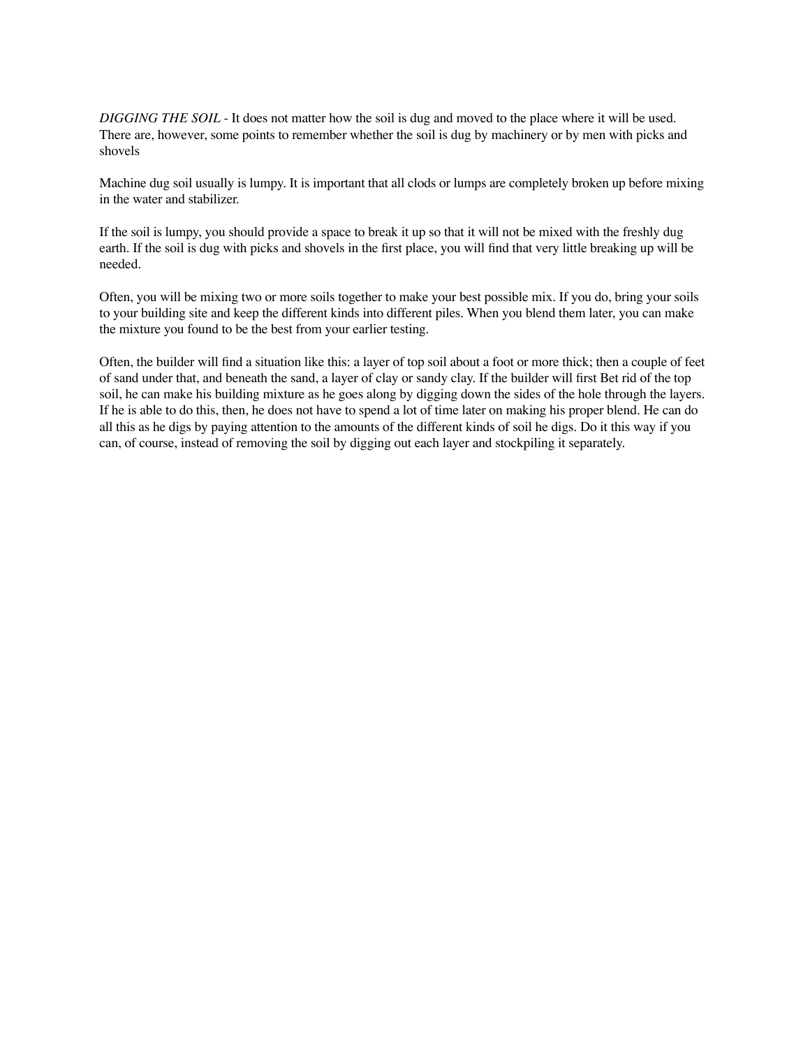*DIGGING THE SOIL* - It does not matter how the soil is dug and moved to the place where it will be used. There are, however, some points to remember whether the soil is dug by machinery or by men with picks and shovels

Machine dug soil usually is lumpy. It is important that all clods or lumps are completely broken up before mixing in the water and stabilizer.

If the soil is lumpy, you should provide a space to break it up so that it will not be mixed with the freshly dug earth. If the soil is dug with picks and shovels in the first place, you will find that very little breaking up will be needed.

Often, you will be mixing two or more soils together to make your best possible mix. If you do, bring your soils to your building site and keep the different kinds into different piles. When you blend them later, you can make the mixture you found to be the best from your earlier testing.

Often, the builder will find a situation like this: a layer of top soil about a foot or more thick; then a couple of feet of sand under that, and beneath the sand, a layer of clay or sandy clay. If the builder will first Bet rid of the top soil, he can make his building mixture as he goes along by digging down the sides of the hole through the layers. If he is able to do this, then, he does not have to spend a lot of time later on making his proper blend. He can do all this as he digs by paying attention to the amounts of the different kinds of soil he digs. Do it this way if you can, of course, instead of removing the soil by digging out each layer and stockpiling it separately.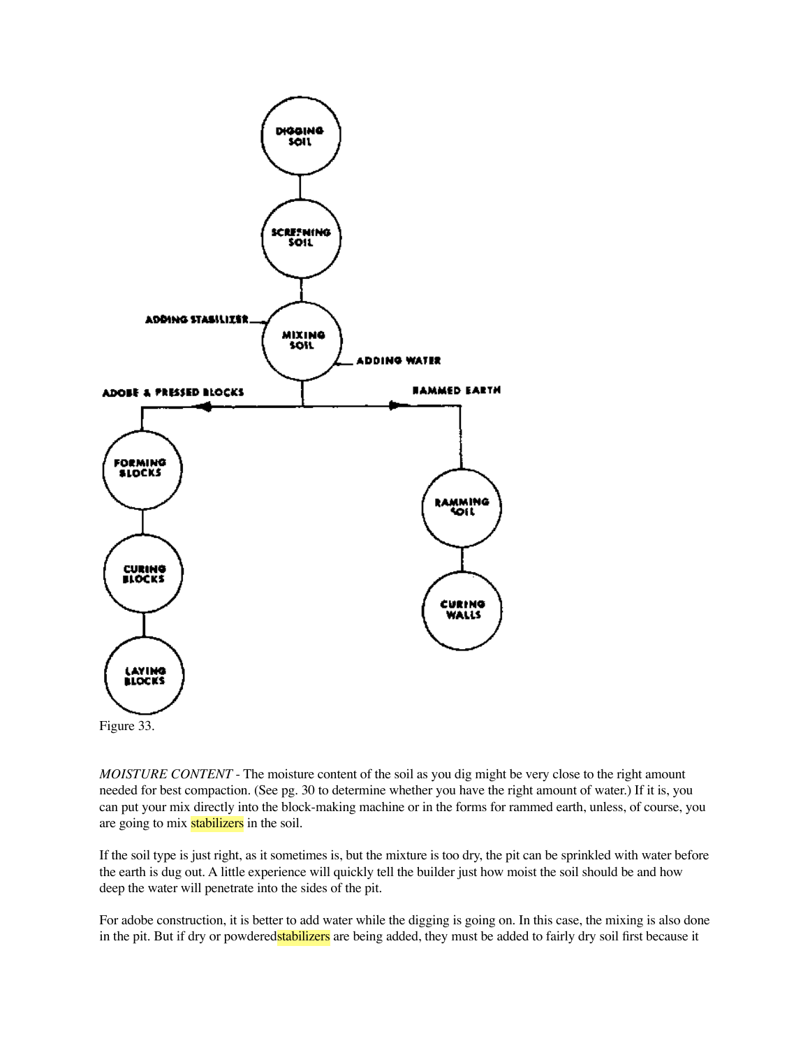



*MOISTURE CONTENT* - The moisture content of the soil as you dig might be very close to the right amount needed for best compaction. (See pg. 30 to determine whether you have the right amount of water.) If it is, you can put your mix directly into the block-making machine or in the forms for rammed earth, unless, of course, you are going to mix **stabilizers** in the soil.

If the soil type is just right, as it sometimes is, but the mixture is too dry, the pit can be sprinkled with water before the earth is dug out. A little experience will quickly tell the builder just how moist the soil should be and how deep the water will penetrate into the sides of the pit.

For adobe construction, it is better to add water while the digging is going on. In this case, the mixing is also done in the pit. But if dry or powderedstabilizers are being added, they must be added to fairly dry soil first because it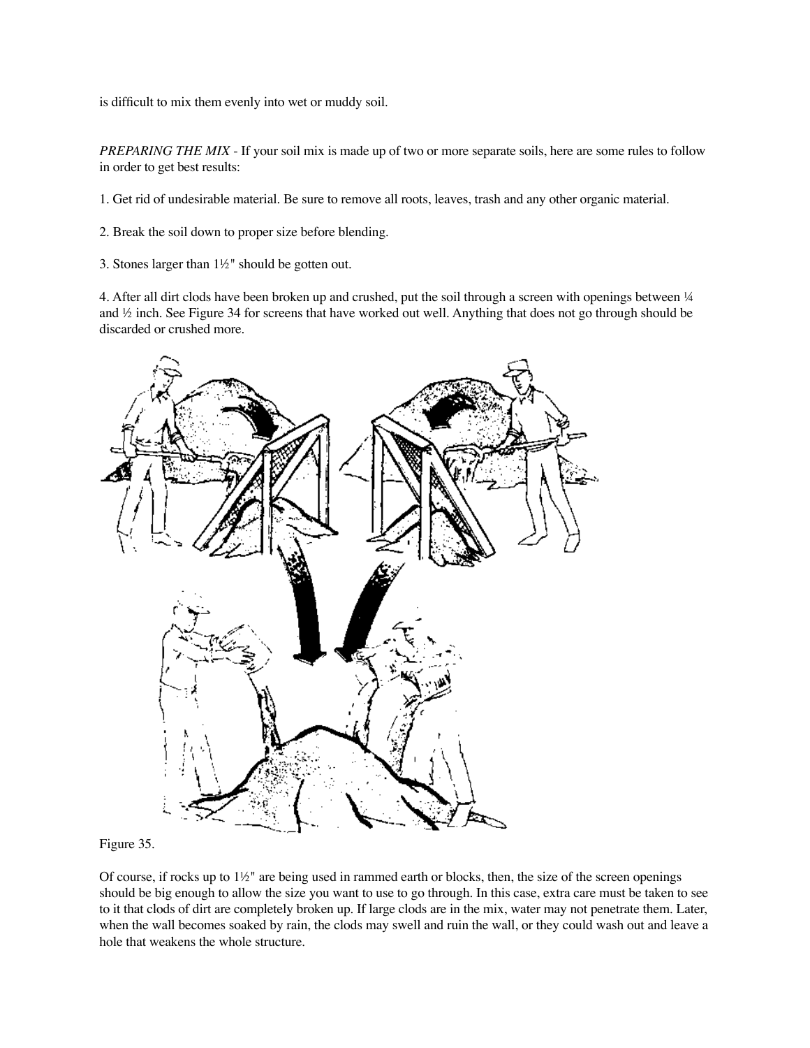is difficult to mix them evenly into wet or muddy soil.

*PREPARING THE MIX* - If your soil mix is made up of two or more separate soils, here are some rules to follow in order to get best results:

1. Get rid of undesirable material. Be sure to remove all roots, leaves, trash and any other organic material.

2. Break the soil down to proper size before blending.

3. Stones larger than 1½" should be gotten out.

4. After all dirt clods have been broken up and crushed, put the soil through a screen with openings between ¼ and ½ inch. See Figure 34 for screens that have worked out well. Anything that does not go through should be discarded or crushed more.



Figure 35.

Of course, if rocks up to  $1\frac{1}{2}$ " are being used in rammed earth or blocks, then, the size of the screen openings should be big enough to allow the size you want to use to go through. In this case, extra care must be taken to see to it that clods of dirt are completely broken up. If large clods are in the mix, water may not penetrate them. Later, when the wall becomes soaked by rain, the clods may swell and ruin the wall, or they could wash out and leave a hole that weakens the whole structure.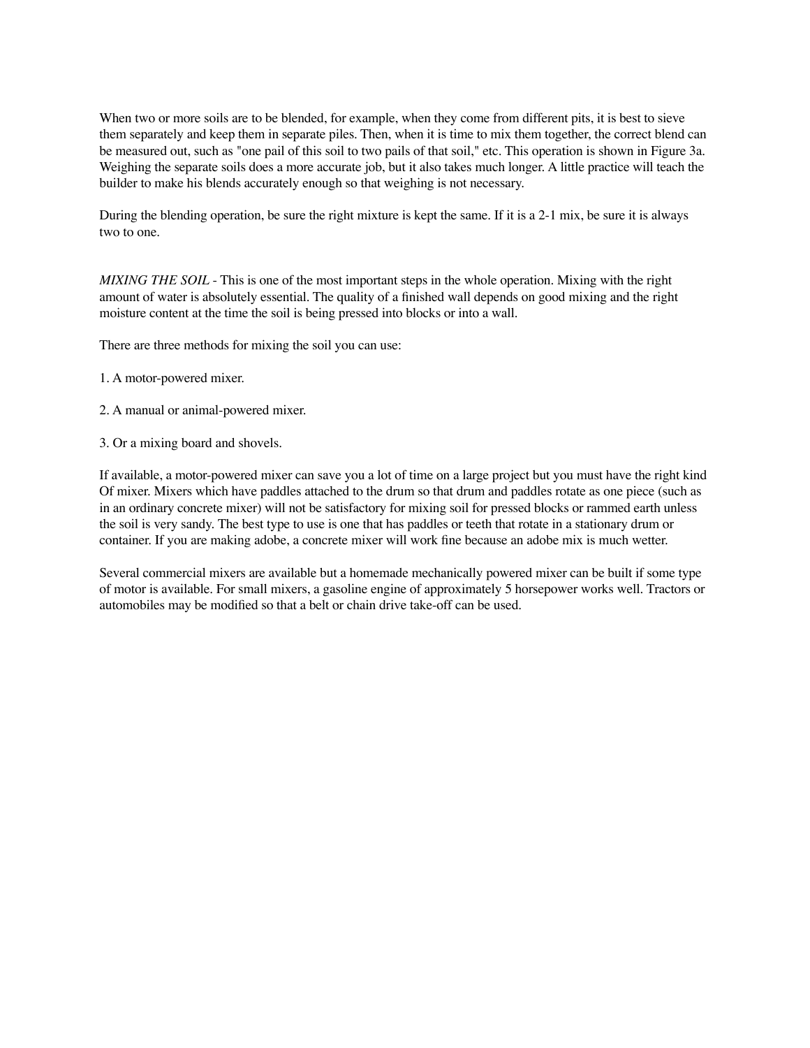When two or more soils are to be blended, for example, when they come from different pits, it is best to sieve them separately and keep them in separate piles. Then, when it is time to mix them together, the correct blend can be measured out, such as "one pail of this soil to two pails of that soil," etc. This operation is shown in Figure 3a. Weighing the separate soils does a more accurate job, but it also takes much longer. A little practice will teach the builder to make his blends accurately enough so that weighing is not necessary.

During the blending operation, be sure the right mixture is kept the same. If it is a 2-1 mix, be sure it is always two to one.

*MIXING THE SOIL* - This is one of the most important steps in the whole operation. Mixing with the right amount of water is absolutely essential. The quality of a finished wall depends on good mixing and the right moisture content at the time the soil is being pressed into blocks or into a wall.

There are three methods for mixing the soil you can use:

- 1. A motor-powered mixer.
- 2. A manual or animal-powered mixer.
- 3. Or a mixing board and shovels.

If available, a motor-powered mixer can save you a lot of time on a large project but you must have the right kind Of mixer. Mixers which have paddles attached to the drum so that drum and paddles rotate as one piece (such as in an ordinary concrete mixer) will not be satisfactory for mixing soil for pressed blocks or rammed earth unless the soil is very sandy. The best type to use is one that has paddles or teeth that rotate in a stationary drum or container. If you are making adobe, a concrete mixer will work fine because an adobe mix is much wetter.

Several commercial mixers are available but a homemade mechanically powered mixer can be built if some type of motor is available. For small mixers, a gasoline engine of approximately 5 horsepower works well. Tractors or automobiles may be modified so that a belt or chain drive take-off can be used.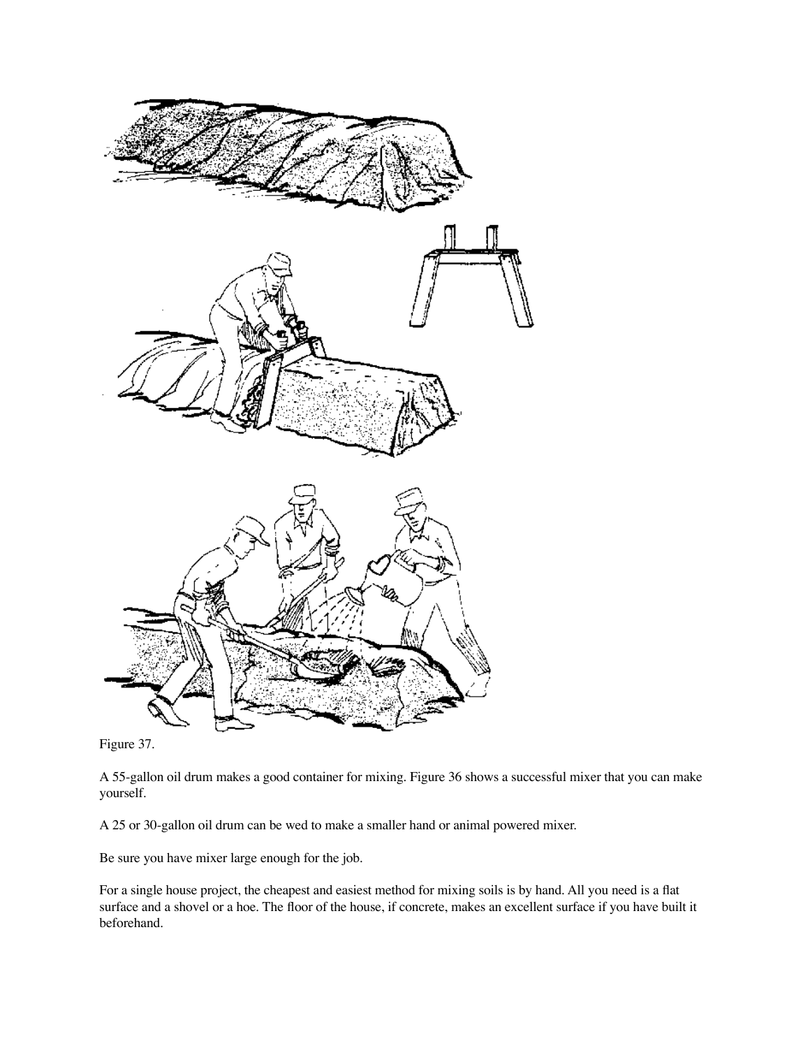

Figure 37.

A 55-gallon oil drum makes a good container for mixing. Figure 36 shows a successful mixer that you can make yourself.

A 25 or 30-gallon oil drum can be wed to make a smaller hand or animal powered mixer.

Be sure you have mixer large enough for the job.

For a single house project, the cheapest and easiest method for mixing soils is by hand. All you need is a flat surface and a shovel or a hoe. The floor of the house, if concrete, makes an excellent surface if you have built it beforehand.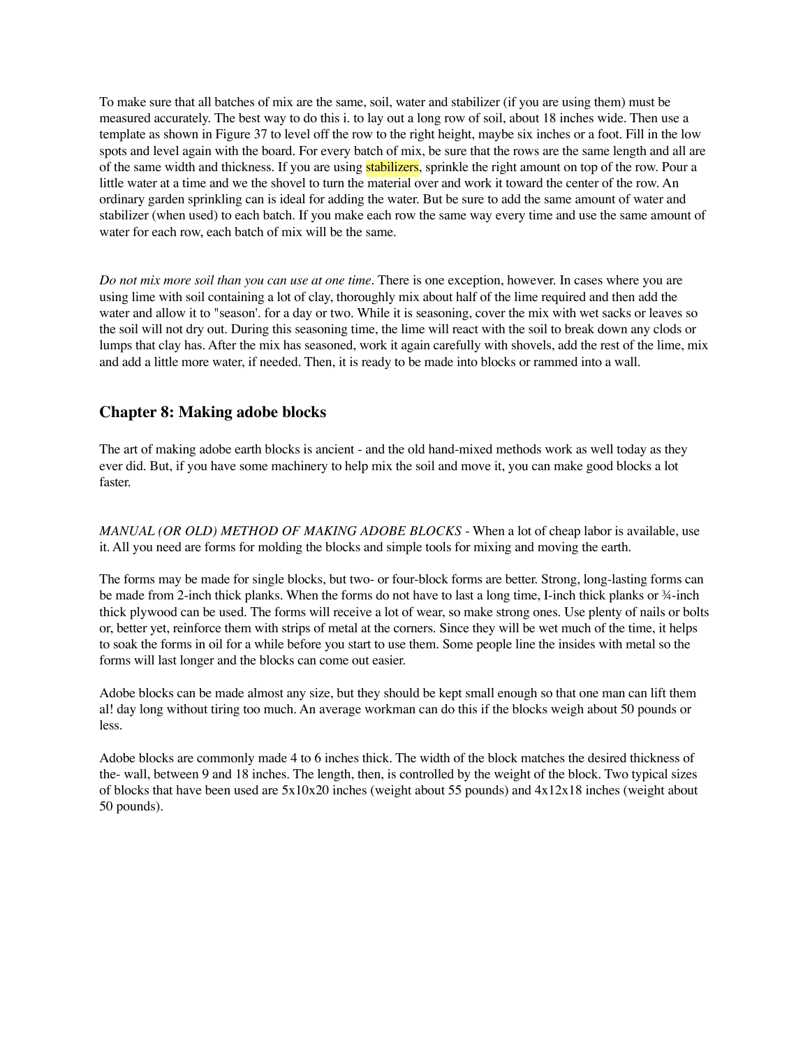To make sure that all batches of mix are the same, soil, water and stabilizer (if you are using them) must be measured accurately. The best way to do this i. to lay out a long row of soil, about 18 inches wide. Then use a template as shown in Figure 37 to level off the row to the right height, maybe six inches or a foot. Fill in the low spots and level again with the board. For every batch of mix, be sure that the rows are the same length and all are of the same width and thickness. If you are using stabilizers, sprinkle the right amount on top of the row. Pour a little water at a time and we the shovel to turn the material over and work it toward the center of the row. An ordinary garden sprinkling can is ideal for adding the water. But be sure to add the same amount of water and stabilizer (when used) to each batch. If you make each row the same way every time and use the same amount of water for each row, each batch of mix will be the same.

*Do not mix more soil than you can use at one time*. There is one exception, however. In cases where you are using lime with soil containing a lot of clay, thoroughly mix about half of the lime required and then add the water and allow it to "season'. for a day or two. While it is seasoning, cover the mix with wet sacks or leaves so the soil will not dry out. During this seasoning time, the lime will react with the soil to break down any clods or lumps that clay has. After the mix has seasoned, work it again carefully with shovels, add the rest of the lime, mix and add a little more water, if needed. Then, it is ready to be made into blocks or rammed into a wall.

#### **Chapter 8: Making adobe blocks**

The art of making adobe earth blocks is ancient - and the old hand-mixed methods work as well today as they ever did. But, if you have some machinery to help mix the soil and move it, you can make good blocks a lot faster.

*MANUAL (OR OLD) METHOD OF MAKING ADOBE BLOCKS* - When a lot of cheap labor is available, use it. All you need are forms for molding the blocks and simple tools for mixing and moving the earth.

The forms may be made for single blocks, but two- or four-block forms are better. Strong, long-lasting forms can be made from 2-inch thick planks. When the forms do not have to last a long time, I-inch thick planks or  $\frac{3}{4}$ -inch thick plywood can be used. The forms will receive a lot of wear, so make strong ones. Use plenty of nails or bolts or, better yet, reinforce them with strips of metal at the corners. Since they will be wet much of the time, it helps to soak the forms in oil for a while before you start to use them. Some people line the insides with metal so the forms will last longer and the blocks can come out easier.

Adobe blocks can be made almost any size, but they should be kept small enough so that one man can lift them al! day long without tiring too much. An average workman can do this if the blocks weigh about 50 pounds or less.

Adobe blocks are commonly made 4 to 6 inches thick. The width of the block matches the desired thickness of the- wall, between 9 and 18 inches. The length, then, is controlled by the weight of the block. Two typical sizes of blocks that have been used are 5x10x20 inches (weight about 55 pounds) and 4x12x18 inches (weight about 50 pounds).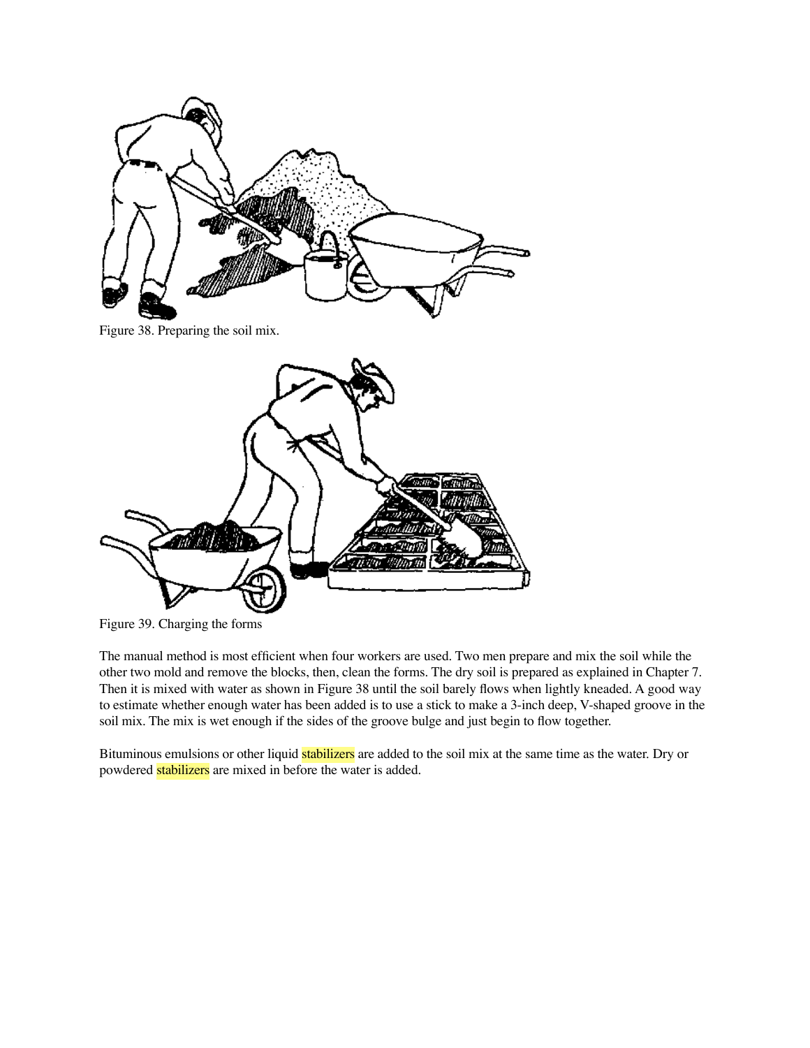

Figure 38. Preparing the soil mix.



Figure 39. Charging the forms

The manual method is most efficient when four workers are used. Two men prepare and mix the soil while the other two mold and remove the blocks, then, clean the forms. The dry soil is prepared as explained in Chapter 7. Then it is mixed with water as shown in Figure 38 until the soil barely flows when lightly kneaded. A good way to estimate whether enough water has been added is to use a stick to make a 3-inch deep, V-shaped groove in the soil mix. The mix is wet enough if the sides of the groove bulge and just begin to flow together.

Bituminous emulsions or other liquid **stabilizers** are added to the soil mix at the same time as the water. Dry or powdered stabilizers are mixed in before the water is added.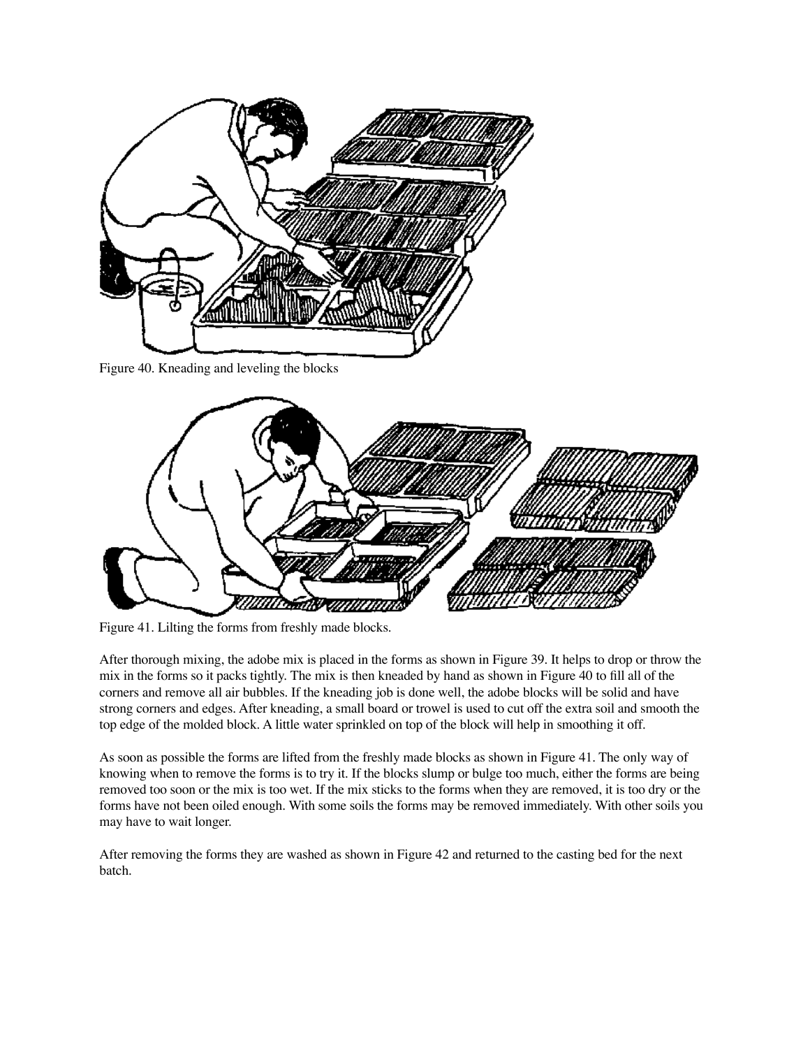

Figure 40. Kneading and leveling the blocks



Figure 41. Lilting the forms from freshly made blocks.

After thorough mixing, the adobe mix is placed in the forms as shown in Figure 39. It helps to drop or throw the mix in the forms so it packs tightly. The mix is then kneaded by hand as shown in Figure 40 to fill all of the corners and remove all air bubbles. If the kneading job is done well, the adobe blocks will be solid and have strong corners and edges. After kneading, a small board or trowel is used to cut off the extra soil and smooth the top edge of the molded block. A little water sprinkled on top of the block will help in smoothing it off.

As soon as possible the forms are lifted from the freshly made blocks as shown in Figure 41. The only way of knowing when to remove the forms is to try it. If the blocks slump or bulge too much, either the forms are being removed too soon or the mix is too wet. If the mix sticks to the forms when they are removed, it is too dry or the forms have not been oiled enough. With some soils the forms may be removed immediately. With other soils you may have to wait longer.

After removing the forms they are washed as shown in Figure 42 and returned to the casting bed for the next batch.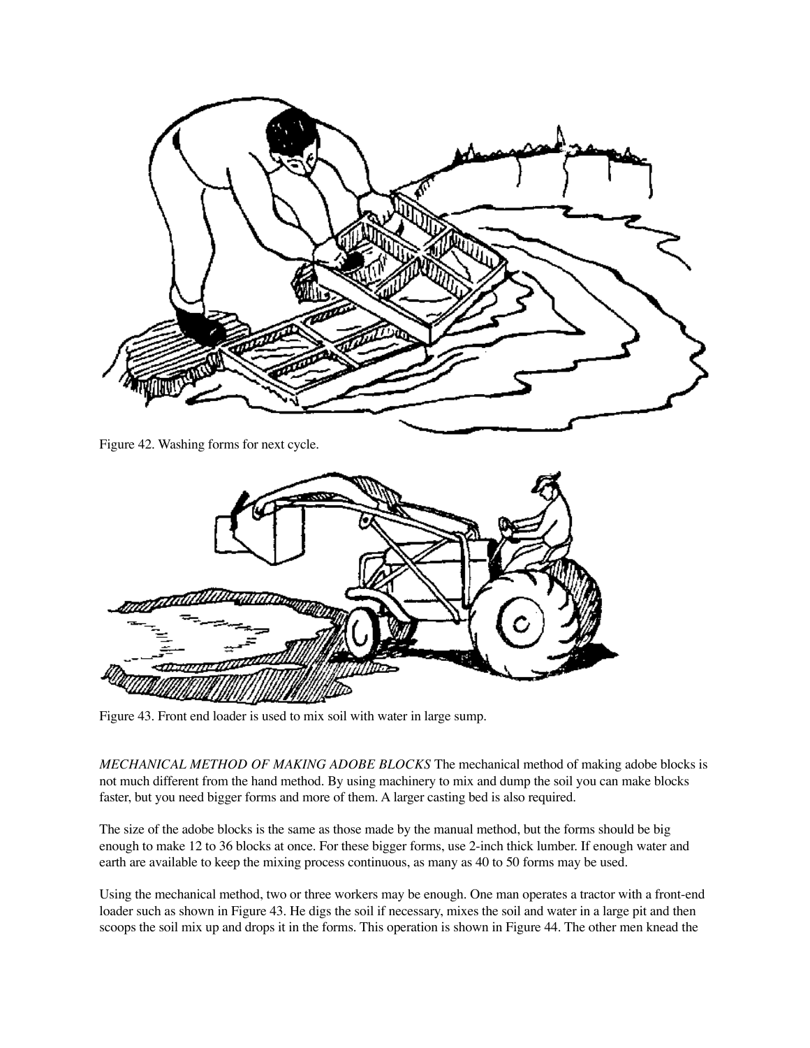

Figure 42. Washing forms for next cycle.



Figure 43. Front end loader is used to mix soil with water in large sump.

*MECHANICAL METHOD OF MAKING ADOBE BLOCKS* The mechanical method of making adobe blocks is not much different from the hand method. By using machinery to mix and dump the soil you can make blocks faster, but you need bigger forms and more of them. A larger casting bed is also required.

The size of the adobe blocks is the same as those made by the manual method, but the forms should be big enough to make 12 to 36 blocks at once. For these bigger forms, use 2-inch thick lumber. If enough water and earth are available to keep the mixing process continuous, as many as 40 to 50 forms may be used.

Using the mechanical method, two or three workers may be enough. One man operates a tractor with a front-end loader such as shown in Figure 43. He digs the soil if necessary, mixes the soil and water in a large pit and then scoops the soil mix up and drops it in the forms. This operation is shown in Figure 44. The other men knead the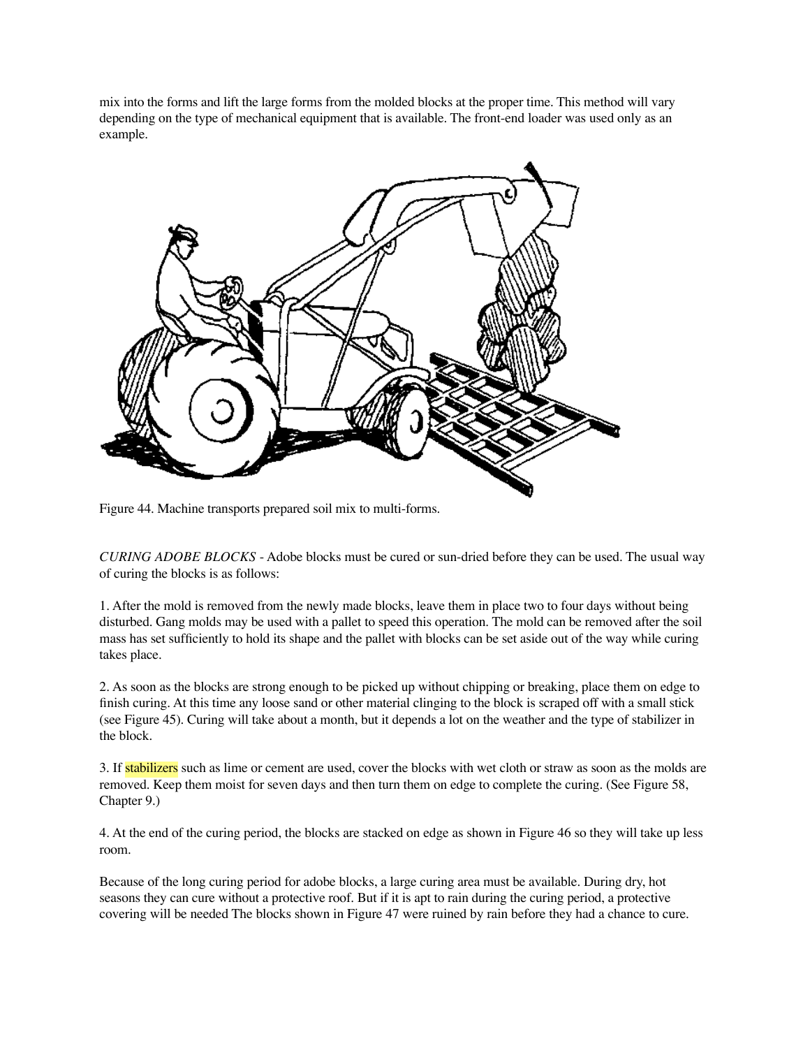mix into the forms and lift the large forms from the molded blocks at the proper time. This method will vary depending on the type of mechanical equipment that is available. The front-end loader was used only as an example.



Figure 44. Machine transports prepared soil mix to multi-forms.

*CURING ADOBE BLOCKS* - Adobe blocks must be cured or sun-dried before they can be used. The usual way of curing the blocks is as follows:

1. After the mold is removed from the newly made blocks, leave them in place two to four days without being disturbed. Gang molds may be used with a pallet to speed this operation. The mold can be removed after the soil mass has set sufficiently to hold its shape and the pallet with blocks can be set aside out of the way while curing takes place.

2. As soon as the blocks are strong enough to be picked up without chipping or breaking, place them on edge to finish curing. At this time any loose sand or other material clinging to the block is scraped off with a small stick (see Figure 45). Curing will take about a month, but it depends a lot on the weather and the type of stabilizer in the block.

3. If stabilizers such as lime or cement are used, cover the blocks with wet cloth or straw as soon as the molds are removed. Keep them moist for seven days and then turn them on edge to complete the curing. (See Figure 58, Chapter 9.)

4. At the end of the curing period, the blocks are stacked on edge as shown in Figure 46 so they will take up less room.

Because of the long curing period for adobe blocks, a large curing area must be available. During dry, hot seasons they can cure without a protective roof. But if it is apt to rain during the curing period, a protective covering will be needed The blocks shown in Figure 47 were ruined by rain before they had a chance to cure.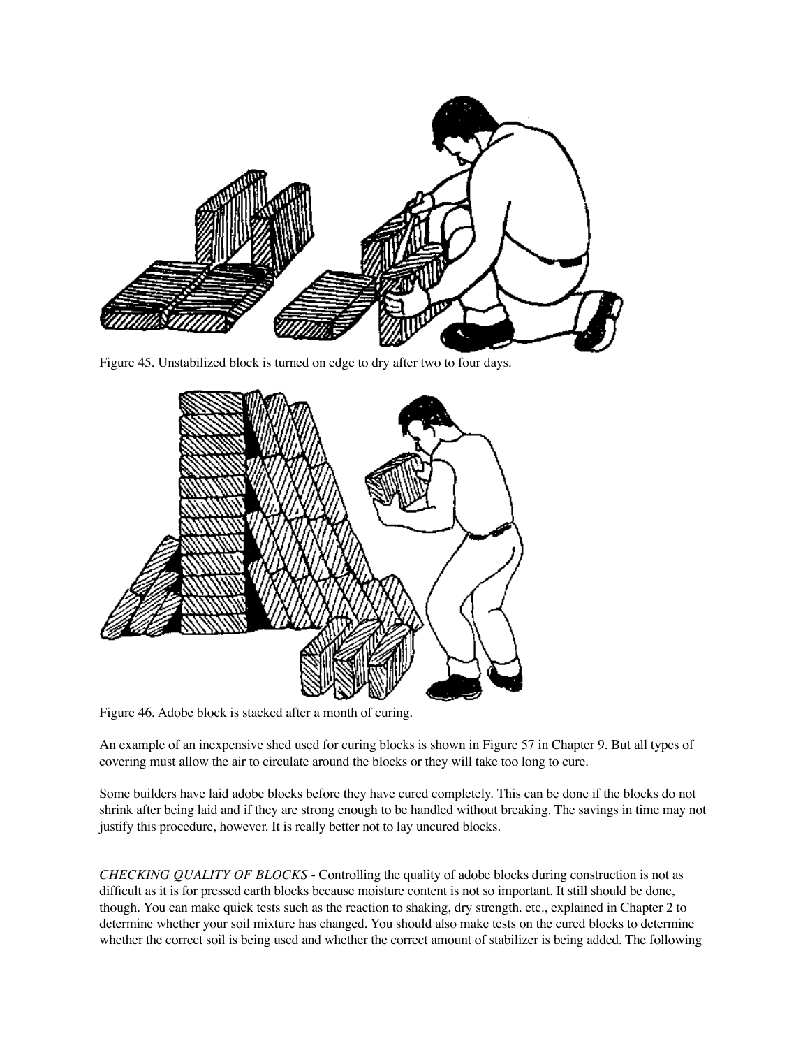

Figure 45. Unstabilized block is turned on edge to dry after two to four days.



Figure 46. Adobe block is stacked after a month of curing.

An example of an inexpensive shed used for curing blocks is shown in Figure 57 in Chapter 9. But all types of covering must allow the air to circulate around the blocks or they will take too long to cure.

Some builders have laid adobe blocks before they have cured completely. This can be done if the blocks do not shrink after being laid and if they are strong enough to be handled without breaking. The savings in time may not justify this procedure, however. It is really better not to lay uncured blocks.

*CHECKING QUALITY OF BLOCKS* - Controlling the quality of adobe blocks during construction is not as difficult as it is for pressed earth blocks because moisture content is not so important. It still should be done, though. You can make quick tests such as the reaction to shaking, dry strength. etc., explained in Chapter 2 to determine whether your soil mixture has changed. You should also make tests on the cured blocks to determine whether the correct soil is being used and whether the correct amount of stabilizer is being added. The following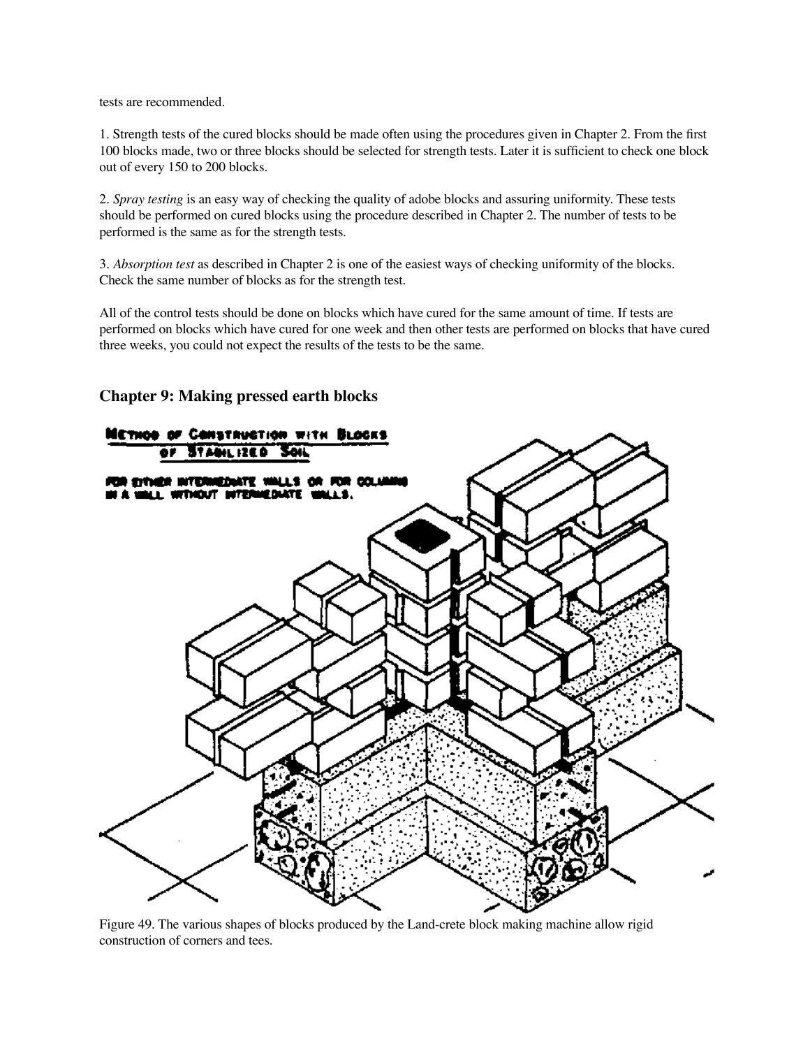tests are recommended.

1. Strength tests of the cured blocks should be made often using the procedures given in Chapter 2. From the first 100 blocks made, two or three blocks should be selected for strength tests. Later it is sufficient to check one block out of every 150 to 200 blocks.

2. *Spray testing* is an easy way of checking the quality of adobe blocks and assuring uniformity. These tests should be performed on cured blocks using the procedure described in Chapter 2. The number of tests to be performed is the same as for the strength tests.

3. *Absorption test* as described in Chapter 2 is one of the easiest ways of checking uniformity of the blocks. Check the same number of blocks as for the strength test.

All of the control tests should be done on blocks which have cured for the same amount of time. If tests are performed on blocks which have cured for one week and then other tests are performed on blocks that have cured three weeks, you could not expect the results of the tests to be the same.

**Chapter 9: Making pressed earth blocks**



Figure 49. The various shapes of blocks produced by the Land-crete block making machine allow rigid construction of corners and tees.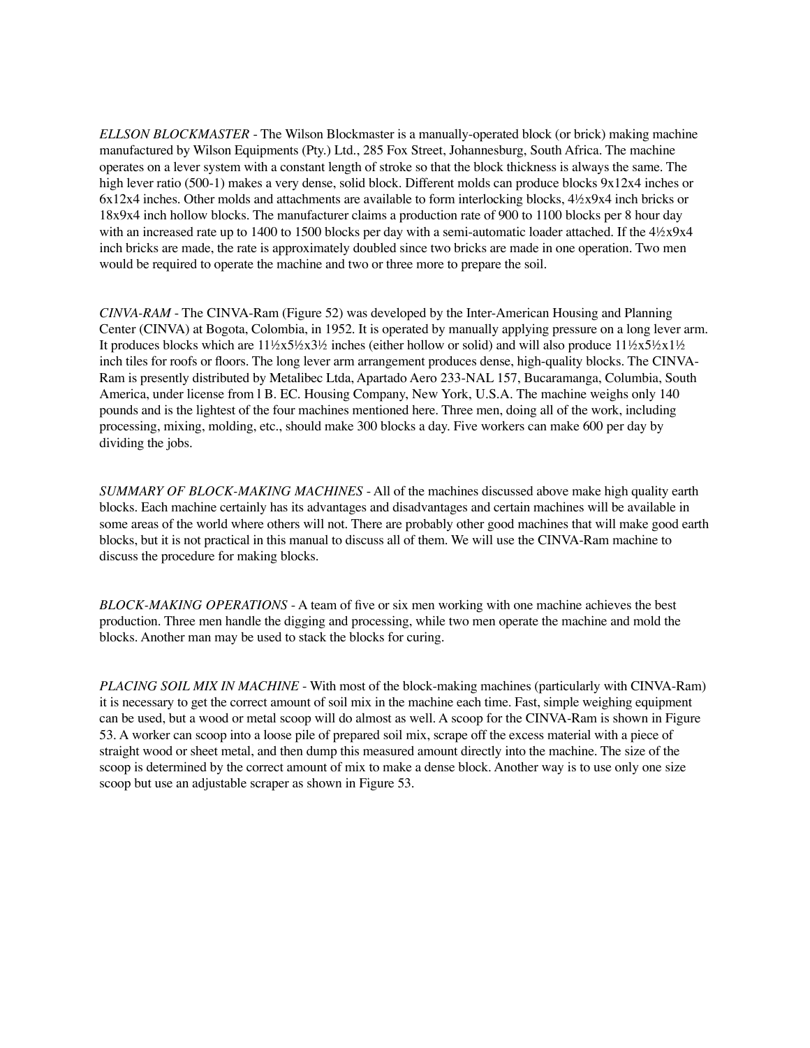*ELLSON BLOCKMASTER* - The Wilson Blockmaster is a manually-operated block (or brick) making machine manufactured by Wilson Equipments (Pty.) Ltd., 285 Fox Street, Johannesburg, South Africa. The machine operates on a lever system with a constant length of stroke so that the block thickness is always the same. The high lever ratio (500-1) makes a very dense, solid block. Different molds can produce blocks 9x12x4 inches or 6x12x4 inches. Other molds and attachments are available to form interlocking blocks, 4½x9x4 inch bricks or 18x9x4 inch hollow blocks. The manufacturer claims a production rate of 900 to 1100 blocks per 8 hour day with an increased rate up to 1400 to 1500 blocks per day with a semi-automatic loader attached. If the  $4\frac{1}{2}x9x4$ inch bricks are made, the rate is approximately doubled since two bricks are made in one operation. Two men would be required to operate the machine and two or three more to prepare the soil.

*CINVA-RAM* - The CINVA-Ram (Figure 52) was developed by the Inter-American Housing and Planning Center (CINVA) at Bogota, Colombia, in 1952. It is operated by manually applying pressure on a long lever arm. It produces blocks which are  $11\frac{\cancel{1}}{2}x3\frac{\cancel{1}}{2}x$  inches (either hollow or solid) and will also produce  $11\frac{\cancel{1}}{2}x5\frac{\cancel{1}}{2}x1\frac{\cancel{1}}{2}x$ inch tiles for roofs or floors. The long lever arm arrangement produces dense, high-quality blocks. The CINVA-Ram is presently distributed by Metalibec Ltda, Apartado Aero 233-NAL 157, Bucaramanga, Columbia, South America, under license from l B. EC. Housing Company, New York, U.S.A. The machine weighs only 140 pounds and is the lightest of the four machines mentioned here. Three men, doing all of the work, including processing, mixing, molding, etc., should make 300 blocks a day. Five workers can make 600 per day by dividing the jobs.

*SUMMARY OF BLOCK-MAKING MACHINES* - All of the machines discussed above make high quality earth blocks. Each machine certainly has its advantages and disadvantages and certain machines will be available in some areas of the world where others will not. There are probably other good machines that will make good earth blocks, but it is not practical in this manual to discuss all of them. We will use the CINVA-Ram machine to discuss the procedure for making blocks.

*BLOCK-MAKING OPERATIONS* - A team of five or six men working with one machine achieves the best production. Three men handle the digging and processing, while two men operate the machine and mold the blocks. Another man may be used to stack the blocks for curing.

*PLACING SOIL MIX IN MACHINE* - With most of the block-making machines (particularly with CINVA-Ram) it is necessary to get the correct amount of soil mix in the machine each time. Fast, simple weighing equipment can be used, but a wood or metal scoop will do almost as well. A scoop for the CINVA-Ram is shown in Figure 53. A worker can scoop into a loose pile of prepared soil mix, scrape off the excess material with a piece of straight wood or sheet metal, and then dump this measured amount directly into the machine. The size of the scoop is determined by the correct amount of mix to make a dense block. Another way is to use only one size scoop but use an adjustable scraper as shown in Figure 53.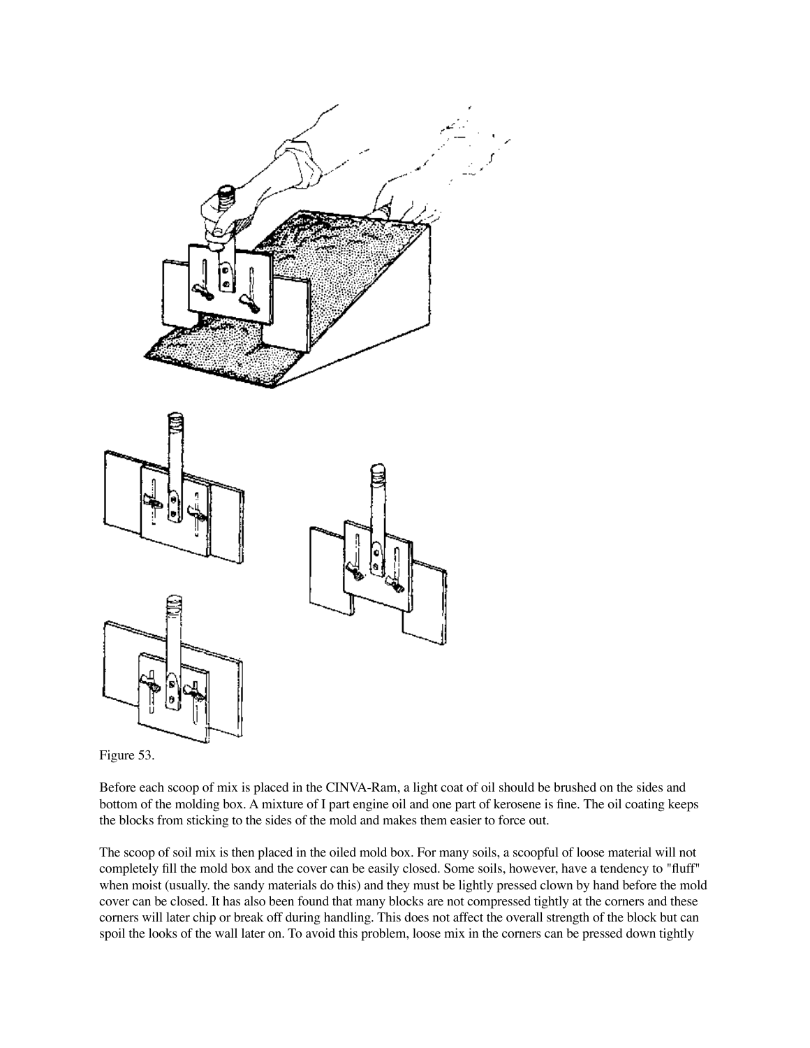





Before each scoop of mix is placed in the CINVA-Ram, a light coat of oil should be brushed on the sides and bottom of the molding box. A mixture of I part engine oil and one part of kerosene is fine. The oil coating keeps the blocks from sticking to the sides of the mold and makes them easier to force out.

The scoop of soil mix is then placed in the oiled mold box. For many soils, a scoopful of loose material will not completely fill the mold box and the cover can be easily closed. Some soils, however, have a tendency to "fluff" when moist (usually. the sandy materials do this) and they must be lightly pressed clown by hand before the mold cover can be closed. It has also been found that many blocks are not compressed tightly at the corners and these corners will later chip or break off during handling. This does not affect the overall strength of the block but can spoil the looks of the wall later on. To avoid this problem, loose mix in the corners can be pressed down tightly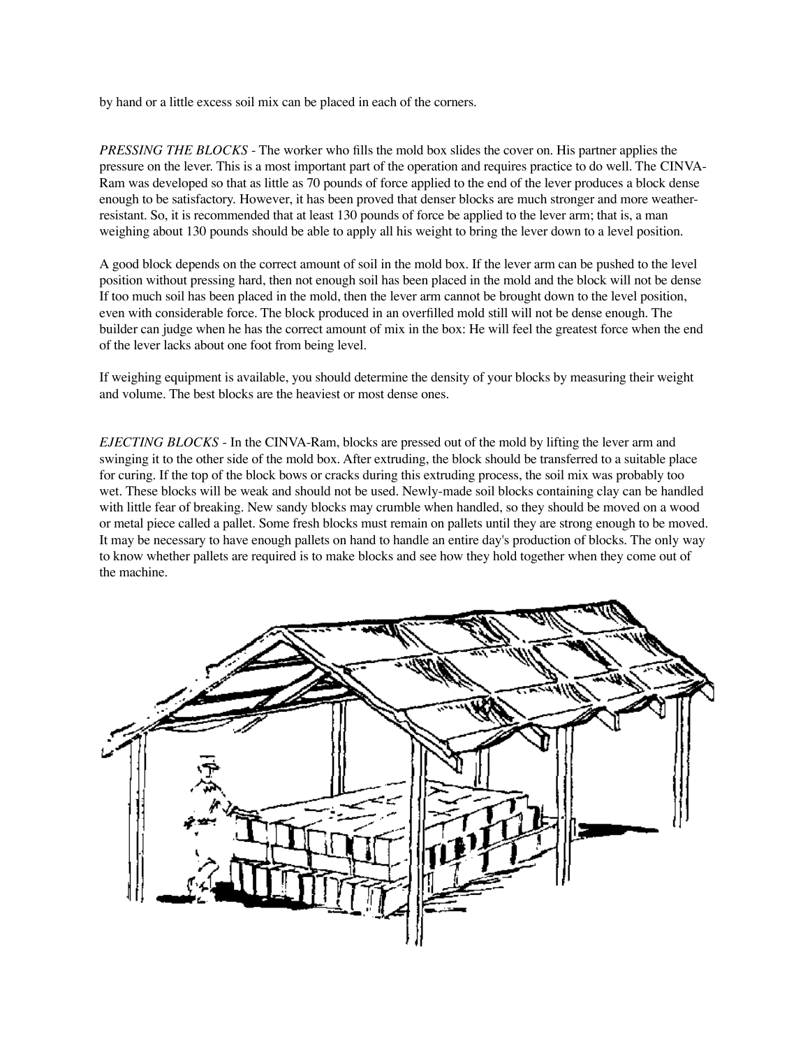by hand or a little excess soil mix can be placed in each of the corners.

*PRESSING THE BLOCKS* - The worker who fills the mold box slides the cover on. His partner applies the pressure on the lever. This is a most important part of the operation and requires practice to do well. The CINVA-Ram was developed so that as little as 70 pounds of force applied to the end of the lever produces a block dense enough to be satisfactory. However, it has been proved that denser blocks are much stronger and more weatherresistant. So, it is recommended that at least 130 pounds of force be applied to the lever arm; that is, a man weighing about 130 pounds should be able to apply all his weight to bring the lever down to a level position.

A good block depends on the correct amount of soil in the mold box. If the lever arm can be pushed to the level position without pressing hard, then not enough soil has been placed in the mold and the block will not be dense If too much soil has been placed in the mold, then the lever arm cannot be brought down to the level position, even with considerable force. The block produced in an overfilled mold still will not be dense enough. The builder can judge when he has the correct amount of mix in the box: He will feel the greatest force when the end of the lever lacks about one foot from being level.

If weighing equipment is available, you should determine the density of your blocks by measuring their weight and volume. The best blocks are the heaviest or most dense ones.

*EJECTING BLOCKS* - In the CINVA-Ram, blocks are pressed out of the mold by lifting the lever arm and swinging it to the other side of the mold box. After extruding, the block should be transferred to a suitable place for curing. If the top of the block bows or cracks during this extruding process, the soil mix was probably too wet. These blocks will be weak and should not be used. Newly-made soil blocks containing clay can be handled with little fear of breaking. New sandy blocks may crumble when handled, so they should be moved on a wood or metal piece called a pallet. Some fresh blocks must remain on pallets until they are strong enough to be moved. It may be necessary to have enough pallets on hand to handle an entire day's production of blocks. The only way to know whether pallets are required is to make blocks and see how they hold together when they come out of the machine.

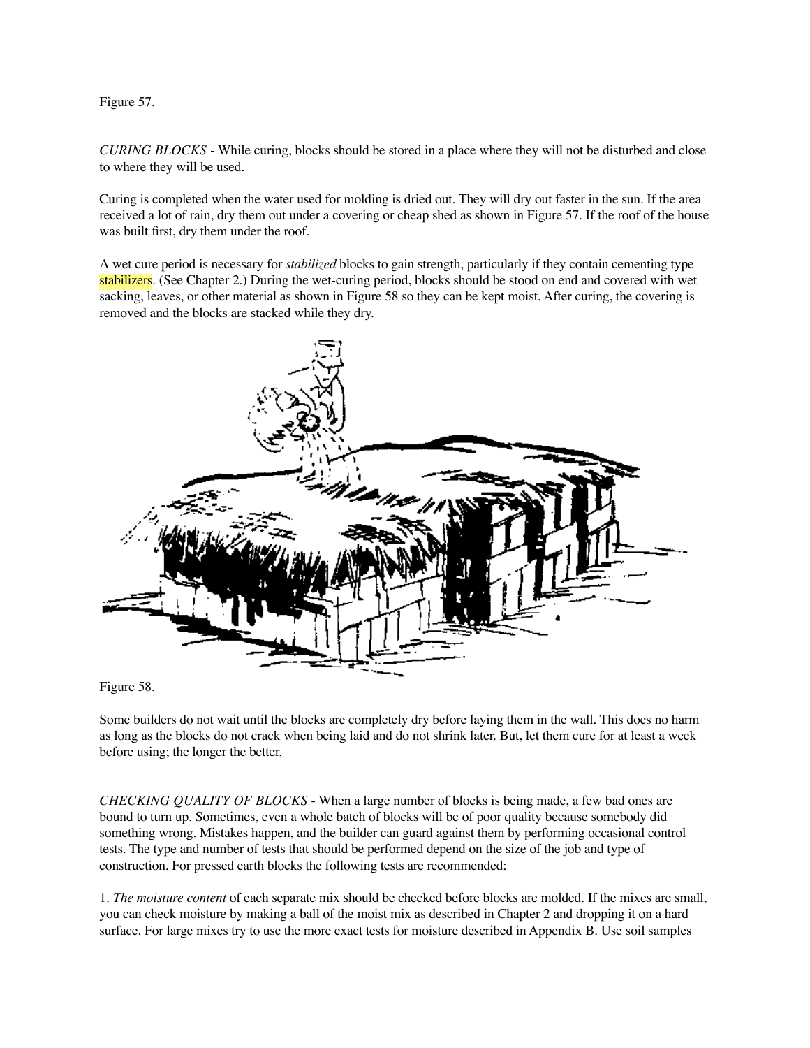Figure 57.

*CURING BLOCKS* - While curing, blocks should be stored in a place where they will not be disturbed and close to where they will be used.

Curing is completed when the water used for molding is dried out. They will dry out faster in the sun. If the area received a lot of rain, dry them out under a covering or cheap shed as shown in Figure 57. If the roof of the house was built first, dry them under the roof.

A wet cure period is necessary for *stabilized* blocks to gain strength, particularly if they contain cementing type stabilizers. (See Chapter 2.) During the wet-curing period, blocks should be stood on end and covered with wet sacking, leaves, or other material as shown in Figure 58 so they can be kept moist. After curing, the covering is removed and the blocks are stacked while they dry.



Figure 58.

Some builders do not wait until the blocks are completely dry before laying them in the wall. This does no harm as long as the blocks do not crack when being laid and do not shrink later. But, let them cure for at least a week before using; the longer the better.

*CHECKING QUALITY OF BLOCKS* - When a large number of blocks is being made, a few bad ones are bound to turn up. Sometimes, even a whole batch of blocks will be of poor quality because somebody did something wrong. Mistakes happen, and the builder can guard against them by performing occasional control tests. The type and number of tests that should be performed depend on the size of the job and type of construction. For pressed earth blocks the following tests are recommended:

1. *The moisture content* of each separate mix should be checked before blocks are molded. If the mixes are small, you can check moisture by making a ball of the moist mix as described in Chapter 2 and dropping it on a hard surface. For large mixes try to use the more exact tests for moisture described in Appendix B. Use soil samples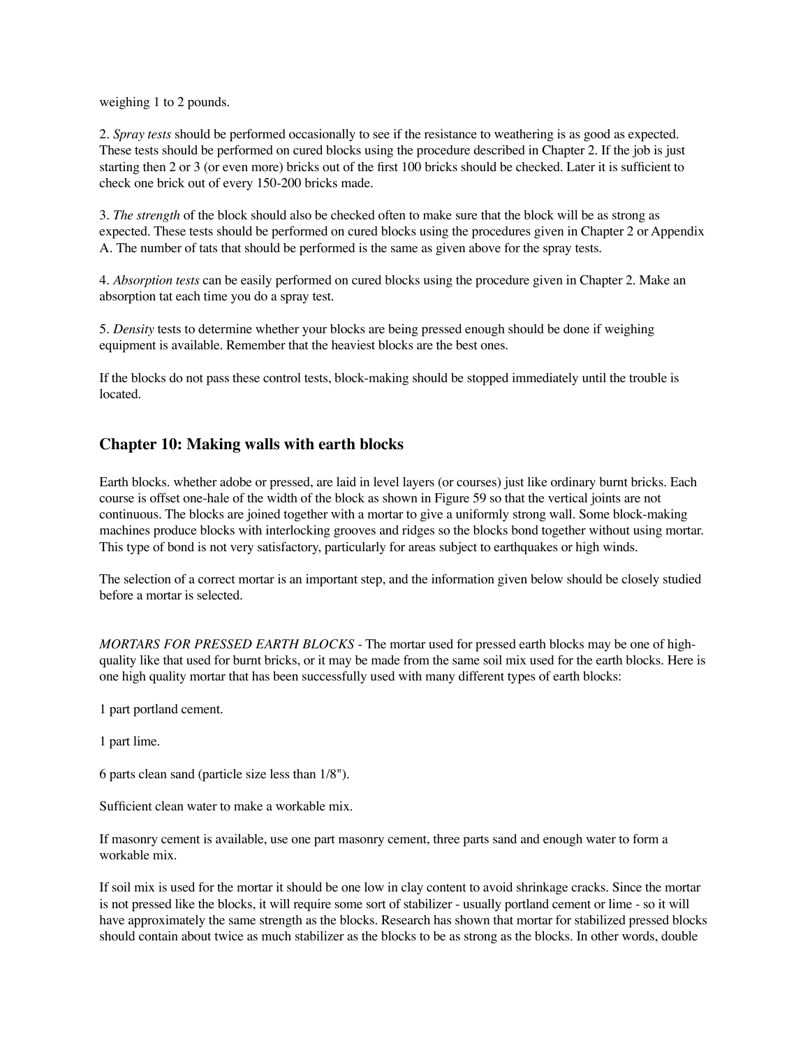weighing 1 to 2 pounds.

2. *Spray tests* should be performed occasionally to see if the resistance to weathering is as good as expected. These tests should be performed on cured blocks using the procedure described in Chapter 2. If the job is just starting then 2 or 3 (or even more) bricks out of the first 100 bricks should be checked. Later it is sufficient to check one brick out of every 150-200 bricks made.

3. *The strength* of the block should also be checked often to make sure that the block will be as strong as expected. These tests should be performed on cured blocks using the procedures given in Chapter 2 or Appendix A. The number of tats that should be performed is the same as given above for the spray tests.

4. *Absorption tests* can be easily performed on cured blocks using the procedure given in Chapter 2. Make an absorption tat each time you do a spray test.

5. *Density* tests to determine whether your blocks are being pressed enough should be done if weighing equipment is available. Remember that the heaviest blocks are the best ones.

If the blocks do not pass these control tests, block-making should be stopped immediately until the trouble is located.

#### **Chapter 10: Making walls with earth blocks**

Earth blocks. whether adobe or pressed, are laid in level layers (or courses) just like ordinary burnt bricks. Each course is offset one-hale of the width of the block as shown in Figure 59 so that the vertical joints are not continuous. The blocks are joined together with a mortar to give a uniformly strong wall. Some block-making machines produce blocks with interlocking grooves and ridges so the blocks bond together without using mortar. This type of bond is not very satisfactory, particularly for areas subject to earthquakes or high winds.

The selection of a correct mortar is an important step, and the information given below should be closely studied before a mortar is selected.

*MORTARS FOR PRESSED EARTH BLOCKS* - The mortar used for pressed earth blocks may be one of highquality like that used for burnt bricks, or it may be made from the same soil mix used for the earth blocks. Here is one high quality mortar that has been successfully used with many different types of earth blocks:

1 part portland cement.

1 part lime.

6 parts clean sand (particle size less than 1/8").

Sufficient clean water to make a workable mix.

If masonry cement is available, use one part masonry cement, three parts sand and enough water to form a workable mix.

If soil mix is used for the mortar it should be one low in clay content to avoid shrinkage cracks. Since the mortar is not pressed like the blocks, it will require some sort of stabilizer - usually portland cement or lime - so it will have approximately the same strength as the blocks. Research has shown that mortar for stabilized pressed blocks should contain about twice as much stabilizer as the blocks to be as strong as the blocks. In other words, double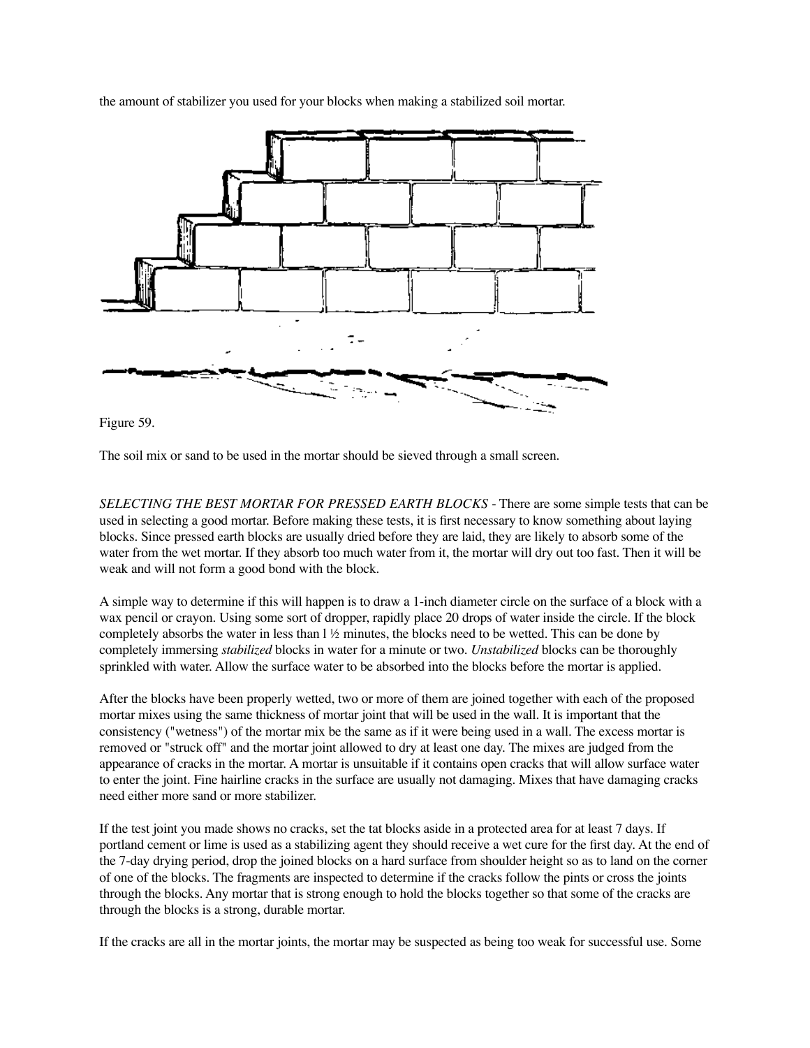

the amount of stabilizer you used for your blocks when making a stabilized soil mortar.

Figure 59.

The soil mix or sand to be used in the mortar should be sieved through a small screen.

*SELECTING THE BEST MORTAR FOR PRESSED EARTH BLOCKS* - There are some simple tests that can be used in selecting a good mortar. Before making these tests, it is first necessary to know something about laying blocks. Since pressed earth blocks are usually dried before they are laid, they are likely to absorb some of the water from the wet mortar. If they absorb too much water from it, the mortar will dry out too fast. Then it will be weak and will not form a good bond with the block.

A simple way to determine if this will happen is to draw a 1-inch diameter circle on the surface of a block with a wax pencil or crayon. Using some sort of dropper, rapidly place 20 drops of water inside the circle. If the block completely absorbs the water in less than  $1\frac{1}{2}$  minutes, the blocks need to be wetted. This can be done by completely immersing *stabilized* blocks in water for a minute or two. *Unstabilized* blocks can be thoroughly sprinkled with water. Allow the surface water to be absorbed into the blocks before the mortar is applied.

After the blocks have been properly wetted, two or more of them are joined together with each of the proposed mortar mixes using the same thickness of mortar joint that will be used in the wall. It is important that the consistency ("wetness") of the mortar mix be the same as if it were being used in a wall. The excess mortar is removed or "struck off" and the mortar joint allowed to dry at least one day. The mixes are judged from the appearance of cracks in the mortar. A mortar is unsuitable if it contains open cracks that will allow surface water to enter the joint. Fine hairline cracks in the surface are usually not damaging. Mixes that have damaging cracks need either more sand or more stabilizer.

If the test joint you made shows no cracks, set the tat blocks aside in a protected area for at least 7 days. If portland cement or lime is used as a stabilizing agent they should receive a wet cure for the first day. At the end of the 7-day drying period, drop the joined blocks on a hard surface from shoulder height so as to land on the corner of one of the blocks. The fragments are inspected to determine if the cracks follow the pints or cross the joints through the blocks. Any mortar that is strong enough to hold the blocks together so that some of the cracks are through the blocks is a strong, durable mortar.

If the cracks are all in the mortar joints, the mortar may be suspected as being too weak for successful use. Some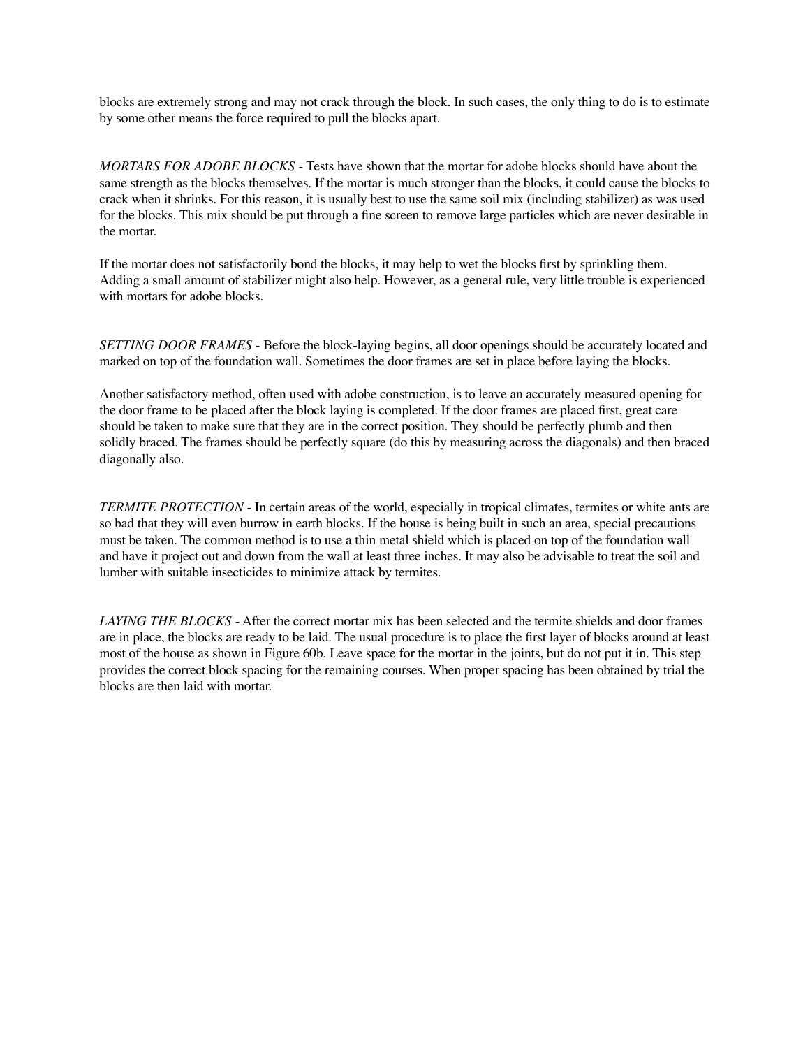blocks are extremely strong and may not crack through the block. In such cases, the only thing to do is to estimate by some other means the force required to pull the blocks apart.

*MORTARS FOR ADOBE BLOCKS* - Tests have shown that the mortar for adobe blocks should have about the same strength as the blocks themselves. If the mortar is much stronger than the blocks, it could cause the blocks to crack when it shrinks. For this reason, it is usually best to use the same soil mix (including stabilizer) as was used for the blocks. This mix should be put through a fine screen to remove large particles which are never desirable in the mortar.

If the mortar does not satisfactorily bond the blocks, it may help to wet the blocks first by sprinkling them. Adding a small amount of stabilizer might also help. However, as a general rule, very little trouble is experienced with mortars for adobe blocks.

*SETTING DOOR FRAMES* - Before the block-laying begins, all door openings should be accurately located and marked on top of the foundation wall. Sometimes the door frames are set in place before laying the blocks.

Another satisfactory method, often used with adobe construction, is to leave an accurately measured opening for the door frame to be placed after the block laying is completed. If the door frames are placed first, great care should be taken to make sure that they are in the correct position. They should be perfectly plumb and then solidly braced. The frames should be perfectly square (do this by measuring across the diagonals) and then braced diagonally also.

*TERMITE PROTECTION* - In certain areas of the world, especially in tropical climates, termites or white ants are so bad that they will even burrow in earth blocks. If the house is being built in such an area, special precautions must be taken. The common method is to use a thin metal shield which is placed on top of the foundation wall and have it project out and down from the wall at least three inches. It may also be advisable to treat the soil and lumber with suitable insecticides to minimize attack by termites.

*LAYING THE BLOCKS* - After the correct mortar mix has been selected and the termite shields and door frames are in place, the blocks are ready to be laid. The usual procedure is to place the first layer of blocks around at least most of the house as shown in Figure 60b. Leave space for the mortar in the joints, but do not put it in. This step provides the correct block spacing for the remaining courses. When proper spacing has been obtained by trial the blocks are then laid with mortar.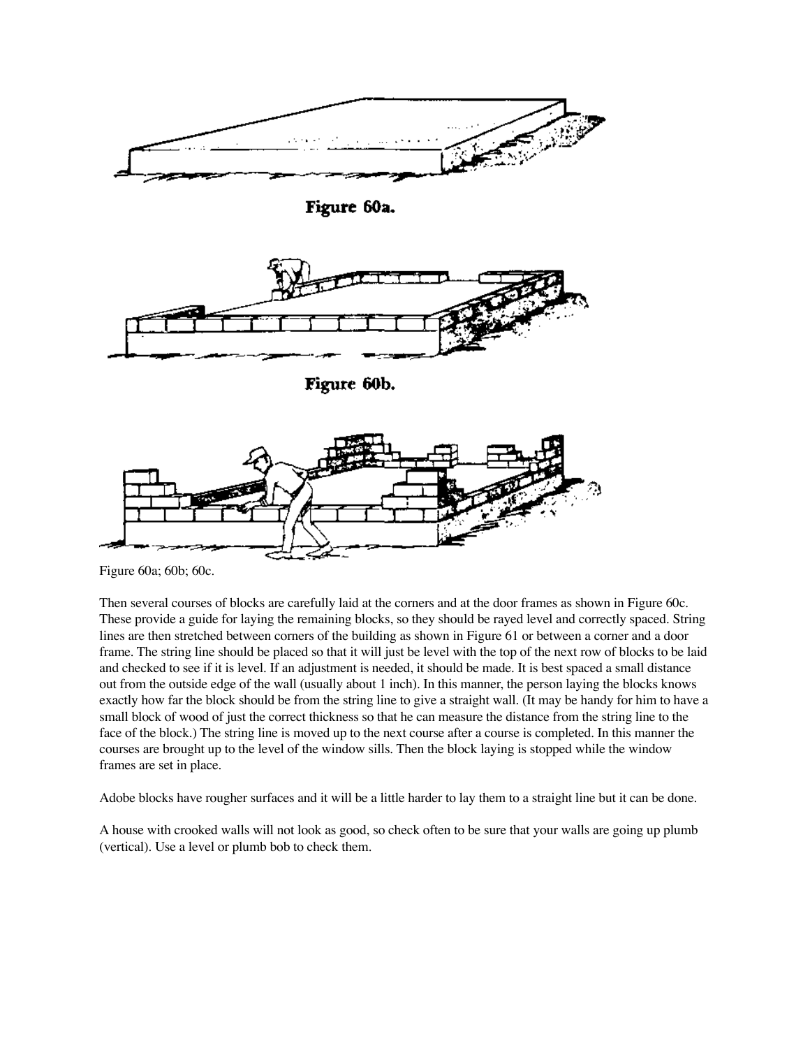

Then several courses of blocks are carefully laid at the corners and at the door frames as shown in Figure 60c. These provide a guide for laying the remaining blocks, so they should be rayed level and correctly spaced. String lines are then stretched between corners of the building as shown in Figure 61 or between a corner and a door frame. The string line should be placed so that it will just be level with the top of the next row of blocks to be laid and checked to see if it is level. If an adjustment is needed, it should be made. It is best spaced a small distance out from the outside edge of the wall (usually about 1 inch). In this manner, the person laying the blocks knows exactly how far the block should be from the string line to give a straight wall. (It may be handy for him to have a small block of wood of just the correct thickness so that he can measure the distance from the string line to the face of the block.) The string line is moved up to the next course after a course is completed. In this manner the courses are brought up to the level of the window sills. Then the block laying is stopped while the window frames are set in place.

Adobe blocks have rougher surfaces and it will be a little harder to lay them to a straight line but it can be done.

A house with crooked walls will not look as good, so check often to be sure that your walls are going up plumb (vertical). Use a level or plumb bob to check them.

Figure 60a; 60b; 60c.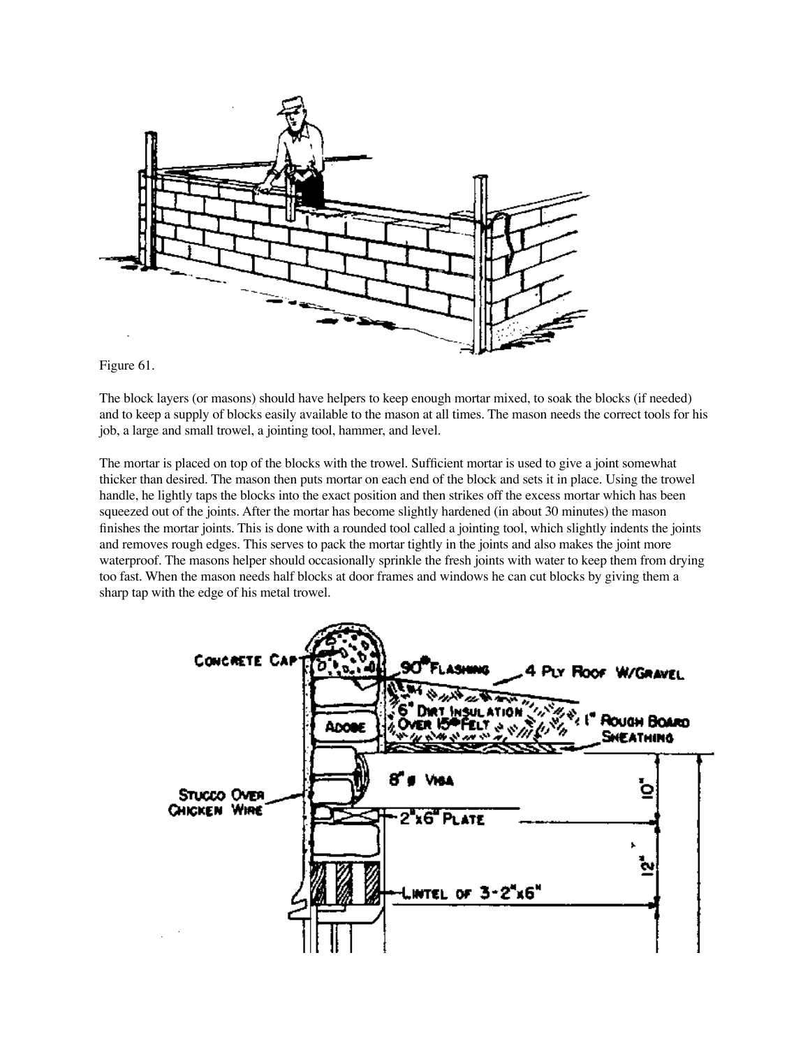

Figure 61.

The block layers (or masons) should have helpers to keep enough mortar mixed, to soak the blocks (if needed) and to keep a supply of blocks easily available to the mason at all times. The mason needs the correct tools for his job, a large and small trowel, a jointing tool, hammer, and level.

The mortar is placed on top of the blocks with the trowel. Sufficient mortar is used to give a joint somewhat thicker than desired. The mason then puts mortar on each end of the block and sets it in place. Using the trowel handle, he lightly taps the blocks into the exact position and then strikes off the excess mortar which has been squeezed out of the joints. After the mortar has become slightly hardened (in about 30 minutes) the mason finishes the mortar joints. This is done with a rounded tool called a jointing tool, which slightly indents the joints and removes rough edges. This serves to pack the mortar tightly in the joints and also makes the joint more waterproof. The masons helper should occasionally sprinkle the fresh joints with water to keep them from drying too fast. When the mason needs half blocks at door frames and windows he can cut blocks by giving them a sharp tap with the edge of his metal trowel.

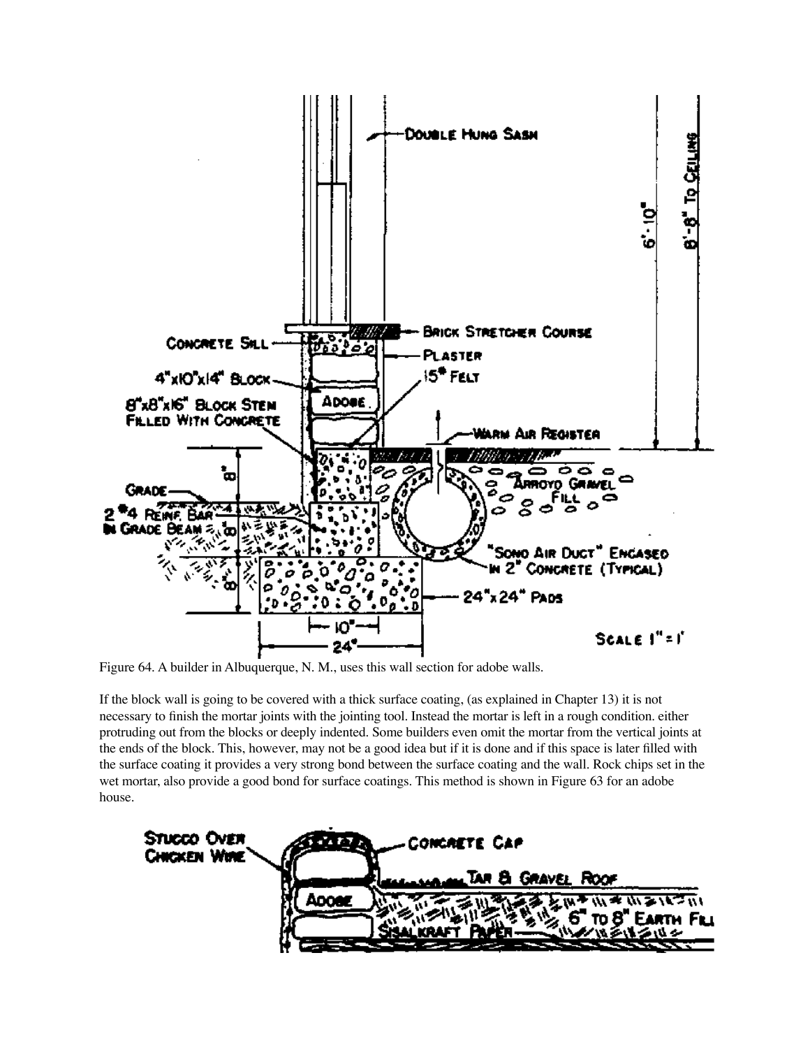

Figure 64. A builder in Albuquerque, N. M., uses this wall section for adobe walls.

If the block wall is going to be covered with a thick surface coating, (as explained in Chapter 13) it is not necessary to finish the mortar joints with the jointing tool. Instead the mortar is left in a rough condition. either protruding out from the blocks or deeply indented. Some builders even omit the mortar from the vertical joints at the ends of the block. This, however, may not be a good idea but if it is done and if this space is later filled with the surface coating it provides a very strong bond between the surface coating and the wall. Rock chips set in the wet mortar, also provide a good bond for surface coatings. This method is shown in Figure 63 for an adobe house.

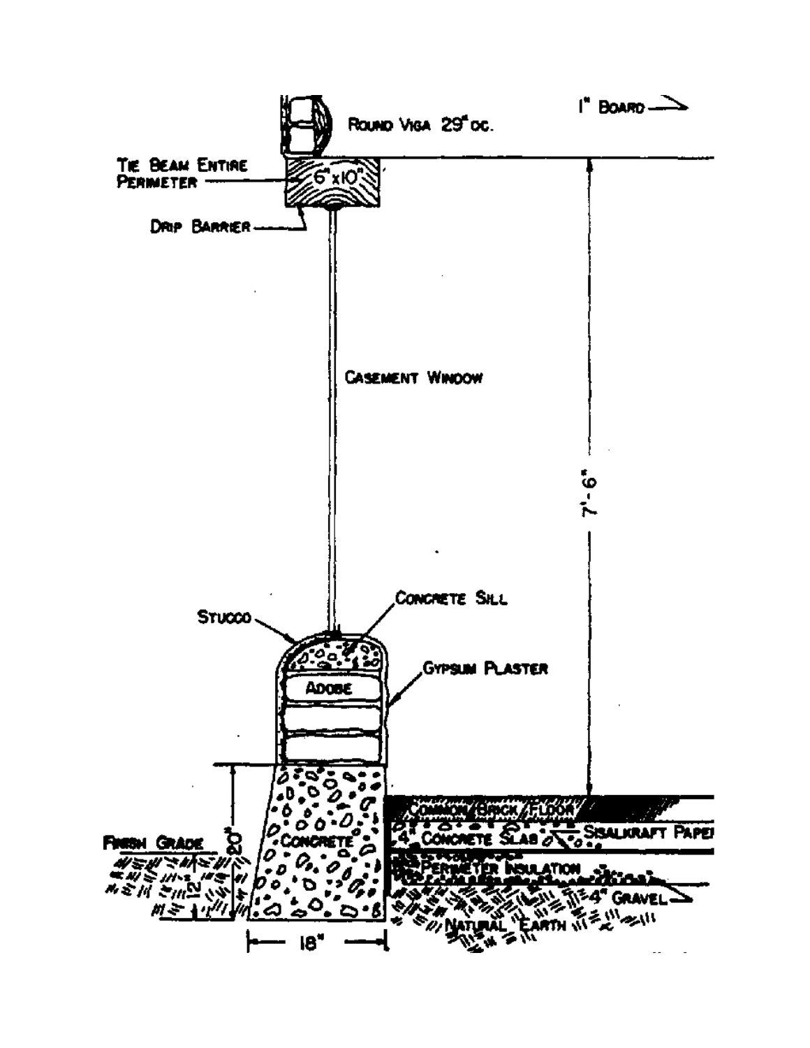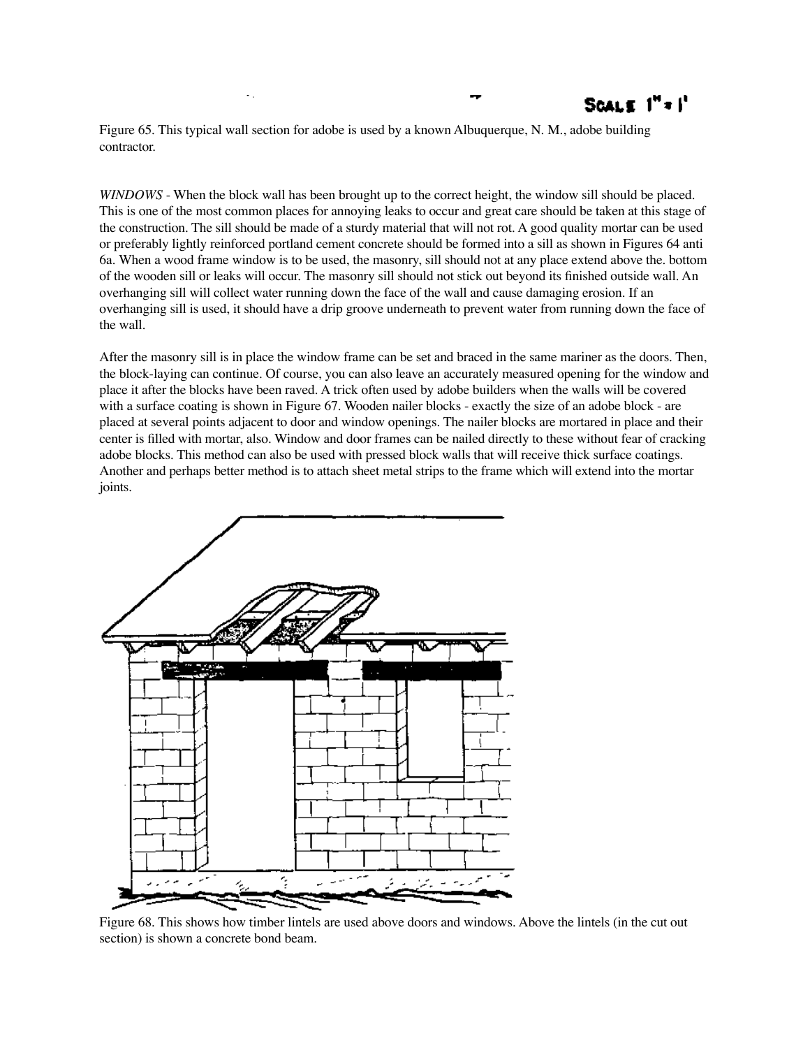# SCALE  $1'' \cdot 1'$

Figure 65. This typical wall section for adobe is used by a known Albuquerque, N. M., adobe building contractor.

*WINDOWS* - When the block wall has been brought up to the correct height, the window sill should be placed. This is one of the most common places for annoying leaks to occur and great care should be taken at this stage of the construction. The sill should be made of a sturdy material that will not rot. A good quality mortar can be used or preferably lightly reinforced portland cement concrete should be formed into a sill as shown in Figures 64 anti 6a. When a wood frame window is to be used, the masonry, sill should not at any place extend above the. bottom of the wooden sill or leaks will occur. The masonry sill should not stick out beyond its finished outside wall. An overhanging sill will collect water running down the face of the wall and cause damaging erosion. If an overhanging sill is used, it should have a drip groove underneath to prevent water from running down the face of the wall.

After the masonry sill is in place the window frame can be set and braced in the same mariner as the doors. Then, the block-laying can continue. Of course, you can also leave an accurately measured opening for the window and place it after the blocks have been raved. A trick often used by adobe builders when the walls will be covered with a surface coating is shown in Figure 67. Wooden nailer blocks - exactly the size of an adobe block - are placed at several points adjacent to door and window openings. The nailer blocks are mortared in place and their center is filled with mortar, also. Window and door frames can be nailed directly to these without fear of cracking adobe blocks. This method can also be used with pressed block walls that will receive thick surface coatings. Another and perhaps better method is to attach sheet metal strips to the frame which will extend into the mortar joints.



Figure 68. This shows how timber lintels are used above doors and windows. Above the lintels (in the cut out section) is shown a concrete bond beam.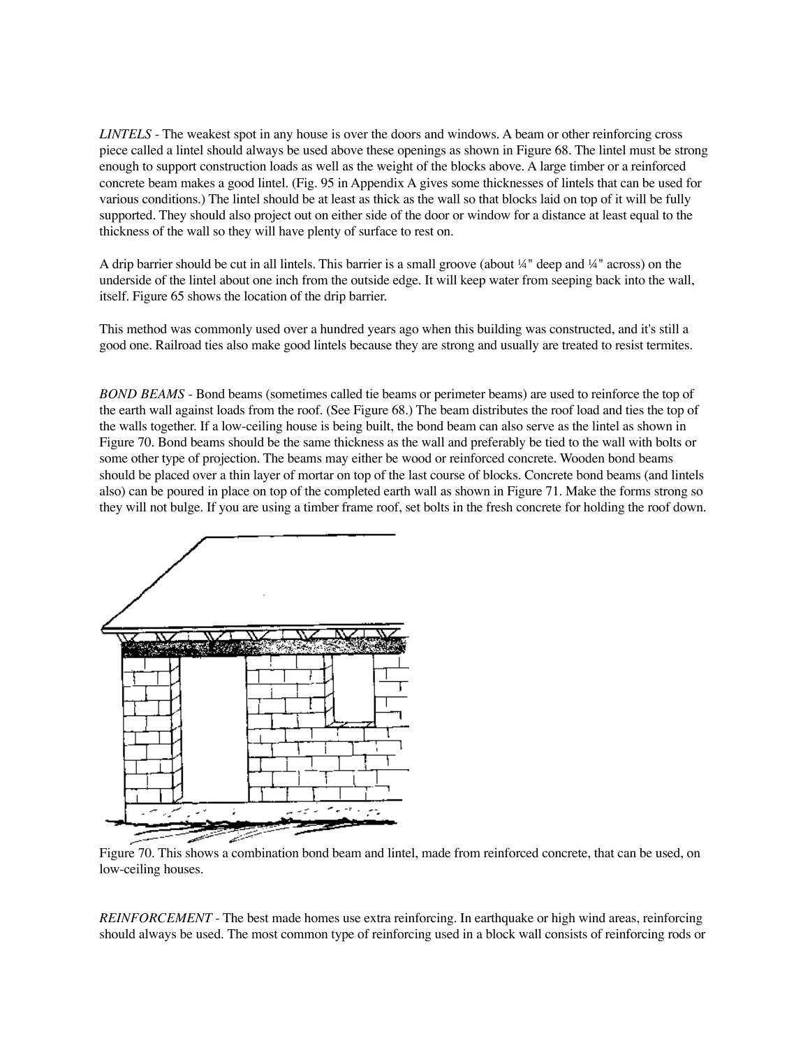*LINTELS* - The weakest spot in any house is over the doors and windows. A beam or other reinforcing cross piece called a lintel should always be used above these openings as shown in Figure 68. The lintel must be strong enough to support construction loads as well as the weight of the blocks above. A large timber or a reinforced concrete beam makes a good lintel. (Fig. 95 in Appendix A gives some thicknesses of lintels that can be used for various conditions.) The lintel should be at least as thick as the wall so that blocks laid on top of it will be fully supported. They should also project out on either side of the door or window for a distance at least equal to the thickness of the wall so they will have plenty of surface to rest on.

A drip barrier should be cut in all lintels. This barrier is a small groove (about ¼" deep and ¼" across) on the underside of the lintel about one inch from the outside edge. It will keep water from seeping back into the wall, itself. Figure 65 shows the location of the drip barrier.

This method was commonly used over a hundred years ago when this building was constructed, and it's still a good one. Railroad ties also make good lintels because they are strong and usually are treated to resist termites.

*BOND BEAMS* - Bond beams (sometimes called tie beams or perimeter beams) are used to reinforce the top of the earth wall against loads from the roof. (See Figure 68.) The beam distributes the roof load and ties the top of the walls together. If a low-ceiling house is being built, the bond beam can also serve as the lintel as shown in Figure 70. Bond beams should be the same thickness as the wall and preferably be tied to the wall with bolts or some other type of projection. The beams may either be wood or reinforced concrete. Wooden bond beams should be placed over a thin layer of mortar on top of the last course of blocks. Concrete bond beams (and lintels also) can be poured in place on top of the completed earth wall as shown in Figure 71. Make the forms strong so they will not bulge. If you are using a timber frame roof, set bolts in the fresh concrete for holding the roof down.



Figure 70. This shows a combination bond beam and lintel, made from reinforced concrete, that can be used, on low-ceiling houses.

*REINFORCEMENT* - The best made homes use extra reinforcing. In earthquake or high wind areas, reinforcing should always be used. The most common type of reinforcing used in a block wall consists of reinforcing rods or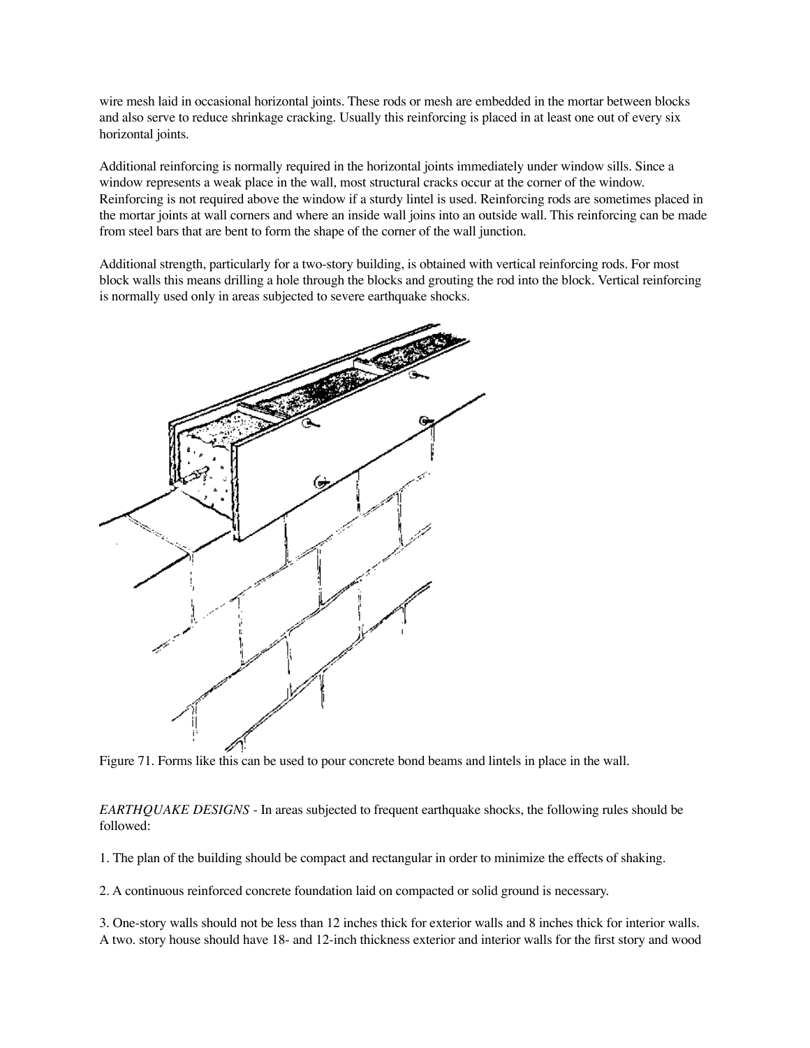wire mesh laid in occasional horizontal joints. These rods or mesh are embedded in the mortar between blocks and also serve to reduce shrinkage cracking. Usually this reinforcing is placed in at least one out of every six horizontal joints.

Additional reinforcing is normally required in the horizontal joints immediately under window sills. Since a window represents a weak place in the wall, most structural cracks occur at the corner of the window. Reinforcing is not required above the window if a sturdy lintel is used. Reinforcing rods are sometimes placed in the mortar joints at wall corners and where an inside wall joins into an outside wall. This reinforcing can be made from steel bars that are bent to form the shape of the corner of the wall junction.

Additional strength, particularly for a two-story building, is obtained with vertical reinforcing rods. For most block walls this means drilling a hole through the blocks and grouting the rod into the block. Vertical reinforcing is normally used only in areas subjected to severe earthquake shocks.



Figure 71. Forms like this can be used to pour concrete bond beams and lintels in place in the wall.

*EARTHQUAKE DESIGNS* - In areas subjected to frequent earthquake shocks, the following rules should be followed:

1. The plan of the building should be compact and rectangular in order to minimize the effects of shaking.

2. A continuous reinforced concrete foundation laid on compacted or solid ground is necessary.

3. One-story walls should not be less than 12 inches thick for exterior walls and 8 inches thick for interior walls. A two. story house should have 18- and 12-inch thickness exterior and interior walls for the first story and wood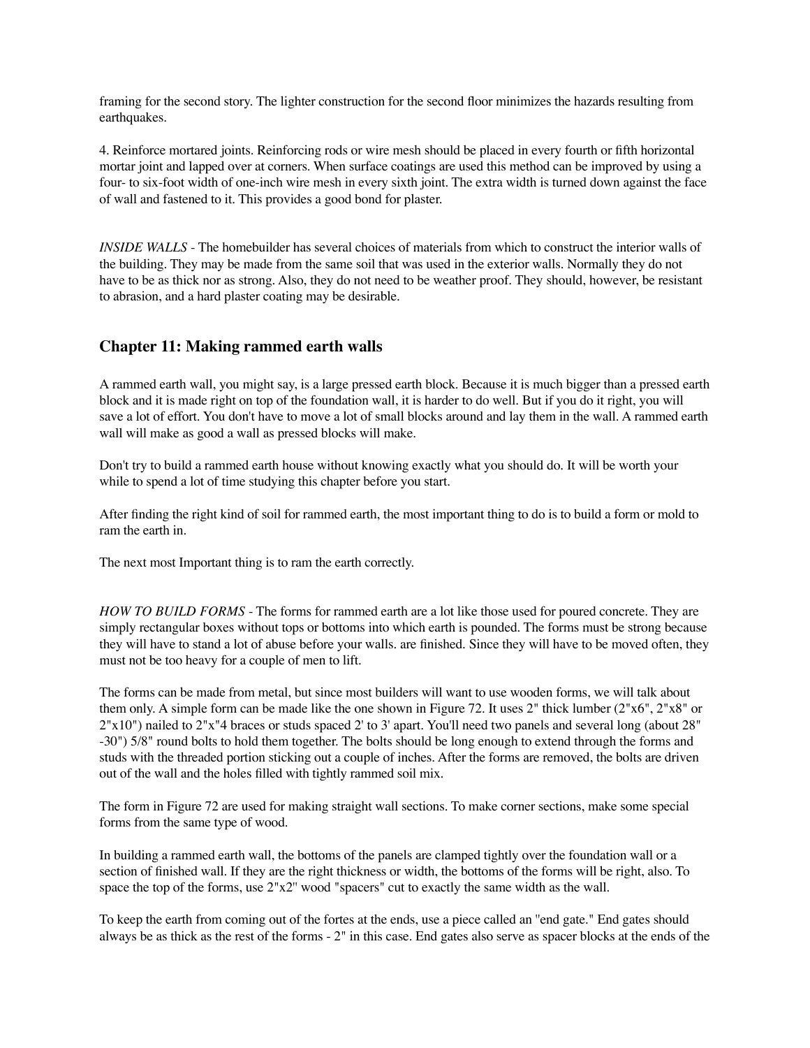framing for the second story. The lighter construction for the second floor minimizes the hazards resulting from earthquakes.

4. Reinforce mortared joints. Reinforcing rods or wire mesh should be placed in every fourth or fifth horizontal mortar joint and lapped over at corners. When surface coatings are used this method can be improved by using a four- to six-foot width of one-inch wire mesh in every sixth joint. The extra width is turned down against the face of wall and fastened to it. This provides a good bond for plaster.

*INSIDE WALLS* - The homebuilder has several choices of materials from which to construct the interior walls of the building. They may be made from the same soil that was used in the exterior walls. Normally they do not have to be as thick nor as strong. Also, they do not need to be weather proof. They should, however, be resistant to abrasion, and a hard plaster coating may be desirable.

## **Chapter 11: Making rammed earth walls**

A rammed earth wall, you might say, is a large pressed earth block. Because it is much bigger than a pressed earth block and it is made right on top of the foundation wall, it is harder to do well. But if you do it right, you will save a lot of effort. You don't have to move a lot of small blocks around and lay them in the wall. A rammed earth wall will make as good a wall as pressed blocks will make.

Don't try to build a rammed earth house without knowing exactly what you should do. It will be worth your while to spend a lot of time studying this chapter before you start.

After finding the right kind of soil for rammed earth, the most important thing to do is to build a form or mold to ram the earth in.

The next most Important thing is to ram the earth correctly.

*HOW TO BUILD FORMS* - The forms for rammed earth are a lot like those used for poured concrete. They are simply rectangular boxes without tops or bottoms into which earth is pounded. The forms must be strong because they will have to stand a lot of abuse before your walls. are finished. Since they will have to be moved often, they must not be too heavy for a couple of men to lift.

The forms can be made from metal, but since most builders will want to use wooden forms, we will talk about them only. A simple form can be made like the one shown in Figure 72. It uses 2" thick lumber (2"x6", 2"x8" or 2"x10") nailed to 2"x"4 braces or studs spaced 2' to 3' apart. You'll need two panels and several long (about 28" -30") 5/8" round bolts to hold them together. The bolts should be long enough to extend through the forms and studs with the threaded portion sticking out a couple of inches. After the forms are removed, the bolts are driven out of the wall and the holes filled with tightly rammed soil mix.

The form in Figure 72 are used for making straight wall sections. To make corner sections, make some special forms from the same type of wood.

In building a rammed earth wall, the bottoms of the panels are clamped tightly over the foundation wall or a section of finished wall. If they are the right thickness or width, the bottoms of the forms will be right, also. To space the top of the forms, use 2"x2'' wood "spacers" cut to exactly the same width as the wall.

To keep the earth from coming out of the fortes at the ends, use a piece called an ''end gate." End gates should always be as thick as the rest of the forms - 2" in this case. End gates also serve as spacer blocks at the ends of the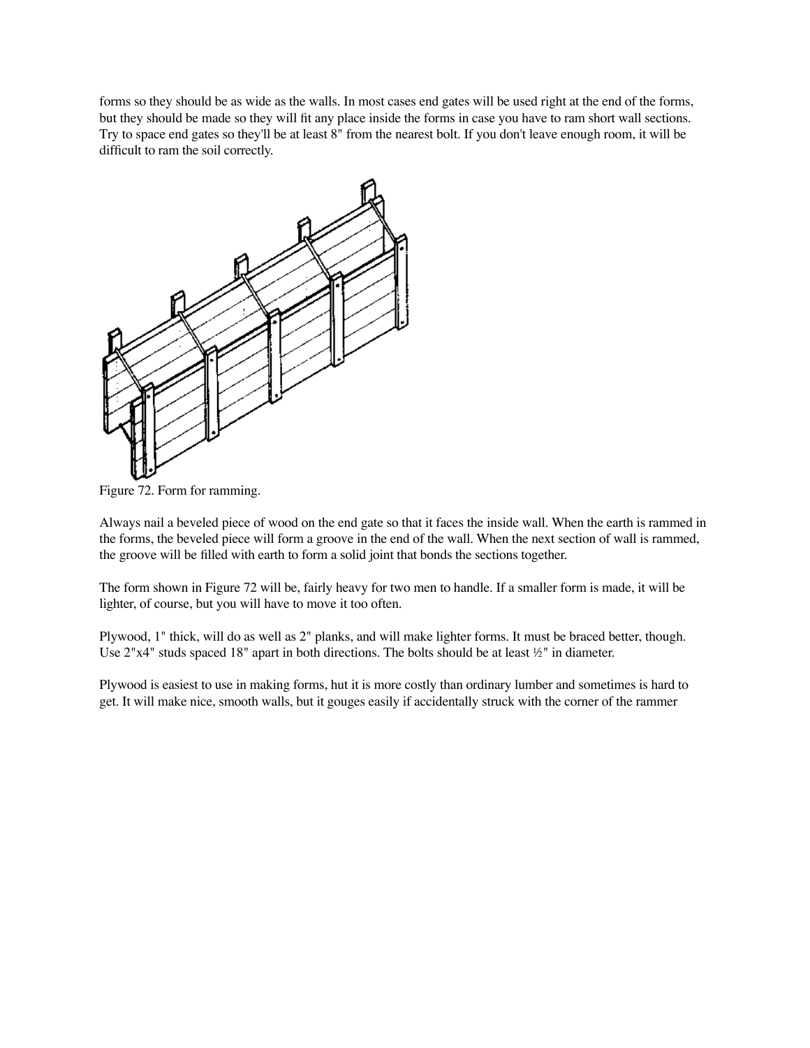forms so they should be as wide as the walls. In most cases end gates will be used right at the end of the forms, but they should be made so they will fit any place inside the forms in case you have to ram short wall sections. Try to space end gates so they'll be at least 8" from the nearest bolt. If you don't leave enough room, it will be difficult to ram the soil correctly.



Figure 72. Form for ramming.

Always nail a beveled piece of wood on the end gate so that it faces the inside wall. When the earth is rammed in the forms, the beveled piece will form a groove in the end of the wall. When the next section of wall is rammed, the groove will be filled with earth to form a solid joint that bonds the sections together.

The form shown in Figure 72 will be, fairly heavy for two men to handle. If a smaller form is made, it will be lighter, of course, but you will have to move it too often.

Plywood, 1" thick, will do as well as 2" planks, and will make lighter forms. It must be braced better, though. Use 2"x4" studs spaced 18" apart in both directions. The bolts should be at least ½" in diameter.

Plywood is easiest to use in making forms, hut it is more costly than ordinary lumber and sometimes is hard to get. It will make nice, smooth walls, but it gouges easily if accidentally struck with the corner of the rammer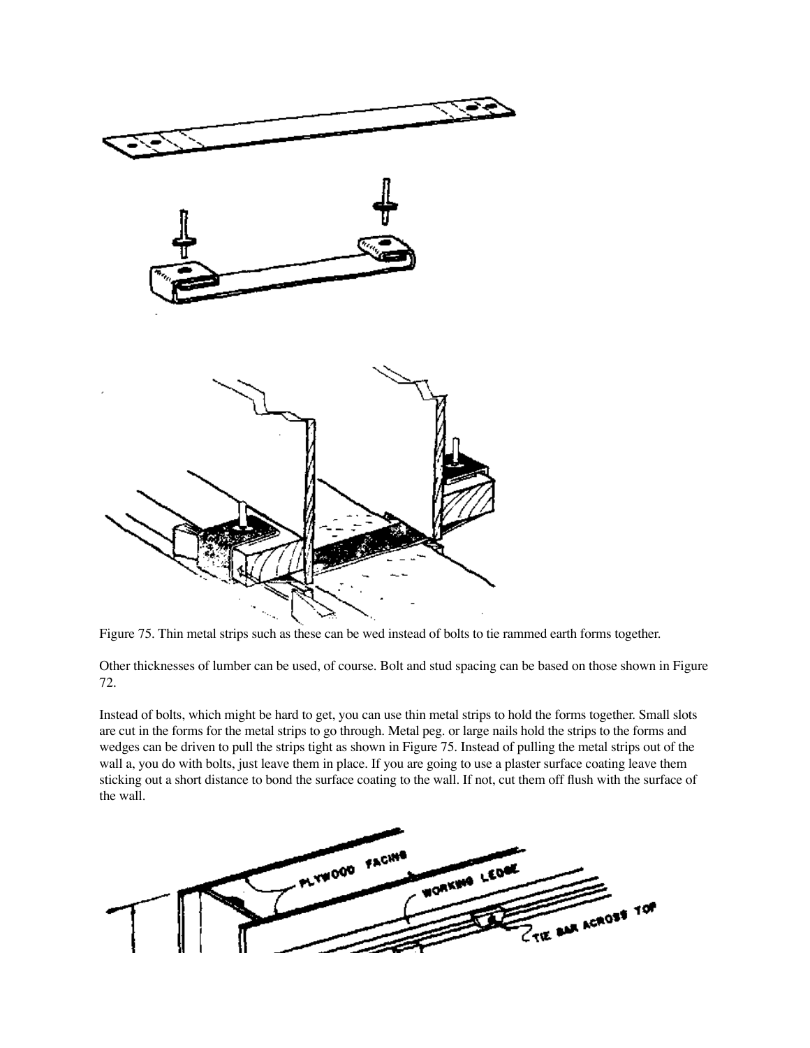



Other thicknesses of lumber can be used, of course. Bolt and stud spacing can be based on those shown in Figure 72.

Instead of bolts, which might be hard to get, you can use thin metal strips to hold the forms together. Small slots are cut in the forms for the metal strips to go through. Metal peg. or large nails hold the strips to the forms and wedges can be driven to pull the strips tight as shown in Figure 75. Instead of pulling the metal strips out of the wall a, you do with bolts, just leave them in place. If you are going to use a plaster surface coating leave them sticking out a short distance to bond the surface coating to the wall. If not, cut them off flush with the surface of the wall.

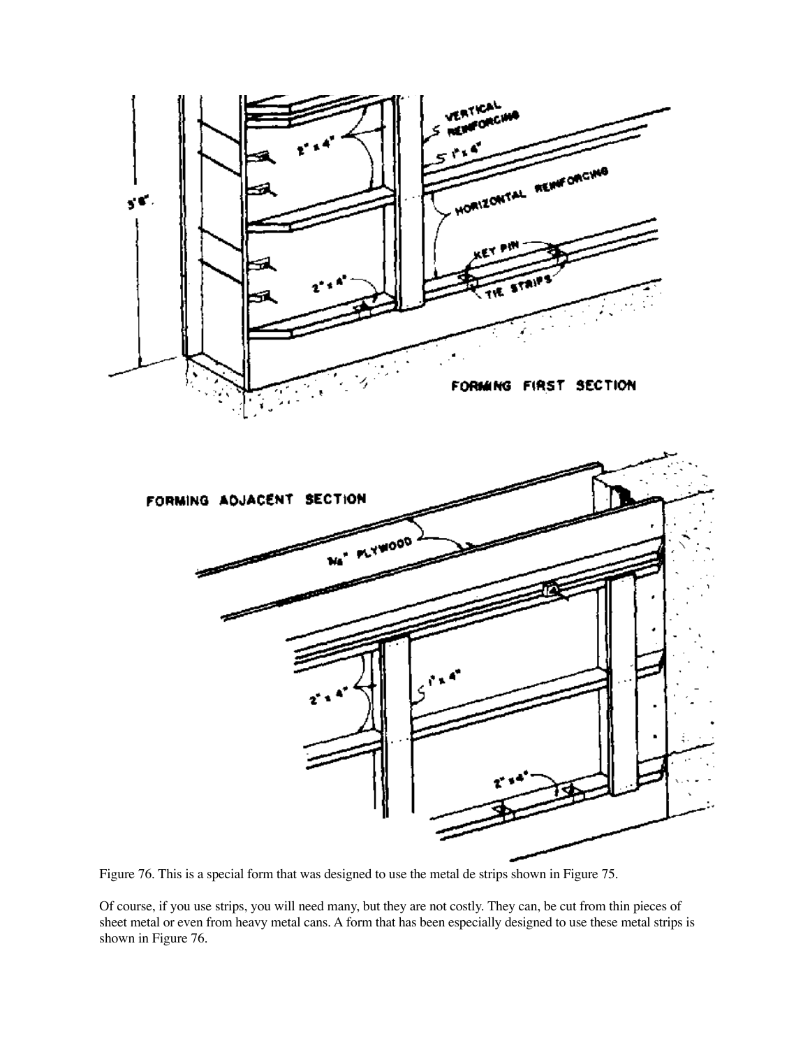

Figure 76. This is a special form that was designed to use the metal de strips shown in Figure 75.

Of course, if you use strips, you will need many, but they are not costly. They can, be cut from thin pieces of sheet metal or even from heavy metal cans. A form that has been especially designed to use these metal strips is shown in Figure 76.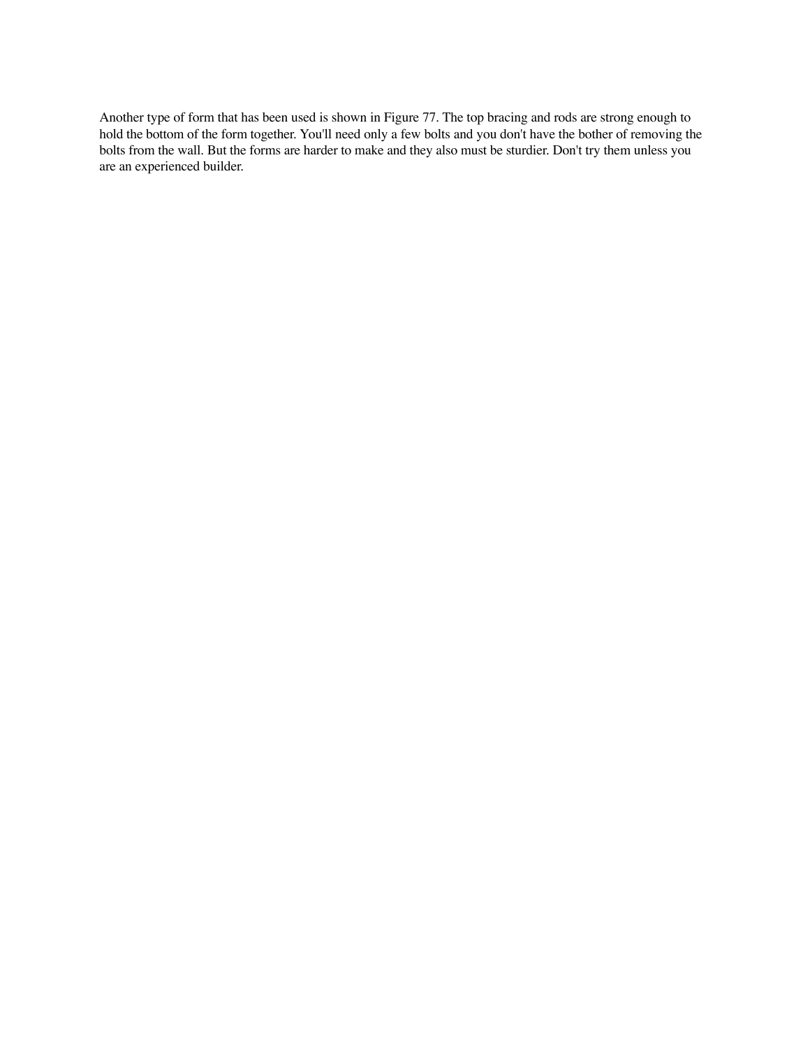Another type of form that has been used is shown in Figure 77. The top bracing and rods are strong enough to hold the bottom of the form together. You'll need only a few bolts and you don't have the bother of removing the bolts from the wall. But the forms are harder to make and they also must be sturdier. Don't try them unless you are an experienced builder.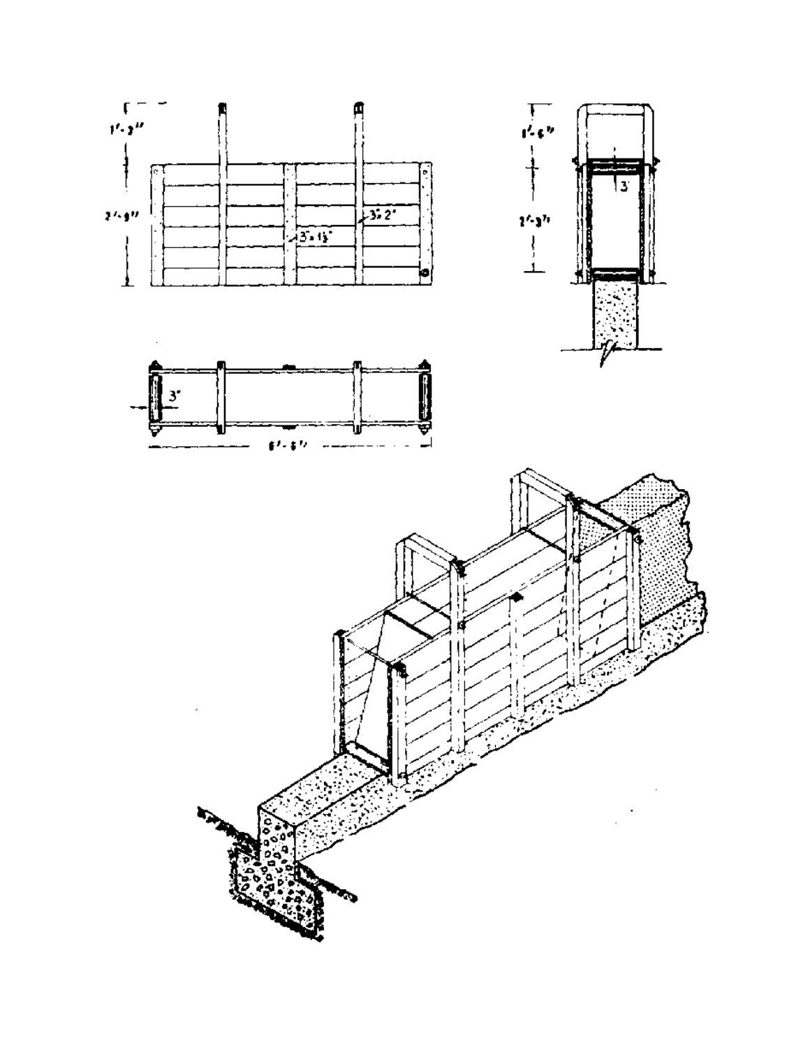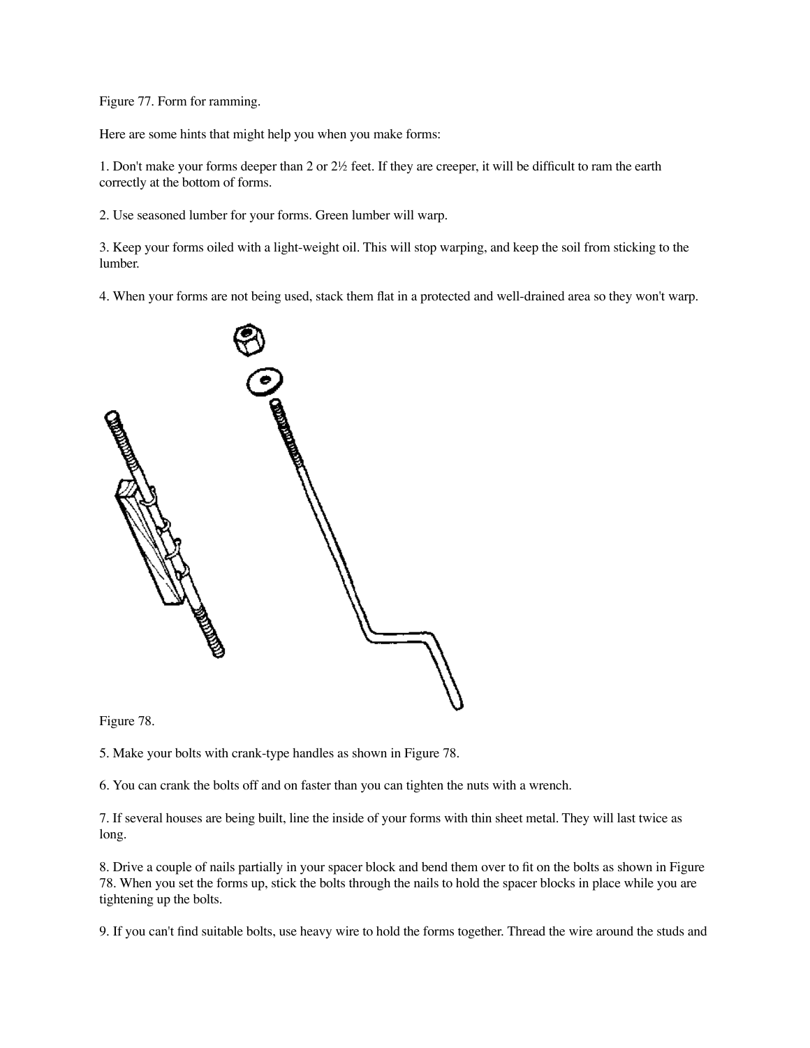Figure 77. Form for ramming.

Here are some hints that might help you when you make forms:

1. Don't make your forms deeper than 2 or 2½ feet. If they are creeper, it will be difficult to ram the earth correctly at the bottom of forms.

2. Use seasoned lumber for your forms. Green lumber will warp.

3. Keep your forms oiled with a light-weight oil. This will stop warping, and keep the soil from sticking to the lumber.

4. When your forms are not being used, stack them flat in a protected and well-drained area so they won't warp.



Figure 78.

5. Make your bolts with crank-type handles as shown in Figure 78.

6. You can crank the bolts off and on faster than you can tighten the nuts with a wrench.

7. If several houses are being built, line the inside of your forms with thin sheet metal. They will last twice as long.

8. Drive a couple of nails partially in your spacer block and bend them over to fit on the bolts as shown in Figure 78. When you set the forms up, stick the bolts through the nails to hold the spacer blocks in place while you are tightening up the bolts.

9. If you can't find suitable bolts, use heavy wire to hold the forms together. Thread the wire around the studs and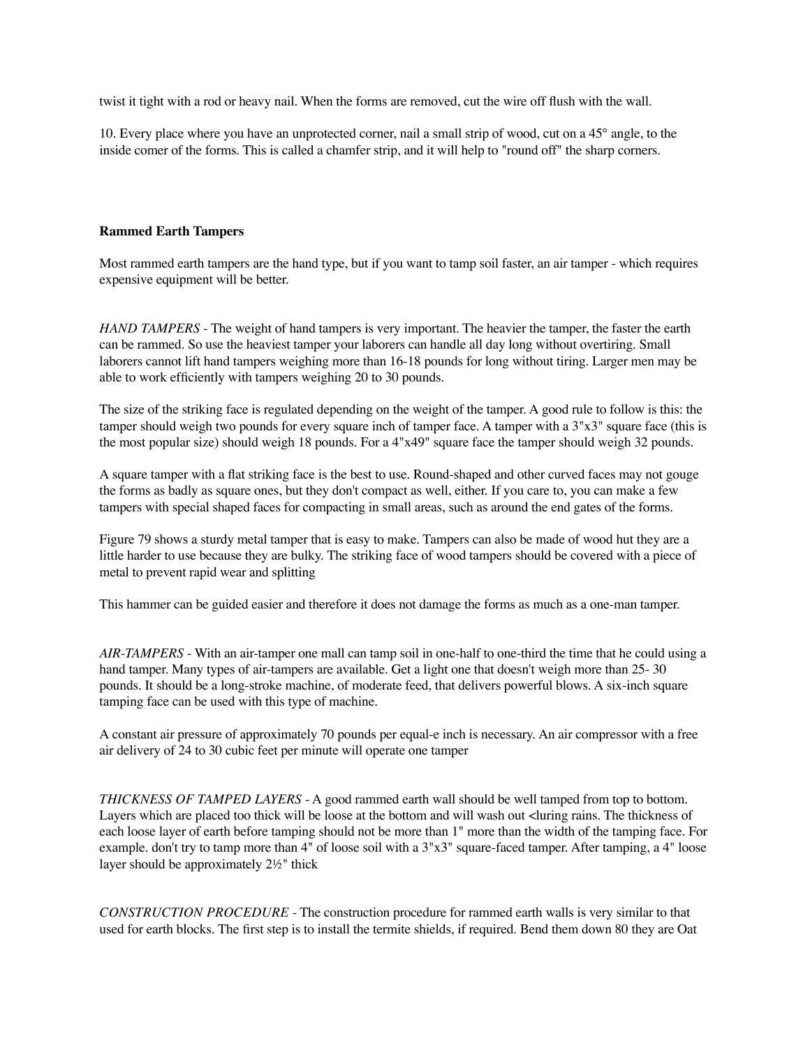twist it tight with a rod or heavy nail. When the forms are removed, cut the wire off flush with the wall.

10. Every place where you have an unprotected corner, nail a small strip of wood, cut on a 45° angle, to the inside comer of the forms. This is called a chamfer strip, and it will help to "round off" the sharp corners.

#### **Rammed Earth Tampers**

Most rammed earth tampers are the hand type, but if you want to tamp soil faster, an air tamper - which requires expensive equipment will be better.

*HAND TAMPERS* - The weight of hand tampers is very important. The heavier the tamper, the faster the earth can be rammed. So use the heaviest tamper your laborers can handle all day long without overtiring. Small laborers cannot lift hand tampers weighing more than 16-18 pounds for long without tiring. Larger men may be able to work efficiently with tampers weighing 20 to 30 pounds.

The size of the striking face is regulated depending on the weight of the tamper. A good rule to follow is this: the tamper should weigh two pounds for every square inch of tamper face. A tamper with a 3"x3" square face (this is the most popular size) should weigh 18 pounds. For a 4"x49" square face the tamper should weigh 32 pounds.

A square tamper with a flat striking face is the best to use. Round-shaped and other curved faces may not gouge the forms as badly as square ones, but they don't compact as well, either. If you care to, you can make a few tampers with special shaped faces for compacting in small areas, such as around the end gates of the forms.

Figure 79 shows a sturdy metal tamper that is easy to make. Tampers can also be made of wood hut they are a little harder to use because they are bulky. The striking face of wood tampers should be covered with a piece of metal to prevent rapid wear and splitting

This hammer can be guided easier and therefore it does not damage the forms as much as a one-man tamper.

*AIR-TAMPERS* - With an air-tamper one mall can tamp soil in one-half to one-third the time that he could using a hand tamper. Many types of air-tampers are available. Get a light one that doesn't weigh more than 25- 30 pounds. It should be a long-stroke machine, of moderate feed, that delivers powerful blows. A six-inch square tamping face can be used with this type of machine.

A constant air pressure of approximately 70 pounds per equal-e inch is necessary. An air compressor with a free air delivery of 24 to 30 cubic feet per minute will operate one tamper

*THICKNESS OF TAMPED LAYERS* - A good rammed earth wall should be well tamped from top to bottom. Layers which are placed too thick will be loose at the bottom and will wash out <luring rains. The thickness of each loose layer of earth before tamping should not be more than 1" more than the width of the tamping face. For example. don't try to tamp more than 4" of loose soil with a 3"x3" square-faced tamper. After tamping, a 4" loose layer should be approximately 2½" thick

*CONSTRUCTION PROCEDURE* - The construction procedure for rammed earth walls is very similar to that used for earth blocks. The first step is to install the termite shields, if required. Bend them down 80 they are Oat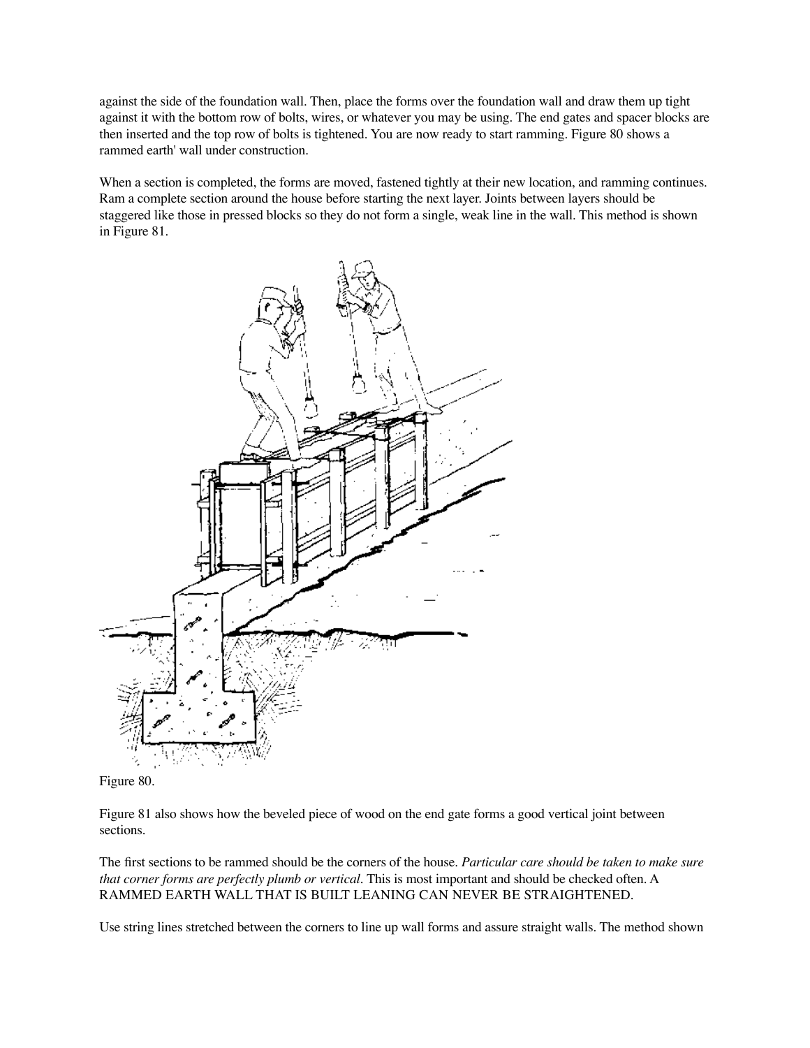against the side of the foundation wall. Then, place the forms over the foundation wall and draw them up tight against it with the bottom row of bolts, wires, or whatever you may be using. The end gates and spacer blocks are then inserted and the top row of bolts is tightened. You are now ready to start ramming. Figure 80 shows a rammed earth' wall under construction.

When a section is completed, the forms are moved, fastened tightly at their new location, and ramming continues. Ram a complete section around the house before starting the next layer. Joints between layers should be staggered like those in pressed blocks so they do not form a single, weak line in the wall. This method is shown in Figure 81.





Figure 81 also shows how the beveled piece of wood on the end gate forms a good vertical joint between sections.

The first sections to be rammed should be the corners of the house. *Particular care should be taken to make sure that corner forms are perfectly plumb or vertical*. This is most important and should be checked often. A RAMMED EARTH WALL THAT IS BUILT LEANING CAN NEVER BE STRAIGHTENED.

Use string lines stretched between the corners to line up wall forms and assure straight walls. The method shown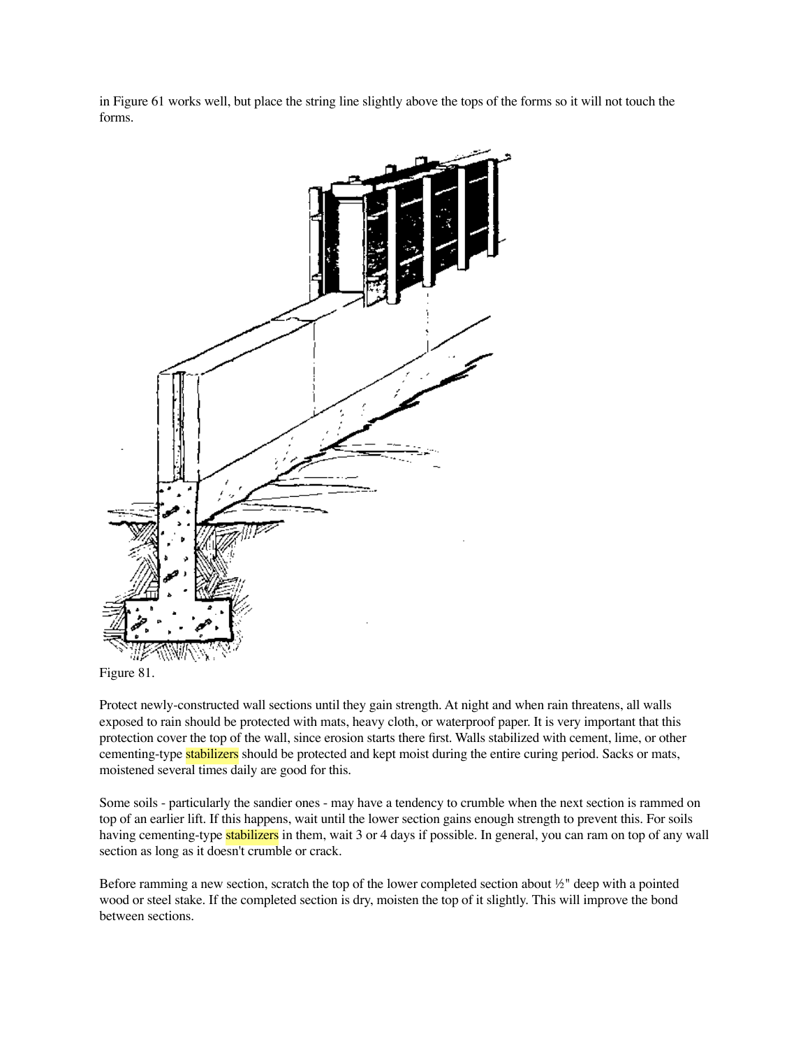in Figure 61 works well, but place the string line slightly above the tops of the forms so it will not touch the forms.





Protect newly-constructed wall sections until they gain strength. At night and when rain threatens, all walls exposed to rain should be protected with mats, heavy cloth, or waterproof paper. It is very important that this protection cover the top of the wall, since erosion starts there first. Walls stabilized with cement, lime, or other cementing-type stabilizers should be protected and kept moist during the entire curing period. Sacks or mats, moistened several times daily are good for this.

Some soils - particularly the sandier ones - may have a tendency to crumble when the next section is rammed on top of an earlier lift. If this happens, wait until the lower section gains enough strength to prevent this. For soils having cementing-type **stabilizers** in them, wait 3 or 4 days if possible. In general, you can ram on top of any wall section as long as it doesn't crumble or crack.

Before ramming a new section, scratch the top of the lower completed section about  $\frac{1}{2}$ " deep with a pointed wood or steel stake. If the completed section is dry, moisten the top of it slightly. This will improve the bond between sections.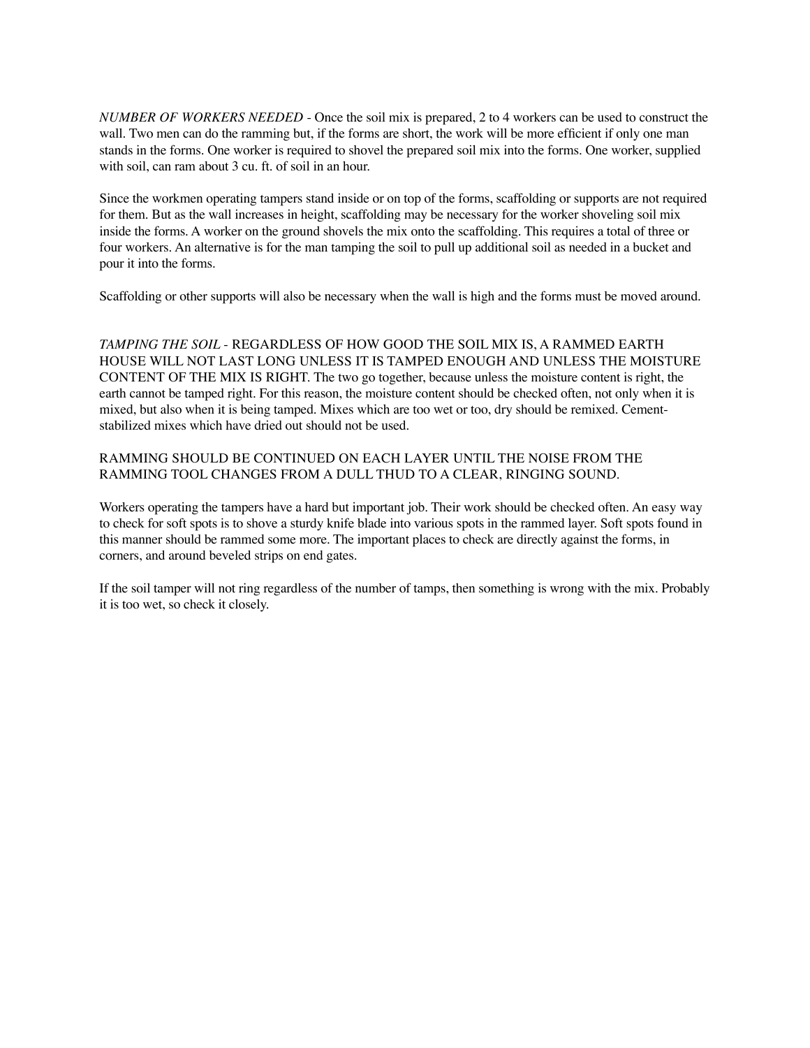*NUMBER OF WORKERS NEEDED* - Once the soil mix is prepared, 2 to 4 workers can be used to construct the wall. Two men can do the ramming but, if the forms are short, the work will be more efficient if only one man stands in the forms. One worker is required to shovel the prepared soil mix into the forms. One worker, supplied with soil, can ram about 3 cu. ft. of soil in an hour.

Since the workmen operating tampers stand inside or on top of the forms, scaffolding or supports are not required for them. But as the wall increases in height, scaffolding may be necessary for the worker shoveling soil mix inside the forms. A worker on the ground shovels the mix onto the scaffolding. This requires a total of three or four workers. An alternative is for the man tamping the soil to pull up additional soil as needed in a bucket and pour it into the forms.

Scaffolding or other supports will also be necessary when the wall is high and the forms must be moved around.

*TAMPING THE SOIL* - REGARDLESS OF HOW GOOD THE SOIL MIX IS, A RAMMED EARTH HOUSE WILL NOT LAST LONG UNLESS IT IS TAMPED ENOUGH AND UNLESS THE MOISTURE CONTENT OF THE MIX IS RIGHT. The two go together, because unless the moisture content is right, the earth cannot be tamped right. For this reason, the moisture content should be checked often, not only when it is mixed, but also when it is being tamped. Mixes which are too wet or too, dry should be remixed. Cementstabilized mixes which have dried out should not be used.

#### RAMMING SHOULD BE CONTINUED ON EACH LAYER UNTIL THE NOISE FROM THE RAMMING TOOL CHANGES FROM A DULL THUD TO A CLEAR, RINGING SOUND.

Workers operating the tampers have a hard but important job. Their work should be checked often. An easy way to check for soft spots is to shove a sturdy knife blade into various spots in the rammed layer. Soft spots found in this manner should be rammed some more. The important places to check are directly against the forms, in corners, and around beveled strips on end gates.

If the soil tamper will not ring regardless of the number of tamps, then something is wrong with the mix. Probably it is too wet, so check it closely.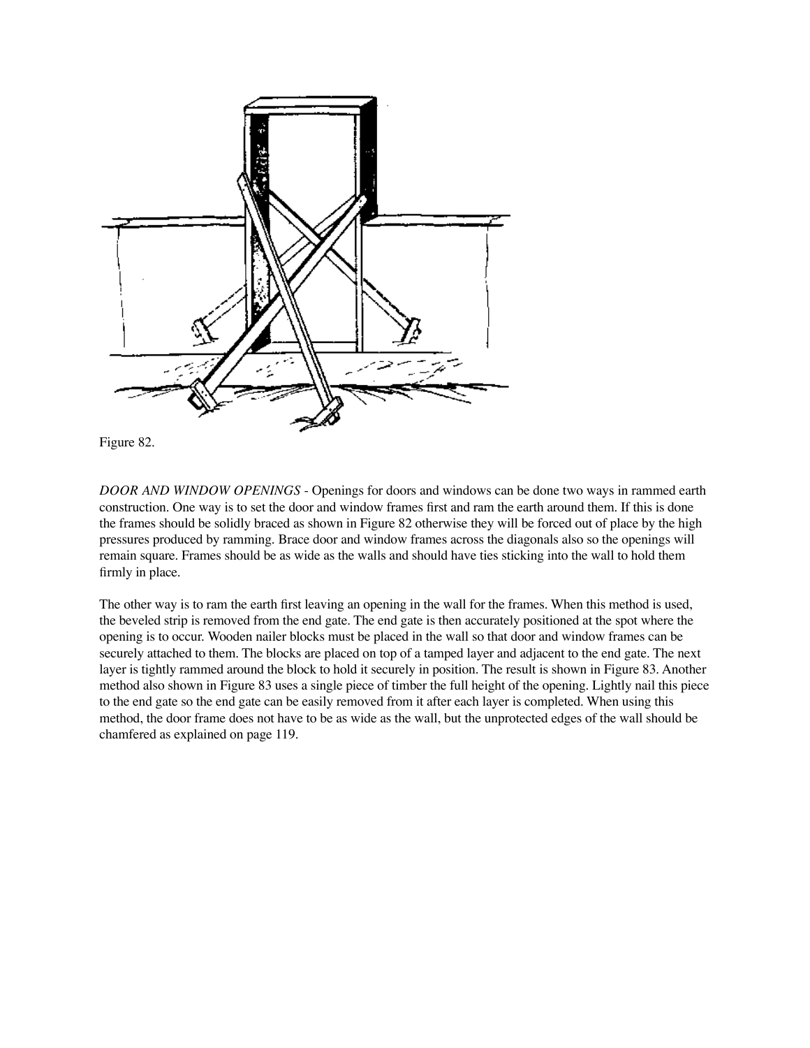



*DOOR AND WINDOW OPENINGS* - Openings for doors and windows can be done two ways in rammed earth construction. One way is to set the door and window frames first and ram the earth around them. If this is done the frames should be solidly braced as shown in Figure 82 otherwise they will be forced out of place by the high pressures produced by ramming. Brace door and window frames across the diagonals also so the openings will remain square. Frames should be as wide as the walls and should have ties sticking into the wall to hold them firmly in place.

The other way is to ram the earth first leaving an opening in the wall for the frames. When this method is used, the beveled strip is removed from the end gate. The end gate is then accurately positioned at the spot where the opening is to occur. Wooden nailer blocks must be placed in the wall so that door and window frames can be securely attached to them. The blocks are placed on top of a tamped layer and adjacent to the end gate. The next layer is tightly rammed around the block to hold it securely in position. The result is shown in Figure 83. Another method also shown in Figure 83 uses a single piece of timber the full height of the opening. Lightly nail this piece to the end gate so the end gate can be easily removed from it after each layer is completed. When using this method, the door frame does not have to be as wide as the wall, but the unprotected edges of the wall should be chamfered as explained on page 119.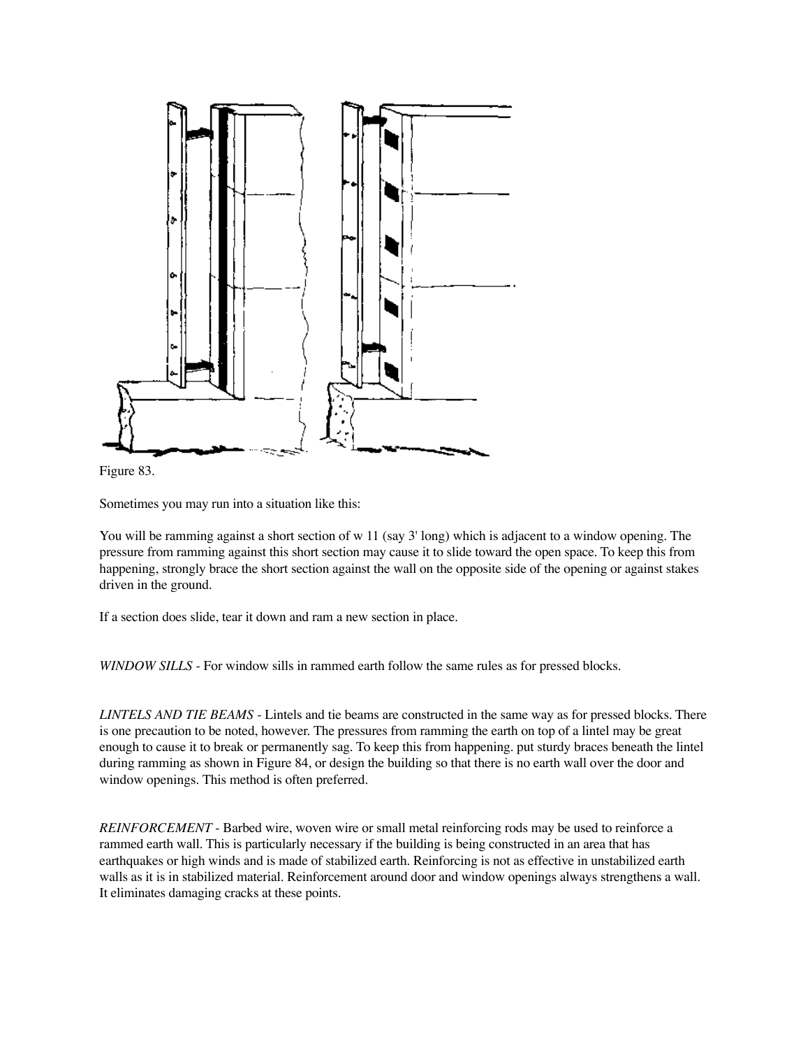



Sometimes you may run into a situation like this:

You will be ramming against a short section of w 11 (say 3' long) which is adjacent to a window opening. The pressure from ramming against this short section may cause it to slide toward the open space. To keep this from happening, strongly brace the short section against the wall on the opposite side of the opening or against stakes driven in the ground.

If a section does slide, tear it down and ram a new section in place.

*WINDOW SILLS* - For window sills in rammed earth follow the same rules as for pressed blocks.

*LINTELS AND TIE BEAMS* - Lintels and tie beams are constructed in the same way as for pressed blocks. There is one precaution to be noted, however. The pressures from ramming the earth on top of a lintel may be great enough to cause it to break or permanently sag. To keep this from happening. put sturdy braces beneath the lintel during ramming as shown in Figure 84, or design the building so that there is no earth wall over the door and window openings. This method is often preferred.

*REINFORCEMENT* - Barbed wire, woven wire or small metal reinforcing rods may be used to reinforce a rammed earth wall. This is particularly necessary if the building is being constructed in an area that has earthquakes or high winds and is made of stabilized earth. Reinforcing is not as effective in unstabilized earth walls as it is in stabilized material. Reinforcement around door and window openings always strengthens a wall. It eliminates damaging cracks at these points.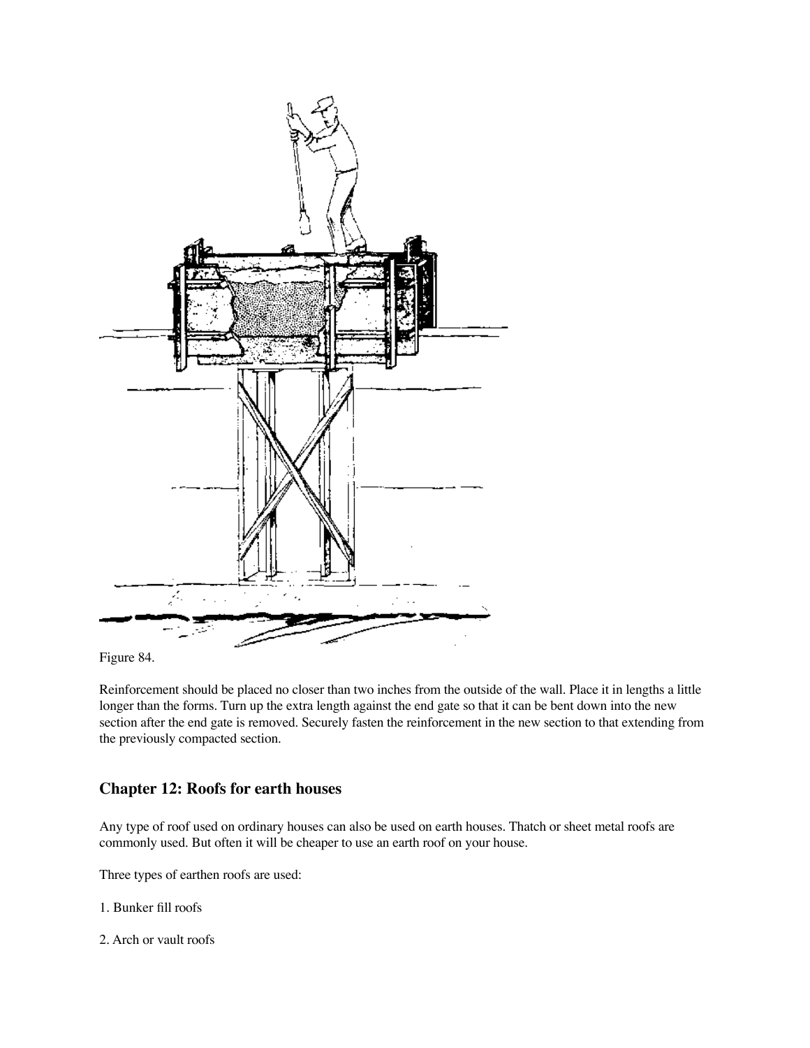

Figure 84.

Reinforcement should be placed no closer than two inches from the outside of the wall. Place it in lengths a little longer than the forms. Turn up the extra length against the end gate so that it can be bent down into the new section after the end gate is removed. Securely fasten the reinforcement in the new section to that extending from the previously compacted section.

## **Chapter 12: Roofs for earth houses**

Any type of roof used on ordinary houses can also be used on earth houses. Thatch or sheet metal roofs are commonly used. But often it will be cheaper to use an earth roof on your house.

Three types of earthen roofs are used:

- 1. Bunker fill roofs
- 2. Arch or vault roofs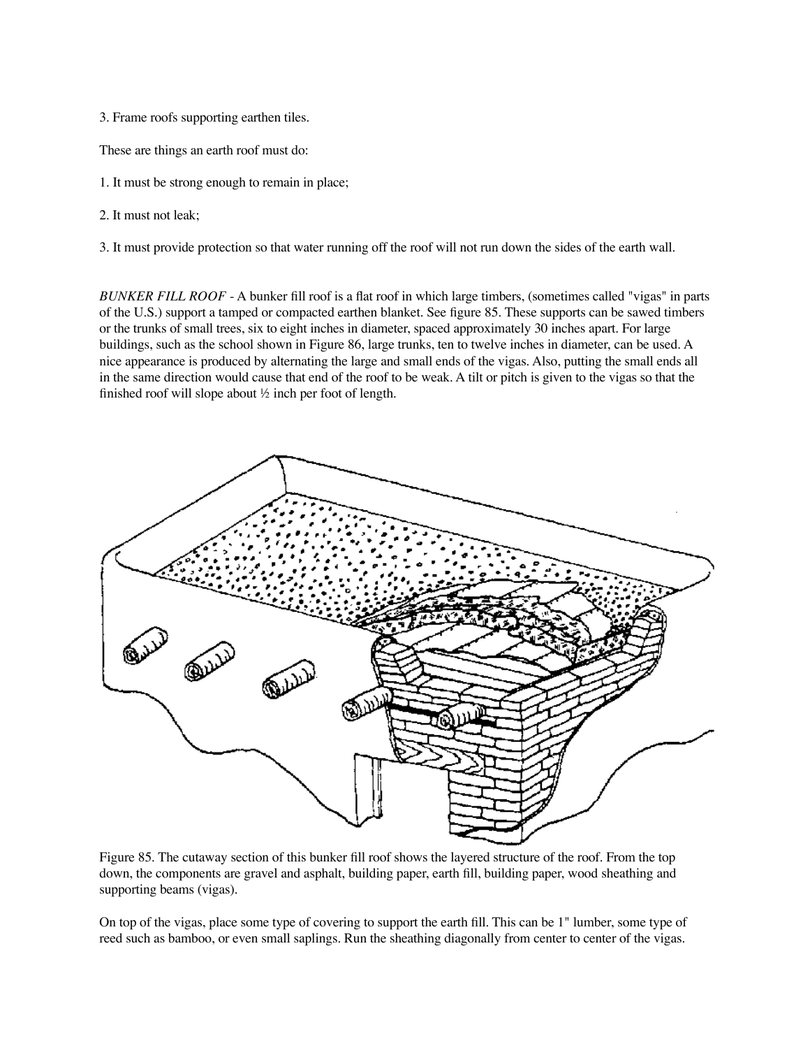3. Frame roofs supporting earthen tiles.

These are things an earth roof must do:

- 1. It must be strong enough to remain in place;
- 2. It must not leak;
- 3. It must provide protection so that water running off the roof will not run down the sides of the earth wall.

*BUNKER FILL ROOF* - A bunker fill roof is a flat roof in which large timbers, (sometimes called "vigas" in parts of the U.S.) support a tamped or compacted earthen blanket. See figure 85. These supports can be sawed timbers or the trunks of small trees, six to eight inches in diameter, spaced approximately 30 inches apart. For large buildings, such as the school shown in Figure 86, large trunks, ten to twelve inches in diameter, can be used. A nice appearance is produced by alternating the large and small ends of the vigas. Also, putting the small ends all in the same direction would cause that end of the roof to be weak. A tilt or pitch is given to the vigas so that the finished roof will slope about ½ inch per foot of length.



Figure 85. The cutaway section of this bunker fill roof shows the layered structure of the roof. From the top down, the components are gravel and asphalt, building paper, earth fill, building paper, wood sheathing and supporting beams (vigas).

On top of the vigas, place some type of covering to support the earth fill. This can be 1" lumber, some type of reed such as bamboo, or even small saplings. Run the sheathing diagonally from center to center of the vigas.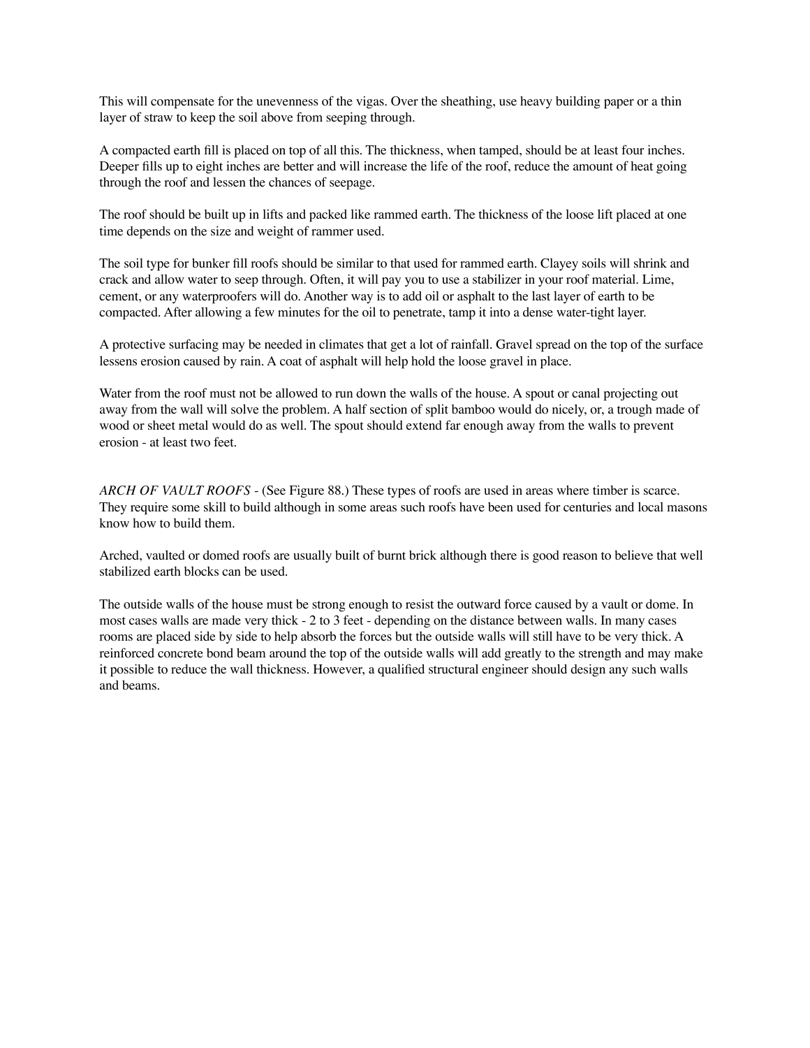This will compensate for the unevenness of the vigas. Over the sheathing, use heavy building paper or a thin layer of straw to keep the soil above from seeping through.

A compacted earth fill is placed on top of all this. The thickness, when tamped, should be at least four inches. Deeper fills up to eight inches are better and will increase the life of the roof, reduce the amount of heat going through the roof and lessen the chances of seepage.

The roof should be built up in lifts and packed like rammed earth. The thickness of the loose lift placed at one time depends on the size and weight of rammer used.

The soil type for bunker fill roofs should be similar to that used for rammed earth. Clayey soils will shrink and crack and allow water to seep through. Often, it will pay you to use a stabilizer in your roof material. Lime, cement, or any waterproofers will do. Another way is to add oil or asphalt to the last layer of earth to be compacted. After allowing a few minutes for the oil to penetrate, tamp it into a dense water-tight layer.

A protective surfacing may be needed in climates that get a lot of rainfall. Gravel spread on the top of the surface lessens erosion caused by rain. A coat of asphalt will help hold the loose gravel in place.

Water from the roof must not be allowed to run down the walls of the house. A spout or canal projecting out away from the wall will solve the problem. A half section of split bamboo would do nicely, or, a trough made of wood or sheet metal would do as well. The spout should extend far enough away from the walls to prevent erosion - at least two feet.

*ARCH OF VAULT ROOFS* - (See Figure 88.) These types of roofs are used in areas where timber is scarce. They require some skill to build although in some areas such roofs have been used for centuries and local masons know how to build them.

Arched, vaulted or domed roofs are usually built of burnt brick although there is good reason to believe that well stabilized earth blocks can be used.

The outside walls of the house must be strong enough to resist the outward force caused by a vault or dome. In most cases walls are made very thick - 2 to 3 feet - depending on the distance between walls. In many cases rooms are placed side by side to help absorb the forces but the outside walls will still have to be very thick. A reinforced concrete bond beam around the top of the outside walls will add greatly to the strength and may make it possible to reduce the wall thickness. However, a qualified structural engineer should design any such walls and beams.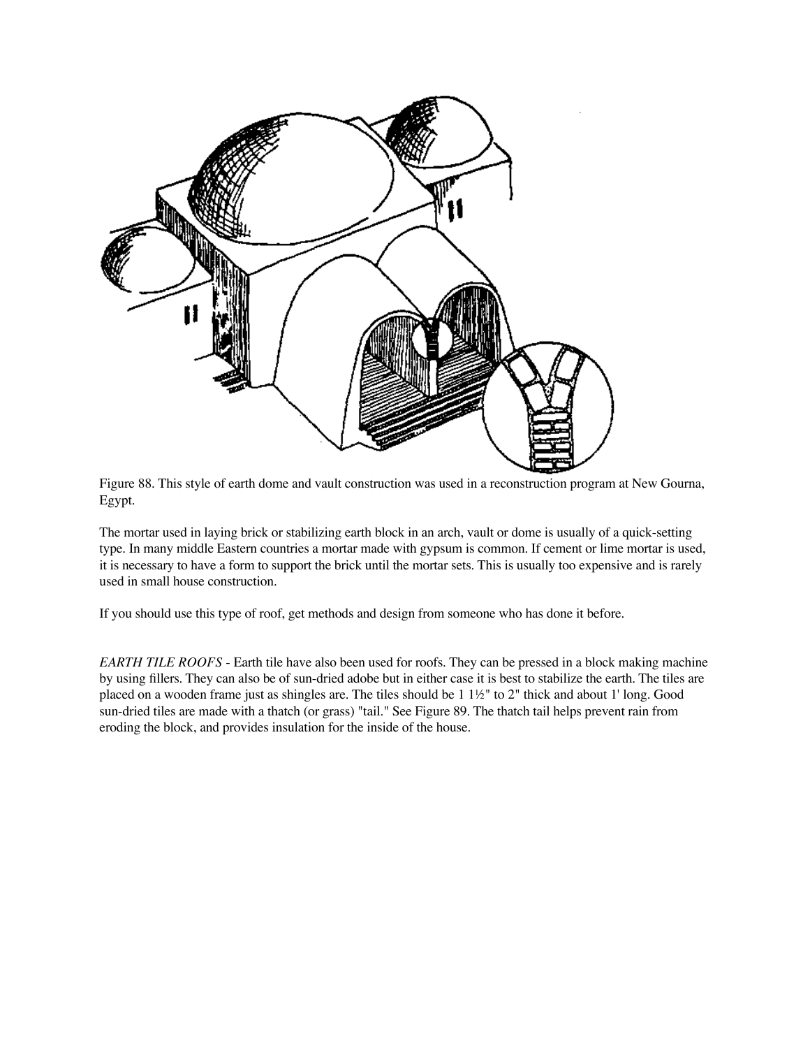

Figure 88. This style of earth dome and vault construction was used in a reconstruction program at New Gourna, Egypt.

The mortar used in laying brick or stabilizing earth block in an arch, vault or dome is usually of a quick-setting type. In many middle Eastern countries a mortar made with gypsum is common. If cement or lime mortar is used, it is necessary to have a form to support the brick until the mortar sets. This is usually too expensive and is rarely used in small house construction.

If you should use this type of roof, get methods and design from someone who has done it before.

*EARTH TILE ROOFS* - Earth tile have also been used for roofs. They can be pressed in a block making machine by using fillers. They can also be of sun-dried adobe but in either case it is best to stabilize the earth. The tiles are placed on a wooden frame just as shingles are. The tiles should be 1 1½" to 2" thick and about 1' long. Good sun-dried tiles are made with a thatch (or grass) "tail." See Figure 89. The thatch tail helps prevent rain from eroding the block, and provides insulation for the inside of the house.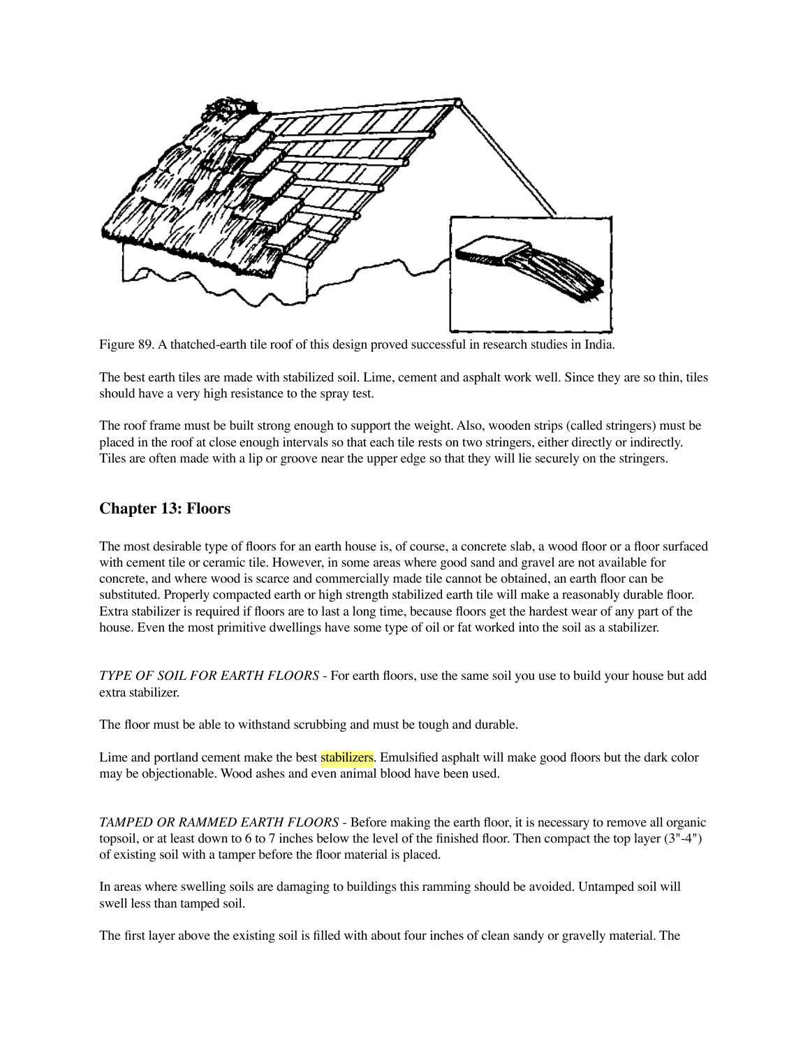

Figure 89. A thatched-earth tile roof of this design proved successful in research studies in India.

The best earth tiles are made with stabilized soil. Lime, cement and asphalt work well. Since they are so thin, tiles should have a very high resistance to the spray test.

The roof frame must be built strong enough to support the weight. Also, wooden strips (called stringers) must be placed in the roof at close enough intervals so that each tile rests on two stringers, either directly or indirectly. Tiles are often made with a lip or groove near the upper edge so that they will lie securely on the stringers.

## **Chapter 13: Floors**

The most desirable type of floors for an earth house is, of course, a concrete slab, a wood floor or a floor surfaced with cement tile or ceramic tile. However, in some areas where good sand and gravel are not available for concrete, and where wood is scarce and commercially made tile cannot be obtained, an earth floor can be substituted. Properly compacted earth or high strength stabilized earth tile will make a reasonably durable floor. Extra stabilizer is required if floors are to last a long time, because floors get the hardest wear of any part of the house. Even the most primitive dwellings have some type of oil or fat worked into the soil as a stabilizer.

*TYPE OF SOIL FOR EARTH FLOORS* - For earth floors, use the same soil you use to build your house but add extra stabilizer.

The floor must be able to withstand scrubbing and must be tough and durable.

Lime and portland cement make the best **stabilizers**. Emulsified asphalt will make good floors but the dark color may be objectionable. Wood ashes and even animal blood have been used.

*TAMPED OR RAMMED EARTH FLOORS* - Before making the earth floor, it is necessary to remove all organic topsoil, or at least down to 6 to 7 inches below the level of the finished floor. Then compact the top layer (3"-4") of existing soil with a tamper before the floor material is placed.

In areas where swelling soils are damaging to buildings this ramming should be avoided. Untamped soil will swell less than tamped soil.

The first layer above the existing soil is filled with about four inches of clean sandy or gravelly material. The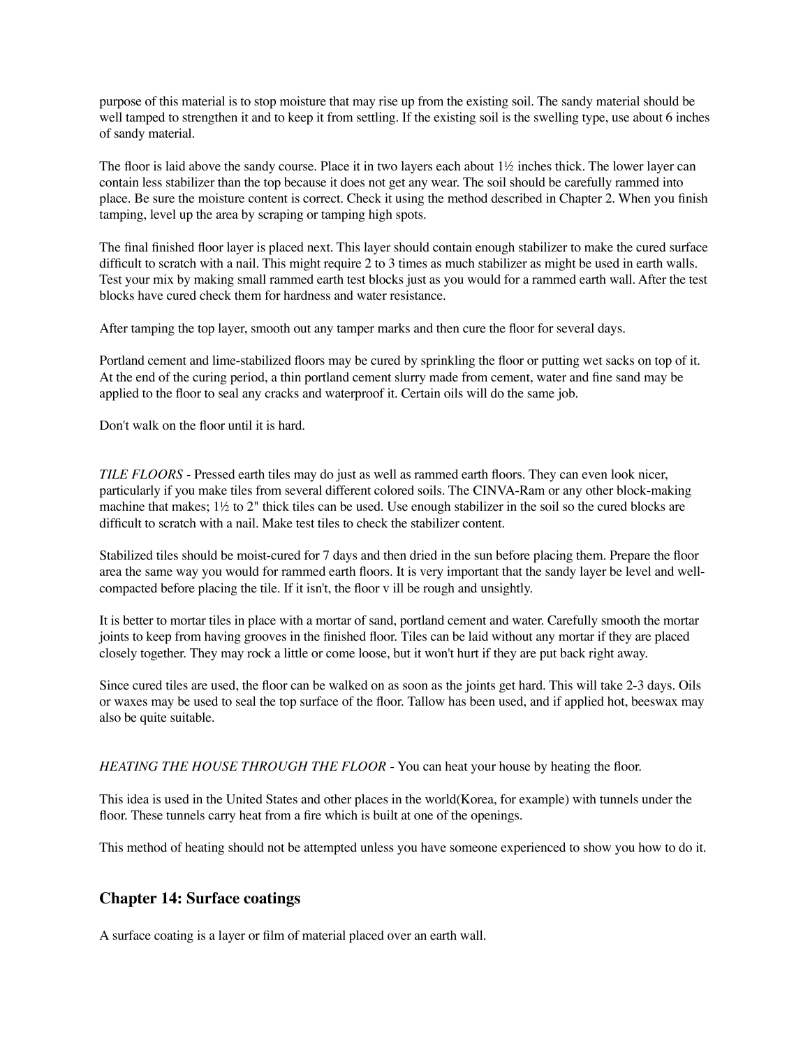purpose of this material is to stop moisture that may rise up from the existing soil. The sandy material should be well tamped to strengthen it and to keep it from settling. If the existing soil is the swelling type, use about 6 inches of sandy material.

The floor is laid above the sandy course. Place it in two layers each about  $1\frac{1}{2}$  inches thick. The lower layer can contain less stabilizer than the top because it does not get any wear. The soil should be carefully rammed into place. Be sure the moisture content is correct. Check it using the method described in Chapter 2. When you finish tamping, level up the area by scraping or tamping high spots.

The final finished floor layer is placed next. This layer should contain enough stabilizer to make the cured surface difficult to scratch with a nail. This might require 2 to 3 times as much stabilizer as might be used in earth walls. Test your mix by making small rammed earth test blocks just as you would for a rammed earth wall. After the test blocks have cured check them for hardness and water resistance.

After tamping the top layer, smooth out any tamper marks and then cure the floor for several days.

Portland cement and lime-stabilized floors may be cured by sprinkling the floor or putting wet sacks on top of it. At the end of the curing period, a thin portland cement slurry made from cement, water and fine sand may be applied to the floor to seal any cracks and waterproof it. Certain oils will do the same job.

Don't walk on the floor until it is hard.

*TILE FLOORS* - Pressed earth tiles may do just as well as rammed earth floors. They can even look nicer, particularly if you make tiles from several different colored soils. The CINVA-Ram or any other block-making machine that makes; 1½ to 2" thick tiles can be used. Use enough stabilizer in the soil so the cured blocks are difficult to scratch with a nail. Make test tiles to check the stabilizer content.

Stabilized tiles should be moist-cured for 7 days and then dried in the sun before placing them. Prepare the floor area the same way you would for rammed earth floors. It is very important that the sandy layer be level and wellcompacted before placing the tile. If it isn't, the floor v ill be rough and unsightly.

It is better to mortar tiles in place with a mortar of sand, portland cement and water. Carefully smooth the mortar joints to keep from having grooves in the finished floor. Tiles can be laid without any mortar if they are placed closely together. They may rock a little or come loose, but it won't hurt if they are put back right away.

Since cured tiles are used, the floor can be walked on as soon as the joints get hard. This will take 2-3 days. Oils or waxes may be used to seal the top surface of the floor. Tallow has been used, and if applied hot, beeswax may also be quite suitable.

*HEATING THE HOUSE THROUGH THE FLOOR* - You can heat your house by heating the floor.

This idea is used in the United States and other places in the world(Korea, for example) with tunnels under the floor. These tunnels carry heat from a fire which is built at one of the openings.

This method of heating should not be attempted unless you have someone experienced to show you how to do it.

## **Chapter 14: Surface coatings**

A surface coating is a layer or film of material placed over an earth wall.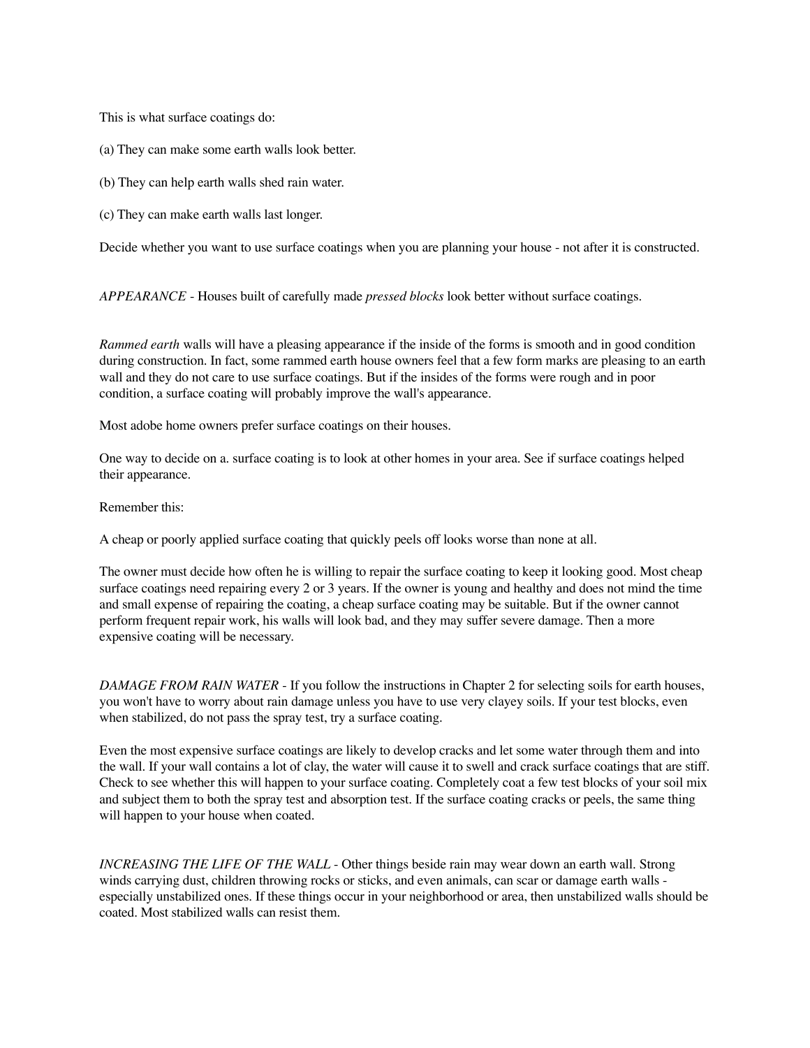This is what surface coatings do:

(a) They can make some earth walls look better.

(b) They can help earth walls shed rain water.

(c) They can make earth walls last longer.

Decide whether you want to use surface coatings when you are planning your house - not after it is constructed.

*APPEARANCE* - Houses built of carefully made *pressed blocks* look better without surface coatings.

*Rammed earth* walls will have a pleasing appearance if the inside of the forms is smooth and in good condition during construction. In fact, some rammed earth house owners feel that a few form marks are pleasing to an earth wall and they do not care to use surface coatings. But if the insides of the forms were rough and in poor condition, a surface coating will probably improve the wall's appearance.

Most adobe home owners prefer surface coatings on their houses.

One way to decide on a. surface coating is to look at other homes in your area. See if surface coatings helped their appearance.

Remember this:

A cheap or poorly applied surface coating that quickly peels off looks worse than none at all.

The owner must decide how often he is willing to repair the surface coating to keep it looking good. Most cheap surface coatings need repairing every 2 or 3 years. If the owner is young and healthy and does not mind the time and small expense of repairing the coating, a cheap surface coating may be suitable. But if the owner cannot perform frequent repair work, his walls will look bad, and they may suffer severe damage. Then a more expensive coating will be necessary.

*DAMAGE FROM RAIN WATER* - If you follow the instructions in Chapter 2 for selecting soils for earth houses, you won't have to worry about rain damage unless you have to use very clayey soils. If your test blocks, even when stabilized, do not pass the spray test, try a surface coating.

Even the most expensive surface coatings are likely to develop cracks and let some water through them and into the wall. If your wall contains a lot of clay, the water will cause it to swell and crack surface coatings that are stiff. Check to see whether this will happen to your surface coating. Completely coat a few test blocks of your soil mix and subject them to both the spray test and absorption test. If the surface coating cracks or peels, the same thing will happen to your house when coated.

*INCREASING THE LIFE OF THE WALL* - Other things beside rain may wear down an earth wall. Strong winds carrying dust, children throwing rocks or sticks, and even animals, can scar or damage earth walls especially unstabilized ones. If these things occur in your neighborhood or area, then unstabilized walls should be coated. Most stabilized walls can resist them.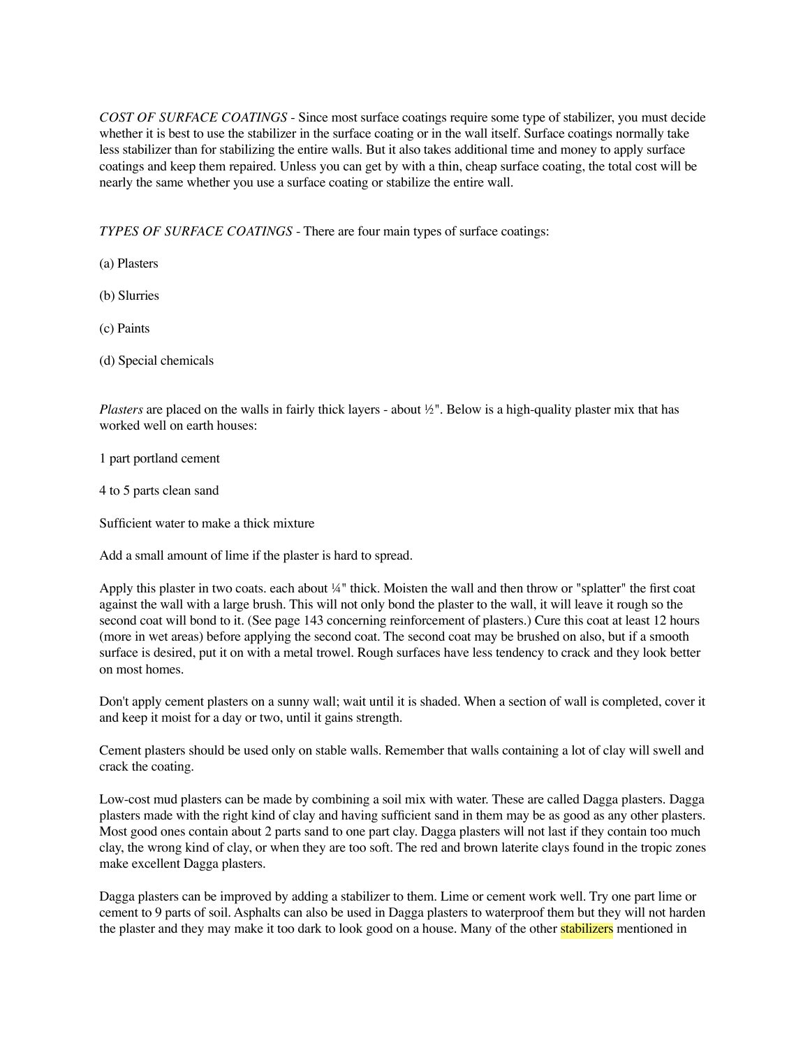*COST OF SURFACE COATINGS* - Since most surface coatings require some type of stabilizer, you must decide whether it is best to use the stabilizer in the surface coating or in the wall itself. Surface coatings normally take less stabilizer than for stabilizing the entire walls. But it also takes additional time and money to apply surface coatings and keep them repaired. Unless you can get by with a thin, cheap surface coating, the total cost will be nearly the same whether you use a surface coating or stabilize the entire wall.

*TYPES OF SURFACE COATINGS* - There are four main types of surface coatings:

(a) Plasters

(b) Slurries

(c) Paints

(d) Special chemicals

*Plasters* are placed on the walls in fairly thick layers - about ½". Below is a high-quality plaster mix that has worked well on earth houses:

1 part portland cement

4 to 5 parts clean sand

Sufficient water to make a thick mixture

Add a small amount of lime if the plaster is hard to spread.

Apply this plaster in two coats. each about  $\frac{1}{4}$ " thick. Moisten the wall and then throw or "splatter" the first coat against the wall with a large brush. This will not only bond the plaster to the wall, it will leave it rough so the second coat will bond to it. (See page 143 concerning reinforcement of plasters.) Cure this coat at least 12 hours (more in wet areas) before applying the second coat. The second coat may be brushed on also, but if a smooth surface is desired, put it on with a metal trowel. Rough surfaces have less tendency to crack and they look better on most homes.

Don't apply cement plasters on a sunny wall; wait until it is shaded. When a section of wall is completed, cover it and keep it moist for a day or two, until it gains strength.

Cement plasters should be used only on stable walls. Remember that walls containing a lot of clay will swell and crack the coating.

Low-cost mud plasters can be made by combining a soil mix with water. These are called Dagga plasters. Dagga plasters made with the right kind of clay and having sufficient sand in them may be as good as any other plasters. Most good ones contain about 2 parts sand to one part clay. Dagga plasters will not last if they contain too much clay, the wrong kind of clay, or when they are too soft. The red and brown laterite clays found in the tropic zones make excellent Dagga plasters.

Dagga plasters can be improved by adding a stabilizer to them. Lime or cement work well. Try one part lime or cement to 9 parts of soil. Asphalts can also be used in Dagga plasters to waterproof them but they will not harden the plaster and they may make it too dark to look good on a house. Many of the other **stabilizers** mentioned in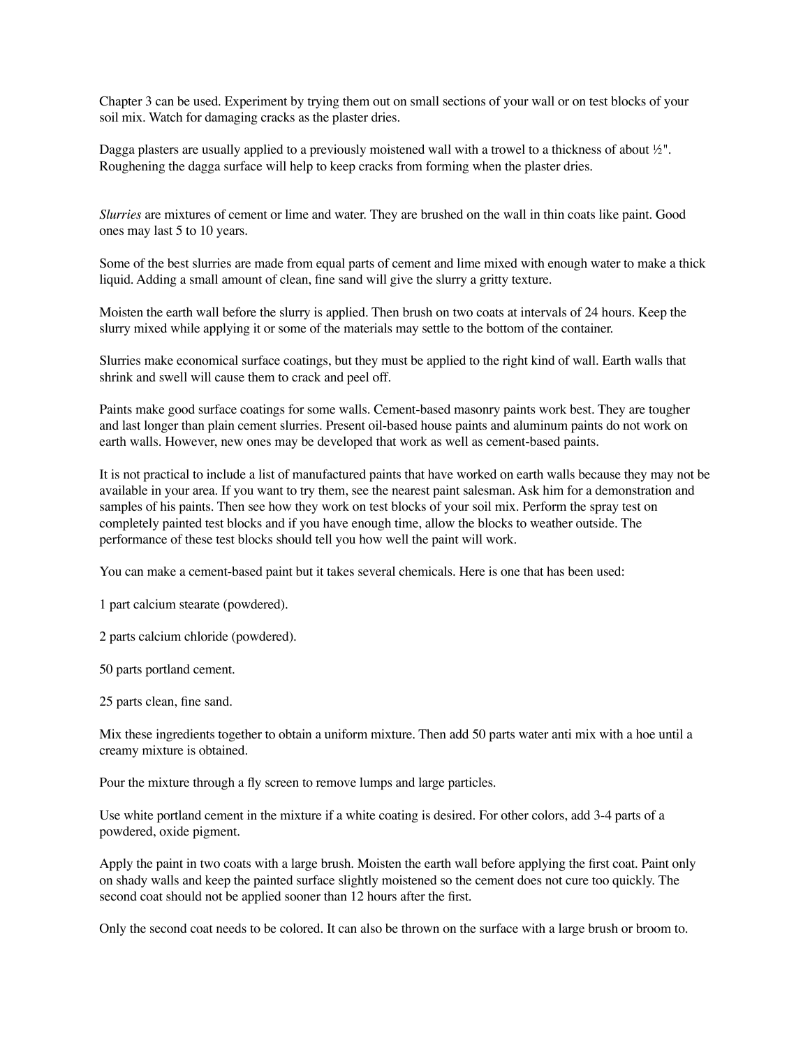Chapter 3 can be used. Experiment by trying them out on small sections of your wall or on test blocks of your soil mix. Watch for damaging cracks as the plaster dries.

Dagga plasters are usually applied to a previously moistened wall with a trowel to a thickness of about  $\frac{1}{2}$ ". Roughening the dagga surface will help to keep cracks from forming when the plaster dries.

*Slurries* are mixtures of cement or lime and water. They are brushed on the wall in thin coats like paint. Good ones may last 5 to 10 years.

Some of the best slurries are made from equal parts of cement and lime mixed with enough water to make a thick liquid. Adding a small amount of clean, fine sand will give the slurry a gritty texture.

Moisten the earth wall before the slurry is applied. Then brush on two coats at intervals of 24 hours. Keep the slurry mixed while applying it or some of the materials may settle to the bottom of the container.

Slurries make economical surface coatings, but they must be applied to the right kind of wall. Earth walls that shrink and swell will cause them to crack and peel off.

Paints make good surface coatings for some walls. Cement-based masonry paints work best. They are tougher and last longer than plain cement slurries. Present oil-based house paints and aluminum paints do not work on earth walls. However, new ones may be developed that work as well as cement-based paints.

It is not practical to include a list of manufactured paints that have worked on earth walls because they may not be available in your area. If you want to try them, see the nearest paint salesman. Ask him for a demonstration and samples of his paints. Then see how they work on test blocks of your soil mix. Perform the spray test on completely painted test blocks and if you have enough time, allow the blocks to weather outside. The performance of these test blocks should tell you how well the paint will work.

You can make a cement-based paint but it takes several chemicals. Here is one that has been used:

1 part calcium stearate (powdered).

2 parts calcium chloride (powdered).

50 parts portland cement.

25 parts clean, fine sand.

Mix these ingredients together to obtain a uniform mixture. Then add 50 parts water anti mix with a hoe until a creamy mixture is obtained.

Pour the mixture through a fly screen to remove lumps and large particles.

Use white portland cement in the mixture if a white coating is desired. For other colors, add 3-4 parts of a powdered, oxide pigment.

Apply the paint in two coats with a large brush. Moisten the earth wall before applying the first coat. Paint only on shady walls and keep the painted surface slightly moistened so the cement does not cure too quickly. The second coat should not be applied sooner than 12 hours after the first.

Only the second coat needs to be colored. It can also be thrown on the surface with a large brush or broom to.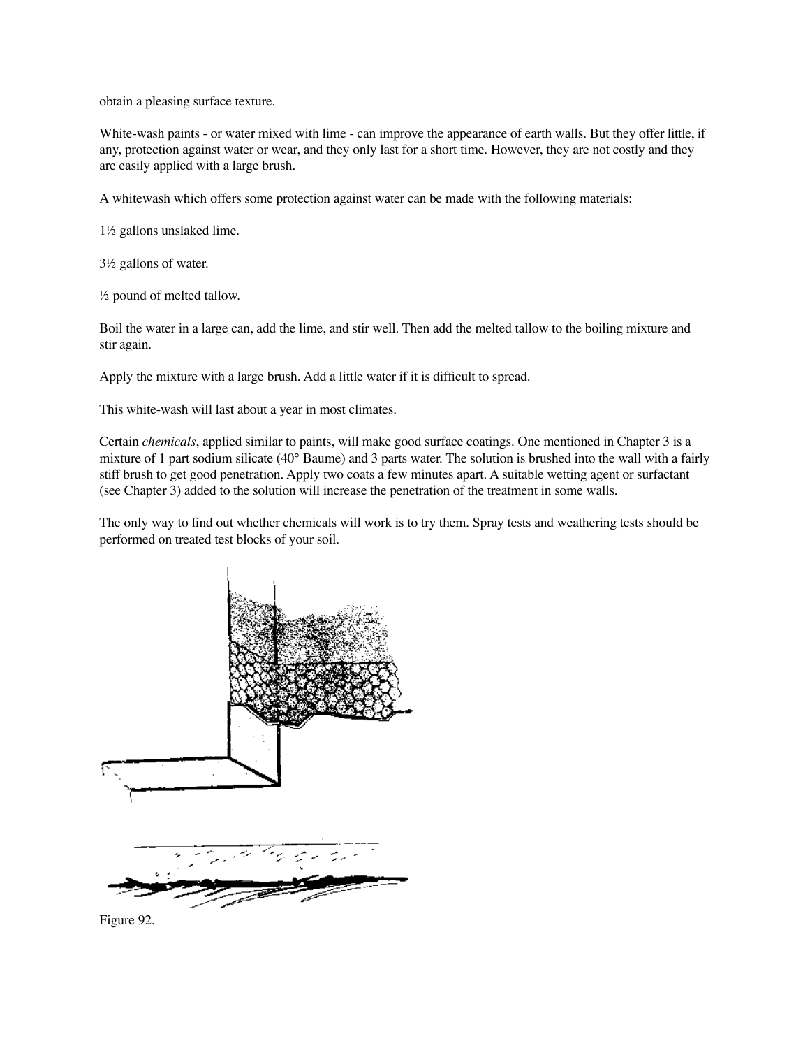obtain a pleasing surface texture.

White-wash paints - or water mixed with lime - can improve the appearance of earth walls. But they offer little, if any, protection against water or wear, and they only last for a short time. However, they are not costly and they are easily applied with a large brush.

A whitewash which offers some protection against water can be made with the following materials:

1½ gallons unslaked lime.

3½ gallons of water.

½ pound of melted tallow.

Boil the water in a large can, add the lime, and stir well. Then add the melted tallow to the boiling mixture and stir again.

Apply the mixture with a large brush. Add a little water if it is difficult to spread.

This white-wash will last about a year in most climates.

Certain *chemicals*, applied similar to paints, will make good surface coatings. One mentioned in Chapter 3 is a mixture of 1 part sodium silicate (40° Baume) and 3 parts water. The solution is brushed into the wall with a fairly stiff brush to get good penetration. Apply two coats a few minutes apart. A suitable wetting agent or surfactant (see Chapter 3) added to the solution will increase the penetration of the treatment in some walls.

The only way to find out whether chemicals will work is to try them. Spray tests and weathering tests should be performed on treated test blocks of your soil.



Figure 92.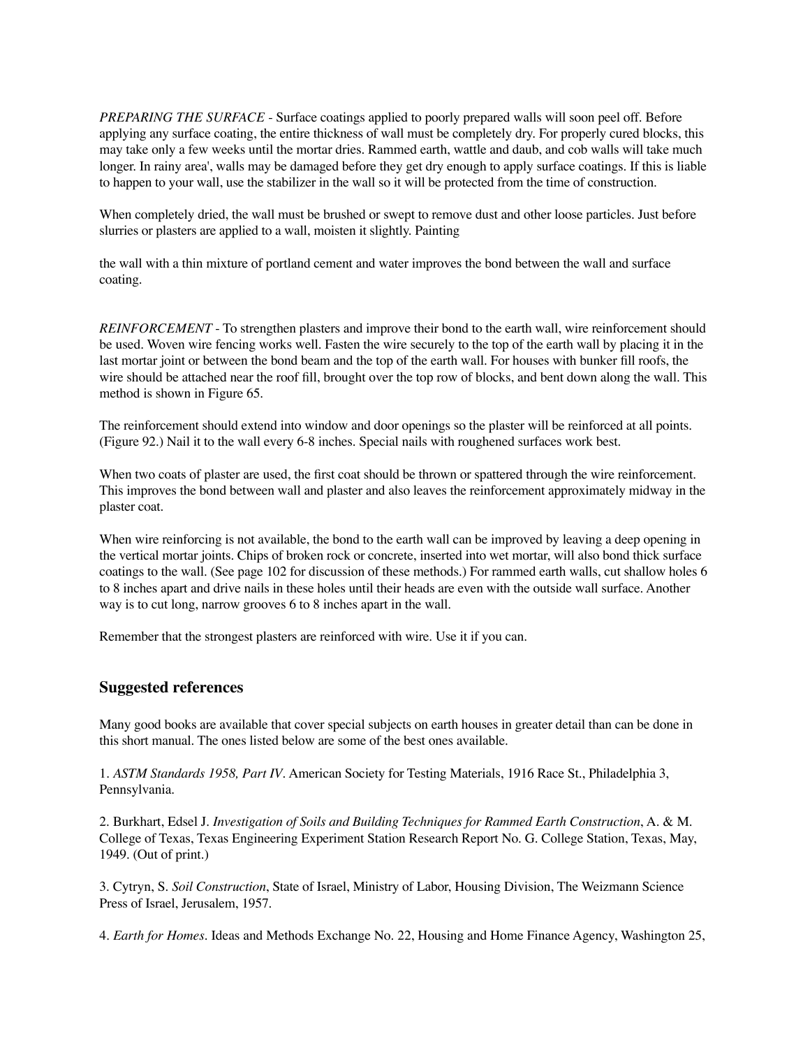*PREPARING THE SURFACE* - Surface coatings applied to poorly prepared walls will soon peel off. Before applying any surface coating, the entire thickness of wall must be completely dry. For properly cured blocks, this may take only a few weeks until the mortar dries. Rammed earth, wattle and daub, and cob walls will take much longer. In rainy area', walls may be damaged before they get dry enough to apply surface coatings. If this is liable to happen to your wall, use the stabilizer in the wall so it will be protected from the time of construction.

When completely dried, the wall must be brushed or swept to remove dust and other loose particles. Just before slurries or plasters are applied to a wall, moisten it slightly. Painting

the wall with a thin mixture of portland cement and water improves the bond between the wall and surface coating.

*REINFORCEMENT* - To strengthen plasters and improve their bond to the earth wall, wire reinforcement should be used. Woven wire fencing works well. Fasten the wire securely to the top of the earth wall by placing it in the last mortar joint or between the bond beam and the top of the earth wall. For houses with bunker fill roofs, the wire should be attached near the roof fill, brought over the top row of blocks, and bent down along the wall. This method is shown in Figure 65.

The reinforcement should extend into window and door openings so the plaster will be reinforced at all points. (Figure 92.) Nail it to the wall every 6-8 inches. Special nails with roughened surfaces work best.

When two coats of plaster are used, the first coat should be thrown or spattered through the wire reinforcement. This improves the bond between wall and plaster and also leaves the reinforcement approximately midway in the plaster coat.

When wire reinforcing is not available, the bond to the earth wall can be improved by leaving a deep opening in the vertical mortar joints. Chips of broken rock or concrete, inserted into wet mortar, will also bond thick surface coatings to the wall. (See page 102 for discussion of these methods.) For rammed earth walls, cut shallow holes 6 to 8 inches apart and drive nails in these holes until their heads are even with the outside wall surface. Another way is to cut long, narrow grooves 6 to 8 inches apart in the wall.

Remember that the strongest plasters are reinforced with wire. Use it if you can.

### **Suggested references**

Many good books are available that cover special subjects on earth houses in greater detail than can be done in this short manual. The ones listed below are some of the best ones available.

1. *ASTM Standards 1958, Part IV*. American Society for Testing Materials, 1916 Race St., Philadelphia 3, Pennsylvania.

2. Burkhart, Edsel J. *Investigation of Soils and Building Techniques for Rammed Earth Construction*, A. & M. College of Texas, Texas Engineering Experiment Station Research Report No. G. College Station, Texas, May, 1949. (Out of print.)

3. Cytryn, S. *Soil Construction*, State of Israel, Ministry of Labor, Housing Division, The Weizmann Science Press of Israel, Jerusalem, 1957.

4. *Earth for Homes*. Ideas and Methods Exchange No. 22, Housing and Home Finance Agency, Washington 25,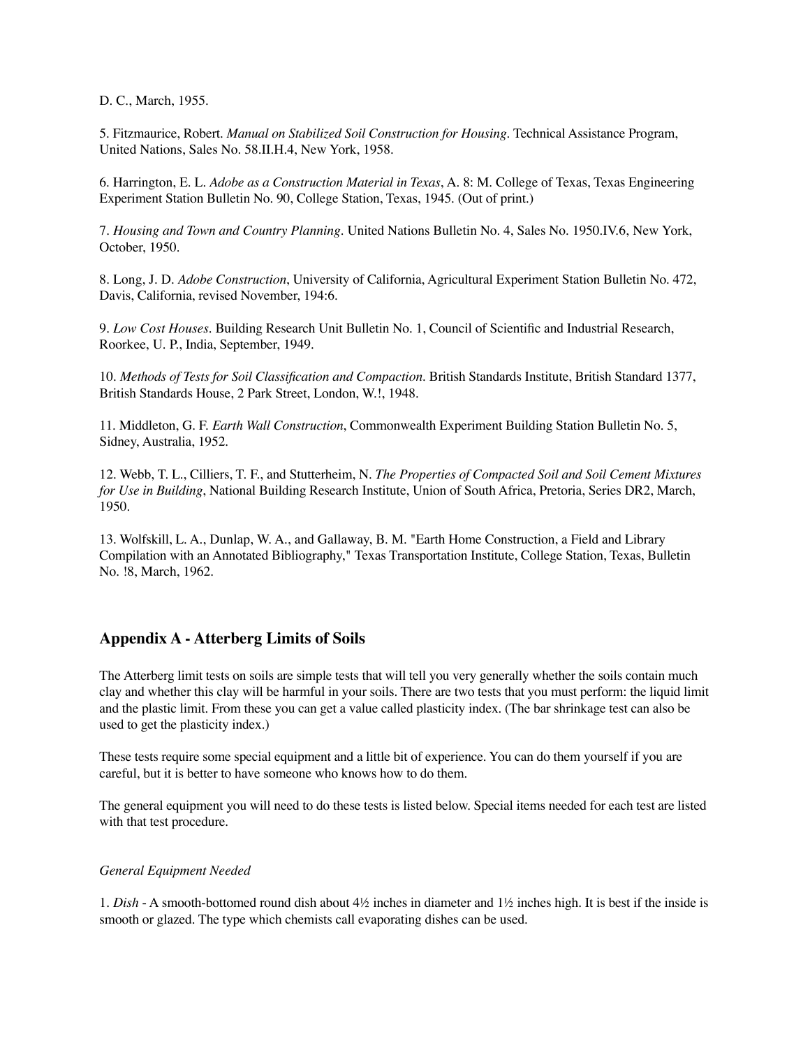D. C., March, 1955.

5. Fitzmaurice, Robert. *Manual on Stabilized Soil Construction for Housing*. Technical Assistance Program, United Nations, Sales No. 58.II.H.4, New York, 1958.

6. Harrington, E. L. *Adobe as a Construction Material in Texas*, A. 8: M. College of Texas, Texas Engineering Experiment Station Bulletin No. 90, College Station, Texas, 1945. (Out of print.)

7. *Housing and Town and Country Planning*. United Nations Bulletin No. 4, Sales No. 1950.IV.6, New York, October, 1950.

8. Long, J. D. *Adobe Construction*, University of California, Agricultural Experiment Station Bulletin No. 472, Davis, California, revised November, 194:6.

9. *Low Cost Houses*. Building Research Unit Bulletin No. 1, Council of Scientific and Industrial Research, Roorkee, U. P., India, September, 1949.

10. *Methods of Tests for Soil Classification and Compaction*. British Standards Institute, British Standard 1377, British Standards House, 2 Park Street, London, W.!, 1948.

11. Middleton, G. F. *Earth Wall Construction*, Commonwealth Experiment Building Station Bulletin No. 5, Sidney, Australia, 1952.

12. Webb, T. L., Cilliers, T. F., and Stutterheim, N. *The Properties of Compacted Soil and Soil Cement Mixtures for Use in Building*, National Building Research Institute, Union of South Africa, Pretoria, Series DR2, March, 1950.

13. Wolfskill, L. A., Dunlap, W. A., and Gallaway, B. M. "Earth Home Construction, a Field and Library Compilation with an Annotated Bibliography," Texas Transportation Institute, College Station, Texas, Bulletin No. !8, March, 1962.

## **Appendix A - Atterberg Limits of Soils**

The Atterberg limit tests on soils are simple tests that will tell you very generally whether the soils contain much clay and whether this clay will be harmful in your soils. There are two tests that you must perform: the liquid limit and the plastic limit. From these you can get a value called plasticity index. (The bar shrinkage test can also be used to get the plasticity index.)

These tests require some special equipment and a little bit of experience. You can do them yourself if you are careful, but it is better to have someone who knows how to do them.

The general equipment you will need to do these tests is listed below. Special items needed for each test are listed with that test procedure.

### *General Equipment Needed*

1. *Dish* - A smooth-bottomed round dish about 4½ inches in diameter and 1½ inches high. It is best if the inside is smooth or glazed. The type which chemists call evaporating dishes can be used.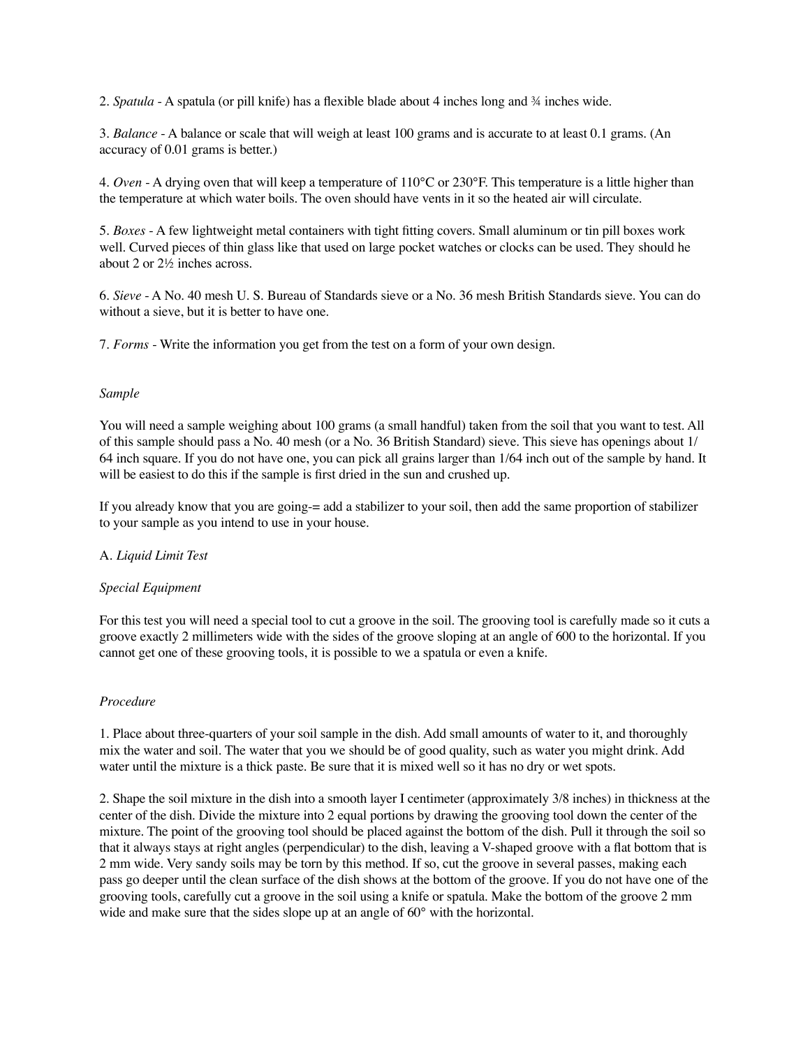2. *Spatula* - A spatula (or pill knife) has a flexible blade about 4 inches long and ¾ inches wide.

3. *Balance* - A balance or scale that will weigh at least 100 grams and is accurate to at least 0.1 grams. (An accuracy of 0.01 grams is better.)

4. *Oven* - A drying oven that will keep a temperature of 110°C or 230°F. This temperature is a little higher than the temperature at which water boils. The oven should have vents in it so the heated air will circulate.

5. *Boxes* - A few lightweight metal containers with tight fitting covers. Small aluminum or tin pill boxes work well. Curved pieces of thin glass like that used on large pocket watches or clocks can be used. They should he about 2 or 2½ inches across.

6. *Sieve* - A No. 40 mesh U. S. Bureau of Standards sieve or a No. 36 mesh British Standards sieve. You can do without a sieve, but it is better to have one.

7. *Forms* - Write the information you get from the test on a form of your own design.

#### *Sample*

You will need a sample weighing about 100 grams (a small handful) taken from the soil that you want to test. All of this sample should pass a No. 40 mesh (or a No. 36 British Standard) sieve. This sieve has openings about 1/ 64 inch square. If you do not have one, you can pick all grains larger than 1/64 inch out of the sample by hand. It will be easiest to do this if the sample is first dried in the sun and crushed up.

If you already know that you are going-= add a stabilizer to your soil, then add the same proportion of stabilizer to your sample as you intend to use in your house.

#### A. *Liquid Limit Test*

#### *Special Equipment*

For this test you will need a special tool to cut a groove in the soil. The grooving tool is carefully made so it cuts a groove exactly 2 millimeters wide with the sides of the groove sloping at an angle of 600 to the horizontal. If you cannot get one of these grooving tools, it is possible to we a spatula or even a knife.

#### *Procedure*

1. Place about three-quarters of your soil sample in the dish. Add small amounts of water to it, and thoroughly mix the water and soil. The water that you we should be of good quality, such as water you might drink. Add water until the mixture is a thick paste. Be sure that it is mixed well so it has no dry or wet spots.

2. Shape the soil mixture in the dish into a smooth layer I centimeter (approximately 3/8 inches) in thickness at the center of the dish. Divide the mixture into 2 equal portions by drawing the grooving tool down the center of the mixture. The point of the grooving tool should be placed against the bottom of the dish. Pull it through the soil so that it always stays at right angles (perpendicular) to the dish, leaving a V-shaped groove with a flat bottom that is 2 mm wide. Very sandy soils may be torn by this method. If so, cut the groove in several passes, making each pass go deeper until the clean surface of the dish shows at the bottom of the groove. If you do not have one of the grooving tools, carefully cut a groove in the soil using a knife or spatula. Make the bottom of the groove 2 mm wide and make sure that the sides slope up at an angle of  $60^{\circ}$  with the horizontal.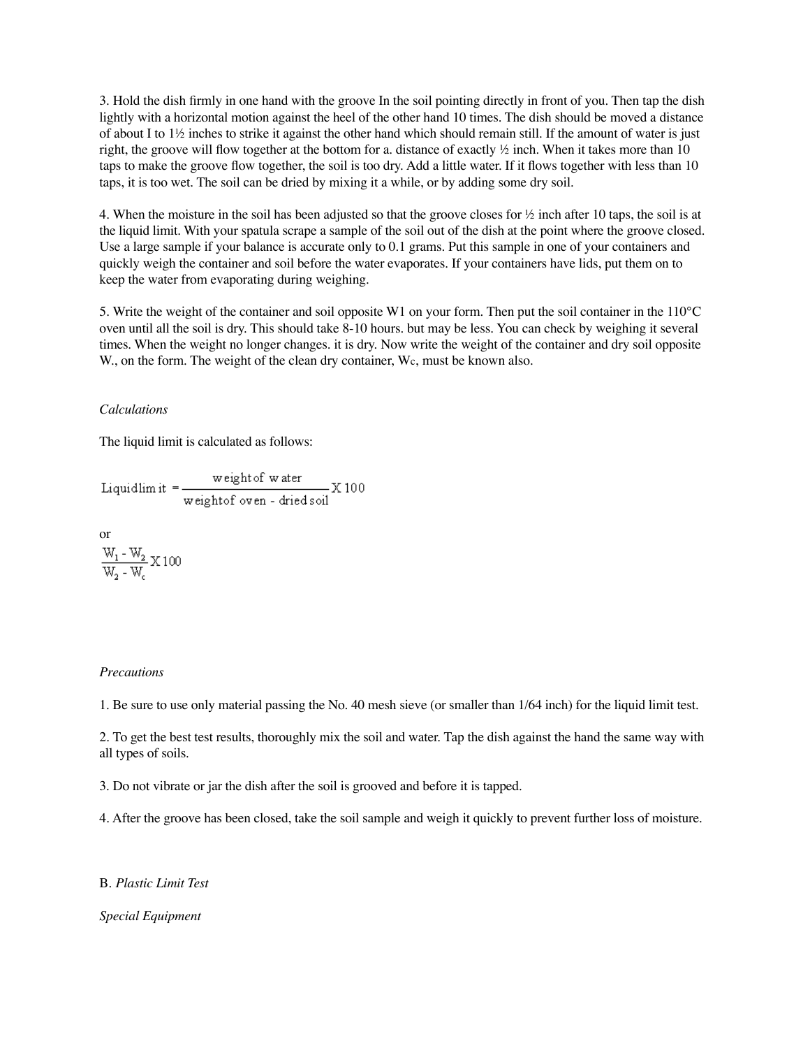3. Hold the dish firmly in one hand with the groove In the soil pointing directly in front of you. Then tap the dish lightly with a horizontal motion against the heel of the other hand 10 times. The dish should be moved a distance of about I to  $1\frac{1}{2}$  inches to strike it against the other hand which should remain still. If the amount of water is just right, the groove will flow together at the bottom for a. distance of exactly  $\frac{1}{2}$  inch. When it takes more than 10 taps to make the groove flow together, the soil is too dry. Add a little water. If it flows together with less than 10 taps, it is too wet. The soil can be dried by mixing it a while, or by adding some dry soil.

4. When the moisture in the soil has been adjusted so that the groove closes for  $\frac{1}{2}$  inch after 10 taps, the soil is at the liquid limit. With your spatula scrape a sample of the soil out of the dish at the point where the groove closed. Use a large sample if your balance is accurate only to 0.1 grams. Put this sample in one of your containers and quickly weigh the container and soil before the water evaporates. If your containers have lids, put them on to keep the water from evaporating during weighing.

5. Write the weight of the container and soil opposite W1 on your form. Then put the soil container in the 110°C oven until all the soil is dry. This should take 8-10 hours. but may be less. You can check by weighing it several times. When the weight no longer changes. it is dry. Now write the weight of the container and dry soil opposite W., on the form. The weight of the clean dry container, Wc, must be known also.

#### *Calculations*

The liquid limit is calculated as follows:

$$
Liquidlim it = \frac{\text{weight of water}}{\text{weight of oven - dried soil}} X 100
$$

or  $\frac{W_1 - W_2}{W_2 - W_c}$  X 100

#### *Precautions*

1. Be sure to use only material passing the No. 40 mesh sieve (or smaller than 1/64 inch) for the liquid limit test.

2. To get the best test results, thoroughly mix the soil and water. Tap the dish against the hand the same way with all types of soils.

3. Do not vibrate or jar the dish after the soil is grooved and before it is tapped.

4. After the groove has been closed, take the soil sample and weigh it quickly to prevent further loss of moisture.

B. *Plastic Limit Test*

*Special Equipment*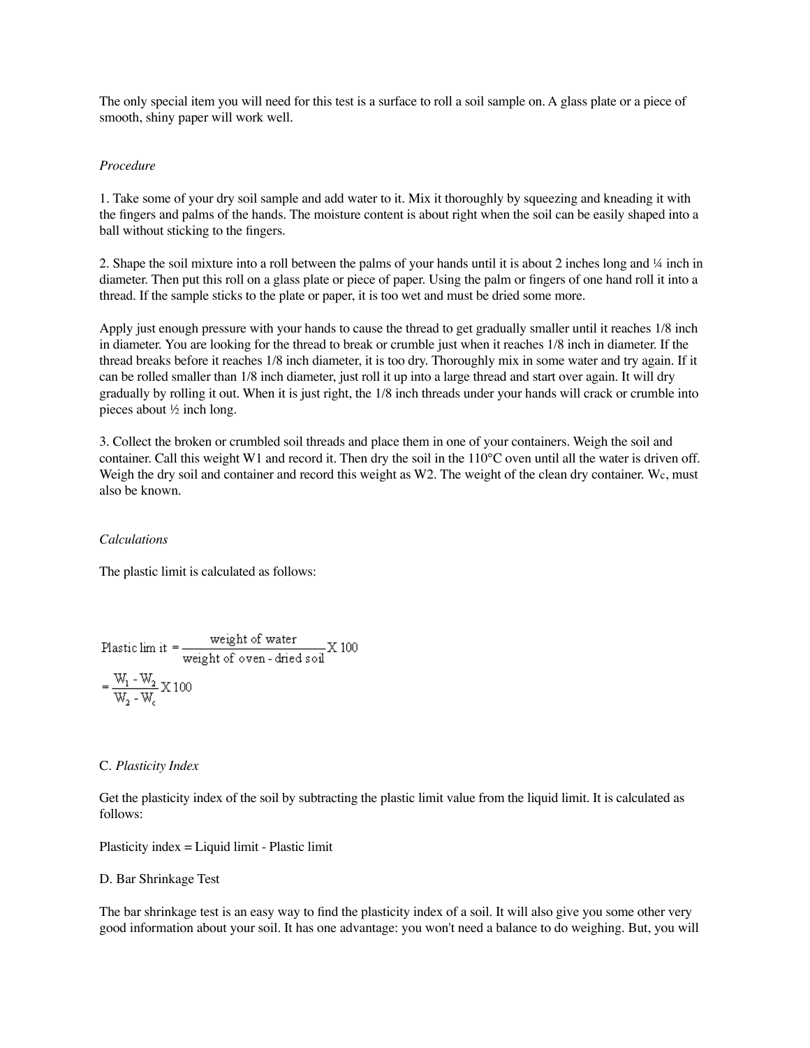The only special item you will need for this test is a surface to roll a soil sample on. A glass plate or a piece of smooth, shiny paper will work well.

#### *Procedure*

1. Take some of your dry soil sample and add water to it. Mix it thoroughly by squeezing and kneading it with the fingers and palms of the hands. The moisture content is about right when the soil can be easily shaped into a ball without sticking to the fingers.

2. Shape the soil mixture into a roll between the palms of your hands until it is about 2 inches long and ¼ inch in diameter. Then put this roll on a glass plate or piece of paper. Using the palm or fingers of one hand roll it into a thread. If the sample sticks to the plate or paper, it is too wet and must be dried some more.

Apply just enough pressure with your hands to cause the thread to get gradually smaller until it reaches 1/8 inch in diameter. You are looking for the thread to break or crumble just when it reaches 1/8 inch in diameter. If the thread breaks before it reaches 1/8 inch diameter, it is too dry. Thoroughly mix in some water and try again. If it can be rolled smaller than 1/8 inch diameter, just roll it up into a large thread and start over again. It will dry gradually by rolling it out. When it is just right, the 1/8 inch threads under your hands will crack or crumble into pieces about ½ inch long.

3. Collect the broken or crumbled soil threads and place them in one of your containers. Weigh the soil and container. Call this weight W1 and record it. Then dry the soil in the 110°C oven until all the water is driven off. Weigh the dry soil and container and record this weight as W2. The weight of the clean dry container. Wc, must also be known.

### *Calculations*

The plastic limit is calculated as follows:

Plastic lim it = 
$$
\frac{\text{weight of water}}{\text{weight of oven - dried soil}} \times 100
$$

$$
= \frac{W_1 - W_2}{W_2 - W_c} \times 100
$$

#### C. *Plasticity Index*

Get the plasticity index of the soil by subtracting the plastic limit value from the liquid limit. It is calculated as follows:

Plasticity index = Liquid limit - Plastic limit

#### D. Bar Shrinkage Test

The bar shrinkage test is an easy way to find the plasticity index of a soil. It will also give you some other very good information about your soil. It has one advantage: you won't need a balance to do weighing. But, you will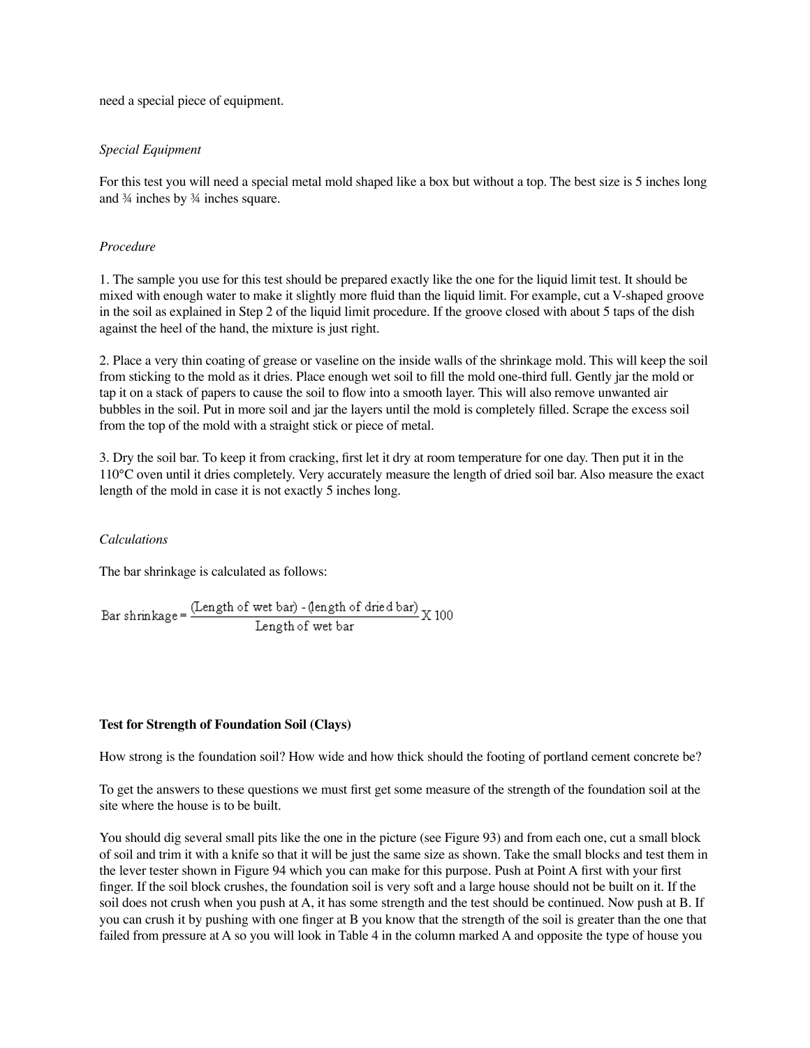need a special piece of equipment.

### *Special Equipment*

For this test you will need a special metal mold shaped like a box but without a top. The best size is 5 inches long and ¾ inches by ¾ inches square.

### *Procedure*

1. The sample you use for this test should be prepared exactly like the one for the liquid limit test. It should be mixed with enough water to make it slightly more fluid than the liquid limit. For example, cut a V-shaped groove in the soil as explained in Step 2 of the liquid limit procedure. If the groove closed with about 5 taps of the dish against the heel of the hand, the mixture is just right.

2. Place a very thin coating of grease or vaseline on the inside walls of the shrinkage mold. This will keep the soil from sticking to the mold as it dries. Place enough wet soil to fill the mold one-third full. Gently jar the mold or tap it on a stack of papers to cause the soil to flow into a smooth layer. This will also remove unwanted air bubbles in the soil. Put in more soil and jar the layers until the mold is completely filled. Scrape the excess soil from the top of the mold with a straight stick or piece of metal.

3. Dry the soil bar. To keep it from cracking, first let it dry at room temperature for one day. Then put it in the 110°C oven until it dries completely. Very accurately measure the length of dried soil bar. Also measure the exact length of the mold in case it is not exactly 5 inches long.

## *Calculations*

The bar shrinkage is calculated as follows:

Bar shrinkage =  $\frac{\text{(Length of wet bar)} - \text{(length of dried bar)}}{\text{Length of wet bar}}$  X 100

## **Test for Strength of Foundation Soil (Clays)**

How strong is the foundation soil? How wide and how thick should the footing of portland cement concrete be?

To get the answers to these questions we must first get some measure of the strength of the foundation soil at the site where the house is to be built.

You should dig several small pits like the one in the picture (see Figure 93) and from each one, cut a small block of soil and trim it with a knife so that it will be just the same size as shown. Take the small blocks and test them in the lever tester shown in Figure 94 which you can make for this purpose. Push at Point A first with your first finger. If the soil block crushes, the foundation soil is very soft and a large house should not be built on it. If the soil does not crush when you push at A, it has some strength and the test should be continued. Now push at B. If you can crush it by pushing with one finger at B you know that the strength of the soil is greater than the one that failed from pressure at A so you will look in Table 4 in the column marked A and opposite the type of house you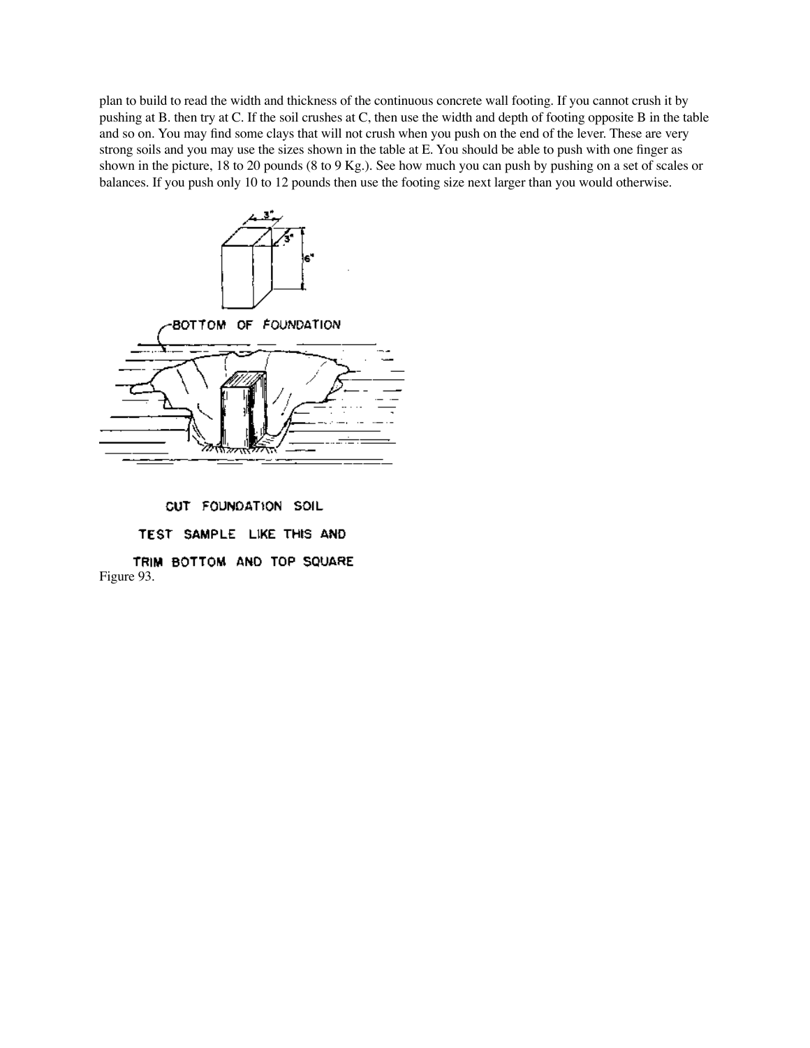plan to build to read the width and thickness of the continuous concrete wall footing. If you cannot crush it by pushing at B. then try at C. If the soil crushes at C, then use the width and depth of footing opposite B in the table and so on. You may find some clays that will not crush when you push on the end of the lever. These are very strong soils and you may use the sizes shown in the table at E. You should be able to push with one finger as shown in the picture, 18 to 20 pounds (8 to 9 Kg.). See how much you can push by pushing on a set of scales or balances. If you push only 10 to 12 pounds then use the footing size next larger than you would otherwise.



### CUT FOUNDATION SOIL

TEST SAMPLE LIKE THIS AND

TRIM BOTTOM AND TOP SQUARE Figure 93.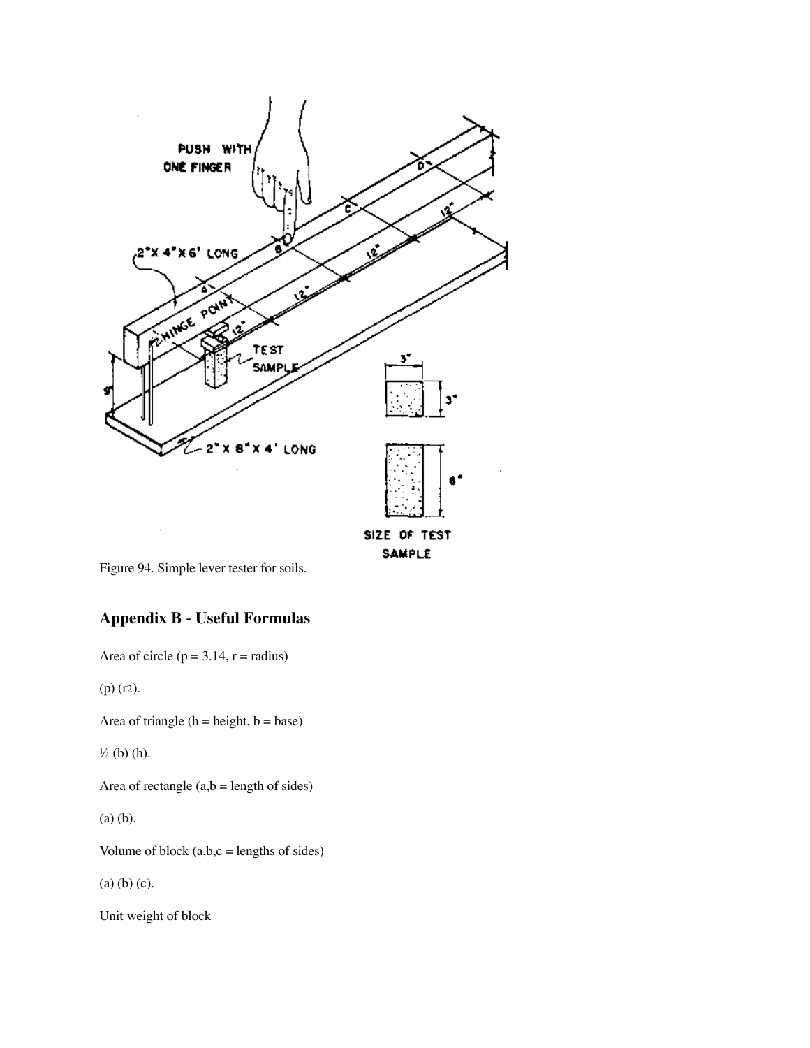

Figure 94. Simple lever tester for soils.

# **Appendix B - Useful Formulas**

Area of circle ( $p = 3.14$ ,  $r =$  radius)

(p) (r2).

Area of triangle  $(h = height, b = base)$ 

 $\frac{1}{2}$  (b) (h).

Area of rectangle  $(a,b = length of sides)$ 

(a) (b).

Volume of block  $(a,b,c =$  lengths of sides)

(a) (b) (c).

Unit weight of block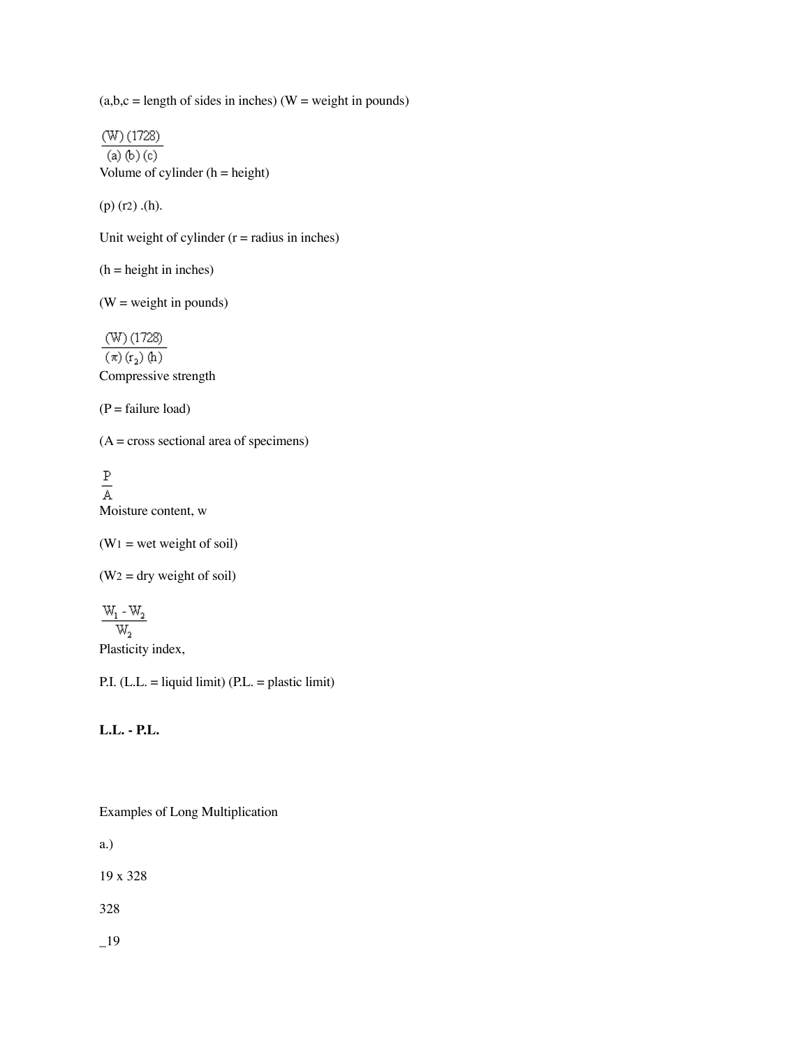$(a,b,c = length of sides in inches)$  (W = weight in pounds)

 $(W)$  (1728)  $(a)$  $(b)$  $(c)$ Volume of cylinder  $(h = height)$ 

(p) (r2) .(h).

Unit weight of cylinder  $(r =$  radius in inches)

 $(h = height in inches)$ 

 $(W = weight in pounds)$ 

 $\frac{(W) (1728)}{(\pi) (r_2) (\hbar)}$ Compressive strength

 $(P = failure load)$ 

 $(A = cross sectional area of specimens)$ 

 $\frac{\mathbf{P}}{\mathbf{A}}$ Moisture content, w

 $(W_1 = \text{wet weight of soil})$ 

(W2 = dry weight of soil)

 $\frac{\mathbf{W_1} \cdot \mathbf{W_2}}{\mathbf{W_2}}$ 

Plasticity index,

P.I. (L.L. = liquid limit) (P.L. = plastic limit)

## **L.L. - P.L.**

Examples of Long Multiplication

a.)

19 x 328

328

\_19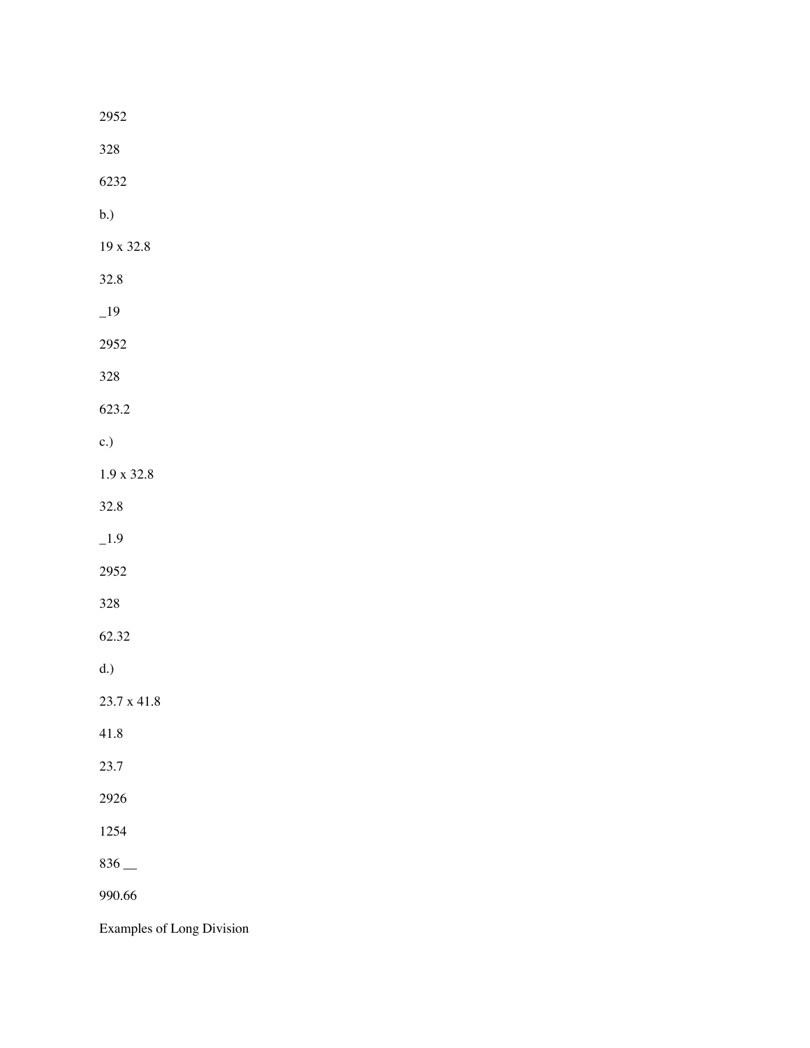| 2952                             |
|----------------------------------|
| $328\,$                          |
| 6232                             |
| b.)                              |
| $19$ x $32.8\,$                  |
| $32.8\,$                         |
| $\_19$                           |
| 2952                             |
| $328\,$                          |
| 623.2                            |
| c.)                              |
| $1.9$ x $32.8\,$                 |
| $32.8\,$                         |
| $-1.9$                           |
| 2952                             |
| $328\,$                          |
| 62.32                            |
| $\mathrm{d.})$                   |
| $23.7$ x $41.8\,$                |
| $41.8\,$                         |
| 23.7                             |
| 2926                             |
| 1254                             |
| $836$ $-$                        |
| 990.66                           |
| <b>Examples of Long Division</b> |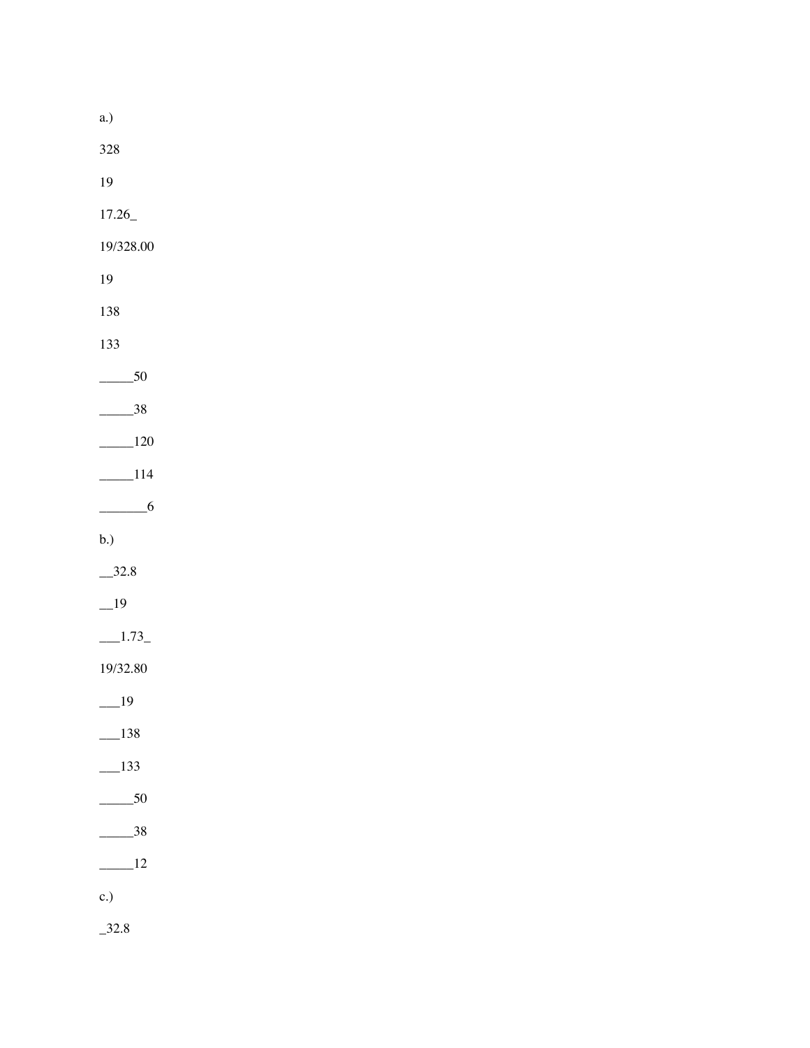| ${\bf a}$ )    |  |  |  |
|----------------|--|--|--|
| $328\,$        |  |  |  |
| $19\,$         |  |  |  |
| $17.26\_$      |  |  |  |
| 19/328.00      |  |  |  |
| 19             |  |  |  |
| $138\,$        |  |  |  |
| 133            |  |  |  |
| 50             |  |  |  |
| 38             |  |  |  |
| 120            |  |  |  |
| $-114$         |  |  |  |
|                |  |  |  |
| b.)            |  |  |  |
| $-32.8$        |  |  |  |
| $-19$          |  |  |  |
| $-1.73$        |  |  |  |
| 19/32.80       |  |  |  |
| $-19$          |  |  |  |
| $-138$         |  |  |  |
| $-133$         |  |  |  |
| $\frac{50}{2}$ |  |  |  |
| $\frac{38}{2}$ |  |  |  |
| $\frac{12}{2}$ |  |  |  |
| c.)            |  |  |  |
| $-32.8$        |  |  |  |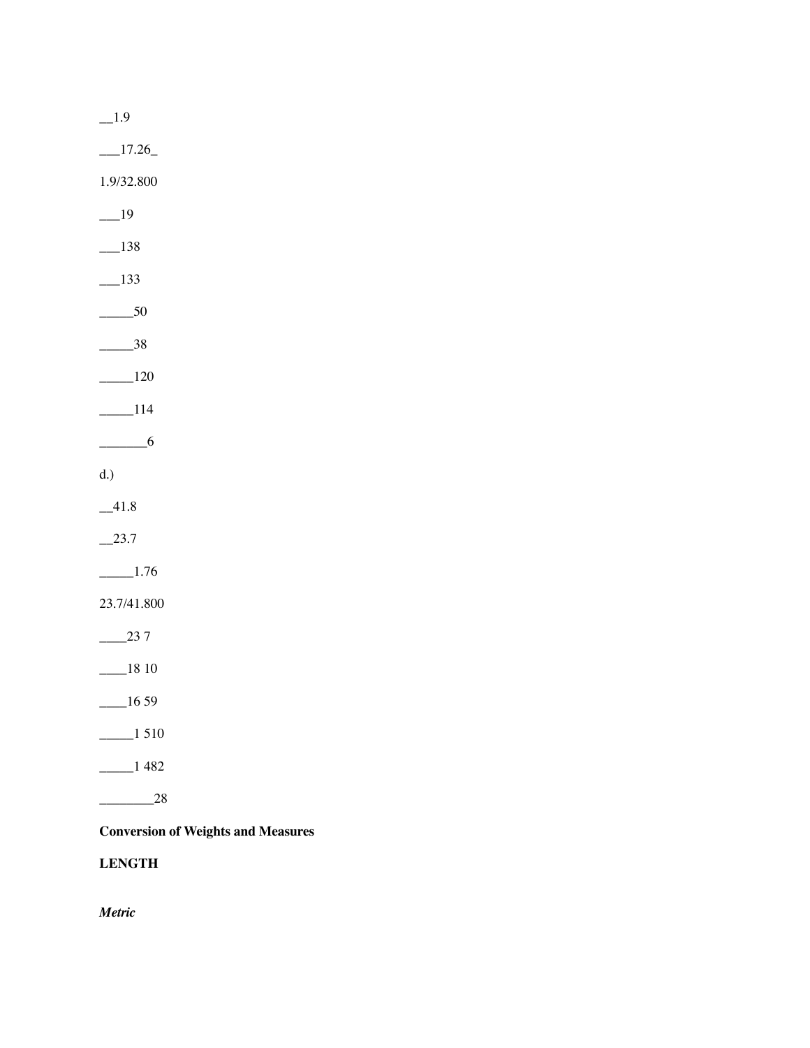| $-1.9$                                    |  |
|-------------------------------------------|--|
| $-17.26$                                  |  |
| 1.9/32.800                                |  |
| $-19$                                     |  |
| $-138$                                    |  |
| $-133$                                    |  |
| $-50$                                     |  |
| $-38$                                     |  |
| 120                                       |  |
| $-114$                                    |  |
| $6\overline{6}$<br>$\overline{a}$         |  |
| d.)                                       |  |
| $-41.8$                                   |  |
| $\frac{23.7}{2}$                          |  |
| 1.76                                      |  |
| 23.7/41.800                               |  |
| 237                                       |  |
| 1810                                      |  |
| $-1659$                                   |  |
| $-1510$                                   |  |
| $-1482$                                   |  |
| 28                                        |  |
| <b>Conversion of Weights and Measures</b> |  |

## **LENGTH**

*Metric*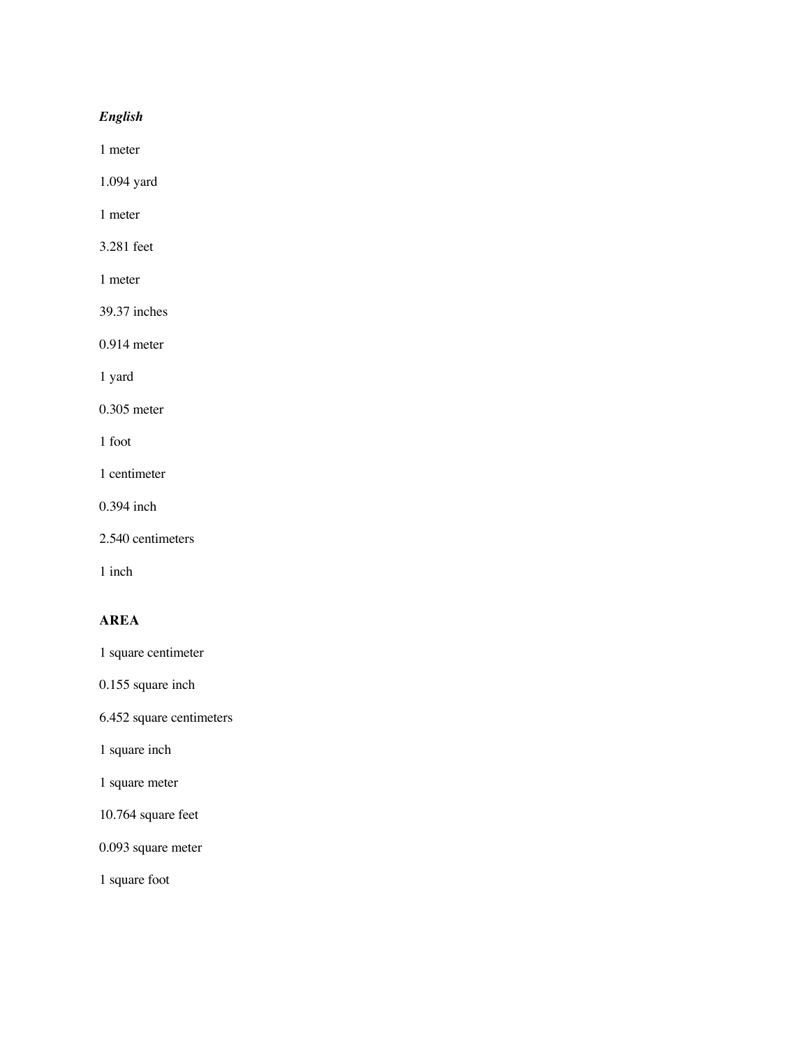## *English*

1 meter

1.094 yard

1 meter

3.281 feet

1 meter

39.37 inches

0.914 meter

1 yard

0.305 meter

1 foot

1 centimeter

0.394 inch

2.540 centimeters

1 inch

## **AREA**

1 square centimeter

0.155 square inch

6.452 square centimeters

1 square inch

1 square meter

10.764 square feet

0.093 square meter

1 square foot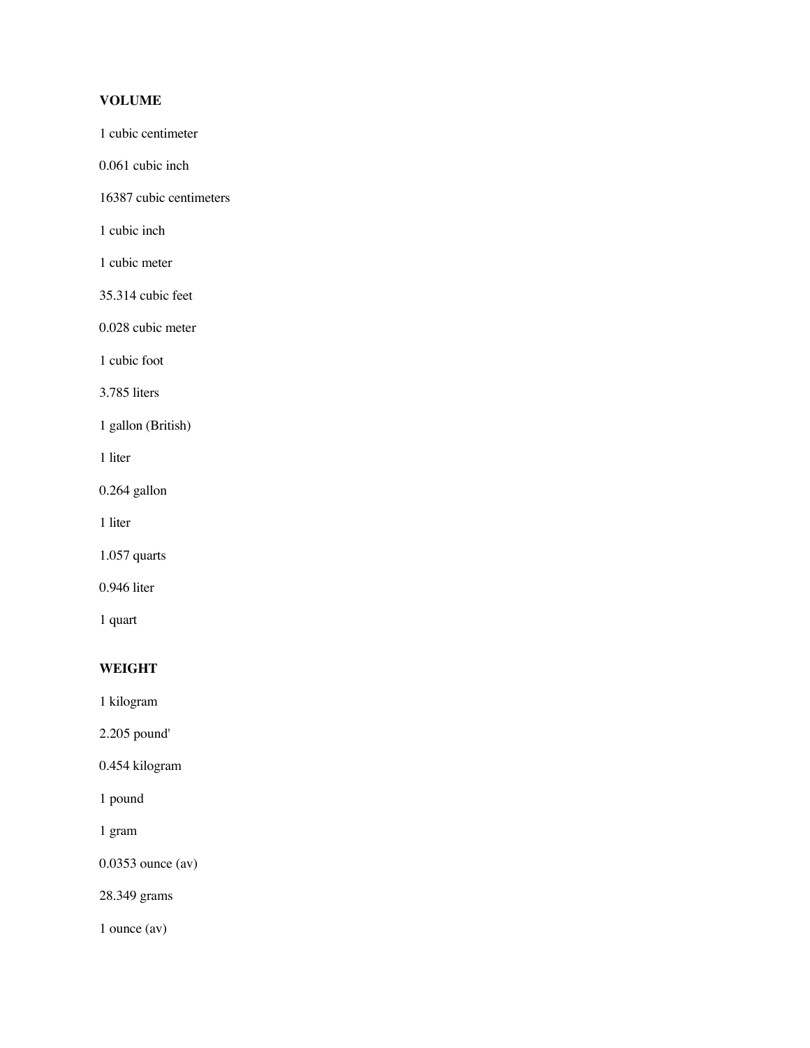### **VOLUME**

1 cubic centimeter

0.061 cubic inch

16387 cubic centimeters

1 cubic inch

1 cubic meter

35.314 cubic feet

0.028 cubic meter

1 cubic foot

3.785 liters

1 gallon (British)

1 liter

0.264 gallon

1 liter

1.057 quarts

0.946 liter

1 quart

### **WEIGHT**

1 kilogram

2.205 pound'

0.454 kilogram

1 pound

1 gram

0.0353 ounce (av)

28.349 grams

1 ounce (av)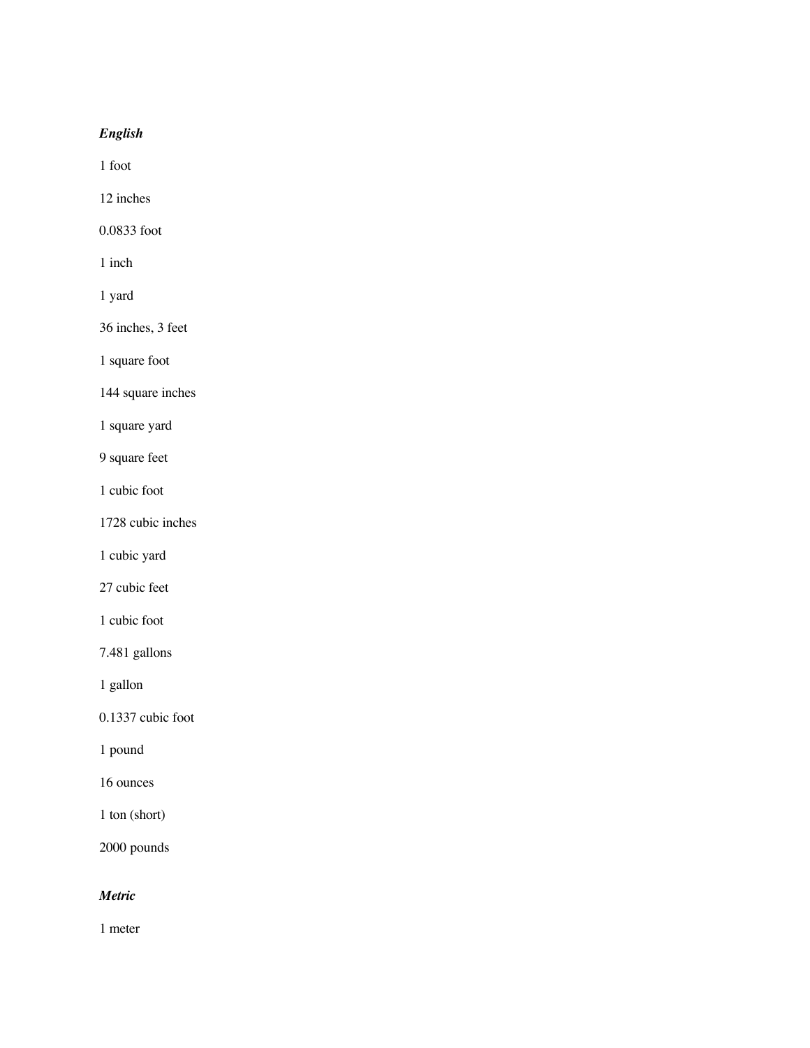# *English*

1 foot

12 inches

0.0833 foot

1 inch

1 yard

36 inches, 3 feet

1 square foot

144 square inches

1 square yard

9 square feet

1 cubic foot

1728 cubic inches

1 cubic yard

27 cubic feet

1 cubic foot

7.481 gallons

1 gallon

0.1337 cubic foot

1 pound

16 ounces

1 ton (short)

2000 pounds

## *Metric*

1 meter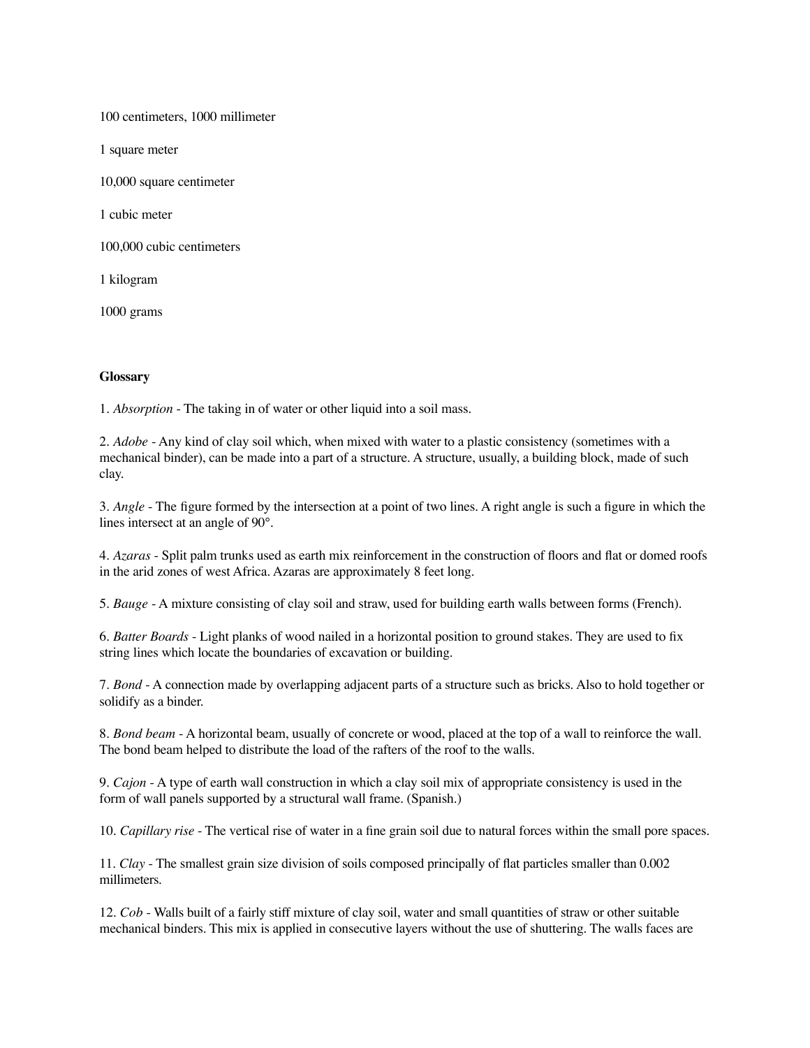100 centimeters, 1000 millimeter 1 square meter 10,000 square centimeter 1 cubic meter 100,000 cubic centimeters 1 kilogram 1000 grams

#### **Glossary**

1. *Absorption* - The taking in of water or other liquid into a soil mass.

2. *Adobe* - Any kind of clay soil which, when mixed with water to a plastic consistency (sometimes with a mechanical binder), can be made into a part of a structure. A structure, usually, a building block, made of such clay.

3. *Angle* - The figure formed by the intersection at a point of two lines. A right angle is such a figure in which the lines intersect at an angle of 90°.

4. *Azaras* - Split palm trunks used as earth mix reinforcement in the construction of floors and flat or domed roofs in the arid zones of west Africa. Azaras are approximately 8 feet long.

5. *Bauge* - A mixture consisting of clay soil and straw, used for building earth walls between forms (French).

6. *Batter Boards* - Light planks of wood nailed in a horizontal position to ground stakes. They are used to fix string lines which locate the boundaries of excavation or building.

7. *Bond* - A connection made by overlapping adjacent parts of a structure such as bricks. Also to hold together or solidify as a binder.

8. *Bond beam* - A horizontal beam, usually of concrete or wood, placed at the top of a wall to reinforce the wall. The bond beam helped to distribute the load of the rafters of the roof to the walls.

9. *Cajon* - A type of earth wall construction in which a clay soil mix of appropriate consistency is used in the form of wall panels supported by a structural wall frame. (Spanish.)

10. *Capillary rise* - The vertical rise of water in a fine grain soil due to natural forces within the small pore spaces.

11. *Clay* - The smallest grain size division of soils composed principally of flat particles smaller than 0.002 millimeters.

12. *Cob* - Walls built of a fairly stiff mixture of clay soil, water and small quantities of straw or other suitable mechanical binders. This mix is applied in consecutive layers without the use of shuttering. The walls faces are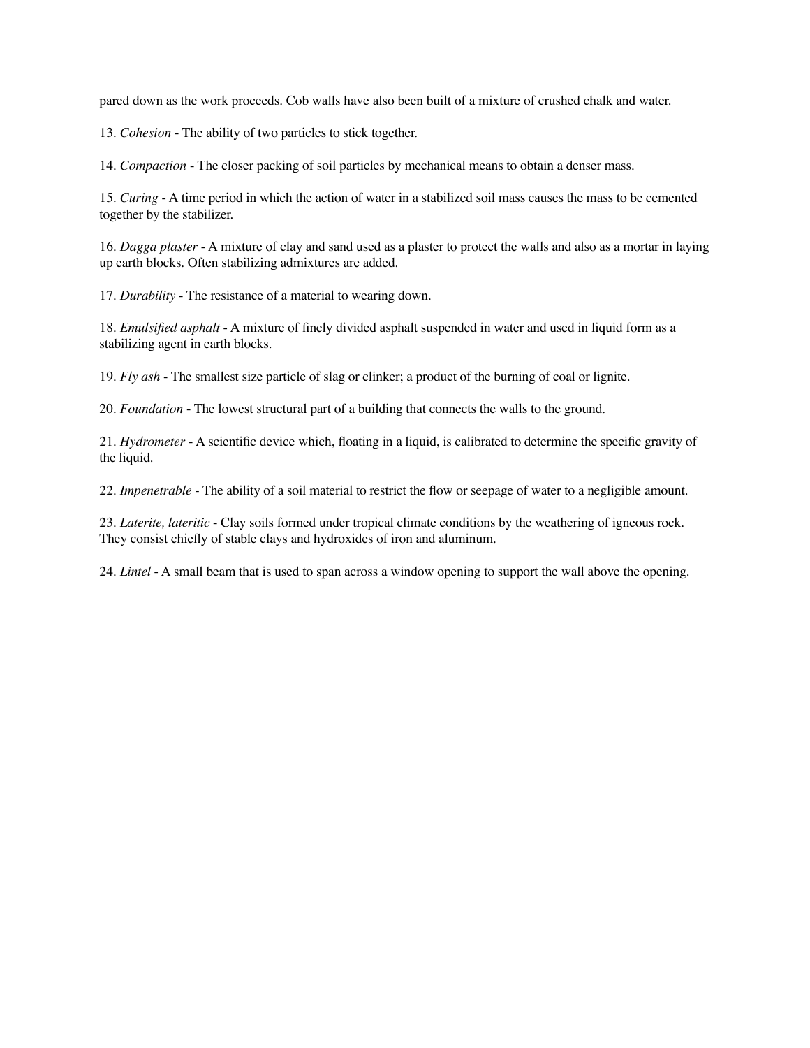pared down as the work proceeds. Cob walls have also been built of a mixture of crushed chalk and water.

13. *Cohesion* - The ability of two particles to stick together.

14. *Compaction* - The closer packing of soil particles by mechanical means to obtain a denser mass.

15. *Curing* - A time period in which the action of water in a stabilized soil mass causes the mass to be cemented together by the stabilizer.

16. *Dagga plaster* - A mixture of clay and sand used as a plaster to protect the walls and also as a mortar in laying up earth blocks. Often stabilizing admixtures are added.

17. *Durability* - The resistance of a material to wearing down.

18. *Emulsified asphalt* - A mixture of finely divided asphalt suspended in water and used in liquid form as a stabilizing agent in earth blocks.

19. *Fly ash* - The smallest size particle of slag or clinker; a product of the burning of coal or lignite.

20. *Foundation* - The lowest structural part of a building that connects the walls to the ground.

21. *Hydrometer* - A scientific device which, floating in a liquid, is calibrated to determine the specific gravity of the liquid.

22. *Impenetrable* - The ability of a soil material to restrict the flow or seepage of water to a negligible amount.

23. *Laterite, lateritic* - Clay soils formed under tropical climate conditions by the weathering of igneous rock. They consist chiefly of stable clays and hydroxides of iron and aluminum.

24. *Lintel* - A small beam that is used to span across a window opening to support the wall above the opening.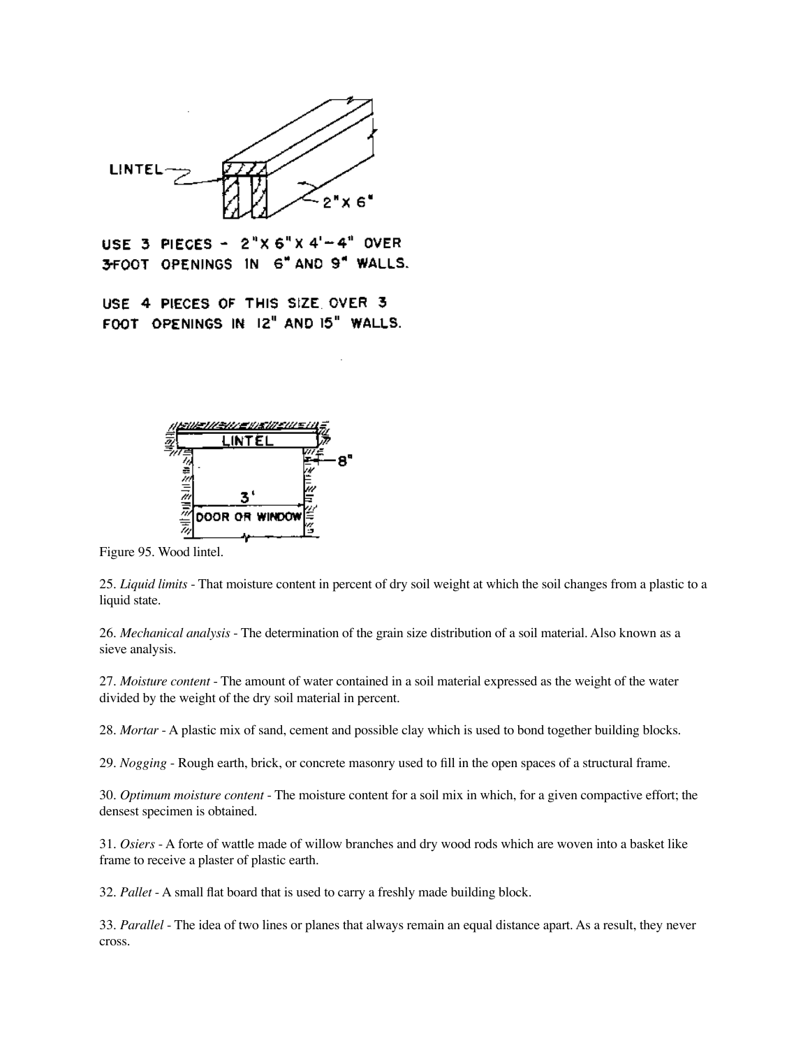

 $2"X 6"X 4'-4"$ USE 3 PIECES -**OVER** 3-FOOT OPENINGS IN  $\mathsf{e}^{\star}$ AND 9" WALLS.

USE 4 PIECES OF THIS SIZE OVER 3 FOOT OPENINGS IN 12" AND 15" WALLS.



Figure 95. Wood lintel.

25. *Liquid limits* - That moisture content in percent of dry soil weight at which the soil changes from a plastic to a liquid state.

26. *Mechanical analysis* - The determination of the grain size distribution of a soil material. Also known as a sieve analysis.

27. *Moisture content* - The amount of water contained in a soil material expressed as the weight of the water divided by the weight of the dry soil material in percent.

28. *Mortar* - A plastic mix of sand, cement and possible clay which is used to bond together building blocks.

29. *Nogging* - Rough earth, brick, or concrete masonry used to fill in the open spaces of a structural frame.

30. *Optimum moisture content* - The moisture content for a soil mix in which, for a given compactive effort; the densest specimen is obtained.

31. *Osiers* - A forte of wattle made of willow branches and dry wood rods which are woven into a basket like frame to receive a plaster of plastic earth.

32. *Pallet* - A small flat board that is used to carry a freshly made building block.

33. *Parallel* - The idea of two lines or planes that always remain an equal distance apart. As a result, they never cross.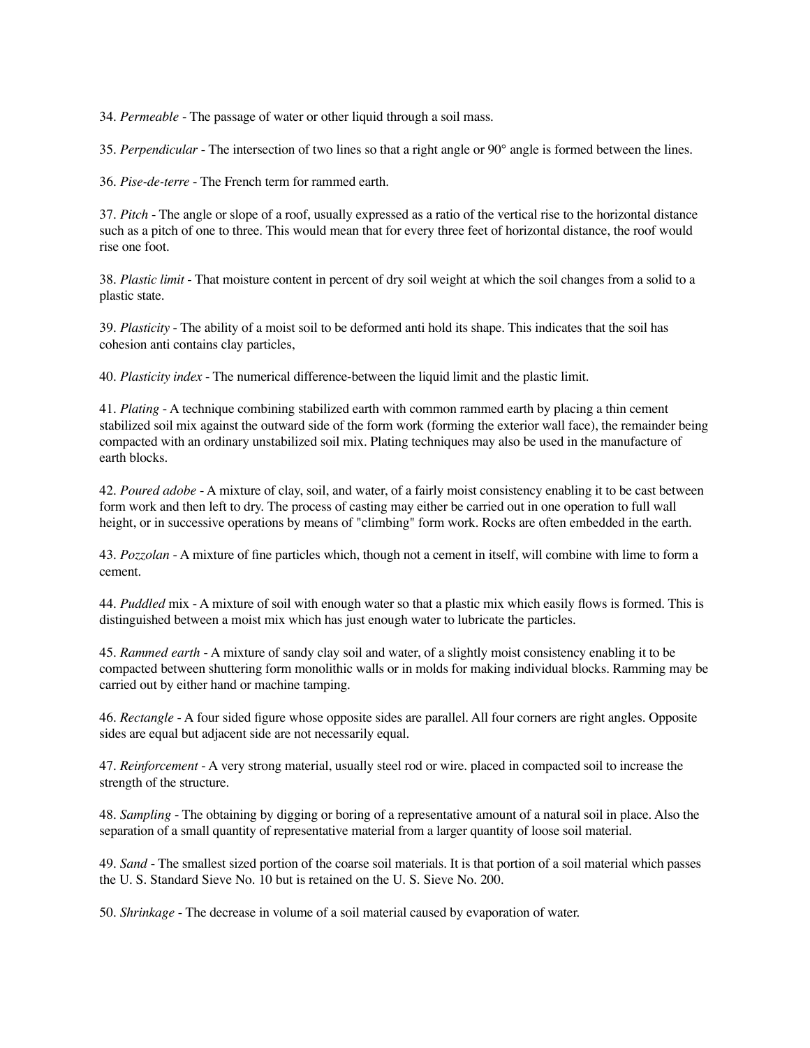34. *Permeable* - The passage of water or other liquid through a soil mass.

35. *Perpendicular* - The intersection of two lines so that a right angle or 90° angle is formed between the lines.

36. *Pise-de-terre* - The French term for rammed earth.

37. *Pitch* - The angle or slope of a roof, usually expressed as a ratio of the vertical rise to the horizontal distance such as a pitch of one to three. This would mean that for every three feet of horizontal distance, the roof would rise one foot.

38. *Plastic limit* - That moisture content in percent of dry soil weight at which the soil changes from a solid to a plastic state.

39. *Plasticity* - The ability of a moist soil to be deformed anti hold its shape. This indicates that the soil has cohesion anti contains clay particles,

40. *Plasticity index* - The numerical difference-between the liquid limit and the plastic limit.

41. *Plating* - A technique combining stabilized earth with common rammed earth by placing a thin cement stabilized soil mix against the outward side of the form work (forming the exterior wall face), the remainder being compacted with an ordinary unstabilized soil mix. Plating techniques may also be used in the manufacture of earth blocks.

42. *Poured adobe* - A mixture of clay, soil, and water, of a fairly moist consistency enabling it to be cast between form work and then left to dry. The process of casting may either be carried out in one operation to full wall height, or in successive operations by means of "climbing" form work. Rocks are often embedded in the earth.

43. *Pozzolan* - A mixture of fine particles which, though not a cement in itself, will combine with lime to form a cement.

44. *Puddled* mix - A mixture of soil with enough water so that a plastic mix which easily flows is formed. This is distinguished between a moist mix which has just enough water to lubricate the particles.

45. *Rammed earth* - A mixture of sandy clay soil and water, of a slightly moist consistency enabling it to be compacted between shuttering form monolithic walls or in molds for making individual blocks. Ramming may be carried out by either hand or machine tamping.

46. *Rectangle* - A four sided figure whose opposite sides are parallel. All four corners are right angles. Opposite sides are equal but adjacent side are not necessarily equal.

47. *Reinforcement* - A very strong material, usually steel rod or wire. placed in compacted soil to increase the strength of the structure.

48. *Sampling* - The obtaining by digging or boring of a representative amount of a natural soil in place. Also the separation of a small quantity of representative material from a larger quantity of loose soil material.

49. *Sand* - The smallest sized portion of the coarse soil materials. It is that portion of a soil material which passes the U. S. Standard Sieve No. 10 but is retained on the U. S. Sieve No. 200.

50. *Shrinkage* - The decrease in volume of a soil material caused by evaporation of water.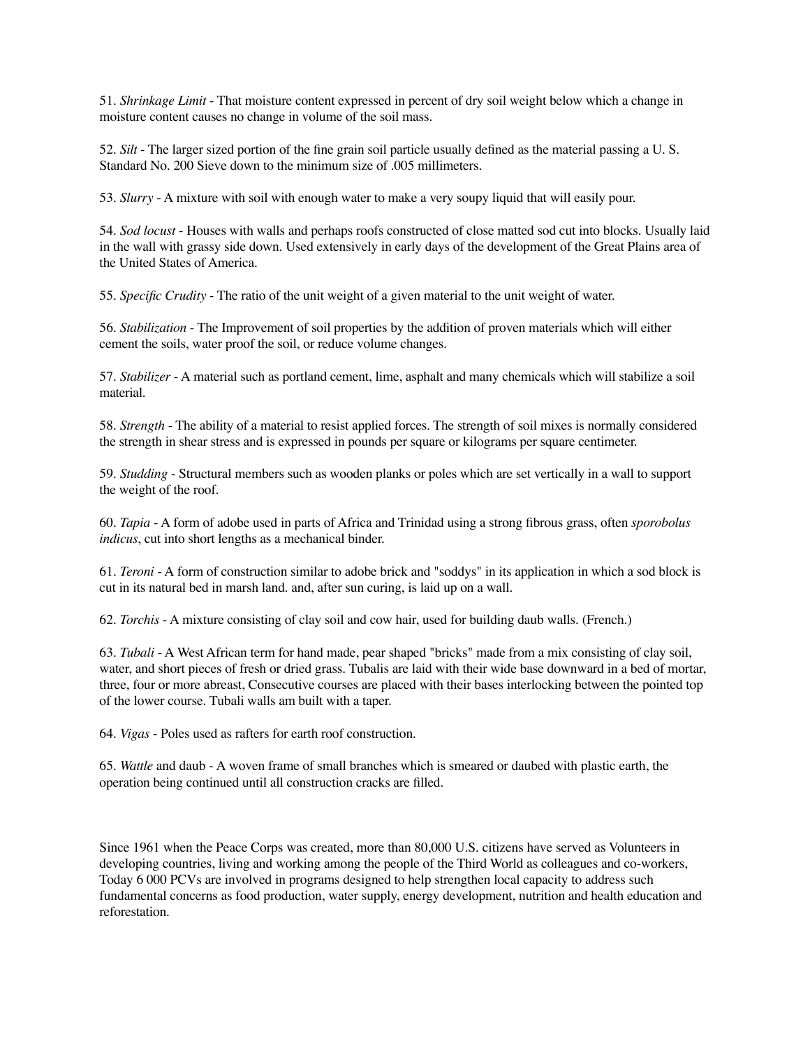51. *Shrinkage Limit* - That moisture content expressed in percent of dry soil weight below which a change in moisture content causes no change in volume of the soil mass.

52. *Silt* - The larger sized portion of the fine grain soil particle usually defined as the material passing a U. S. Standard No. 200 Sieve down to the minimum size of .005 millimeters.

53. *Slurry* - A mixture with soil with enough water to make a very soupy liquid that will easily pour.

54. *Sod locust* - Houses with walls and perhaps roofs constructed of close matted sod cut into blocks. Usually laid in the wall with grassy side down. Used extensively in early days of the development of the Great Plains area of the United States of America.

55. *Specific Crudity* - The ratio of the unit weight of a given material to the unit weight of water.

56. *Stabilization* - The Improvement of soil properties by the addition of proven materials which will either cement the soils, water proof the soil, or reduce volume changes.

57. *Stabilizer* - A material such as portland cement, lime, asphalt and many chemicals which will stabilize a soil material.

58. *Strength* - The ability of a material to resist applied forces. The strength of soil mixes is normally considered the strength in shear stress and is expressed in pounds per square or kilograms per square centimeter.

59. *Studding* - Structural members such as wooden planks or poles which are set vertically in a wall to support the weight of the roof.

60. *Tapia* - A form of adobe used in parts of Africa and Trinidad using a strong fibrous grass, often *sporobolus indicus*, cut into short lengths as a mechanical binder.

61. *Teroni* - A form of construction similar to adobe brick and "soddys" in its application in which a sod block is cut in its natural bed in marsh land. and, after sun curing, is laid up on a wall.

62. *Torchis* - A mixture consisting of clay soil and cow hair, used for building daub walls. (French.)

63. *Tubali* - A West African term for hand made, pear shaped "bricks" made from a mix consisting of clay soil, water, and short pieces of fresh or dried grass. Tubalis are laid with their wide base downward in a bed of mortar, three, four or more abreast, Consecutive courses are placed with their bases interlocking between the pointed top of the lower course. Tubali walls am built with a taper.

64. *Vigas* - Poles used as rafters for earth roof construction.

65. *Wattle* and daub - A woven frame of small branches which is smeared or daubed with plastic earth, the operation being continued until all construction cracks are filled.

Since 1961 when the Peace Corps was created, more than 80,000 U.S. citizens have served as Volunteers in developing countries, living and working among the people of the Third World as colleagues and co-workers, Today 6 000 PCVs are involved in programs designed to help strengthen local capacity to address such fundamental concerns as food production, water supply, energy development, nutrition and health education and reforestation.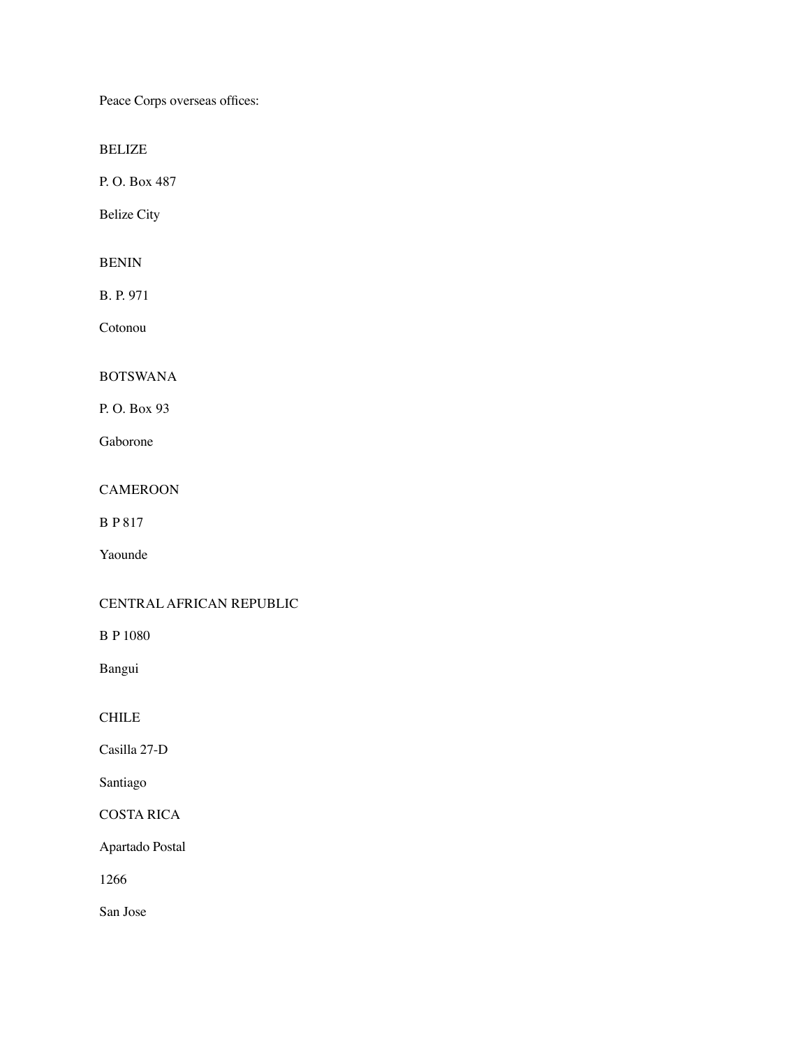Peace Corps overseas offices:

BELIZE

P. O. Box 487

Belize City

### BENIN

B. P. 971

Cotonou

BOTSWANA

P. O. Box 93

Gaborone

**CAMEROON** 

B P 817

Yaounde

## CENTRAL AFRICAN REPUBLIC

B P 1080

Bangui

CHILE

Casilla 27-D

Santiago

COSTA RICA

Apartado Postal

1266

San Jose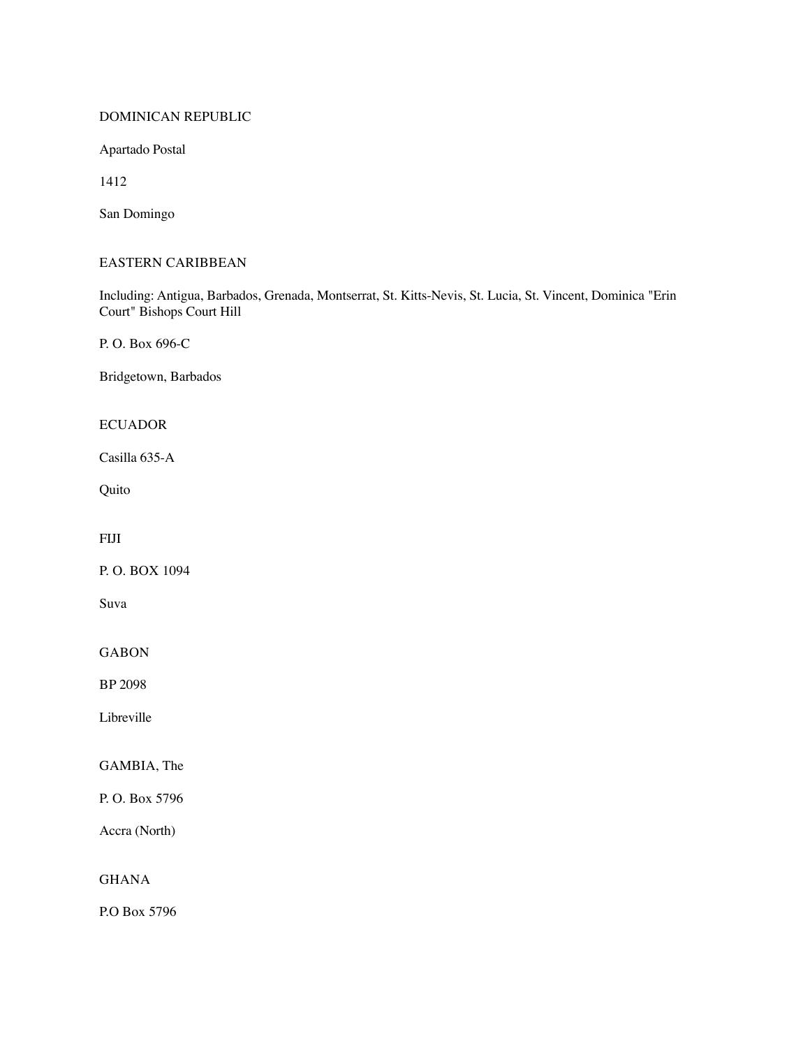### DOMINICAN REPUBLIC

Apartado Postal

1412

San Domingo

## EASTERN CARIBBEAN

Including: Antigua, Barbados, Grenada, Montserrat, St. Kitts-Nevis, St. Lucia, St. Vincent, Dominica "Erin Court" Bishops Court Hill

P. O. Box 696-C

Bridgetown, Barbados

## ECUADOR

Casilla 635-A

Quito

FIJI

P. O. BOX 1094

Suva

**GABON** 

BP 2098

Libreville

GAMBIA, The

P. O. Box 5796

Accra (North)

## GHANA

P.O Box 5796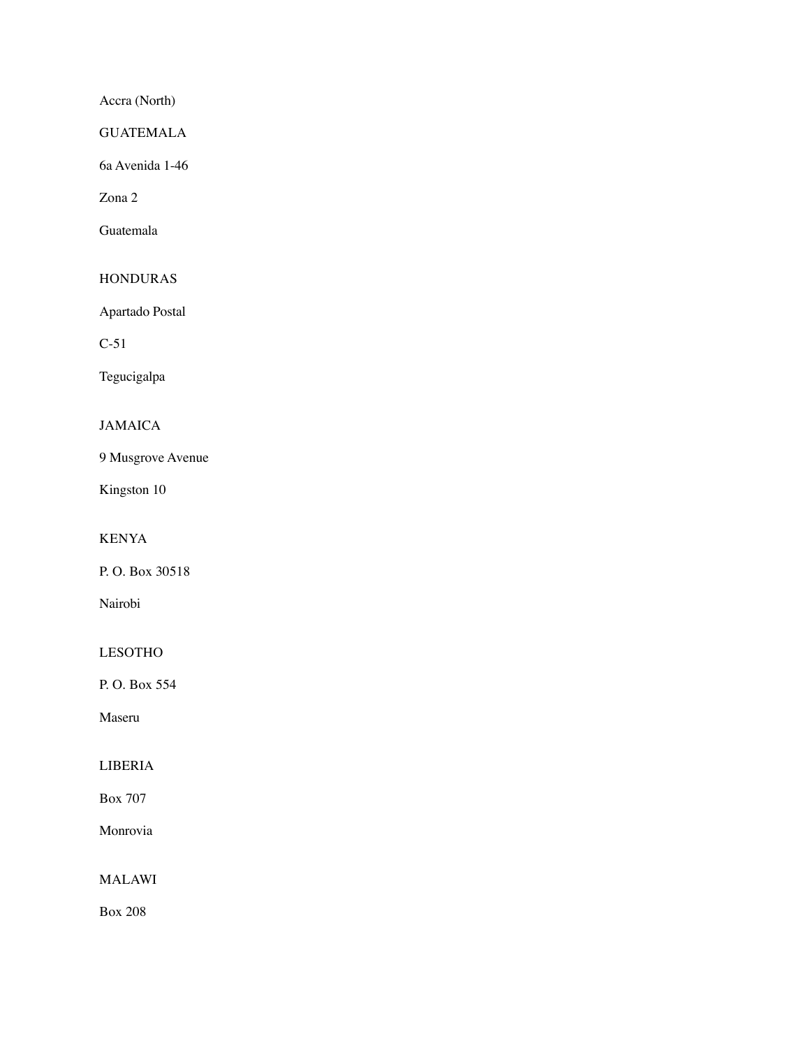Accra (North)

GUATEMALA

6a Avenida 1-46

Zona 2

Guatemala

## HONDURAS

Apartado Postal

C-51

Tegucigalpa

## JAMAICA

9 Musgrove Avenue

Kingston 10

### KENYA

P. O. Box 30518

Nairobi

## LESOTHO

P. O. Box 554

Maseru

## LIBERIA

Box 707

Monrovia

### MALAWI

Box 208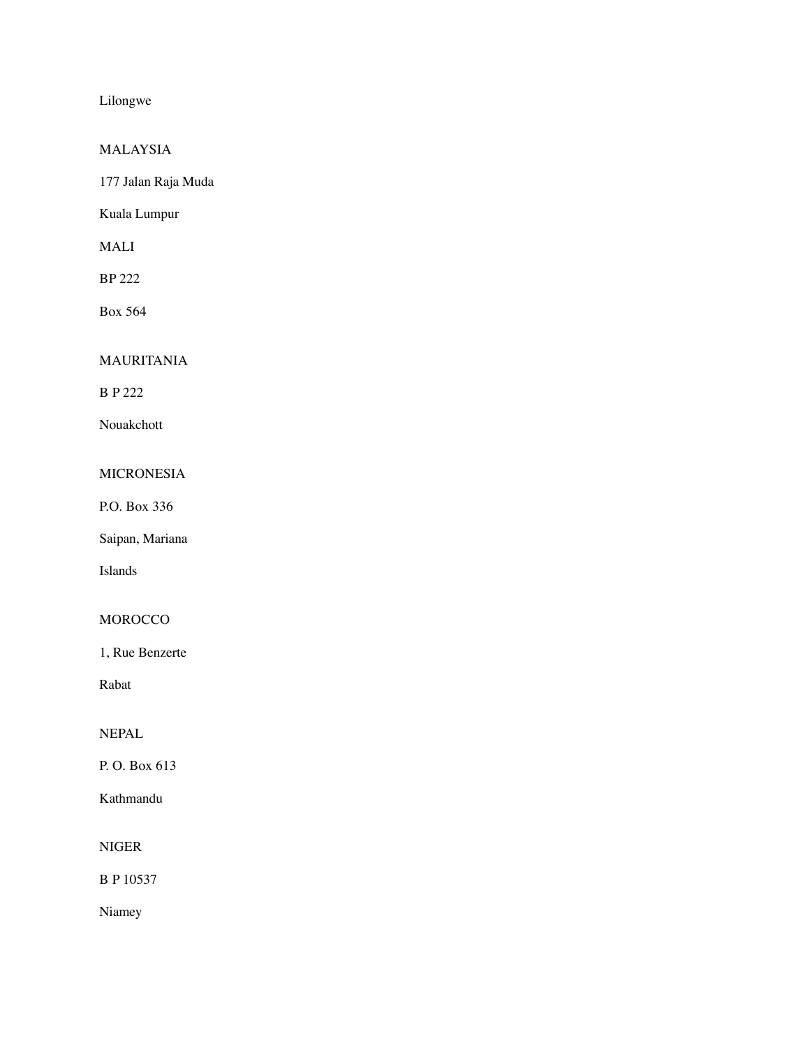Lilongwe

MALAYSIA

177 Jalan Raja Muda

Kuala Lumpur

MALI

BP 222

Box 564

MAURITANIA

B P 222

Nouakchott

## MICRONESIA

P.O. Box 336

Saipan, Mariana

Islands

## MOROCCO

1, Rue Benzerte

Rabat

NEPAL

P. O. Box 613

Kathmandu

NIGER

B P 10537

Niamey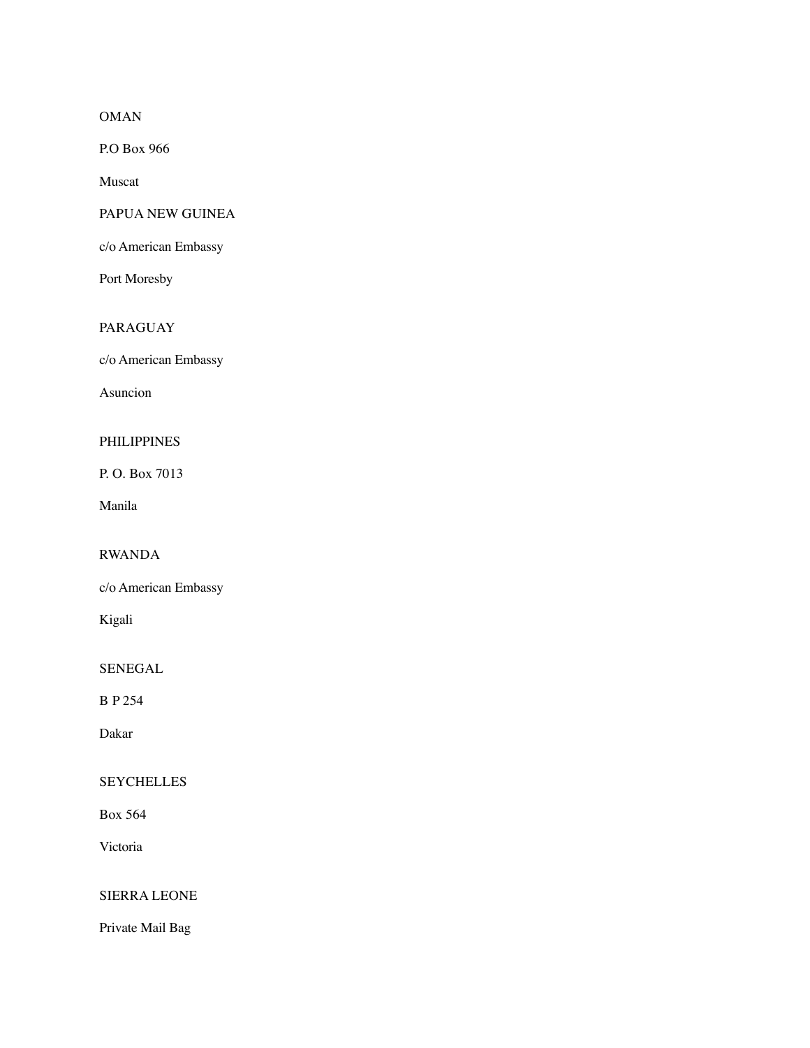### OMAN

P.O Box 966

Muscat

PAPUA NEW GUINEA

c/o American Embassy

Port Moresby

## PARAGUAY

c/o American Embassy

Asuncion

#### PHILIPPINES

P. O. Box 7013

Manila

RWANDA

c/o American Embassy

Kigali

SENEGAL

B P 254

Dakar

## SEYCHELLES

Box 564

Victoria

## SIERRA LEONE

Private Mail Bag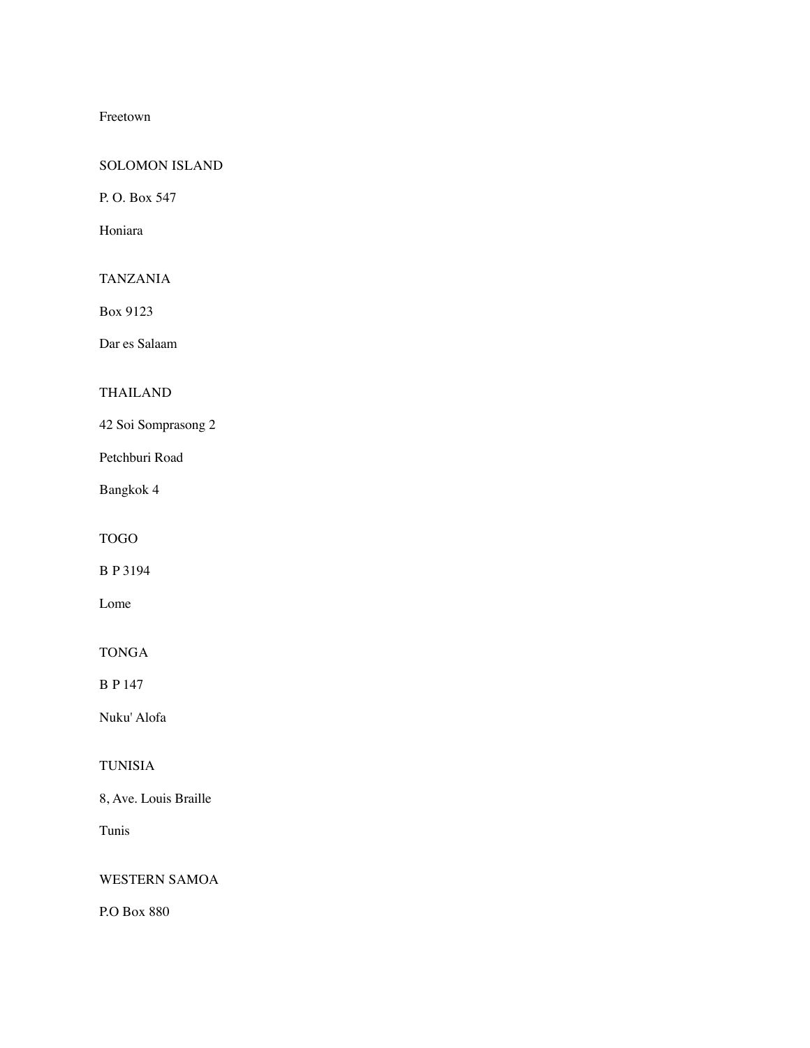Freetown

#### SOLOMON ISLAND

P. O. Box 547

Honiara

## TANZANIA

Box 9123

Dar es Salaam

## THAILAND

42 Soi Somprasong 2

Petchburi Road

Bangkok 4

TOGO

B P 3194

Lome

TONGA

B P 147

Nuku' Alofa

TUNISIA

8, Ave. Louis Braille

Tunis

WESTERN SAMOA

P.O Box 880